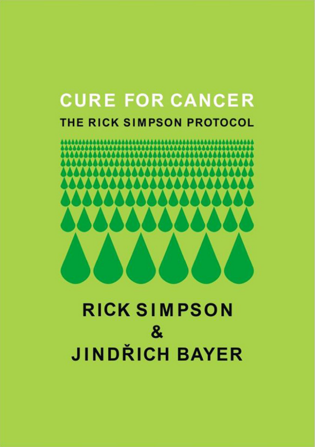## **CURE FOR CANCER** THE RICK SIMPSON PROTOCOL



# **RICK SIMPSON** & **JINDŘICH BAYER**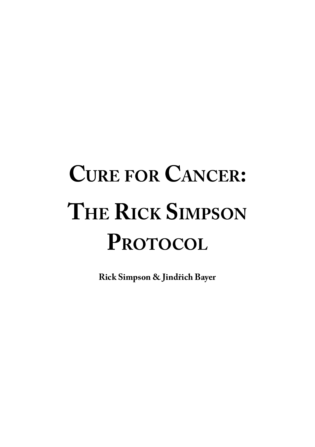# **Cure for Cancer: The Rick Simpson** PROTOCOL

**Rick Simpson & Jindřich Bayer**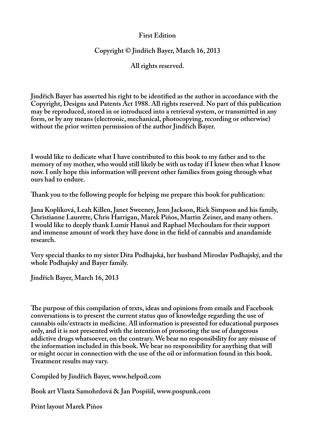#### **First Edition**

#### **Copyright © Jindřich Bayer, March 16, 2013**

**All rights reserved.**

**Jindřich Bayer has asserted his right to be identified as the author in accordance with the Copyright, Designs and Patents Act 1988. All rights reserved. No part of this publication may be reproduced, stored in or introduced into a retrieval system, or transmitted in any form, or by any means (electronic, mechanical, photocopying, recording or otherwise) without the prior written permission of the author Jindřich Bayer.**

**I would like to dedicate what I have contributed to this book to my father and to the memory of my mother, who would still likely be with us today if I knew then what I know now. I only hope this information will prevent other families from going through what ours had to endure.**

**Thank you to the following people for helping me prepare this book for publication:** 

**Jana Koplíková, Leah Killen, Janet Sweeney, Jenn Jackson, Rick Simpson and his family, Christianne Laurette, Chris Harrigan, Marek Piňos, Martin Zeiner, and many others. I would like to deeply thank Lumír Hanuš and Raphael Mechoulam for their support and immense amount of work they have done in the field of cannabis and anandamide research.** 

**Very special thanks to my sister Dita Podhajská, her husband Miroslav Podhajský, and the whole Podhajský and Bayer family.**

**Jindřich Bayer, March 16, 2013** 

**The purpose of this compilation of texts, ideas and opinions from emails and Facebook conversations is to present the current status quo of knowledge regarding the use of cannabis oils/extracts in medicine. All information is presented for educational purposes only, and it is not presented with the intention of promoting the use of dangerous addictive drugs whatsoever, on the contrary. We bear no responsibility for any misuse of the information included in this book. We bear no responsibility for anything that will or might occur in connection with the use of the oil or information found in this book. Treatment results may vary.** 

**Compiled by Jindřich Bayer, www.helpoil.com**

**Book art Vlasta Samohrdová & Jan Pospíšil, www.pospunk.com** 

**Print layout Marek Piňos**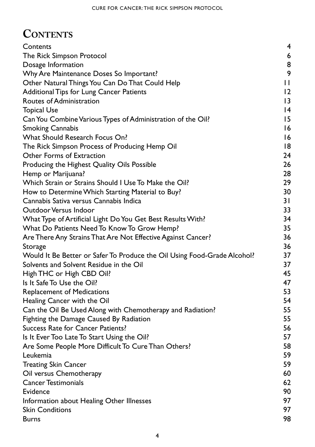### CONTENTS

| Contents                                                                 | $\overline{\mathbf{4}}$ |
|--------------------------------------------------------------------------|-------------------------|
| The Rick Simpson Protocol                                                | 6                       |
| Dosage Information                                                       | 8                       |
| Why Are Maintenance Doses So Important?                                  | 9                       |
| Other Natural Things You Can Do That Could Help                          | $\mathbf{H}$            |
| <b>Additional Tips for Lung Cancer Patients</b>                          | 12                      |
| Routes of Administration                                                 | 3                       |
| <b>Topical Use</b>                                                       | 4                       |
| Can You Combine Various Types of Administration of the Oil?              | 15                      |
| <b>Smoking Cannabis</b>                                                  | 16                      |
| What Should Research Focus On?                                           | 16                      |
| The Rick Simpson Process of Producing Hemp Oil                           | 8                       |
| Other Forms of Extraction                                                | 24                      |
| Producing the Highest Quality Oils Possible                              | 26                      |
| Hemp or Marijuana?                                                       | 28                      |
| Which Strain or Strains Should I Use To Make the Oil?                    | 29                      |
| How to Determine Which Starting Material to Buy?                         | 30                      |
| Cannabis Sativa versus Cannabis Indica                                   | 31                      |
| Outdoor Versus Indoor                                                    | 33                      |
| What Type of Artificial Light Do You Get Best Results With?              | 34                      |
| What Do Patients Need To Know To Grow Hemp?                              | 35                      |
| Are There Any Strains That Are Not Effective Against Cancer?             | 36                      |
| Storage                                                                  | 36                      |
| Would It Be Better or Safer To Produce the Oil Using Food-Grade Alcohol? | 37                      |
| Solvents and Solvent Residue in the Oil                                  | 37                      |
| High THC or High CBD Oil?                                                | 45                      |
| Is It Safe To Use the Oil?                                               | 47                      |
| <b>Replacement of Medications</b>                                        | 53                      |
| Healing Cancer with the Oil                                              | 54                      |
| Can the Oil Be Used Along with Chemotherapy and Radiation?               | 55                      |
| Fighting the Damage Caused By Radiation                                  | 55                      |
| <b>Success Rate for Cancer Patients?</b>                                 | 56                      |
| Is It Ever Too Late To Start Using the Oil?                              | 57                      |
| Are Some People More Difficult To Cure Than Others?                      | 58                      |
| Leukemia                                                                 | 59                      |
| <b>Treating Skin Cancer</b>                                              | 59                      |
| Oil versus Chemotherapy                                                  | 60                      |
| <b>Cancer Testimonials</b>                                               | 62                      |
| Evidence                                                                 | 90                      |
| Information about Healing Other Illnesses                                | 97                      |
| <b>Skin Conditions</b>                                                   | 97                      |
| <b>Burns</b>                                                             | 98                      |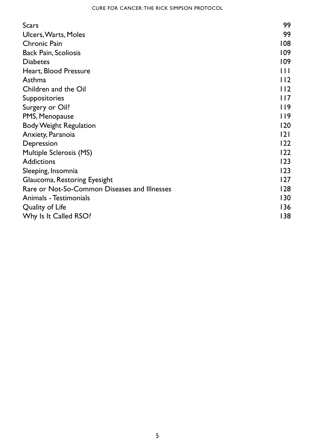#### CURE FOR CANCER: THE RICK SIMPSON PROTOCOL

| <b>Scars</b>                                 | 99           |
|----------------------------------------------|--------------|
| Ulcers, Warts, Moles                         | 99           |
| Chronic Pain                                 | 108          |
| <b>Back Pain, Scoliosis</b>                  | 109          |
| <b>Diabetes</b>                              | 109          |
| Heart, Blood Pressure                        | $\mathbf{H}$ |
| Asthma                                       | 112          |
| Children and the Oil                         | 112          |
| Suppositories                                | 117          |
| Surgery or Oil?                              | 119          |
| PMS, Menopause                               | $ $  9       |
| <b>Body Weight Regulation</b>                | 120          |
| Anxiety, Paranoia                            | 2            |
| Depression                                   | 122          |
| Multiple Sclerosis (MS)                      | 122          |
| <b>Addictions</b>                            | 123          |
| Sleeping, Insomnia                           | 123          |
| Glaucoma, Restoring Eyesight                 | 127          |
| Rare or Not-So-Common Diseases and Illnesses | 128          |
| Animals - Testimonials                       | 130          |
| Quality of Life                              | 136          |
| Why Is It Called RSO?                        | 138          |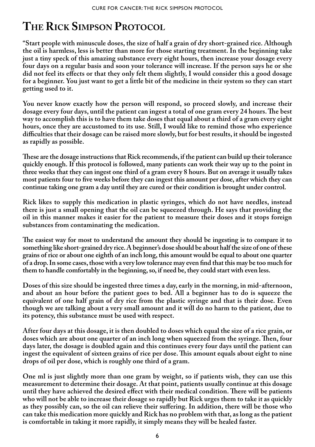### <span id="page-5-0"></span>**The Rick Simpson Protocol**

**"Start people with minuscule doses, the size of half a grain of dry short-grained rice. Although the oil is harmless, less is better than more for those starting treatment. In the beginning take just a tiny speck of this amazing substance every eight hours, then increase your dosage every four days on a regular basis and soon your tolerance will increase. If the person says he or she did not feel its effects or that they only felt them slightly, I would consider this a good dosage for a beginner. You just want to get a little bit of the medicine in their system so they can start getting used to it.** 

**You never know exactly how the person will respond, so proceed slowly, and increase their dosage every four days, until the patient can ingest a total of one gram every 24 hours. The best way to accomplish this is to have them take doses that equal about a third of a gram every eight hours, once they are accustomed to its use. Still, I would like to remind those who experience difficulties that their dosage can be raised more slowly, but for best results, it should be ingested as rapidly as possible.**

**These are the dosage instructions that Rick recommends, if the patient can build up their tolerance quickly enough. If this protocol is followed, many patients can work their way up to the point in three weeks that they can ingest one third of a gram every 8 hours. But on average it usually takes most patients four to five weeks before they can ingest this amount per dose, after which they can continue taking one gram a day until they are cured or their condition is brought under control.** 

**Rick likes to supply this medication in plastic syringes, which do not have needles, instead there is just a small opening that the oil can be squeezed through. He says that providing the oil in this manner makes it easier for the patient to measure their doses and it stops foreign substances from contaminating the medication.**

**The easiest way for most to understand the amount they should be ingesting is to compare it to something like short-grained dry rice. A beginner's dose should be about half the size of one of these grains of rice or about one eighth of an inch long, this amount would be equal to about one quarter of a drop. In some cases, those with a very low tolerance may even find that this may be too much for them to handle comfortably in the beginning, so, if need be, they could start with even less.** 

**Doses of this size should be ingested three times a day, early in the morning, in mid-afternoon, and about an hour before the patient goes to bed. All a beginner has to do is squeeze the equivalent of one half grain of dry rice from the plastic syringe and that is their dose. Even though we are talking about a very small amount and it will do no harm to the patient, due to its potency, this substance must be used with respect.**

**After four days at this dosage, it is then doubled to doses which equal the size of a rice grain, or doses which are about one quarter of an inch long when squeezed from the syringe. Then, four days later, the dosage is doubled again and this continues every four days until the patient can ingest the equivalent of sixteen grains of rice per dose. This amount equals about eight to nine drops of oil per dose, which is roughly one third of a gram.** 

**One ml is just slightly more than one gram by weight, so if patients wish, they can use this measurement to determine their dosage. At that point, patients usually continue at this dosage until they have achieved the desired effect with their medical condition. There will be patients who will not be able to increase their dosage so rapidly but Rick urges them to take it as quickly as they possibly can, so the oil can relieve their suffering. In addition, there will be those who can take this medication more quickly and Rick has no problem with that, as long as the patient is comfortable in taking it more rapidly, it simply means they will be healed faster.**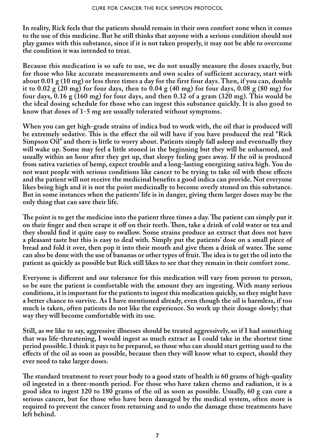**In reality, Rick feels that the patients should remain in their own comfort zone when it comes to the use of this medicine. But he still thinks that anyone with a serious condition should not play games with this substance, since if it is not taken properly, it may not be able to overcome the condition it was intended to treat.** 

**Because this medication is so safe to use, we do not usually measure the doses exactly, but for those who like accurate measurements and own scales of sufficient accuracy, start with about 0.01 g (10 mg) or less three times a day for the first four days. Then, if you can, double it to 0.02 g (20 mg) for four days, then to 0.04 g (40 mg) for four days, 0.08 g (80 mg) for four days, 0.16 g (160 mg) for four days, and then 0.32 of a gram (320 mg). This would be the ideal dosing schedule for those who can ingest this substance quickly. It is also good to know that doses of 1-5 mg are usually tolerated without symptoms.**

**When you can get high-grade strains of indica bud to work with, the oil that is produced will be extremely sedative. This is the effect the oil will have if you have produced the real "Rick Simpson Oil" and there is little to worry about. Patients simply fall asleep and eventually they will wake up. Some may feel a little stoned in the beginning but they will be unharmed, and usually within an hour after they get up, that sleepy feeling goes away. If the oil is produced from sativa varieties of hemp, expect trouble and a long-lasting energizing sativa high. You do not want people with serious conditions like cancer to be trying to take oil with these effects and the patient will not receive the medicinal benefits a good indica can provide. Not everyone likes being high and it is not the point medicinally to become overly stoned on this substance. But in some instances when the patients' life is in danger, giving them larger doses may be the only thing that can save their life.**

**The point is to get the medicine into the patient three times a day. The patient can simply put it on their finger and then scrape it off on their teeth. Then, take a drink of cold water or tea and they should find it quite easy to swallow. Some strains produce an extract that does not have a pleasant taste but this is easy to deal with. Simply put the patients' dose on a small piece of bread and fold it over, then pop it into their mouth and give them a drink of water. The same can also be done with the use of bananas or other types of fruit. The idea is to get the oil into the patient as quickly as possible but Rick still likes to see that they remain in their comfort zone.**

**Everyone is different and our tolerance for this medication will vary from person to person, so be sure the patient is comfortable with the amount they are ingesting. With many serious conditions, it is important for the patients to ingest this medication quickly, so they might have a better chance to survive. As I have mentioned already, even though the oil is harmless, if too much is taken, often patients do not like the experience. So work up their dosage slowly; that way they will become comfortable with its use.** 

**Still, as we like to say, aggressive illnesses should be treated aggressively, so if I had something that was life-threatening, I would ingest as much extract as I could take in the shortest time period possible. I think it pays to be prepared, so those who can should start getting used to the effects of the oil as soon as possible, because then they will know what to expect, should they ever need to take larger doses.** 

**The standard treatment to reset your body to a good state of health is 60 grams of high-quality oil ingested in a three-month period. For those who have taken chemo and radiation, it is a good idea to ingest 120 to 180 grams of the oil as soon as possible. Usually, 60 g can cure a serious cancer, but for those who have been damaged by the medical system, often more is required to prevent the cancer from returning and to undo the damage these treatments have left behind.**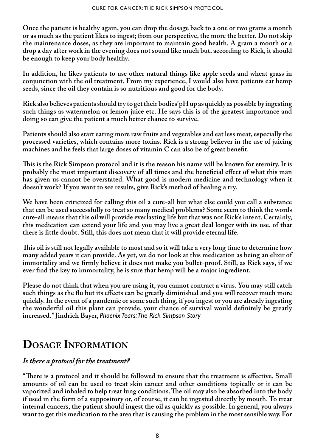<span id="page-7-0"></span>**Once the patient is healthy again, you can drop the dosage back to a one or two grams a month or as much as the patient likes to ingest; from our perspective, the more the better. Do not skip the maintenance doses, as they are important to maintain good health. A gram a month or a drop a day after work in the evening does not sound like much but, according to Rick, it should be enough to keep your body healthy.** 

**In addition, he likes patients to use other natural things like apple seeds and wheat grass in conjunction with the oil treatment. From my experience, I would also have patients eat hemp seeds, since the oil they contain is so nutritious and good for the body.** 

**Rick also believes patients should try to get their bodies' pH up as quickly as possible by ingesting such things as watermelon or lemon juice etc. He says this is of the greatest importance and doing so can give the patient a much better chance to survive.** 

**Patients should also start eating more raw fruits and vegetables and eat less meat, especially the processed varieties, which contains more toxins. Rick is a strong believer in the use of juicing machines and he feels that large doses of vitamin C can also be of great benefit.** 

**This is the Rick Simpson protocol and it is the reason his name will be known for eternity. It is probably the most important discovery of all times and the beneficial effect of what this man has given us cannot be overstated. What good is modern medicine and technology when it doesn't work? If you want to see results, give Rick's method of healing a try.** 

**We have been criticized for calling this oil a cure-all but what else could you call a substance that can be used successfully to treat so many medical problems? Some seem to think the words cure-all means that this oil will provide everlasting life but that was not Rick's intent. Certainly, this medication can extend your life and you may live a great deal longer with its use, of that there is little doubt. Still, this does not mean that it will provide eternal life.** 

**This oil is still not legally available to most and so it will take a very long time to determine how many added years it can provide. As yet, we do not look at this medication as being an elixir of immortality and we firmly believe it does not make you bullet-proof. Still, as Rick says, if we ever find the key to immortality, he is sure that hemp will be a major ingredient.** 

**Please do not think that when you are using it, you cannot contract a virus. You may still catch such things as the flu but its effects can be greatly diminished and you will recover much more quickly. In the event of a pandemic or some such thing, if you ingest or you are already ingesting the wonderful oil this plant can provide, your chance of survival would definitely be greatly increased." Jindrich Bayer,** *Phoenix Tears: The Rick Simpson Story*

### **Dosage Information**

#### *Is there a protocol for the treatment?*

**"There is a protocol and it should be followed to ensure that the treatment is effective. Small amounts of oil can be used to treat skin cancer and other conditions topically or it can be vaporized and inhaled to help treat lung conditions. The oil may also be absorbed into the body if used in the form of a suppository or, of course, it can be ingested directly by mouth. To treat internal cancers, the patient should ingest the oil as quickly as possible. In general, you always want to get this medication to the area that is causing the problem in the most sensible way. For**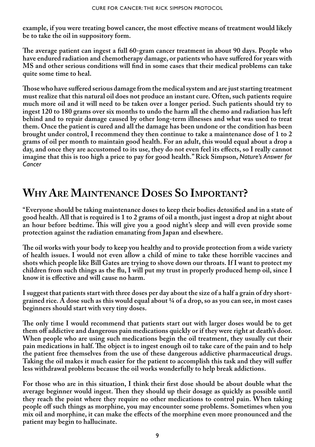<span id="page-8-0"></span>**example, if you were treating bowel cancer, the most effective means of treatment would likely be to take the oil in suppository form.** 

**The average patient can ingest a full 60-gram cancer treatment in about 90 days. People who have endured radiation and chemotherapy damage, or patients who have suffered for years with MS and other serious conditions will find in some cases that their medical problems can take quite some time to heal.** 

**Those who have suffered serious damage from the medical system and are just starting treatment must realize that this natural oil does not produce an instant cure. Often, such patients require much more oil and it will need to be taken over a longer period. Such patients should try to ingest 120 to 180 grams over six months to undo the harm all the chemo and radiation has left behind and to repair damage caused by other long-term illnesses and what was used to treat them. Once the patient is cured and all the damage has been undone or the condition has been brought under control, I recommend they then continue to take a maintenance dose of 1 to 2 grams of oil per month to maintain good health. For an adult, this would equal about a drop a day, and once they are accustomed to its use, they do not even feel its effects, so I really cannot imagine that this is too high a price to pay for good health." Rick Simpson,** *Nature's Answer for Cancer*

### **Why Are Maintenance Doses So Important?**

**"Everyone should be taking maintenance doses to keep their bodies detoxified and in a state of good health. All that is required is 1 to 2 grams of oil a month, just ingest a drop at night about an hour before bedtime. This will give you a good night's sleep and will even provide some protection against the radiation emanating from Japan and elsewhere.** 

**The oil works with your body to keep you healthy and to provide protection from a wide variety of health issues. I would not even allow a child of mine to take these horrible vaccines and shots which people like Bill Gates are trying to shove down our throats. If I want to protect my children from such things as the flu, I will put my trust in properly produced hemp oil, since I know it is effective and will cause no harm.**

**I suggest that patients start with three doses per day about the size of a half a grain of dry shortgrained rice. A dose such as this would equal about ¼ of a drop, so as you can see, in most cases beginners should start with very tiny doses.** 

**The only time I would recommend that patients start out with larger doses would be to get them off addictive and dangerous pain medications quickly or if they were right at death's door. When people who are using such medications begin the oil treatment, they usually cut their pain medications in half. The object is to ingest enough oil to take care of the pain and to help the patient free themselves from the use of these dangerous addictive pharmaceutical drugs. Taking the oil makes it much easier for the patient to accomplish this task and they will suffer less withdrawal problems because the oil works wonderfully to help break addictions.** 

**For those who are in this situation, I think their first dose should be about double what the average beginner would ingest. Then they should up their dosage as quickly as possible until they reach the point where they require no other medications to control pain. When taking people off such things as morphine, you may encounter some problems. Sometimes when you mix oil and morphine, it can make the effects of the morphine even more pronounced and the patient may begin to hallucinate.**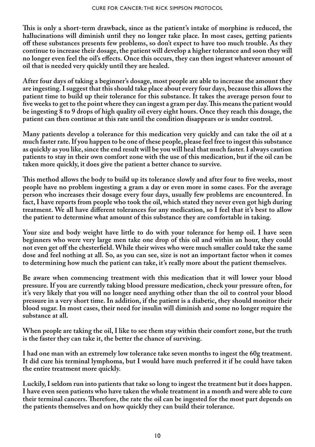**This is only a short-term drawback, since as the patient's intake of morphine is reduced, the hallucinations will diminish until they no longer take place. In most cases, getting patients off these substances presents few problems, so don't expect to have too much trouble. As they continue to increase their dosage, the patient will develop a higher tolerance and soon they will no longer even feel the oil's effects. Once this occurs, they can then ingest whatever amount of oil that is needed very quickly until they are healed.**

**After four days of taking a beginner's dosage, most people are able to increase the amount they are ingesting. I suggest that this should take place about every four days, because this allows the patient time to build up their tolerance for this substance. It takes the average person four to five weeks to get to the point where they can ingest a gram per day. This means the patient would be ingesting 8 to 9 drops of high quality oil every eight hours. Once they reach this dosage, the patient can then continue at this rate until the condition disappears or is under control.** 

**Many patients develop a tolerance for this medication very quickly and can take the oil at a much faster rate. If you happen to be one of these people, please feel free to ingest this substance as quickly as you like, since the end result will be you will heal that much faster. I always caution patients to stay in their own comfort zone with the use of this medication, but if the oil can be taken more quickly, it does give the patient a better chance to survive.**

**This method allows the body to build up its tolerance slowly and after four to five weeks, most people have no problem ingesting a gram a day or even more in some cases. For the average person who increases their dosage every four days, usually few problems are encountered. In fact, I have reports from people who took the oil, which stated they never even got high during treatment. We all have different tolerances for any medication, so I feel that it's best to allow the patient to determine what amount of this substance they are comfortable in taking.** 

**Your size and body weight have little to do with your tolerance for hemp oil. I have seen beginners who were very large men take one drop of this oil and within an hour, they could not even get off the chesterfield. While their wives who were much smaller could take the same dose and feel nothing at all. So, as you can see, size is not an important factor when it comes to determining how much the patient can take, it's really more about the patient themselves.** 

**Be aware when commencing treatment with this medication that it will lower your blood pressure. If you are currently taking blood pressure medication, check your pressure often, for it's very likely that you will no longer need anything other than the oil to control your blood pressure in a very short time. In addition, if the patient is a diabetic, they should monitor their blood sugar. In most cases, their need for insulin will diminish and some no longer require the substance at all.**

**When people are taking the oil, I like to see them stay within their comfort zone, but the truth is the faster they can take it, the better the chance of surviving.** 

**I had one man with an extremely low tolerance take seven months to ingest the 60g treatment. It did cure his terminal lymphoma, but I would have much preferred it if he could have taken the entire treatment more quickly.** 

**Luckily, I seldom run into patients that take so long to ingest the treatment but it does happen. I have even seen patients who have taken the whole treatment in a month and were able to cure their terminal cancers. Therefore, the rate the oil can be ingested for the most part depends on the patients themselves and on how quickly they can build their tolerance.**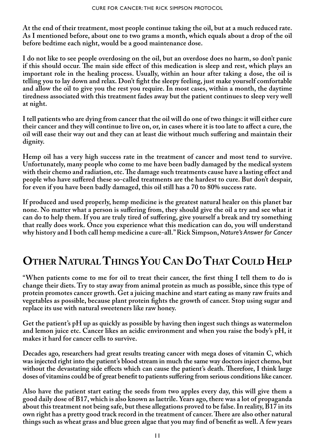<span id="page-10-0"></span>**At the end of their treatment, most people continue taking the oil, but at a much reduced rate. As I mentioned before, about one to two grams a month, which equals about a drop of the oil before bedtime each night, would be a good maintenance dose.** 

**I do not like to see people overdosing on the oil, but an overdose does no harm, so don't panic if this should occur. The main side effect of this medication is sleep and rest, which plays an important role in the healing process. Usually, within an hour after taking a dose, the oil is telling you to lay down and relax. Don't fight the sleepy feeling, just make yourself comfortable and allow the oil to give you the rest you require. In most cases, within a month, the daytime tiredness associated with this treatment fades away but the patient continues to sleep very well at night.**

**I tell patients who are dying from cancer that the oil will do one of two things: it will either cure their cancer and they will continue to live on, or, in cases where it is too late to affect a cure, the oil will ease their way out and they can at least die without much suffering and maintain their dignity.** 

**Hemp oil has a very high success rate in the treatment of cancer and most tend to survive. Unfortunately, many people who come to me have been badly damaged by the medical system with their chemo and radiation, etc. The damage such treatments cause have a lasting effect and people who have suffered these so-called treatments are the hardest to cure. But don't despair, for even if you have been badly damaged, this oil still has a 70 to 80% success rate.**

**If produced and used properly, hemp medicine is the greatest natural healer on this planet bar none. No matter what a person is suffering from, they should give the oil a try and see what it can do to help them. If you are truly tired of suffering, give yourself a break and try something that really does work. Once you experience what this medication can do, you will understand why history and I both call hemp medicine a cure-all." Rick Simpson,** *Nature's Answer for Cancer*

### **Other Natural Things You Can Do That Could Help**

**"When patients come to me for oil to treat their cancer, the first thing I tell them to do is change their diets. Try to stay away from animal protein as much as possible, since this type of protein promotes cancer growth. Get a juicing machine and start eating as many raw fruits and vegetables as possible, because plant protein fights the growth of cancer. Stop using sugar and replace its use with natural sweeteners like raw honey.** 

**Get the patient's pH up as quickly as possible by having then ingest such things as watermelon and lemon juice etc. Cancer likes an acidic environment and when you raise the body's pH, it makes it hard for cancer cells to survive.** 

**Decades ago, researchers had great results treating cancer with mega doses of vitamin C, which was injected right into the patient's blood stream in much the same way doctors inject chemo, but without the devastating side effects which can cause the patient's death. Therefore, I think large doses of vitamins could be of great benefit to patients suffering from serious conditions like cancer.** 

**Also have the patient start eating the seeds from two apples every day, this will give them a good daily dose of B17, which is also known as laetrile. Years ago, there was a lot of propaganda about this treatment not being safe, but these allegations proved to be false. In reality, B17 in its own right has a pretty good track record in the treatment of cancer. There are also other natural things such as wheat grass and blue green algae that you may find of benefit as well. A few years**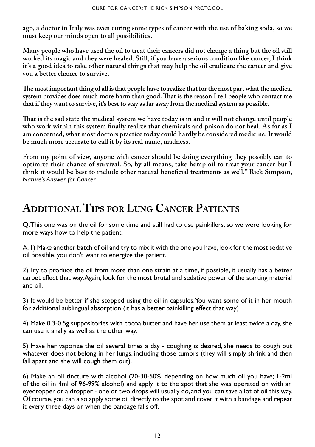<span id="page-11-0"></span>**ago, a doctor in Italy was even curing some types of cancer with the use of baking soda, so we must keep our minds open to all possibilities.**

**Many people who have used the oil to treat their cancers did not change a thing but the oil still worked its magic and they were healed. Still, if you have a serious condition like cancer, I think it's a good idea to take other natural things that may help the oil eradicate the cancer and give you a better chance to survive.** 

**The most important thing of all is that people have to realize that for the most part what the medical system provides does much more harm than good. That is the reason I tell people who contact me that if they want to survive, it's best to stay as far away from the medical system as possible.** 

**That is the sad state the medical system we have today is in and it will not change until people who work within this system finally realize that chemicals and poison do not heal. As far as I am concerned, what most doctors practice today could hardly be considered medicine. It would be much more accurate to call it by its real name, madness.**

**From my point of view, anyone with cancer should be doing everything they possibly can to optimize their chance of survival. So, by all means, take hemp oil to treat your cancer but I think it would be best to include other natural beneficial treatments as well." Rick Simpson,**  *Nature's Answer for Cancer*

### **Additional Tips for Lung Cancer Patients**

Q. This one was on the oil for some time and still had to use painkillers, so we were looking for more ways how to help the patient.

A. 1) Make another batch of oil and try to mix it with the one you have, look for the most sedative oil possible, you don't want to energize the patient.

2) Try to produce the oil from more than one strain at a time, if possible, it usually has a better carpet effect that way. Again, look for the most brutal and sedative power of the starting material and oil.

3) It would be better if she stopped using the oil in capsules. You want some of it in her mouth for additional sublingual absorption (it has a better painkilling effect that way)

4) Make 0.3-0.5g suppositories with cocoa butter and have her use them at least twice a day, she can use it anally as well as the other way.

5) Have her vaporize the oil several times a day - coughing is desired, she needs to cough out whatever does not belong in her lungs, including those tumors (they will simply shrink and then fall apart and she will cough them out).

6) Make an oil tincture with alcohol (20-30-50%, depending on how much oil you have; 1-2ml of the oil in 4ml of 96-99% alcohol) and apply it to the spot that she was operated on with an eyedropper or a dropper - one or two drops will usually do, and you can save a lot of oil this way. Of course, you can also apply some oil directly to the spot and cover it with a bandage and repeat it every three days or when the bandage falls off.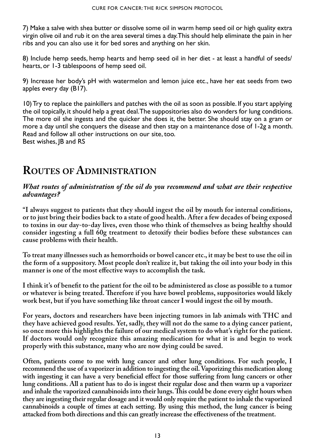<span id="page-12-0"></span>7) Make a salve with shea butter or dissolve some oil in warm hemp seed oil or high quality extra virgin olive oil and rub it on the area several times a day. This should help eliminate the pain in her ribs and you can also use it for bed sores and anything on her skin.

8) Include hemp seeds, hemp hearts and hemp seed oil in her diet - at least a handful of seeds/ hearts, or 1-3 tablespoons of hemp seed oil.

9) Increase her body's pH with watermelon and lemon juice etc., have her eat seeds from two apples every day (B17).

10) Try to replace the painkillers and patches with the oil as soon as possible. If you start applying the oil topically, it should help a great deal. The suppositories also do wonders for lung conditions. The more oil she ingests and the quicker she does it, the better. She should stay on a gram or more a day until she conquers the disease and then stay on a maintenance dose of 1-2g a month. Read and follow all other instructions on our site, too. Best wishes, JB and RS

### **Routes of Administration**

*What routes of administration of the oil do you recommend and what are their respective advantages?*

**"I always suggest to patients that they should ingest the oil by mouth for internal conditions, or to just bring their bodies back to a state of good health. After a few decades of being exposed to toxins in our day-to-day lives, even those who think of themselves as being healthy should consider ingesting a full 60g treatment to detoxify their bodies before these substances can cause problems with their health.** 

**To treat many illnesses such as hemorrhoids or bowel cancer etc., it may be best to use the oil in the form of a suppository. Most people don't realize it, but taking the oil into your body in this manner is one of the most effective ways to accomplish the task.** 

**I think it's of benefit to the patient for the oil to be administered as close as possible to a tumor or whatever is being treated. Therefore if you have bowel problems, suppositories would likely work best, but if you have something like throat cancer I would ingest the oil by mouth.** 

**For years, doctors and researchers have been injecting tumors in lab animals with THC and they have achieved good results. Yet, sadly, they will not do the same to a dying cancer patient, so once more this highlights the failure of our medical system to do what's right for the patient. If doctors would only recognize this amazing medication for what it is and begin to work properly with this substance, many who are now dying could be saved.** 

**Often, patients come to me with lung cancer and other lung conditions. For such people, I recommend the use of a vaporizer in addition to ingesting the oil. Vaporizing this medication along with ingesting it can have a very beneficial effect for those suffering from lung cancers or other lung conditions. All a patient has to do is ingest their regular dose and then warm up a vaporizer and inhale the vaporized cannabinoids into their lungs. This could be done every eight hours when they are ingesting their regular dosage and it would only require the patient to inhale the vaporized cannabinoids a couple of times at each setting. By using this method, the lung cancer is being attacked from both directions and this can greatly increase the effectiveness of the treatment.**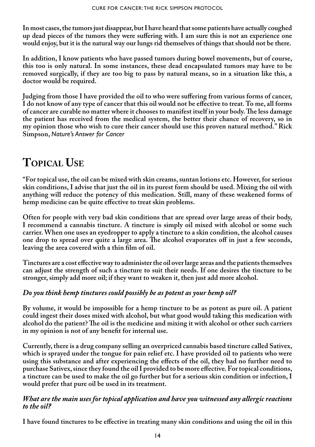<span id="page-13-0"></span>**In most cases, the tumors just disappear, but I have heard that some patients have actually coughed up dead pieces of the tumors they were suffering with. I am sure this is not an experience one would enjoy, but it is the natural way our lungs rid themselves of things that should not be there.** 

**In addition, I know patients who have passed tumors during bowel movements, but of course, this too is only natural. In some instances, these dead encapsulated tumors may have to be removed surgically, if they are too big to pass by natural means, so in a situation like this, a doctor would be required.** 

**Judging from those I have provided the oil to who were suffering from various forms of cancer, I do not know of any type of cancer that this oil would not be effective to treat. To me, all forms of cancer are curable no matter where it chooses to manifest itself in your body. The less damage the patient has received from the medical system, the better their chance of recovery, so in my opinion those who wish to cure their cancer should use this proven natural method." Rick Simpson,** *Nature's Answer for Cancer*

### **Topical Use**

**"For topical use, the oil can be mixed with skin creams, suntan lotions etc. However, for serious skin conditions, I advise that just the oil in its purest form should be used. Mixing the oil with anything will reduce the potency of this medication. Still, many of these weakened forms of hemp medicine can be quite effective to treat skin problems.** 

**Often for people with very bad skin conditions that are spread over large areas of their body, I recommend a cannabis tincture. A tincture is simply oil mixed with alcohol or some such carrier. When one uses an eyedropper to apply a tincture to a skin condition, the alcohol causes one drop to spread over quite a large area. The alcohol evaporates off in just a few seconds, leaving the area covered with a thin film of oil.** 

**Tinctures are a cost effective way to administer the oil over large areas and the patients themselves can adjust the strength of such a tincture to suit their needs. If one desires the tincture to be stronger, simply add more oil; if they want to weaken it, then just add more alcohol.**

#### *Do you think hemp tinctures could possibly be as potent as your hemp oil?*

**By volume, it would be impossible for a hemp tincture to be as potent as pure oil. A patient could ingest their doses mixed with alcohol, but what good would taking this medication with alcohol do the patient? The oil is the medicine and mixing it with alcohol or other such carriers in my opinion is not of any benefit for internal use.** 

**Currently, there is a drug company selling an overpriced cannabis based tincture called Sativex, which is sprayed under the tongue for pain relief etc. I have provided oil to patients who were using this substance and after experiencing the effects of the oil, they had no further need to purchase Sativex, since they found the oil I provided to be more effective. For topical conditions, a tincture can be used to make the oil go further but for a serious skin condition or infection, I would prefer that pure oil be used in its treatment.**

#### *What are the main uses for topical application and have you witnessed any allergic reactions to the oil?*

**I have found tinctures to be effective in treating many skin conditions and using the oil in this**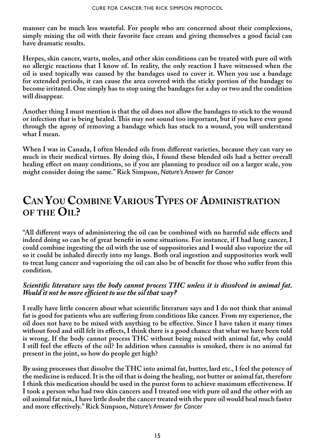<span id="page-14-0"></span>**manner can be much less wasteful. For people who are concerned about their complexions, simply mixing the oil with their favorite face cream and giving themselves a good facial can have dramatic results.** 

**Herpes, skin cancer, warts, moles, and other skin conditions can be treated with pure oil with no allergic reactions that I know of. In reality, the only reaction I have witnessed when the oil is used topically was caused by the bandages used to cover it. When you use a bandage for extended periods, it can cause the area covered with the sticky portion of the bandage to become irritated. One simply has to stop using the bandages for a day or two and the condition will disappear.** 

**Another thing I must mention is that the oil does not allow the bandages to stick to the wound or infection that is being healed. This may not sound too important, but if you have ever gone through the agony of removing a bandage which has stuck to a wound, you will understand what I mean.** 

**When I was in Canada, I often blended oils from different varieties, because they can vary so much in their medical virtues. By doing this, I found these blended oils had a better overall healing effect on many conditions, so if you are planning to produce oil on a larger scale, you might consider doing the same." Rick Simpson,** *Nature's Answer for Cancer*

### **Can You Combine Various Types of Administration of the Oil?**

**"All different ways of administering the oil can be combined with no harmful side effects and indeed doing so can be of great benefit in some situations. For instance, if I had lung cancer, I could combine ingesting the oil with the use of suppositories and I would also vaporize the oil so it could be inhaled directly into my lungs. Both oral ingestion and suppositories work well to treat lung cancer and vaporizing the oil can also be of benefit for those who suffer from this condition.**

#### *Scientific literature says the body cannot process THC unless it is dissolved in animal fat. Would it not be more efficient to use the oil that way?*

**I really have little concern about what scientific literature says and I do not think that animal fat is good for patients who are suffering from conditions like cancer. From my experience, the oil does not have to be mixed with anything to be effective. Since I have taken it many times without food and still felt its effects, I think there is a good chance that what we have been told is wrong. If the body cannot process THC without being mixed with animal fat, why could I still feel the effects of the oil? In addition when cannabis is smoked, there is no animal fat present in the joint, so how do people get high?**

**By using processes that dissolve the THC into animal fat, butter, lard etc., I feel the potency of the medicine is reduced. It is the oil that is doing the healing, not butter or animal fat, therefore I think this medication should be used in the purest form to achieve maximum effectiveness. If I took a person who had two skin cancers and I treated one with pure oil and the other with an oil animal fat mix, I have little doubt the cancer treated with the pure oil would heal much faster and more effectively." Rick Simpson,** *Nature's Answer for Cancer*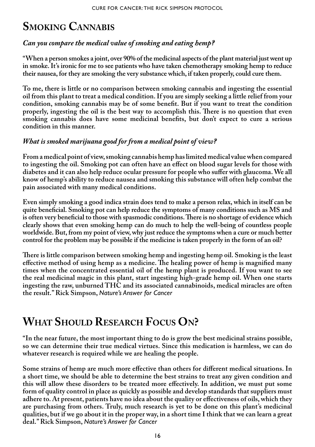### <span id="page-15-0"></span>**Smoking Cannabis**

#### *Can you compare the medical value of smoking and eating hemp?*

**"When a person smokes a joint, over 90% of the medicinal aspects of the plant material just went up in smoke. It's ironic for me to see patients who have taken chemotherapy smoking hemp to reduce their nausea, for they are smoking the very substance which, if taken properly, could cure them.** 

**To me, there is little or no comparison between smoking cannabis and ingesting the essential oil from this plant to treat a medical condition. If you are simply seeking a little relief from your condition, smoking cannabis may be of some benefit. But if you want to treat the condition properly, ingesting the oil is the best way to accomplish this. There is no question that even smoking cannabis does have some medicinal benefits, but don't expect to cure a serious condition in this manner.**

#### *What is smoked marijuana good for from a medical point of view?*

**From a medical point of view, smoking cannabis hemp has limited medical value when compared to ingesting the oil. Smoking pot can often have an effect on blood sugar levels for those with diabetes and it can also help reduce ocular pressure for people who suffer with glaucoma. We all know of hemp's ability to reduce nausea and smoking this substance will often help combat the pain associated with many medical conditions.** 

**Even simply smoking a good indica strain does tend to make a person relax, which in itself can be quite beneficial. Smoking pot can help reduce the symptoms of many conditions such as MS and is often very beneficial to those with spasmodic conditions. There is no shortage of evidence which clearly shows that even smoking hemp can do much to help the well-being of countless people worldwide. But, from my point of view, why just reduce the symptoms when a cure or much better control for the problem may be possible if the medicine is taken properly in the form of an oil?**

**There is little comparison between smoking hemp and ingesting hemp oil. Smoking is the least effective method of using hemp as a medicine. The healing power of hemp is magnified many times when the concentrated essential oil of the hemp plant is produced. If you want to see the real medicinal magic in this plant, start ingesting high-grade hemp oil. When one starts ingesting the raw, unburned THC and its associated cannabinoids, medical miracles are often the result." Rick Simpson,** *Nature's Answer for Cancer*

### **What Should Research Focus On?**

**"In the near future, the most important thing to do is grow the best medicinal strains possible, so we can determine their true medical virtues. Since this medication is harmless, we can do whatever research is required while we are healing the people.**

**Some strains of hemp are much more effective than others for different medical situations. In a short time, we should be able to determine the best strains to treat any given condition and this will allow these disorders to be treated more effectively. In addition, we must put some form of quality control in place as quickly as possible and develop standards that suppliers must adhere to. At present, patients have no idea about the quality or effectiveness of oils, which they are purchasing from others. Truly, much research is yet to be done on this plant's medicinal qualities, but if we go about it in the proper way, in a short time I think that we can learn a great deal." Rick Simpson,** *Nature's Answer for Cancer*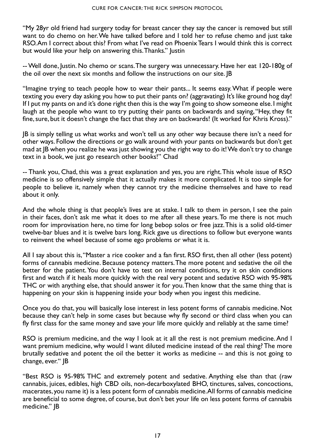"My 28yr old friend had surgery today for breast cancer they say the cancer is removed but still want to do chemo on her. We have talked before and I told her to refuse chemo and just take RSO. Am I correct about this? From what I've read on Phoenix Tears I would think this is correct but would like your help on answering this. Thanks." Justin

-- Well done, Justin. No chemo or scans. The surgery was unnecessary. Have her eat 120-180g of the oil over the next six months and follow the instructions on our site. JB

"Imagine trying to teach people how to wear their pants... It seems easy. What if people were texting you every day asking you how to put their pants on? (aggravating) It's like ground hog day! If I put my pants on and it's done right then this is the way I'm going to show someone else. I might laugh at the people who want to try putting their pants on backwards and saying, "Hey, they fit fine,sure, but it doesn't change the fact that they are on backwards! (It worked for Khris Kross)."

JB is simply telling us what works and won't tell us any other way because there isn't a need for other ways. Follow the directions or go walk around with your pants on backwards but don't get mad at JB when you realize he was just showing you the right way to do it! We don't try to change text in a book, we just go research other books!" Chad

-- Thank you, Chad, this was a great explanation and yes, you are right. This whole issue of RSO medicine is so offensively simple that it actually makes it more complicated. It is too simple for people to believe it, namely when they cannot try the medicine themselves and have to read about it only.

And the whole thing is that people's lives are at stake. I talk to them in person, I see the pain in their faces, don't ask me what it does to me after all these years.To me there is not much room for improvisation here, no time for long bebop solos or free jazz. This is a solid old-timer twelve-bar blues and it is twelve bars long. Rick gave us directions to follow but everyone wants to reinvent the wheel because of some ego problems or what it is.

All I say about this is, "Master a rice cooker and a fan first. RSO first, then all other (less potent) forms of cannabis medicine. Because potency matters.The more potent and sedative the oil the better for the patient. You don't have to test on internal conditions, try it on skin conditions first and watch if it heals more quickly with the real very potent and sedative RSO with 95-98% THC or with anything else, that should answer it for you. Then know that the same thing that is happening on your skin is happening inside your body when you ingest this medicine.

Once you do that, you will basically lose interest in less potent forms of cannabis medicine. Not because they can't help in some cases but because why fly second or third class when you can fly first class for the same money and save your life more quickly and reliably at the same time?

RSO is premium medicine, and the way I look at it all the rest is not premium medicine. And I want premium medicine, why would I want diluted medicine instead of the real thing? The more brutally sedative and potent the oil the better it works as medicine -- and this is not going to change, ever." JB

"Best RSO is 95-98% THC and extremely potent and sedative. Anything else than that (raw cannabis, juices, edibles, high CBD oils, non-decarboxylated BHO, tinctures, salves, concoctions, macerates, you name it) is a less potent form of cannabis medicine. All forms of cannabis medicine are beneficial to some degree, of course, but don't bet your life on less potent forms of cannabis medicine." JB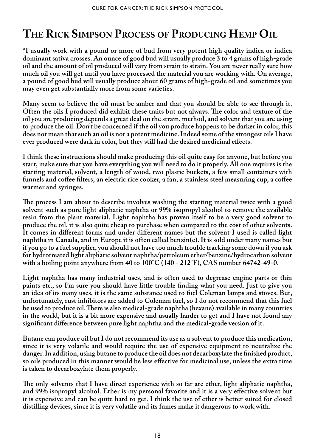### <span id="page-17-0"></span>**The Rick Simpson Process of Producing Hemp Oil**

**"I usually work with a pound or more of bud from very potent high quality indica or indica dominant sativa crosses. An ounce of good bud will usually produce 3 to 4 grams of high-grade oil and the amount of oil produced will vary from strain to strain. You are never really sure how much oil you will get until you have processed the material you are working with. On average, a pound of good bud will usually produce about 60 grams of high-grade oil and sometimes you may even get substantially more from some varieties.** 

**Many seem to believe the oil must be amber and that you should be able to see through it. Often the oils I produced did exhibit these traits but not always. The color and texture of the oil you are producing depends a great deal on the strain, method, and solvent that you are using to produce the oil. Don't be concerned if the oil you produce happens to be darker in color, this does not mean that such an oil is not a potent medicine. Indeed some of the strongest oils I have ever produced were dark in color, but they still had the desired medicinal effects.**

**I think these instructions should make producing this oil quite easy for anyone, but before you start, make sure that you have everything you will need to do it properly. All one requires is the starting material, solvent, a length of wood, two plastic buckets, a few small containers with funnels and coffee filters, an electric rice cooker, a fan, a stainless steel measuring cup, a coffee warmer and syringes.**

**The process I am about to describe involves washing the starting material twice with a good solvent such as pure light aliphatic naphtha or 99% isopropyl alcohol to remove the available resin from the plant material. Light naphtha has proven itself to be a very good solvent to produce the oil, it is also quite cheap to purchase when compared to the cost of other solvents. It comes in different forms and under different names but the solvent I used is called light naphtha in Canada, and in Europe it is often called benzin(e). It is sold under many names but if you go to a fuel supplier, you should not have too much trouble tracking some down if you ask for hydrotreated light aliphatic solvent naphtha/petroleum ether/benzine/hydrocarbon solvent with a boiling point anywhere from 40 to 100°C (140 - 212°F), CAS number 64742-49-0.** 

**Light naphtha has many industrial uses, and is often used to degrease engine parts or thin paints etc., so I'm sure you should have little trouble finding what you need. Just to give you an idea of its many uses, it is the same substance used to fuel Coleman lamps and stoves. But, unfortunately, rust inhibitors are added to Coleman fuel, so I do not recommend that this fuel be used to produce oil. There is also medical-grade naphtha (hexane) available in many countries in the world, but it is a bit more expensive and usually harder to get and I have not found any significant difference between pure light naphtha and the medical-grade version of it.**

**Butane can produce oil but I do not recommend its use as a solvent to produce this medication, since it is very volatile and would require the use of expensive equipment to neutralize the danger. In addition, using butane to produce the oil does not decarboxylate the finished product, so oils produced in this manner would be less effective for medicinal use, unless the extra time is taken to decarboxylate them properly.**

**The only solvents that I have direct experience with so far are ether, light aliphatic naphtha, and 99% isopropyl alcohol. Ether is my personal favorite and it is a very effective solvent but it is expensive and can be quite hard to get. I think the use of ether is better suited for closed distilling devices, since it is very volatile and its fumes make it dangerous to work with.**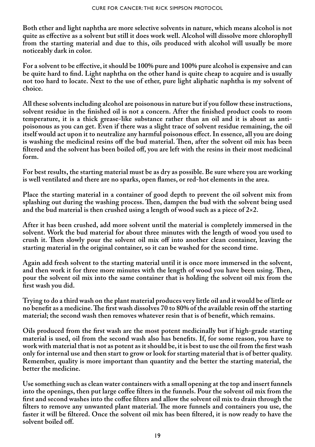**Both ether and light naphtha are more selective solvents in nature, which means alcohol is not quite as effective as a solvent but still it does work well. Alcohol will dissolve more chlorophyll from the starting material and due to this, oils produced with alcohol will usually be more noticeably dark in color.** 

**For a solvent to be effective, it should be 100% pure and 100% pure alcohol is expensive and can be quite hard to find. Light naphtha on the other hand is quite cheap to acquire and is usually not too hard to locate. Next to the use of ether, pure light aliphatic naphtha is my solvent of choice.** 

**All these solvents including alcohol are poisonous in nature but if you follow these instructions, solvent residue in the finished oil is not a concern. After the finished product cools to room temperature, it is a thick grease-like substance rather than an oil and it is about as antipoisonous as you can get. Even if there was a slight trace of solvent residue remaining, the oil itself would act upon it to neutralize any harmful poisonous effect. In essence, all you are doing is washing the medicinal resins off the bud material. Then, after the solvent oil mix has been filtered and the solvent has been boiled off, you are left with the resins in their most medicinal form.**

**For best results, the starting material must be as dry as possible. Be sure where you are working is well ventilated and there are no sparks, open flames, or red-hot elements in the area.** 

**Place the starting material in a container of good depth to prevent the oil solvent mix from splashing out during the washing process. Then, dampen the bud with the solvent being used and the bud material is then crushed using a length of wood such as a piece of 2×2.** 

**After it has been crushed, add more solvent until the material is completely immersed in the solvent. Work the bud material for about three minutes with the length of wood you used to crush it. Then slowly pour the solvent oil mix off into another clean container, leaving the starting material in the original container, so it can be washed for the second time.** 

**Again add fresh solvent to the starting material until it is once more immersed in the solvent, and then work it for three more minutes with the length of wood you have been using. Then, pour the solvent oil mix into the same container that is holding the solvent oil mix from the first wash you did.**

**Trying to do a third wash on the plant material produces very little oil and it would be of little or no benefit as a medicine. The first wash dissolves 70 to 80% of the available resin off the starting material; the second wash then removes whatever resin that is of benefit, which remains.**

**Oils produced from the first wash are the most potent medicinally but if high-grade starting material is used, oil from the second wash also has benefits. If, for some reason, you have to work with material that is not as potent as it should be, it is best to use the oil from the first wash only for internal use and then start to grow or look for starting material that is of better quality. Remember, quality is more important than quantity and the better the starting material, the better the medicine.** 

**Use something such as clean water containers with a small opening at the top and insert funnels into the openings, then put large coffee filters in the funnels. Pour the solvent oil mix from the first and second washes into the coffee filters and allow the solvent oil mix to drain through the filters to remove any unwanted plant material. The more funnels and containers you use, the faster it will be filtered. Once the solvent oil mix has been filtered, it is now ready to have the solvent boiled off.**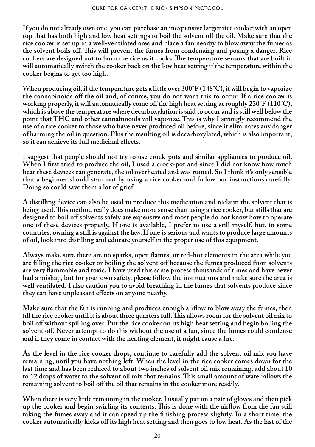**If you do not already own one, you can purchase an inexpensive larger rice cooker with an open top that has both high and low heat settings to boil the solvent off the oil. Make sure that the rice cooker is set up in a well-ventilated area and place a fan nearby to blow away the fumes as the solvent boils off. This will prevent the fumes from condensing and posing a danger. Rice cookers are designed not to burn the rice as it cooks. The temperature sensors that are built in will automatically switch the cooker back on the low heat setting if the temperature within the cooker begins to get too high.** 

**When producing oil, if the temperature gets a little over 300°F (148°C), it will begin to vaporize the cannabinoids off the oil and, of course, you do not want this to occur. If a rice cooker is working properly, it will automatically come off the high heat setting at roughly 230°F (110°C), which is above the temperature where decarboxylation is said to occur and is still well below the point that THC and other cannabinoids will vaporize. This is why I strongly recommend the use of a rice cooker to those who have never produced oil before, since it eliminates any danger of harming the oil in question. Plus the resulting oil is decarboxylated, which is also important, so it can achieve its full medicinal effects.** 

**I suggest that people should not try to use crock-pots and similar appliances to produce oil. When I first tried to produce the oil, I used a crock-pot and since I did not know how much heat these devices can generate, the oil overheated and was ruined. So I think it's only sensible that a beginner should start out by using a rice cooker and follow our instructions carefully. Doing so could save them a lot of grief.** 

**A distilling device can also be used to produce this medication and reclaim the solvent that is being used. This method really does make more sense than using a rice cooker, but stills that are designed to boil off solvents safely are expensive and most people do not know how to operate one of these devices properly. If one is available, I prefer to use a still myself, but, in some countries, owning a still is against the law. If one is serious and wants to produce large amounts of oil, look into distilling and educate yourself in the proper use of this equipment.** 

**Always make sure there are no sparks, open flames, or red-hot elements in the area while you are filling the rice cooker or boiling the solvent off because the fumes produced from solvents are very flammable and toxic. I have used this same process thousands of times and have never had a mishap, but for your own safety, please follow the instructions and make sure the area is well ventilated. I also caution you to avoid breathing in the fumes that solvents produce since they can have unpleasant effects on anyone nearby.** 

**Make sure that the fan is running and produces enough airflow to blow away the fumes, then fill the rice cooker until it is about three quarters full. This allows room for the solvent oil mix to boil off without spilling over. Put the rice cooker on its high heat setting and begin boiling the solvent off. Never attempt to do this without the use of a fan, since the fumes could condense and if they come in contact with the heating element, it might cause a fire.** 

**As the level in the rice cooker drops, continue to carefully add the solvent oil mix you have remaining, until you have nothing left. When the level in the rice cooker comes down for the last time and has been reduced to about two inches of solvent oil mix remaining, add about 10 to 12 drops of water to the solvent oil mix that remains. This small amount of water allows the remaining solvent to boil off the oil that remains in the cooker more readily.** 

**When there is very little remaining in the cooker, I usually put on a pair of gloves and then pick up the cooker and begin swirling its contents. This is done with the airflow from the fan still taking the fumes away and it can speed up the finishing process slightly. In a short time, the cooker automatically kicks off its high heat setting and then goes to low heat. As the last of the**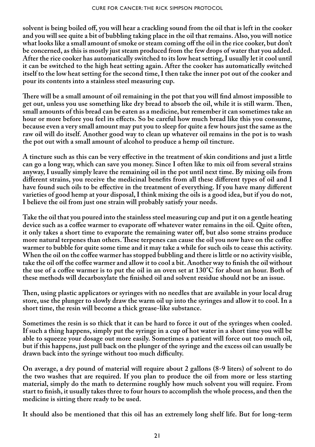**solvent is being boiled off, you will hear a crackling sound from the oil that is left in the cooker and you will see quite a bit of bubbling taking place in the oil that remains. Also, you will notice what looks like a small amount of smoke or steam coming off the oil in the rice cooker, but don't be concerned, as this is mostly just steam produced from the few drops of water that you added. After the rice cooker has automatically switched to its low heat setting, I usually let it cool until it can be switched to the high heat setting again. After the cooker has automatically switched itself to the low heat setting for the second time, I then take the inner pot out of the cooker and pour its contents into a stainless steel measuring cup.** 

**There will be a small amount of oil remaining in the pot that you will find almost impossible to get out, unless you use something like dry bread to absorb the oil, while it is still warm. Then, small amounts of this bread can be eaten as a medicine, but remember it can sometimes take an hour or more before you feel its effects. So be careful how much bread like this you consume, because even a very small amount may put you to sleep for quite a few hours just the same as the raw oil will do itself. Another good way to clean up whatever oil remains in the pot is to wash the pot out with a small amount of alcohol to produce a hemp oil tincture.** 

**A tincture such as this can be very effective in the treatment of skin conditions and just a little can go a long way, which can save you money. Since I often like to mix oil from several strains anyway, I usually simply leave the remaining oil in the pot until next time. By mixing oils from different strains, you receive the medicinal benefits from all these different types of oil and I have found such oils to be effective in the treatment of everything. If you have many different varieties of good hemp at your disposal, I think mixing the oils is a good idea, but if you do not, I believe the oil from just one strain will probably satisfy your needs.**

**Take the oil that you poured into the stainless steel measuring cup and put it on a gentle heating device such as a coffee warmer to evaporate off whatever water remains in the oil. Quite often, it only takes a short time to evaporate the remaining water off, but also some strains produce more natural terpenes than others. These terpenes can cause the oil you now have on the coffee warmer to bubble for quite some time and it may take a while for such oils to cease this activity. When the oil on the coffee warmer has stopped bubbling and there is little or no activity visible, take the oil off the coffee warmer and allow it to cool a bit. Another way to finish the oil without the use of a coffee warmer is to put the oil in an oven set at 130°C for about an hour. Both of these methods will decarboxylate the finished oil and solvent residue should not be an issue.**

**Then, using plastic applicators or syringes with no needles that are available in your local drug store, use the plunger to slowly draw the warm oil up into the syringes and allow it to cool. In a short time, the resin will become a thick grease-like substance.** 

**Sometimes the resin is so thick that it can be hard to force it out of the syringes when cooled. If such a thing happens, simply put the syringe in a cup of hot water in a short time you will be able to squeeze your dosage out more easily. Sometimes a patient will force out too much oil, but if this happens, just pull back on the plunger of the syringe and the excess oil can usually be drawn back into the syringe without too much difficulty.**

**On average, a dry pound of material will require about 2 gallons (8-9 liters) of solvent to do the two washes that are required. If you plan to produce the oil from more or less starting material, simply do the math to determine roughly how much solvent you will require. From start to finish, it usually takes three to four hours to accomplish the whole process, and then the medicine is sitting there ready to be used.** 

**It should also be mentioned that this oil has an extremely long shelf life. But for long-term**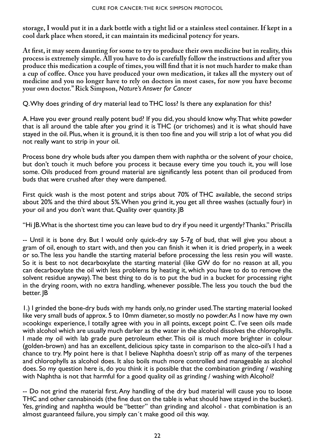**storage, I would put it in a dark bottle with a tight lid or a stainless steel container. If kept in a cool dark place when stored, it can maintain its medicinal potency for years.**

**At first, it may seem daunting for some to try to produce their own medicine but in reality, this process is extremely simple. All you have to do is carefully follow the instructions and after you produce this medication a couple of times, you will find that it is not much harder to make than a cup of coffee. Once you have produced your own medication, it takes all the mystery out of medicine and you no longer have to rely on doctors in most cases, for now you have become your own doctor." Rick Simpson,** *Nature's Answer for Cancer*

Q. Why does grinding of dry material lead to THC loss? Is there any explanation for this?

A. Have you ever ground really potent bud? If you did, you should know why. That white powder that is all around the table after you grind it is THC (or trichomes) and it is what should have stayed in the oil. Plus, when it is ground, it is then too fine and you will strip a lot of what you did not really want to strip in your oil.

Process bone dry whole buds after you dampen them with naphtha or the solvent of your choice, but don't touch it much before you process it because every time you touch it, you will lose some. Oils produced from ground material are significantly less potent than oil produced from buds that were crushed after they were dampened.

First quick wash is the most potent and strips about 70% of THC available, the second strips about 20% and the third about 5%. When you grind it, you get all three washes (actually four) in your oil and you don't want that. Quality over quantity. JB

"Hi JB. What is the shortest time you can leave bud to dry if you need it urgently? Thanks." Priscilla

-- Until it is bone dry. But I would only quick-dry say 5-7g of bud, that will give you about a gram of oil, enough to start with, and then you can finish it when it is dried properly, in a week or so.The less you handle the starting material before processing the less resin you will waste. So it is best to not decarboxylate the starting material (like GW do for no reason at all, you can decarboxylate the oil with less problems by heating it, which you have to do to remove the solvent residue anyway). The best thing to do is to put the bud in a bucket for processing right in the drying room, with no extra handling, whenever possible. The less you touch the bud the better. JB

1.) I grinded the bone-dry buds with my hands only, no grinder used. The starting material looked like very small buds of approx. 5 to 10mm diameter, so mostly no powder. As I now have my own »cooking« experience, I totally agree with you in all points, except point C. I've seen oils made with alcohol which are usually much darker as the water in the alcohol dissolves the chlorophylls. I made my oil with lab grade pure petroleum ether. This oil is much more brighter in colour (golden-brown) and has an excellent, delicious spicy taste in comparison to the alco-oil's I had a chance to try. My point here is that I believe Naphtha doesn't strip off as many of the terpenes and chlorophylls as alcohol does. It also boils much more controlled and manageable as alcohol does. So my question here is, do you think it is possible that the combination grinding / washing with Naphtha is not that harmful for a good quality oil as grinding / washing with Alcohol?

-- Do not grind the material first. Any handling of the dry bud material will cause you to loose THC and other cannabinoids (the fine dust on the table is what should have stayed in the bucket). Yes, grinding and naphtha would be "better" than grinding and alcohol - that combination is an almost guaranteed failure, you simply can´t make good oil this way.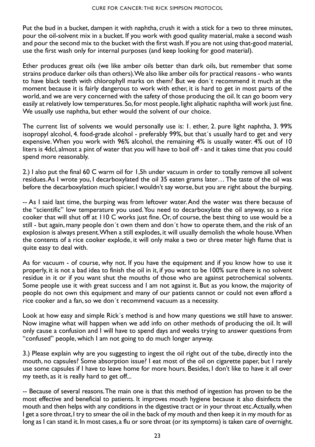Put the bud in a bucket, dampen it with naphtha, crush it with a stick for a two to three minutes, pour the oil-solvent mix in a bucket. If you work with good quality material, make a second wash and pour the second mix to the bucket with the first wash. If you are not using that-good material, use the first wash only for internal purposes (and keep looking for good material).

Ether produces great oils (we like amber oils better than dark oils, but remember that some strains produce darker oils than others). We also like amber oils for practical reasons - who wants to have black teeth with chlorophyll marks on them? But we don´t recommend it much at the moment because it is fairly dangerous to work with ether, it is hard to get in most parts of the world, and we are very concerned with the safety of those producing the oil. It can go boom very easily at relatively low temperatures. So, for most people, light aliphatic naphtha will work just fine. We usually use naphtha, but ether would the solvent of our choice.

The current list of solvents we would personally use is: 1. ether, 2. pure light naphtha, 3. 99% isopropyl alcohol, 4. food-grade alcohol - preferably 99%, but that´s usually hard to get and very expensive. When you work with 96% alcohol, the remaining 4% is usually water. 4% out of 10 liters is 4dcl, almost a pint of water that you will have to boil off - and it takes time that you could spend more reasonably.

2.) I also put the final 60  $C$  warm oil for 1,5h under vacuum in order to totally remove all solvent residues. As I wrote you, I decarboxylated the oil 35 eaten grams later… The taste of the oil was before the decarboxylation much spicier, I wouldn't say worse, but you are right about the burping.

-- As I said last time, the burping was from leftover water. And the water was there because of the "scientific" low temperature you used. You need to decarboxylate the oil anyway, so a rice cooker that will shut off at 110 C works just fine. Or, of course, the best thing to use would be a still - but again, many people don´t own them and don´t how to operate them, and the risk of an explosion is always present. When a still explodes, it will usually demolish the whole house. When the contents of a rice cooker explode, it will only make a two or three meter high flame that is quite easy to deal with.

As for vacuum - of course, why not. If you have the equipment and if you know how to use it properly, it is not a bad idea to finish the oil in it, if you want to be 100% sure there is no solvent residue in it or if you want shut the mouths of those who are against petrochemical solvents. Some people use it with great success and I am not against it. But as you know, the majority of people do not own this equipment and many of our patients cannot or could not even afford a rice cooker and a fan, so we don´t recommend vacuum as a necessity.

Look at how easy and simple Rick´s method is and how many questions we still have to answer. Now imagine what will happen when we add info on other methods of producing the oil. It will only cause a confusion and I will have to spend days and weeks trying to answer questions from "confused" people, which I am not going to do much longer anyway.

3.) Please explain why are you suggesting to ingest the oil right out of the tube, directly into the mouth, no capsules? Some absorption issue? I eat most of the oil on cigarette paper, but I rarely use some capsules if I have to leave home for more hours. Besides, I don't like to have it all over my teeth, as it is really hard to get off...

-- Because of several reasons. The main one is that this method of ingestion has proven to be the most effective and beneficial to patients. It improves mouth hygiene because it also disinfects the mouth and then helps with any conditions in the digestive tract or in your throat etc. Actually, when I get a sore throat, I try to smear the oil in the back of my mouth and then keep it in my mouth for as long as I can stand it. In most cases, a flu or sore throat (or its symptoms) is taken care of overnight.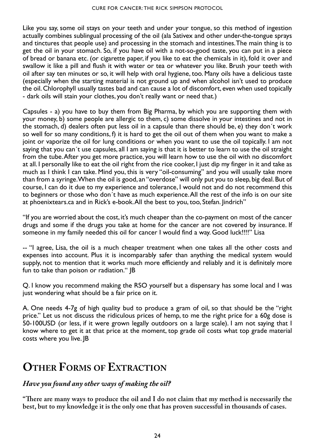<span id="page-23-0"></span>Like you say, some oil stays on your teeth and under your tongue, so this method of ingestion actually combines sublingual processing of the oil (ala Sativex and other under-the-tongue sprays and tinctures that people use) and processing in the stomach and intestines. The main thing is to get the oil in your stomach. So, if you have oil with a not-so-good taste, you can put in a piece of bread or banana etc. (or cigarette paper, if you like to eat the chemicals in it), fold it over and swallow it like a pill and flush it with water or tea or whatever you like. Brush your teeth with oil after say ten minutes or so, it will help with oral hygiene, too. Many oils have a delicious taste (especially when the starting material is not ground up and when alcohol isn't used to produce the oil. Chlorophyll usually tastes bad and can cause a lot of discomfort, even when used topically - dark oils will stain your clothes, you don't really want or need that.)

Capsules - a) you have to buy them from Big Pharma, by which you are supporting them with your money, b) some people are allergic to them, c) some dissolve in your intestines and not in the stomach, d) dealers often put less oil in a capsule than there should be, e) they don´t work so well for so many conditions, f) it is hard to get the oil out of them when you want to make a joint or vaporize the oil for lung conditions or when you want to use the oil topically. I am not saying that you can't use capsules, all I am saying is that it is better to learn to use the oil straight from the tube. After you get more practice, you will learn how to use the oil with no discomfort at all. I personally like to eat the oil right from the rice cooker, I just dip my finger in it and take as much as I think I can take. Mind you, this is very "oil-consuming" and you will usually take more than from a syringe. When the oil is good, an "overdose" will only put you to sleep, big deal. But of course, I can do it due to my experience and tolerance, I would not and do not recommend this to beginners or those who don´t have as much experience. All the rest of the info is on our site at phoenixtears.ca and in Rick's e-book. All the best to you, too, Stefan. Jindrich"

"If you are worried about the cost, it's much cheaper than the co-payment on most of the cancer drugs and some if the drugs you take at home for the cancer are not covered by insurance. If someone in my family needed this oil for cancer I would find a way. Good luck!!!!" Lisa

-- "I agree, Lisa, the oil is a much cheaper treatment when one takes all the other costs and expenses into account. Plus it is incomparably safer than anything the medical system would supply, not to mention that it works much more efficiently and reliably and it is definitely more fun to take than poison or radiation." JB

Q. I know you recommend making the RSO yourself but a dispensary has some local and I was just wondering what should be a fair price on it.

A. One needs 4-7g of high quality bud to produce a gram of oil, so that should be the "right price." Let us not discuss the ridiculous prices of hemp, to me the right price for a 60g dose is 50-100USD (or less, if it were grown legally outdoors on a large scale). I am not saying that I know where to get it at that price at the moment, top grade oil costs what top grade material costs where you live. JB

### **Other Forms of Extraction**

#### *Have you found any other ways of making the oil?*

**"There are many ways to produce the oil and I do not claim that my method is necessarily the best, but to my knowledge it is the only one that has proven successful in thousands of cases.**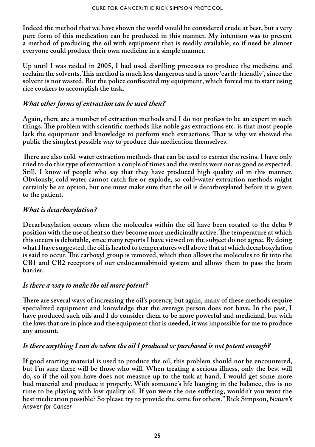**Indeed the method that we have shown the world would be considered crude at best, but a very pure form of this medication can be produced in this manner. My intention was to present a method of producing the oil with equipment that is readily available, so if need be almost everyone could produce their own medicine in a simple manner.** 

**Up until I was raided in 2005, I had used distilling processes to produce the medicine and reclaim the solvents. This method is much less dangerous and is more 'earth-friendly', since the solvent is not wasted. But the police confiscated my equipment, which forced me to start using rice cookers to accomplish the task.** 

#### *What other forms of extraction can be used then?*

**Again, there are a number of extraction methods and I do not profess to be an expert in such things. The problem with scientific methods like noble gas extractions etc. is that most people lack the equipment and knowledge to perform such extractions. That is why we showed the public the simplest possible way to produce this medication themselves.** 

**There are also cold-water extraction methods that can be used to extract the resins. I have only tried to do this type of extraction a couple of times and the results were not as good as expected. Still, I know of people who say that they have produced high quality oil in this manner. Obviously, cold water cannot catch fire or explode, so cold-water extraction methods might certainly be an option, but one must make sure that the oil is decarboxylated before it is given to the patient.** 

#### *What is decarboxylation?*

**Decarboxylation occurs when the molecules within the oil have been rotated to the delta 9 position with the use of heat so they become more medicinally active. The temperature at which this occurs is debatable, since many reports I have viewed on the subject do not agree. By doing what I have suggested, the oil is heated to temperatures well above that at which decarboxylation is said to occur. The carboxyl group is removed, which then allows the molecules to fit into the CB1 and CB2 receptors of our endocannabinoid system and allows them to pass the brain barrier.**

#### *Is there a way to make the oil more potent?*

**There are several ways of increasing the oil's potency, but again, many of these methods require specialized equipment and knowledge that the average person does not have. In the past, I have produced such oils and I do consider them to be more powerful and medicinal, but with the laws that are in place and the equipment that is needed, it was impossible for me to produce any amount.** 

#### *Is there anything I can do when the oil I produced or purchased is not potent enough?*

**If good starting material is used to produce the oil, this problem should not be encountered, but I'm sure there will be those who will. When treating a serious illness, only the best will do, so if the oil you have does not measure up to the task at hand, I would get some more bud material and produce it properly. With someone's life hanging in the balance, this is no time to be playing with low quality oil. If you were the one suffering, wouldn't you want the best medication possible? So please try to provide the same for others." Rick Simpson,** *Nature's Answer for Cancer*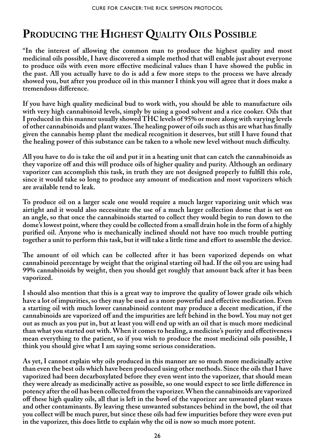### <span id="page-25-0"></span>**Producing the Highest Quality Oils Possible**

**"In the interest of allowing the common man to produce the highest quality and most medicinal oils possible, I have discovered a simple method that will enable just about everyone to produce oils with even more effective medicinal values than I have showed the public in the past. All you actually have to do is add a few more steps to the process we have already showed you, but after you produce oil in this manner I think you will agree that it does make a tremendous difference.** 

**If you have high quality medicinal bud to work with, you should be able to manufacture oils with very high cannabinoid levels, simply by using a good solvent and a rice cooker. Oils that I produced in this manner usually showed THC levels of 95% or more along with varying levels of other cannabinoids and plant waxes. The healing power of oils such as this are what has finally given the cannabis hemp plant the medical recognition it deserves, but still I have found that the healing power of this substance can be taken to a whole new level without much difficulty.**

**All you have to do is take the oil and put it in a heating unit that can catch the cannabinoids as they vaporize off and this will produce oils of higher quality and purity. Although an ordinary vaporizer can accomplish this task, in truth they are not designed properly to fulfill this role, since it would take so long to produce any amount of medication and most vaporizers which are available tend to leak.** 

**To produce oil on a larger scale one would require a much larger vaporizing unit which was airtight and it would also necessitate the use of a much larger collection dome that is set on an angle, so that once the cannabinoids started to collect they would begin to run down to the dome's lowest point, where they could be collected from a small drain hole in the form of a highly purified oil. Anyone who is mechanically inclined should not have too much trouble putting together a unit to perform this task, but it will take a little time and effort to assemble the device.** 

**The amount of oil which can be collected after it has been vaporized depends on what cannabinoid percentage by weight that the original starting oil had. If the oil you are using had 99% cannabinoids by weight, then you should get roughly that amount back after it has been vaporized.** 

**I should also mention that this is a great way to improve the quality of lower grade oils which have a lot of impurities, so they may be used as a more powerful and effective medication. Even a starting oil with much lower cannabinoid content may produce a decent medication, if the cannabinoids are vaporized off and the impurities are left behind in the bowl. You may not get out as much as you put in, but at least you will end up with an oil that is much more medicinal than what you started out with. When it comes to healing, a medicine's purity and effectiveness mean everything to the patient, so if you wish to produce the most medicinal oils possible, I think you should give what I am saying some serious consideration.**

**As yet, I cannot explain why oils produced in this manner are so much more medicinally active than even the best oils which have been produced using other methods. Since the oils that I have vaporized had been decarboxylated before they even went into the vaporizer, that should mean they were already as medicinally active as possible, so one would expect to see little difference in potency after the oil has been collected from the vaporizer. When the cannabinoids are vaporized off these high quality oils, all that is left in the bowl of the vaporizer are unwanted plant waxes and other contaminants. By leaving these unwanted substances behind in the bowl, the oil that you collect will be much purer, but since these oils had few impurities before they were even put in the vaporizer, this does little to explain why the oil is now so much more potent.**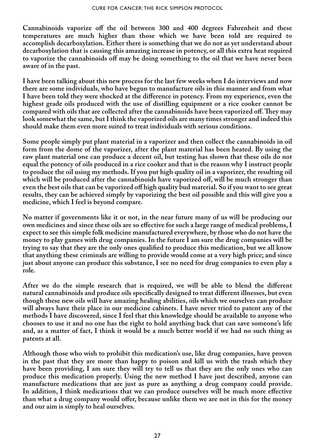**Cannabinoids vaporize off the oil between 300 and 400 degrees Fahrenheit and these temperatures are much higher than those which we have been told are required to accomplish decarboxylation. Either there is something that we do not as yet understand about decarboxylation that is causing this amazing increase in potency, or all this extra heat required to vaporize the cannabinoids off may be doing something to the oil that we have never been aware of in the past.**

**I have been talking about this new process for the last few weeks when I do interviews and now there are some individuals, who have begun to manufacture oils in this manner and from what I have been told they were shocked at the difference in potency. From my experience, even the highest grade oils produced with the use of distilling equipment or a rice cooker cannot be compared with oils that are collected after the cannabinoids have been vaporized off. They may look somewhat the same, but I think the vaporized oils are many times stronger and indeed this should make them even more suited to treat individuals with serious conditions.** 

**Some people simply put plant material in a vaporizer and then collect the cannabinoids in oil form from the dome of the vaporizer, after the plant material has been heated. By using the raw plant material one can produce a decent oil, but testing has shown that these oils do not equal the potency of oils produced in a rice cooker and that is the reason why I instruct people to produce the oil using my methods. If you put high quality oil in a vaporizer, the resulting oil which will be produced after the cannabinoids have vaporized off, will be much stronger than even the best oils that can be vaporized off high quality bud material. So if you want to see great results, they can be achieved simply by vaporizing the best oil possible and this will give you a medicine, which I feel is beyond compare.**

**No matter if governments like it or not, in the near future many of us will be producing our own medicines and since these oils are so effective for such a large range of medical problems, I expect to see this simple folk medicine manufactured everywhere, by those who do not have the money to play games with drug companies. In the future I am sure the drug companies will be trying to say that they are the only ones qualified to produce this medication, but we all know that anything these criminals are willing to provide would come at a very high price; and since just about anyone can produce this substance, I see no need for drug companies to even play a role.** 

**After we do the simple research that is required, we will be able to blend the different natural cannabinoids and produce oils specifically designed to treat different illnesses, but even though these new oils will have amazing healing abilities, oils which we ourselves can produce will always have their place in our medicine cabinets. I have never tried to patent any of the methods I have discovered, since I feel that this knowledge should be available to anyone who chooses to use it and no one has the right to hold anything back that can save someone's life and, as a matter of fact, I think it would be a much better world if we had no such thing as patents at all.**

**Although those who wish to prohibit this medication's use, like drug companies, have proven in the past that they are more than happy to poison and kill us with the trash which they have been providing, I am sure they will try to tell us that they are the only ones who can produce this medication properly. Using the new method I have just described, anyone can manufacture medications that are just as pure as anything a drug company could provide. In addition, I think medications that we can produce ourselves will be much more effective than what a drug company would offer, because unlike them we are not in this for the money and our aim is simply to heal ourselves.**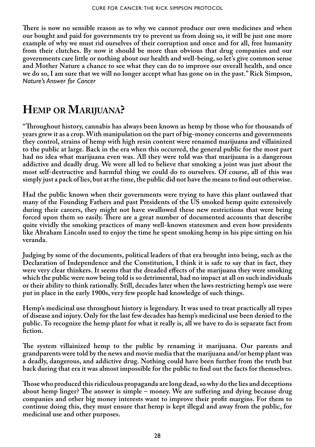<span id="page-27-0"></span>**There is now no sensible reason as to why we cannot produce our own medicines and when our bought and paid for governments try to prevent us from doing so, it will be just one more example of why we must rid ourselves of their corruption and once and for all, free humanity from their clutches. By now it should be more than obvious that drug companies and our governments care little or nothing about our health and well-being, so let's give common sense and Mother Nature a chance to see what they can do to improve our overall health, and once we do so, I am sure that we will no longer accept what has gone on in the past." Rick Simpson,**  *Nature's Answer for Cancer*

### **Hemp or Marijuana?**

**"Throughout history, cannabis has always been known as hemp by those who for thousands of years grew it as a crop. With manipulation on the part of big-money concerns and governments they control, strains of hemp with high resin content were renamed marijuana and villainized to the public at large. Back in the era when this occurred, the general public for the most part had no idea what marijuana even was. All they were told was that marijuana is a dangerous addictive and deadly drug. We were all led to believe that smoking a joint was just about the most self-destructive and harmful thing we could do to ourselves. Of course, all of this was simply just a pack of lies, but at the time, the public did not have the means to find out otherwise.** 

**Had the public known when their governments were trying to have this plant outlawed that many of the Founding Fathers and past Presidents of the US smoked hemp quite extensively during their careers, they might not have swallowed these new restrictions that were being forced upon them so easily. There are a great number of documented accounts that describe quite vividly the smoking practices of many well-known statesmen and even how presidents like Abraham Lincoln used to enjoy the time he spent smoking hemp in his pipe sitting on his veranda.** 

**Judging by some of the documents, political leaders of that era brought into being, such as the Declaration of Independence and the Constitution, I think it is safe to say that in fact, they were very clear thinkers. It seems that the dreaded effects of the marijuana they were smoking which the public were now being told is so detrimental, had no impact at all on such individuals or their ability to think rationally. Still, decades later when the laws restricting hemp's use were put in place in the early 1900s, very few people had knowledge of such things.**

**Hemp's medicinal use throughout history is legendary. It was used to treat practically all types of disease and injury. Only for the last few decades has hemp's medicinal use been denied to the public. To recognize the hemp plant for what it really is, all we have to do is separate fact from fiction.** 

**The system villainized hemp to the public by renaming it marijuana. Our parents and grandparents were told by the news and movie media that the marijuana and/or hemp plant was a deadly, dangerous, and addictive drug. Nothing could have been further from the truth but back during that era it was almost impossible for the public to find out the facts for themselves.**

**Those who produced this ridiculous propaganda are long dead, so why do the lies and deceptions about hemp linger? The answer is simple – money. We are suffering and dying because drug companies and other big money interests want to improve their profit margins. For them to continue doing this, they must ensure that hemp is kept illegal and away from the public, for medicinal use and other purposes.**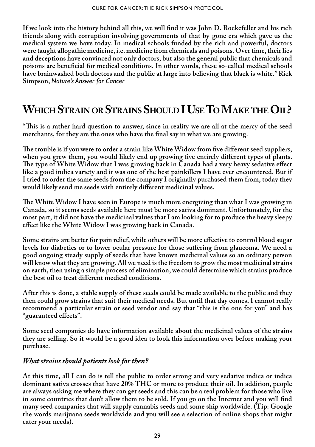<span id="page-28-0"></span>**If we look into the history behind all this, we will find it was John D. Rockefeller and his rich friends along with corruption involving governments of that by-gone era which gave us the medical system we have today. In medical schools funded by the rich and powerful, doctors were taught allopathic medicine, i.e. medicine from chemicals and poisons. Over time, their lies and deceptions have convinced not only doctors, but also the general public that chemicals and poisons are beneficial for medical conditions. In other words, these so-called medical schools have brainwashed both doctors and the public at large into believing that black is white." Rick Simpson,** *Nature's Answer for Cancer*

### **Which Strain or Strains Should IUse ToMake theOil?**

**"This is a rather hard question to answer, since in reality we are all at the mercy of the seed merchants, for they are the ones who have the final say in what we are growing.** 

**The trouble is if you were to order a strain like White Widow from five different seed suppliers, when you grew them, you would likely end up growing five entirely different types of plants. The type of White Widow that I was growing back in Canada had a very heavy sedative effect like a good indica variety and it was one of the best painkillers I have ever encountered. But if I tried to order the same seeds from the company I originally purchased them from, today they would likely send me seeds with entirely different medicinal values.** 

**The White Widow I have seen in Europe is much more energizing than what I was growing in Canada, so it seems seeds available here must be more sativa dominant. Unfortunately, for the most part, it did not have the medicinal values that I am looking for to produce the heavy sleepy effect like the White Widow I was growing back in Canada.** 

**Some strains are better for pain relief, while others will be more effective to control blood sugar levels for diabetics or to lower ocular pressure for those suffering from glaucoma. We need a good ongoing steady supply of seeds that have known medicinal values so an ordinary person will know what they are growing. All we need is the freedom to grow the most medicinal strains on earth, then using a simple process of elimination, we could determine which strains produce the best oil to treat different medical conditions.** 

**After this is done, a stable supply of these seeds could be made available to the public and they then could grow strains that suit their medical needs. But until that day comes, I cannot really recommend a particular strain or seed vendor and say that "this is the one for you" and has "guaranteed effects".** 

**Some seed companies do have information available about the medicinal values of the strains they are selling. So it would be a good idea to look this information over before making your purchase.** 

#### *What strains should patients look for then?*

**At this time, all I can do is tell the public to order strong and very sedative indica or indica dominant sativa crosses that have 20% THC or more to produce their oil. In addition, people are always asking me where they can get seeds and this can be a real problem for those who live in some countries that don't allow them to be sold. If you go on the Internet and you will find many seed companies that will supply cannabis seeds and some ship worldwide. (Tip: Google the words marijuana seeds worldwide and you will see a selection of online shops that might cater your needs).**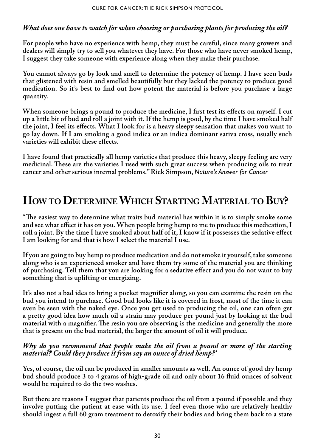#### <span id="page-29-0"></span>*What does one have to watch for when choosing or purchasing plants for producing the oil?*

**For people who have no experience with hemp, they must be careful, since many growers and dealers will simply try to sell you whatever they have. For those who have never smoked hemp, I suggest they take someone with experience along when they make their purchase.** 

**You cannot always go by look and smell to determine the potency of hemp. I have seen buds that glistened with resin and smelled beautifully but they lacked the potency to produce good medication. So it's best to find out how potent the material is before you purchase a large quantity.** 

**When someone brings a pound to produce the medicine, I first test its effects on myself. I cut up a little bit of bud and roll a joint with it. If the hemp is good, by the time I have smoked half the joint, I feel its effects. What I look for is a heavy sleepy sensation that makes you want to go lay down. If I am smoking a good indica or an indica dominant sativa cross, usually such varieties will exhibit these effects.** 

**I have found that practically all hemp varieties that produce this heavy, sleepy feeling are very medicinal. These are the varieties I used with such great success when producing oils to treat cancer and other serious internal problems." Rick Simpson,** *Nature's Answer for Cancer*

### **How to Determine Which StartingMaterial to Buy?**

**"The easiest way to determine what traits bud material has within it is to simply smoke some and see what effect it has on you. When people bring hemp to me to produce this medication, I roll a joint. By the time I have smoked about half of it, I know if it possesses the sedative effect I am looking for and that is how I select the material I use.** 

**If you are going to buy hemp to produce medication and do not smoke it yourself, take someone along who is an experienced smoker and have them try some of the material you are thinking of purchasing. Tell them that you are looking for a sedative effect and you do not want to buy something that is uplifting or energizing.** 

**It's also not a bad idea to bring a pocket magnifier along, so you can examine the resin on the bud you intend to purchase. Good bud looks like it is covered in frost, most of the time it can even be seen with the naked eye. Once you get used to producing the oil, one can often get a pretty good idea how much oil a strain may produce per pound just by looking at the bud material with a magnifier. The resin you are observing is the medicine and generally the more that is present on the bud material, the larger the amount of oil it will produce.**

#### *Why do you recommend that people make the oil from a pound or more of the starting material? Could they produce it from say an ounce of dried hemp?'*

**Yes, of course, the oil can be produced in smaller amounts as well. An ounce of good dry hemp bud should produce 3 to 4 grams of high-grade oil and only about 16 fluid ounces of solvent would be required to do the two washes.** 

**But there are reasons I suggest that patients produce the oil from a pound if possible and they involve putting the patient at ease with its use. I feel even those who are relatively healthy should ingest a full 60 gram treatment to detoxify their bodies and bring them back to a state**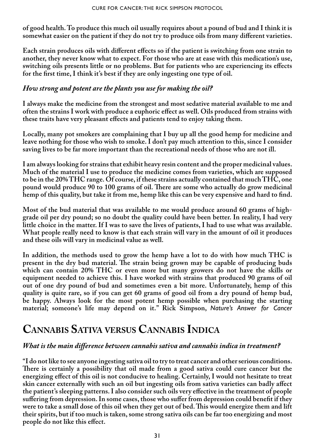<span id="page-30-0"></span>**of good health. To produce this much oil usually requires about a pound of bud and I think it is somewhat easier on the patient if they do not try to produce oils from many different varieties.** 

**Each strain produces oils with different effects so if the patient is switching from one strain to another, they never know what to expect. For those who are at ease with this medication's use, switching oils presents little or no problems. But for patients who are experiencing its effects for the first time, I think it's best if they are only ingesting one type of oil.**

#### *How strong and potent are the plants you use for making the oil?*

**I always make the medicine from the strongest and most sedative material available to me and often the strains I work with produce a euphoric effect as well. Oils produced from strains with these traits have very pleasant effects and patients tend to enjoy taking them.** 

**Locally, many pot smokers are complaining that I buy up all the good hemp for medicine and leave nothing for those who wish to smoke. I don't pay much attention to this, since I consider saving lives to be far more important than the recreational needs of those who are not ill.**

**I am always looking for strains that exhibit heavy resin content and the proper medicinal values. Much of the material I use to produce the medicine comes from varieties, which are supposed to be in the 20% THC range. Of course, if these strains actually contained that much THC, one pound would produce 90 to 100 grams of oil. There are some who actually do grow medicinal hemp of this quality, but take it from me, hemp like this can be very expensive and hard to find.** 

**Most of the bud material that was available to me would produce around 60 grams of highgrade oil per dry pound; so no doubt the quality could have been better. In reality, I had very little choice in the matter. If I was to save the lives of patients, I had to use what was available. What people really need to know is that each strain will vary in the amount of oil it produces and these oils will vary in medicinal value as well.**

**In addition, the methods used to grow the hemp have a lot to do with how much THC is present in the dry bud material. The strain being grown may be capable of producing buds which can contain 20% THC or even more but many growers do not have the skills or equipment needed to achieve this. I have worked with strains that produced 90 grams of oil out of one dry pound of bud and sometimes even a bit more. Unfortunately, hemp of this quality is quite rare, so if you can get 60 grams of good oil from a dry pound of hemp bud, be happy. Always look for the most potent hemp possible when purchasing the starting material; someone's life may depend on it." Rick Simpson,** *Nature's Answer for Cancer*

### **Cannabis Sativa versus Cannabis Indica**

#### *What is the main difference between cannabis sativa and cannabis indica in treatment?*

**"I do not like to see anyone ingesting sativa oil to try to treat cancer and other serious conditions. There is certainly a possibility that oil made from a good sativa could cure cancer but the energizing effect of this oil is not conducive to healing. Certainly, I would not hesitate to treat skin cancer externally with such an oil but ingesting oils from sativa varieties can badly affect the patient's sleeping patterns. I also consider such oils very effective in the treatment of people suffering from depression. In some cases, those who suffer from depression could benefit if they were to take a small dose of this oil when they get out of bed. This would energize them and lift their spirits, but if too much is taken, some strong sativa oils can be far too energizing and most people do not like this effect.**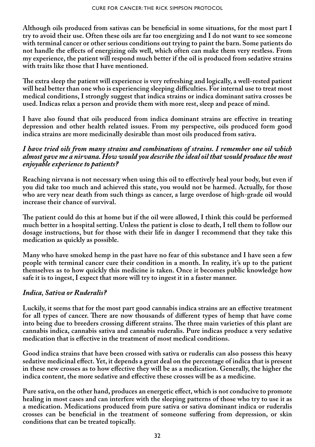**Although oils produced from sativas can be beneficial in some situations, for the most part I try to avoid their use. Often these oils are far too energizing and I do not want to see someone with terminal cancer or other serious conditions out trying to paint the barn. Some patients do not handle the effects of energizing oils well, which often can make them very restless. From my experience, the patient will respond much better if the oil is produced from sedative strains with traits like those that I have mentioned.** 

**The extra sleep the patient will experience is very refreshing and logically, a well-rested patient will heal better than one who is experiencing sleeping difficulties. For internal use to treat most medical conditions, I strongly suggest that indica strains or indica dominant sativa crosses be used. Indicas relax a person and provide them with more rest, sleep and peace of mind.**

**I have also found that oils produced from indica dominant strains are effective in treating depression and other health related issues. From my perspective, oils produced form good indica strains are more medicinally desirable than most oils produced from sativa.**

#### *I have tried oils from many strains and combinations of strains. I remember one oil which almost gave me a nirvana. How would you describe the ideal oil that would produce the most enjoyable experience to patients?*

**Reaching nirvana is not necessary when using this oil to effectively heal your body, but even if you did take too much and achieved this state, you would not be harmed. Actually, for those who are very near death from such things as cancer, a large overdose of high-grade oil would increase their chance of survival.** 

**The patient could do this at home but if the oil were allowed, I think this could be performed much better in a hospital setting. Unless the patient is close to death, I tell them to follow our dosage instructions, but for those with their life in danger I recommend that they take this medication as quickly as possible.** 

**Many who have smoked hemp in the past have no fear of this substance and I have seen a few people with terminal cancer cure their condition in a month. In reality, it's up to the patient themselves as to how quickly this medicine is taken. Once it becomes public knowledge how safe it is to ingest, I expect that more will try to ingest it in a faster manner.**

#### *Indica, Sativa or Ruderalis?*

**Luckily, it seems that for the most part good cannabis indica strains are an effective treatment for all types of cancer. There are now thousands of different types of hemp that have come into being due to breeders crossing different strains. The three main varieties of this plant are cannabis indica, cannabis sativa and cannabis ruderalis. Pure indicas produce a very sedative medication that is effective in the treatment of most medical conditions.** 

**Good indica strains that have been crossed with sativa or ruderalis can also possess this heavy sedative medicinal effect. Yet, it depends a great deal on the percentage of indica that is present in these new crosses as to how effective they will be as a medication. Generally, the higher the indica content, the more sedative and effective these crosses will be as a medicine.** 

**Pure sativa, on the other hand, produces an energetic effect, which is not conducive to promote healing in most cases and can interfere with the sleeping patterns of those who try to use it as a medication. Medications produced from pure sativa or sativa dominant indica or ruderalis crosses can be beneficial in the treatment of someone suffering from depression, or skin conditions that can be treated topically.**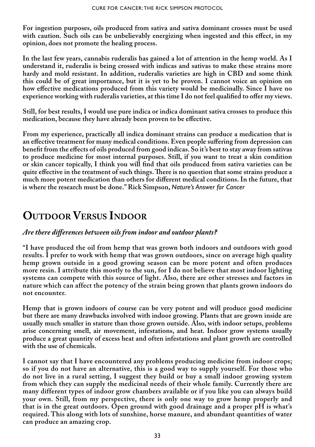<span id="page-32-0"></span>**For ingestion purposes, oils produced from sativa and sativa dominant crosses must be used with caution. Such oils can be unbelievably energizing when ingested and this effect, in my opinion, does not promote the healing process.**

**In the last few years, cannabis ruderalis has gained a lot of attention in the hemp world. As I understand it, ruderalis is being crossed with indicas and sativas to make these strains more hardy and mold resistant. In addition, ruderalis varieties are high in CBD and some think this could be of great importance, but it is yet to be proven. I cannot voice an opinion on how effective medications produced from this variety would be medicinally. Since I have no experience working with ruderalis varieties, at this time I do not feel qualified to offer my views.** 

**Still, for best results, I would use pure indica or indica dominant sativa crosses to produce this medication, because they have already been proven to be effective.**

**From my experience, practically all indica dominant strains can produce a medication that is an effective treatment for many medical conditions. Even people suffering from depression can benefit from the effects of oils produced from good indicas. So it's best to stay away from sativas to produce medicine for most internal purposes. Still, if you want to treat a skin condition or skin cancer topically, I think you will find that oils produced from sativa varieties can be quite effective in the treatment of such things. There is no question that some strains produce a much more potent medication than others for different medical conditions. In the future, that is where the research must be done." Rick Simpson,** *Nature's Answer for Cancer*

### **Outdoor Versus Indoor**

#### *Are there differences between oils from indoor and outdoor plants?*

**"I have produced the oil from hemp that was grown both indoors and outdoors with good results. I prefer to work with hemp that was grown outdoors, since on average high quality hemp grown outside in a good growing season can be more potent and often produces more resin. I attribute this mostly to the sun, for I do not believe that most indoor lighting systems can compete with this source of light. Also, there are other stresses and factors in nature which can affect the potency of the strain being grown that plants grown indoors do not encounter.** 

**Hemp that is grown indoors of course can be very potent and will produce good medicine but there are many drawbacks involved with indoor growing. Plants that are grown inside are usually much smaller in stature than those grown outside. Also, with indoor setups, problems arise concerning smell, air movement, infestations, and heat. Indoor grow systems usually produce a great quantity of excess heat and often infestations and plant growth are controlled with the use of chemicals.**

**I cannot say that I have encountered any problems producing medicine from indoor crops; so if you do not have an alternative, this is a good way to supply yourself. For those who do not live in a rural setting, I suggest they build or buy a small indoor growing system from which they can supply the medicinal needs of their whole family. Currently there are many different types of indoor grow chambers available or if you like you can always build your own. Still, from my perspective, there is only one way to grow hemp properly and that is in the great outdoors. Open ground with good drainage and a proper pH is what's required. This along with lots of sunshine, horse manure, and abundant quantities of water can produce an amazing crop.**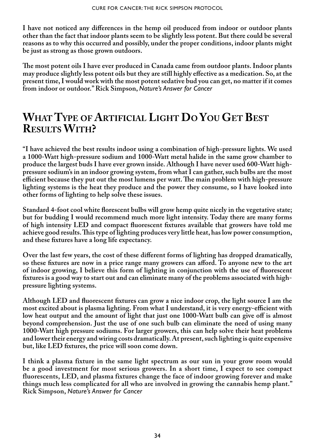<span id="page-33-0"></span>**I have not noticed any differences in the hemp oil produced from indoor or outdoor plants other than the fact that indoor plants seem to be slightly less potent. But there could be several reasons as to why this occurred and possibly, under the proper conditions, indoor plants might be just as strong as those grown outdoors.** 

**The most potent oils I have ever produced in Canada came from outdoor plants. Indoor plants may produce slightly less potent oils but they are still highly effective as a medication. So, at the present time, I would work with the most potent sedative bud you can get, no matter if it comes from indoor or outdoor." Rick Simpson,** *Nature's Answer for Cancer*

### **What Type of Artificial Light Do You Get Best Results With?**

**"I have achieved the best results indoor using a combination of high-pressure lights. We used a 1000-Watt high-pressure sodium and 1000-Watt metal halide in the same grow chamber to produce the largest buds I have ever grown inside. Although I have never used 600-Watt highpressure sodium's in an indoor growing system, from what I can gather, such bulbs are the most efficient because they put out the most lumens per watt. The main problem with high-pressure lighting systems is the heat they produce and the power they consume, so I have looked into other forms of lighting to help solve these issues.**

**Standard 4-foot cool white florescent bulbs will grow hemp quite nicely in the vegetative state; but for budding I would recommend much more light intensity. Today there are many forms of high intensity LED and compact fluorescent fixtures available that growers have told me achieve good results. This type of lighting produces very little heat, has low power consumption, and these fixtures have a long life expectancy.** 

**Over the last few years, the cost of these different forms of lighting has dropped dramatically, so these fixtures are now in a price range many growers can afford. To anyone new to the art of indoor growing, I believe this form of lighting in conjunction with the use of fluorescent fixtures is a good way to start out and can eliminate many of the problems associated with highpressure lighting systems.** 

**Although LED and fluorescent fixtures can grow a nice indoor crop, the light source I am the most excited about is plasma lighting. From what I understand, it is very energy-efficient with low heat output and the amount of light that just one 1000-Watt bulb can give off is almost beyond comprehension. Just the use of one such bulb can eliminate the need of using many 1000-Watt high pressure sodiums. For larger growers, this can help solve their heat problems and lower their energy and wiring costs dramatically. At present, such lighting is quite expensive but, like LED fixtures, the price will soon come down.** 

**I think a plasma fixture in the same light spectrum as our sun in your grow room would be a good investment for most serious growers. In a short time, I expect to see compact fluorescents, LED, and plasma fixtures change the face of indoor growing forever and make things much less complicated for all who are involved in growing the cannabis hemp plant." Rick Simpson,** *Nature's Answer for Cancer*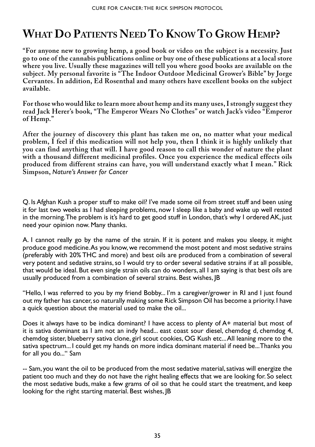### <span id="page-34-0"></span>**What Do Patients Need To Know To Grow Hemp?**

**"For anyone new to growing hemp, a good book or video on the subject is a necessity. Just go to one of the cannabis publications online or buy one of these publications at a local store where you live. Usually these magazines will tell you where good books are available on the subject. My personal favorite is "The Indoor Outdoor Medicinal Grower's Bible" by Jorge Cervantes. In addition, Ed Rosenthal and many others have excellent books on the subject available.**

**For those who would like to learn more about hemp and its many uses, I strongly suggest they read Jack Herer's book, "The Emperor Wears No Clothes" or watch Jack's video "Emperor of Hemp."** 

**After the journey of discovery this plant has taken me on, no matter what your medical problem, I feel if this medication will not help you, then I think it is highly unlikely that you can find anything that will. I have good reason to call this wonder of nature the plant with a thousand different medicinal profiles. Once you experience the medical effects oils produced from different strains can have, you will understand exactly what I mean." Rick Simpson,** *Nature's Answer for Cancer*

Q. Is Afghan Kush a proper stuff to make oil? I've made some oil from street stuff and been using it for last two weeks as I had sleeping problems, now I sleep like a baby and wake up well rested in the morning. The problem is it's hard to get good stuff in London, that's why I ordered AK, just need your opinion now. Many thanks.

A. I cannot really go by the name of the strain. If it is potent and makes you sleepy, it might produce good medicine. As you know, we recommend the most potent and most sedative strains (preferably with 20% THC and more) and best oils are produced from a combination of several very potent and sedative strains, so I would try to order several sedative strains if at all possible, that would be ideal. But even single strain oils can do wonders, all I am saying is that best oils are usually produced from a combination of several strains. Best wishes, JB

"Hello, I was referred to you by my friend Bobby... I'm a caregiver/grower in RI and I just found out my father has cancer, so naturally making some Rick Simpson Oil has become a priority. I have a quick question about the material used to make the oil...

Does it always have to be indica dominant? I have access to plenty of A+ material but most of it is sativa dominant as I am not an indy head... east coast sour diesel, chemdog d, chemdog 4, chemdog sister, blueberry sativa clone, girl scout cookies, OG Kush etc... All leaning more to the sativa spectrum... I could get my hands on more indica dominant material if need be... Thanks you for all you do..." Sam

-- Sam, you want the oil to be produced from the most sedative material, sativas will energize the patient too much and they do not have the right healing effects that we are looking for. So select the most sedative buds, make a few grams of oil so that he could start the treatment, and keep looking for the right starting material. Best wishes, JB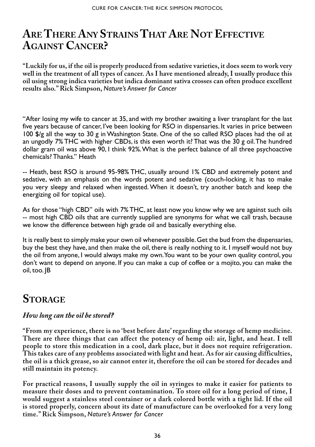### <span id="page-35-0"></span>**Are There Any Strains That Are Not Effective Against Cancer?**

**"Luckily for us, if the oil is properly produced from sedative varieties, it does seem to work very well in the treatment of all types of cancer. As I have mentioned already, I usually produce this oil using strong indica varieties but indica dominant sativa crosses can often produce excellent results also." Rick Simpson,** *Nature's Answer for Cancer*

"After losing my wife to cancer at 35, and with my brother awaiting a liver transplant for the last five years because of cancer, I've been looking for RSO in dispensaries. It varies in price between 100 \$/g all the way to 30 g in Washington State. One of the so called RSO places had the oil at an ungodly 7% THC with higher CBDs, is this even worth it? That was the 30 g oil. The hundred dollar gram oil was above 90, I think 92%. What is the perfect balance of all three psychoactive chemicals? Thanks." Heath

-- Heath, best RSO is around 95-98% THC, usually around 1% CBD and extremely potent and sedative, with an emphasis on the words potent and sedative (couch-locking, it has to make you very sleepy and relaxed when ingested. When it doesn't, try another batch and keep the energizing oil for topical use).

As for those "high CBD" oils with 7% THC, at least now you know why we are against such oils -- most high CBD oils that are currently supplied are synonyms for what we call trash, because we know the difference between high grade oil and basically everything else.

It is really best to simply make your own oil whenever possible. Get the bud from the dispensaries, buy the best they have, and then make the oil, there is really nothing to it. I myself would not buy the oil from anyone, I would always make my own. You want to be your own quality control, you don't want to depend on anyone. If you can make a cup of coffee or a mojito, you can make the oil, too. JB

### **Storage**

#### *How long can the oil be stored?*

**"From my experience, there is no 'best before date' regarding the storage of hemp medicine. There are three things that can affect the potency of hemp oil: air, light, and heat. I tell people to store this medication in a cool, dark place, but it does not require refrigeration. This takes care of any problems associated with light and heat. As for air causing difficulties, the oil is a thick grease, so air cannot enter it, therefore the oil can be stored for decades and still maintain its potency.** 

**For practical reasons, I usually supply the oil in syringes to make it easier for patients to measure their doses and to prevent contamination. To store oil for a long period of time, I would suggest a stainless steel container or a dark colored bottle with a tight lid. If the oil is stored properly, concern about its date of manufacture can be overlooked for a very long time." Rick Simpson,** *Nature's Answer for Cancer*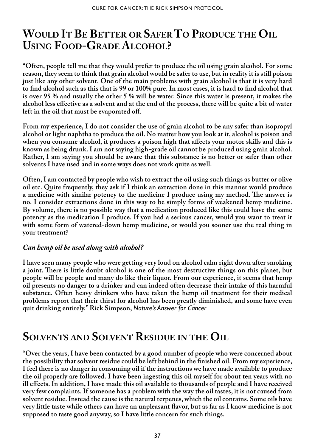## **Would It Be Better or Safer To Produce the Oil Using Food-Grade Alcohol?**

**"Often, people tell me that they would prefer to produce the oil using grain alcohol. For some reason, they seem to think that grain alcohol would be safer to use, but in reality it is still poison just like any other solvent. One of the main problems with grain alcohol is that it is very hard to find alcohol such as this that is 99 or 100% pure. In most cases, it is hard to find alcohol that is over 95 % and usually the other 5 % will be water. Since this water is present, it makes the alcohol less effective as a solvent and at the end of the process, there will be quite a bit of water left in the oil that must be evaporated off.**

**From my experience, I do not consider the use of grain alcohol to be any safer than isopropyl alcohol or light naphtha to produce the oil. No matter how you look at it, alcohol is poison and when you consume alcohol, it produces a poison high that affects your motor skills and this is known as being drunk. I am not saying high-grade oil cannot be produced using grain alcohol. Rather, I am saying you should be aware that this substance is no better or safer than other solvents I have used and in some ways does not work quite as well.** 

**Often, I am contacted by people who wish to extract the oil using such things as butter or olive oil etc. Quite frequently, they ask if I think an extraction done in this manner would produce a medicine with similar potency to the medicine I produce using my method. The answer is no. I consider extractions done in this way to be simply forms of weakened hemp medicine. By volume, there is no possible way that a medication produced like this could have the same potency as the medication I produce. If you had a serious cancer, would you want to treat it with some form of watered-down hemp medicine, or would you sooner use the real thing in your treatment?** 

### *Can hemp oil be used along with alcohol?*

**I have seen many people who were getting very loud on alcohol calm right down after smoking a joint. There is little doubt alcohol is one of the most destructive things on this planet, but people will be people and many do like their liquor. From our experience, it seems that hemp oil presents no danger to a drinker and can indeed often decrease their intake of this harmful substance. Often heavy drinkers who have taken the hemp oil treatment for their medical problems report that their thirst for alcohol has been greatly diminished, and some have even quit drinking entirely." Rick Simpson,** *Nature's Answer for Cancer*

## **Solvents and Solvent Residue in the Oil**

**"Over the years, I have been contacted by a good number of people who were concerned about the possibility that solvent residue could be left behind in the finished oil. From my experience, I feel there is no danger in consuming oil if the instructions we have made available to produce the oil properly are followed. I have been ingesting this oil myself for about ten years with no ill effects. In addition, I have made this oil available to thousands of people and I have received very few complaints. If someone has a problem with the way the oil tastes, it is not caused from solvent residue. Instead the cause is the natural terpenes, which the oil contains. Some oils have very little taste while others can have an unpleasant flavor, but as far as I know medicine is not supposed to taste good anyway, so I have little concern for such things.**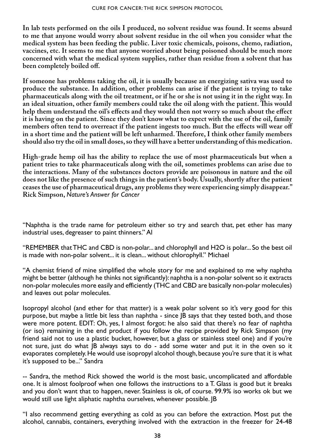**In lab tests performed on the oils I produced, no solvent residue was found. It seems absurd to me that anyone would worry about solvent residue in the oil when you consider what the medical system has been feeding the public. Liver toxic chemicals, poisons, chemo, radiation, vaccines, etc. It seems to me that anyone worried about being poisoned should be much more concerned with what the medical system supplies, rather than residue from a solvent that has been completely boiled off.**

**If someone has problems taking the oil, it is usually because an energizing sativa was used to produce the substance. In addition, other problems can arise if the patient is trying to take pharmaceuticals along with the oil treatment, or if he or she is not using it in the right way. In an ideal situation, other family members could take the oil along with the patient. This would help them understand the oil's effects and they would then not worry so much about the effect it is having on the patient. Since they don't know what to expect with the use of the oil, family members often tend to overreact if the patient ingests too much. But the effects will wear off in a short time and the patient will be left unharmed. Therefore, I think other family members should also try the oil in small doses, so they will have a better understanding of this medication.** 

**High-grade hemp oil has the ability to replace the use of most pharmaceuticals but when a patient tries to take pharmaceuticals along with the oil, sometimes problems can arise due to the interactions. Many of the substances doctors provide are poisonous in nature and the oil does not like the presence of such things in the patient's body. Usually, shortly after the patient ceases the use of pharmaceutical drugs, any problems they were experiencing simply disappear." Rick Simpson,** *Nature's Answer for Cancer*

"Naphtha is the trade name for petroleum either so try and search that, pet ether has many industrial uses, degreaser to paint thinners." Al

"REMEMBER that THC and CBD is non-polar... and chlorophyll and H2O is polar... So the best oil is made with non-polar solvent... it is clean... without chlorophyll." Michael

"A chemist friend of mine simplified the whole story for me and explained to me why naphtha might be better (although he thinks not significantly): naphtha is a non-polar solvent so it extracts non-polar molecules more easily and efficiently (THC and CBD are basically non-polar molecules) and leaves out polar molecules.

Isopropyl alcohol (and ether for that matter) is a weak polar solvent so it's very good for this purpose, but maybe a little bit less than naphtha - since JB says that they tested both, and those were more potent. EDIT: Oh, yes, I almost forgot: he also said that there's no fear of naphtha (or iso) remaining in the end product if you follow the recipe provided by Rick Simpson (my friend said not to use a plastic bucket, however, but a glass or stainless steel one) and if you're not sure, just do what JB always says to do - add some water and put it in the oven so it evaporates completely. He would use isopropyl alcohol though, because you're sure that it is what it's supposed to be..." Sandra

-- Sandra, the method Rick showed the world is the most basic, uncomplicated and affordable one. It is almost foolproof when one follows the instructions to a T. Glass is good but it breaks and you don't want that to happen, never. Stainless is ok, of course. 99.9% iso works ok but we would still use light aliphatic naphtha ourselves, whenever possible. JB

"I also recommend getting everything as cold as you can before the extraction. Most put the alcohol, cannabis, containers, everything involved with the extraction in the freezer for 24-48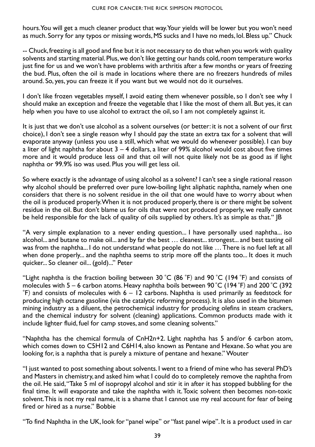hours. You will get a much cleaner product that way. Your yields will be lower but you won't need as much. Sorry for any typos or missing words, MS sucks and I have no meds, lol. Bless up." Chuck

-- Chuck, freezing is all good and fine but it is not necessary to do that when you work with quality solvents and starting material. Plus, we don't like getting our hands cold, room temperature works just fine for us and we won't have problems with arthritis after a few months or years of freezing the bud. Plus, often the oil is made in locations where there are no freezers hundreds of miles around. So, yes, you can freeze it if you want but we would not do it ourselves.

I don't like frozen vegetables myself, I avoid eating them whenever possible, so I don't see why I should make an exception and freeze the vegetable that I like the most of them all. But yes, it can help when you have to use alcohol to extract the oil, so I am not completely against it.

It is just that we don't use alcohol as a solvent ourselves (or better: it is not a solvent of our first choice), I don't see a single reason why I should pay the state an extra tax for a solvent that will evaporate anyway (unless you use a still, which what we would do whenever possible). I can buy a liter of light naphtha for about  $3 - 4$  dollars, a liter of 99% alcohol would cost about five times more and it would produce less oil and that oil will not quite likely not be as good as if light naphtha or 99.9% iso was used. Plus you will get less oil.

So where exactly is the advantage of using alcohol as a solvent? I can't see a single rational reason why alcohol should be preferred over pure low-boiling light aliphatic naphtha, namely when one considers that there is no solvent residue in the oil that one would have to worry about when the oil is produced properly. When it is not produced properly, there is or there might be solvent residue in the oil. But don't blame us for oils that were not produced properly, we really cannot be held responsible for the lack of quality of oils supplied by others. It's as simple as that." |B

"A very simple explanation to a never ending question... I have personally used naphtha... iso alcohol... and butane to make oil... and by far the best … cleanest... strongest... and best tasting oil was from the naphtha... I do not understand what people do not like … There is no fuel left at all when done properly... and the naphtha seems to strip more off the plants too... It does it much quicker... So cleaner oil... (gold)..." Peter

"Light naphtha is the fraction boiling between 30 °C (86 °F) and 90 °C (194 °F) and consists of molecules with 5 – 6 carbon atoms. Heavy naphtha boils between 90 °C (194 °F) and 200 °C (392  $\degree$ F) and consists of molecules with 6 – 12 carbons. Naphtha is used primarily as feedstock for producing high octane gasoline (via the catalytic reforming process). It is also used in the bitumen mining industry as a diluent, the petrochemical industry for producing olefins in steam crackers, and the chemical industry for solvent (cleaning) applications. Common products made with it include lighter fluid, fuel for camp stoves, and some cleaning solvents."

"Naphtha has the chemical formula of CnH2n+2. Light naphtha has 5 and/or 6 carbon atom, which comes down to C5H12 and C6H14, also known as Pentane and Hexane. So what you are looking for, is a naphtha that is purely a mixture of pentane and hexane." Wouter

"I just wanted to post something about solvents. I went to a friend of mine who has several PhD's and Masters in chemistry, and asked him what I could do to completely remove the naphtha from the oil. He said, "Take 5 ml of isopropyl alcohol and stir it in after it has stopped bubbling for the final time. It will evaporate and take the naphtha with it. Toxic solvent then becomes non-toxic solvent. This is not my real name, it is a shame that I cannot use my real account for fear of being fired or hired as a nurse." Bobbie

"To find Naphtha in the UK, look for "panel wipe" or "fast panel wipe". It is a product used in car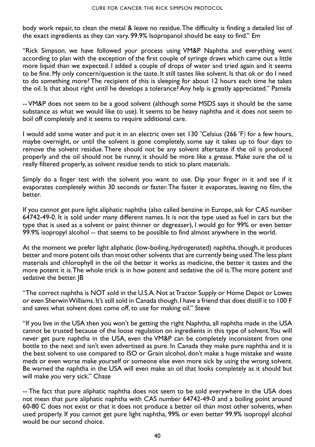body work repair, to clean the metal & leave no residue. The difficulty is finding a detailed list of the exact ingredients as they can vary. 99.9% Isopropanol should be easy to find." Em

"Rick Simpson, we have followed your process using VM&P Naphtha and everything went according to plan with the exception of the first couple of syringe draws which came out a little more liquid than we expected. I added a couple of drops of water and tried again and it seems to be fine. My only concern/question is the taste. It still tastes like solvent. Is that ok or do I need to do something more? The recipient of this is sleeping for about 12 hours each time he takes the oil. Is that about right until he develops a tolerance? Any help is greatly appreciated." Pamela

-- VM&P does not seem to be a good solvent (although some MSDS says it should be the same substance as what we would like to use). It seems to be heavy naphtha and it does not seem to boil off completely and it seems to require additional care.

I would add some water and put it in an electric oven set 130 °Celsius (266 °F) for a few hours, maybe overnight, or until the solvent is gone completely, some say it takes up to four days to remove the solvent residue. There should not be any solvent aftertaste if the oil is produced properly and the oil should not be runny, it should be more like a grease. Make sure the oil is really filtered properly, as solvent residue tends to stick to plant materials.

Simply do a finger test with the solvent you want to use. Dip your finger in it and see if it evaporates completely within 30 seconds or faster. The faster it evaporates, leaving no film, the better.

If you cannot get pure light aliphatic naphtha (also called benzine in Europe, ask for CAS number 64742-49-0. It is sold under many different names. It is not the type used as fuel in cars but the type that is used as a solvent or paint thinner or degreaser), I would go for 99% or even better 99.9% isopropyl alcohol -- that seems to be possible to find almost anywhere in the world.

At the moment we prefer light aliphatic (low-boiling, hydrogenated) naphtha, though, it produces better and more potent oils than most other solvents that are currently being used. The less plant materials and chlorophyll in the oil the better it works as medicine, the better it tastes and the more potent it is. The whole trick is in how potent and sedative the oil is. The more potent and sedative the better. |B

"The correct naphtha is NOT sold in the U.S.A. Not at Tractor Supply or Home Depot or Lowes or even Sherwin Williams. It's still sold in Canada though. I have a friend that does distill it to 100°F and saves what solvent does come off, to use for making oil." Steve

"If you live in the USA then you won't be getting the right Naphtha, all naphtha made in the USA cannot be trusted because of the loose regulation on ingredients in this type of solvent. You will never get pure naphtha in the USA, even the VM&P can be completely inconsistent from one bottle to the next and isn't even advertised as pure. In Canada they make pure naphtha and it is the best solvent to use compared to ISO or Grain alcohol, don't make a huge mistake and waste meds or even worse make yourself or someone else even more sick by using the wrong solvent. Be warned the naphtha in the USA will even make an oil that looks completely as it should but will make you very sick." Chase

-- The fact that pure aliphatic naphtha does not seem to be sold everywhere in the USA does not mean that pure aliphatic naphtha with CAS number 64742-49-0 and a boiling point around  $60-80\,C$  does not exist or that it does not produce a better oil than most other solvents, when used properly. If you cannot get pure light naphtha, 99% or even better 99.9% isopropyl alcohol would be our second choice.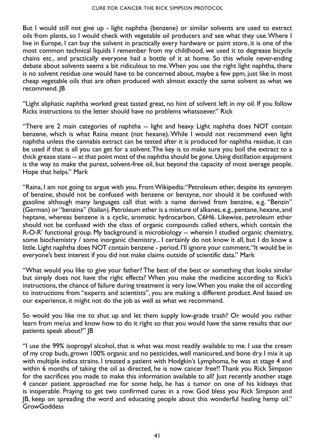But I would still not give up - light naphtha (benzene) or similar solvents are used to extract oils from plants, so I would check with vegetable oil producers and see what they use. Where I live in Europe, I can buy the solvent in practically every hardware or paint store, it is one of the most common technical liquids I remember from my childhood, we used it to degrease bicycle chains etc., and practically everyone had a bottle of it at home. So this whole never-ending debate about solvents seems a bit ridiculous to me. When you use the right light naphtha, there is no solvent residue one would have to be concerned about, maybe a few ppm, just like in most cheap vegetable oils that are often produced with almost exactly the same solvent as what we recommend. JB

"Light aliphatic naphtha worked great tasted great, no hint of solvent left in my oil. If you follow Ricks instructions to the letter should have no problems whatsoever." Rick

"There are 2 main categories of naphtha -- light and heavy. Light naphtha does NOT contain benzene, which is what Raina meant (not hexane). While I would not recommend even light naphtha unless the cannabis extract can be tested after it is produced for naphtha residue, it can be used if that is all you can get for a solvent. The key is to make sure you boil the extract to a thick grease state -- at that point most of the naphtha should be gone. Using distillation equipment is the way to make the purest, solvent-free oil, but beyond the capacity of most average people. Hope that helps." Mark

"Raina, I am not going to argue with you. From Wikipedia: "Petroleum ether, despite its synonym of benzine, should not be confused with benzene or benzyne, nor should it be confused with gasoline although many languages call that with a name derived from benzine, e.g. "Benzin" (German) or "benzina" (Italian). Petroleum ether is a mixture of alkanes, e.g., pentane, hexane, and heptane, whereas benzene is a cyclic, aromatic hydrocarbon, C6H6. Likewise, petroleum ether should not be confused with the class of organic compounds called ethers, which contain the R-O-R' functional group. My background is microbiology -- wherein I studied organic chemistry, some biochemistry / some inorganic chemistry... I certainly do not know it all, but I do know a little. Light naphtha does NOT contain benzene - period. I'll ignore your comment, "It would be in everyone's best interest if you did not make claims outside of scientific data." Mark

"What would you like to give your father? The best of the best or something that looks similar but simply does not have the right effects? When you make the medicine according to Rick's instructions, the chance of failure during treatment is very low. When you make the oil according to instructions from "experts and scientists", you are making a different product. And based on our experience, it might not do the job as well as what we recommend.

So would you like me to shut up and let them supply low-grade trash? Or would you rather learn from me/us and know how to do it right so that you would have the same results that our patients speak about?" JB

"I use the 99% isopropyl alcohol, that is what was most readily available to me. I use the cream of my crop buds, grown 100% organic and no pesticides, well manicured, and bone dry. I mix it up with multiple indica strains. I treated a patient with Hodgkin's Lymphoma, he was at stage 4 and within 6 months of taking the oil as directed, he is now cancer free!! Thank you Rick Simpson for the sacrifices you made to make this information available to all! Just recently another stage 4 cancer patient approached me for some help, he has a tumor on one of his kidneys that is inoperable. Praying to get two confirmed cures in a row. God bless you Rick Simpson and JB, keep on spreading the word and educating people about this wonderful healing hemp oil." **GrowGoddess**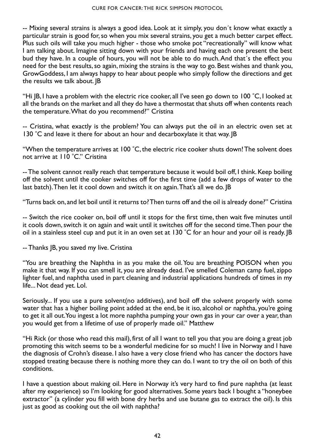-- Mixing several strains is always a good idea. Look at it simply, you don´t know what exactly a particular strain is good for, so when you mix several strains, you get a much better carpet effect. Plus such oils will take you much higher - those who smoke pot "recreationally" will know what I am talking about. Imagine sitting down with your friends and having each one present the best bud they have. In a couple of hours, you will not be able to do much. And that´s the effect you need for the best results, so again, mixing the strains is the way to go. Best wishes and thank you, GrowGoddess, I am always happy to hear about people who simply follow the directions and get the results we talk about. JB

"Hi  $|B, I$  have a problem with the electric rice cooker, all I've seen go down to 100 °C, I looked at all the brands on the market and all they do have a thermostat that shuts off when contents reach the temperature. What do you recommend?" Cristina

-- Cristina, what exactly is the problem? You can always put the oil in an electric oven set at 130 °C and leave it there for about an hour and decarboxylate it that way. [B]

"When the temperature arrives at 100°°C, the electric rice cooker shuts down! The solvent does not arrive at 110 °C." Cristina

-- The solvent cannot really reach that temperature because it would boil off, I think. Keep boiling off the solvent until the cooker switches off for the first time (add a few drops of water to the last batch). Then let it cool down and switch it on again. That's all we do. JB

"Turns back on, and let boil until it returns to? Then turns off and the oil is already done?" Cristina

-- Switch the rice cooker on, boil off until it stops for the first time, then wait five minutes until it cools down, switch it on again and wait until it switches off for the second time. Then pour the oil in a stainless steel cup and put it in an oven set at 130°°C for an hour and your oil is ready. JB

-- Thanks JB, you saved my live. Cristina

"You are breathing the Naphtha in as you make the oil. You are breathing POISON when you make it that way. If you can smell it, you are already dead. I've smelled Coleman camp fuel, zippo lighter fuel, and naphtha used in part cleaning and industrial applications hundreds of times in my life... Not dead yet. Lol.

Seriously... If you use a pure solvent(no additives), and boil off the solvent properly with some water that has a higher boiling point added at the end, be it iso, alcohol or naphtha, you're going to get it all out. You ingest a lot more naphtha pumping your own gas in your car over a year, than you would get from a lifetime of use of properly made oil." Matthew

"Hi Rick (or those who read this mail), first of all I want to tell you that you are doing a great job promoting this witch seems to be a wonderful medicine for so much! I live in Norway and I have the diagnosis of Crohn's disease. I also have a very close friend who has cancer the doctors have stopped treating because there is nothing more they can do. I want to try the oil on both of this conditions.

I have a question about making oil. Here in Norway it's very hard to find pure naphtha (at least after my experience) so I'm looking for good alternatives. Some years back I bought a "honeybee extractor" (a cylinder you fill with bone dry herbs and use butane gas to extract the oil). Is this just as good as cooking out the oil with naphtha?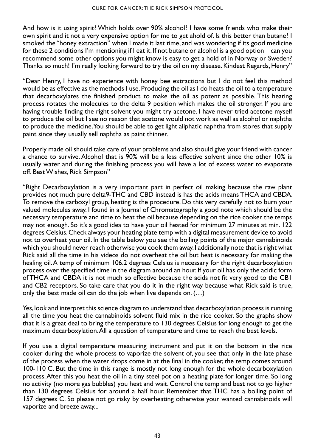And how is it using spirit? Which holds over 90% alcohol? I have some friends who make their own spirit and it not a very expensive option for me to get ahold of. Is this better than butane? I smoked the "honey extraction" when I made it last time, and was wondering if its good medicine for these 2 conditions I'm mentioning if I eat it. If not butane or alcohol is a good option – can you recommend some other options you might know is easy to get a hold of in Norway or Sweden? Thanks so much! I'm really looking forward to try the oil on my disease. Kindest Regards, Henry"

"Dear Henry, I have no experience with honey bee extractions but I do not feel this method would be as effective as the methods I use. Producing the oil as I do heats the oil to a temperature that decarboxylates the finished product to make the oil as potent as possible. This heating process rotates the molecules to the delta 9 position which makes the oil stronger. If you are having trouble finding the right solvent you might try acetone. I have never tried acetone myself to produce the oil but I see no reason that acetone would not work as well as alcohol or naphtha to produce the medicine. You should be able to get light aliphatic naphtha from stores that supply paint since they usually sell naphtha as paint thinner.

Properly made oil should take care of your problems and also should give your friend with cancer a chance to survive. Alcohol that is 90% will be a less effective solvent since the other 10% is usually water and during the finishing process you will have a lot of excess water to evaporate off. Best Wishes, Rick Simpson"

"Right Decarboxylation is a very important part in perfect oil making because the raw plant provides not much pure delta9-THC and CBD instead is has the acids means THCA and CBDA. To remove the carboxyl group, heating is the procedure. Do this very carefully not to burn your valued molecules away. I found in a Journal of Chromatography a good note which should be the necessary temperature and time to heat the oil because depending on the rice cooker the temps may not enough. So it's a good idea to have your oil heated for minimum 27 minutes at min. 122 degrees Celsius. Check always your heating plate temp with a digital measurement device to avoid not to overheat your oil. In the table below you see the boiling points of the major cannabinoids which you should never reach otherwise you cook them away. I additionally note that is right what Rick said all the time in his videos do not overheat the oil but heat is necessary for making the healing oil. A temp of minimum 106.2 degrees Celsius is necessary for the right decarboxylation process over the specified time in the diagram around an hour. If your oil has only the acidic form of THCA and CBDA it is not much so effective because the acids not fit very good to the CB1 and CB2 receptors. So take care that you do it in the right way because what Rick said is true, only the best made oil can do the job when live depends on. (…)

Yes, look and interpret this science diagram to understand that decarboxylation process is running all the time you heat the cannabinoids solvent fluid mix in the rice cooker. So the graphs show that it is a great deal to bring the temperature to 130 degrees Celsius for long enough to get the maximum decarboxylation. All a question of temperature and time to reach the best levels.

If you use a digital temperature measuring instrument and put it on the bottom in the rice cooker during the whole process to vaporize the solvent of, you see that only in the late phase of the process when the water drops come in at the final in the cooker, the temp comes around 100-110 C. But the time in this range is mostly not long enough for the whole decarboxylation process. After this you heat the oil in a tiny steel pot on a heating plate for longer time. So long no activity (no more gas bubbles) you heat and wait. Control the temp and best not to go higher than 130 degrees Celsius for around a half hour. Remember that THC has a boiling point of 157 degrees C. So please not go risky by overheating otherwise your wanted cannabinoids will vaporize and breeze away...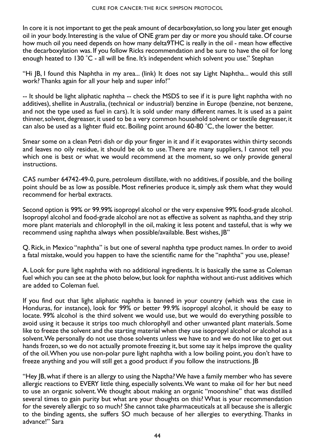In core it is not important to get the peak amount of decarboxylation, so long you later get enough oil in your body. Interesting is the value of ONE gram per day or more you should take. Of course how much oil you need depends on how many delta9THC is really in the oil - mean how effective the decarboxylation was. If you follow Ricks recommendation and be sure to have the oil for long enough heated to 130  $^{\circ}$ C - all will be fine. It's independent which solvent you use." Stephan

"Hi JB, I found this Naphtha in my area... (link) It does not say Light Naphtha... would this still work? Thanks again for all your help and super info!"

-- It should be light aliphatic naphtha -- check the MSDS to see if it is pure light naphtha with no additives), shellite in Australia, (technical or industrial) benzine in Europe (benzine, not benzene, and not the type used as fuel in cars). It is sold under many different names. It is used as a paint thinner, solvent, degreaser, it used to be a very common household solvent or textile degreaser, it can also be used as a lighter fluid etc. Boiling point around 60-80  $^{\circ}$ C, the lower the better.

Smear some on a clean Petri dish or dip your finger in it and if it evaporates within thirty seconds and leaves no oily residue, it should be ok to use. There are many suppliers, I cannot tell you which one is best or what we would recommend at the moment, so we only provide general instructions.

CAS number 64742-49-0, pure, petroleum distillate, with no additives, if possible, and the boiling point should be as low as possible. Most refineries produce it, simply ask them what they would recommend for herbal extracts.

Second option is 99% or 99.99% isopropyl alcohol or the very expensive 99% food-grade alcohol. Isopropyl alcohol and food-grade alcohol are not as effective as solvent as naphtha, and they strip more plant materials and chlorophyll in the oil, making it less potent and tasteful, that is why we recommend using naphtha always when possible/available. Best wishes, JB"

Q. Rick, in Mexico "naphtha" is but one of several naphtha type product names. In order to avoid a fatal mistake, would you happen to have the scientific name for the "naphtha" you use, please?

A. Look for pure light naphtha with no additional ingredients. It is basically the same as Coleman fuel which you can see at the photo below, but look for naphtha without anti-rust additives which are added to Coleman fuel.

If you find out that light aliphatic naphtha is banned in your country (which was the case in Honduras, for instance), look for 99% or better 99.9% isopropyl alcohol, it should be easy to locate. 99% alcohol is the third solvent we would use, but we would do everything possible to avoid using it because it strips too much chlorophyll and other unwanted plant materials. Some like to freeze the solvent and the starting material when they use isopropyl alcohol or alcohol as a solvent. We personally do not use those solvents unless we have to and we do not like to get out hands frozen, so we do not actually promote freezing it, but some say it helps improve the quality of the oil. When you use non-polar pure light naphtha with a low boiling point, you don't have to freeze anything and you will still get a good product if you follow the instructions. JB

"Hey JB, what if there is an allergy to using the Naptha? We have a family member who has severe allergic reactions to EVERY little thing, especially solvents. We want to make oil for her but need to use an organic solvent. We thought about making an organic "moonshine" that was distilled several times to gain purity but what are your thoughts on this? What is your recommendation for the severely allergic to so much? She cannot take pharmaceuticals at all because she is allergic to the binding agents, she suffers SO much because of her allergies to everything. Thanks in advance!" Sara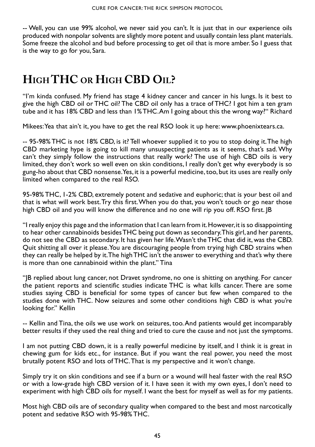-- Well, you can use 99% alcohol, we never said you can't. It is just that in our experience oils produced with nonpolar solvents are slightly more potent and usually contain less plant materials. Some freeze the alcohol and bud before processing to get oil that is more amber. So I guess that is the way to go for you, Sara.

# **High THC or High CBD Oil?**

"I'm kinda confused. My friend has stage 4 kidney cancer and cancer in his lungs. Is it best to give the high CBD oil or THC oil? The CBD oil only has a trace of THC? I got him a ten gram tube and it has 18% CBD and less than 1% THC. Am I going about this the wrong way?" Richard

Mikees: Yea that ain't it, you have to get the real RSO look it up here: www.phoenixtears.ca.

-- 95-98% THC is not 18% CBD, is it? Tell whoever supplied it to you to stop doing it. The high CBD marketing hype is going to kill many unsuspecting patients as it seems, that's sad. Why can't they simply follow the instructions that really work? The use of high CBD oils is very limited, they don't work so well even on skin conditions, I really don't get why everybody is so gung-ho about that CBD nonsense. Yes, it is a powerful medicine, too, but its uses are really only limited when compared to the real RSO.

95-98% THC, 1-2% CBD, extremely potent and sedative and euphoric; that is your best oil and that is what will work best. Try this first. When you do that, you won't touch or go near those high CBD oil and you will know the difference and no one will rip you off. RSO first. JB

"I really enjoy this page and the information that I can learn from it. However, it is so disappointing to hear other cannabinoids besides THC being put down as secondary. This girl, and her parents, do not see the CBD as secondary. It has given her life. Wasn't the THC that did it, was the CBD. Quit shitting all over it please. You are discouraging people from trying high CBD strains when they can really be helped by it. The high THC isn't the answer to everything and that's why there is more than one cannabinoid within the plant." Tina

"JB replied about lung cancer, not Dravet syndrome, no one is shitting on anything. For cancer the patient reports and scientific studies indicate THC is what kills cancer. There are some studies saying CBD is beneficial for some types of cancer but few when compared to the studies done with THC. Now seizures and some other conditions high CBD is what you're looking for." Kellin

-- Kellin and Tina, the oils we use work on seizures, too. And patients would get incomparably better results if they used the real thing and tried to cure the cause and not just the symptoms.

I am not putting CBD down, it is a really powerful medicine by itself, and I think it is great in chewing gum for kids etc., for instance. But if you want the real power, you need the most brutally potent RSO and lots of THC. That is my perspective and it won't change.

Simply try it on skin conditions and see if a burn or a wound will heal faster with the real RSO or with a low-grade high CBD version of it. I have seen it with my own eyes, I don't need to experiment with high CBD oils for myself. I want the best for myself as well as for my patients.

Most high CBD oils are of secondary quality when compared to the best and most narcotically potent and sedative RSO with 95-98% THC.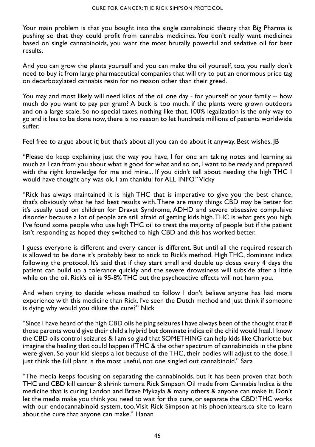Your main problem is that you bought into the single cannabinoid theory that Big Pharma is pushing so that they could profit from cannabis medicines. You don't really want medicines based on single cannabinoids, you want the most brutally powerful and sedative oil for best results.

And you can grow the plants yourself and you can make the oil yourself, too, you really don't need to buy it from large pharmaceutical companies that will try to put an enormous price tag on decarboxylated cannabis resin for no reason other than their greed.

You may and most likely will need kilos of the oil one day - for yourself or your family -- how much do you want to pay per gram? A buck is too much, if the plants were grown outdoors and on a large scale. So no special taxes, nothing like that. 100% legalization is the only way to go and it has to be done now, there is no reason to let hundreds millions of patients worldwide suffer.

Feel free to argue about it; but that's about all you can do about it anyway. Best wishes, JB

"Please do keep explaining just the way you have, I for one am taking notes and learning as much as I can from you about what is good for what and so on, I want to be ready and prepared with the right knowledge for me and mine... If you didn't tell about needing the high THC I would have thought any was ok, I am thankful for ALL INFO." Vicky

"Rick has always maintained it is high THC that is imperative to give you the best chance, that's obviously what he had best results with. There are many things CBD may be better for, it's usually used on children for Dravet Syndrome, ADHD and severe obsessive compulsive disorder because a lot of people are still afraid of getting kids high. THC is what gets you high. I've found some people who use high THC oil to treat the majority of people but if the patient isn't responding as hoped they switched to high CBD and this has worked better.

I guess everyone is different and every cancer is different. But until all the required research is allowed to be done it's probably best to stick to Rick's method. High THC, dominant indica following the protocol. It's said that if they start small and double up doses every 4 days the patient can build up a tolerance quickly and the severe drowsiness will subside after a little while on the oil. Rick's oil is 95-8% THC but the psychoactive effects will not harm you.

And when trying to decide whose method to follow I don't believe anyone has had more experience with this medicine than Rick. I've seen the Dutch method and just think if someone is dying why would you dilute the cure?" Nick

"Since I have heard of the high CBD oils helping seizures I have always been of the thought that if those parents would give their child a hybrid but dominate indica oil the child would heal. I know the CBD oils control seizures & I am so glad that SOMETHING can help kids like Charlotte but imagine the healing that could happen if THC & the other spectrum of cannabinoids in the plant were given. So your kid sleeps a lot because of the THC, their bodies will adjust to the dose. I just think the full plant is the most useful, not one singled out cannabinoid." Sara

"The media keeps focusing on separating the cannabinoids, but it has been proven that both THC and CBD kill cancer & shrink tumors. Rick Simpson Oil made from Cannabis Indica is the medicine that is curing Landon and Brave Mykayla & many others & anyone can make it. Don't let the media make you think you need to wait for this cure, or separate the CBD! THC works with our endocannabinoid system, too. Visit Rick Simpson at his phoenixtears.ca site to learn about the cure that anyone can make." Hanan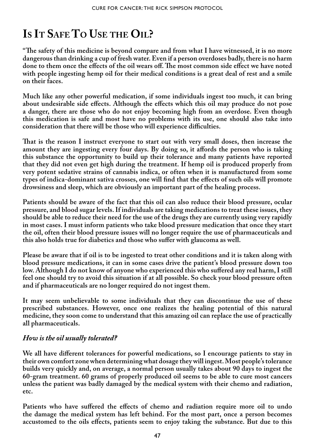# **Is It Safe To Use the Oil?**

**"The safety of this medicine is beyond compare and from what I have witnessed, it is no more dangerous than drinking a cup of fresh water. Even if a person overdoses badly, there is no harm done to them once the effects of the oil wears off. The most common side effect we have noted with people ingesting hemp oil for their medical conditions is a great deal of rest and a smile on their faces.**

**Much like any other powerful medication, if some individuals ingest too much, it can bring about undesirable side effects. Although the effects which this oil may produce do not pose a danger, there are those who do not enjoy becoming high from an overdose. Even though this medication is safe and most have no problems with its use, one should also take into consideration that there will be those who will experience difficulties.** 

**That is the reason I instruct everyone to start out with very small doses, then increase the amount they are ingesting every four days. By doing so, it affords the person who is taking this substance the opportunity to build up their tolerance and many patients have reported that they did not even get high during the treatment. If hemp oil is produced properly from very potent sedative strains of cannabis indica, or often when it is manufactured from some types of indica-dominant sativa crosses, one will find that the effects of such oils will promote drowsiness and sleep, which are obviously an important part of the healing process.** 

**Patients should be aware of the fact that this oil can also reduce their blood pressure, ocular pressure, and blood sugar levels. If individuals are taking medications to treat these issues, they should be able to reduce their need for the use of the drugs they are currently using very rapidly in most cases. I must inform patients who take blood pressure medication that once they start the oil, often their blood pressure issues will no longer require the use of pharmaceuticals and this also holds true for diabetics and those who suffer with glaucoma as well.** 

**Please be aware that if oil is to be ingested to treat other conditions and it is taken along with blood pressure medications, it can in some cases drive the patient's blood pressure down too low. Although I do not know of anyone who experienced this who suffered any real harm, I still feel one should try to avoid this situation if at all possible. So check your blood pressure often and if pharmaceuticals are no longer required do not ingest them.** 

**It may seem unbelievable to some individuals that they can discontinue the use of these prescribed substances. However, once one realizes the healing potential of this natural medicine, they soon come to understand that this amazing oil can replace the use of practically all pharmaceuticals.** 

### *How is the oil usually tolerated?*

**We all have different tolerances for powerful medications, so I encourage patients to stay in their own comfort zone when determining what dosage they will ingest. Most people's tolerance builds very quickly and, on average, a normal person usually takes about 90 days to ingest the 60-gram treatment. 60 grams of properly produced oil seems to be able to cure most cancers unless the patient was badly damaged by the medical system with their chemo and radiation, etc.** 

**Patients who have suffered the effects of chemo and radiation require more oil to undo the damage the medical system has left behind. For the most part, once a person becomes accustomed to the oils effects, patients seem to enjoy taking the substance. But due to this**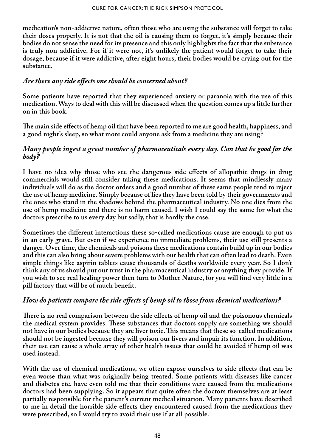**medication's non-addictive nature, often those who are using the substance will forget to take their doses properly. It is not that the oil is causing them to forget, it's simply because their bodies do not sense the need for its presence and this only highlights the fact that the substance is truly non-addictive. For if it were not, it's unlikely the patient would forget to take their dosage, because if it were addictive, after eight hours, their bodies would be crying out for the substance.**

#### *Are there any side effects one should be concerned about?*

**Some patients have reported that they experienced anxiety or paranoia with the use of this medication. Ways to deal with this will be discussed when the question comes up a little further on in this book.** 

**The main side effects of hemp oil that have been reported to me are good health, happiness, and a good night's sleep, so what more could anyone ask from a medicine they are using?** 

#### *Many people ingest a great number of pharmaceuticals every day. Can that be good for the body?*

**I have no idea why those who see the dangerous side effects of allopathic drugs in drug commercials would still consider taking these medications. It seems that mindlessly many individuals will do as the doctor orders and a good number of these same people tend to reject the use of hemp medicine. Simply because of lies they have been told by their governments and the ones who stand in the shadows behind the pharmaceutical industry. No one dies from the use of hemp medicine and there is no harm caused. I wish I could say the same for what the doctors prescribe to us every day but sadly, that is hardly the case.** 

**Sometimes the different interactions these so-called medications cause are enough to put us in an early grave. But even if we experience no immediate problems, their use still presents a danger. Over time, the chemicals and poisons these medications contain build up in our bodies and this can also bring about severe problems with our health that can often lead to death. Even simple things like aspirin tablets cause thousands of deaths worldwide every year. So I don't think any of us should put our trust in the pharmaceutical industry or anything they provide. If you wish to see real healing power then turn to Mother Nature, for you will find very little in a pill factory that will be of much benefit.**

### *How do patients compare the side effects of hemp oil to those from chemical medications?*

**There is no real comparison between the side effects of hemp oil and the poisonous chemicals the medical system provides. These substances that doctors supply are something we should not have in our bodies because they are liver toxic. This means that these so-called medications should not be ingested because they will poison our livers and impair its function. In addition, their use can cause a whole array of other health issues that could be avoided if hemp oil was used instead.** 

**With the use of chemical medications, we often expose ourselves to side effects that can be even worse than what was originally being treated. Some patients with diseases like cancer and diabetes etc. have even told me that their conditions were caused from the medications doctors had been supplying. So it appears that quite often the doctors themselves are at least partially responsible for the patient's current medical situation. Many patients have described to me in detail the horrible side effects they encountered caused from the medications they were prescribed, so I would try to avoid their use if at all possible.**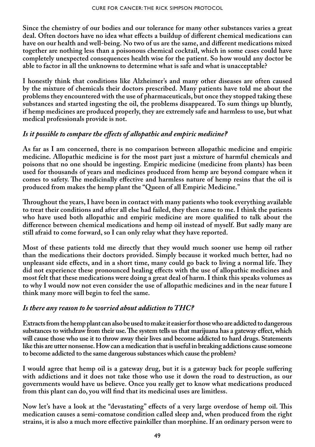**Since the chemistry of our bodies and our tolerance for many other substances varies a great deal. Often doctors have no idea what effects a buildup of different chemical medications can have on our health and well-being. No two of us are the same, and different medications mixed together are nothing less than a poisonous chemical cocktail, which in some cases could have completely unexpected consequences health wise for the patient. So how would any doctor be able to factor in all the unknowns to determine what is safe and what is unacceptable?** 

**I honestly think that conditions like Alzheimer's and many other diseases are often caused by the mixture of chemicals their doctors prescribed. Many patients have told me about the problems they encountered with the use of pharmaceuticals, but once they stopped taking these substances and started ingesting the oil, the problems disappeared. To sum things up bluntly, if hemp medicines are produced properly, they are extremely safe and harmless to use, but what medical professionals provide is not.**

### *Is it possible to compare the effects of allopathic and empiric medicine?*

**As far as I am concerned, there is no comparison between allopathic medicine and empiric medicine. Allopathic medicine is for the most part just a mixture of harmful chemicals and poisons that no one should be ingesting. Empiric medicine (medicine from plants) has been used for thousands of years and medicines produced from hemp are beyond compare when it comes to safety. The medicinally effective and harmless nature of hemp resins that the oil is produced from makes the hemp plant the "Queen of all Empiric Medicine."**

**Throughout the years, I have been in contact with many patients who took everything available to treat their conditions and after all else had failed, they then came to me. I think the patients who have used both allopathic and empiric medicine are more qualified to talk about the difference between chemical medications and hemp oil instead of myself. But sadly many are still afraid to come forward, so I can only relay what they have reported.** 

**Most of these patients told me directly that they would much sooner use hemp oil rather than the medications their doctors provided. Simply because it worked much better, had no unpleasant side effects, and in a short time, many could go back to living a normal life. They did not experience these pronounced healing effects with the use of allopathic medicines and most felt that these medications were doing a great deal of harm. I think this speaks volumes as to why I would now not even consider the use of allopathic medicines and in the near future I think many more will begin to feel the same.**

### *Is there any reason to be worried about addiction to THC?*

**Extracts from the hemp plant can also be used to make it easier for those who are addicted to dangerous substances to withdraw from their use. The system tells us that marijuana has a gateway effect, which will cause those who use it to throw away their lives and become addicted to hard drugs. Statements like this are utter nonsense. How can a medication that is useful in breaking addictions cause someone to become addicted to the same dangerous substances which cause the problem?**

**I would agree that hemp oil is a gateway drug, but it is a gateway back for people suffering with addictions and it does not take those who use it down the road to destruction, as our governments would have us believe. Once you really get to know what medications produced from this plant can do, you will find that its medicinal uses are limitless.**

**Now let's have a look at the "devastating" effects of a very large overdose of hemp oil. This medication causes a semi-comatose condition called sleep and, when produced from the right strains, it is also a much more effective painkiller than morphine. If an ordinary person were to**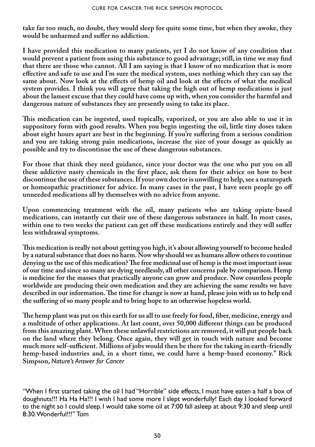**take far too much, no doubt, they would sleep for quite some time, but when they awoke, they would be unharmed and suffer no addiction.** 

**I have provided this medication to many patients, yet I do not know of any condition that would prevent a patient from using this substance to good advantage; still, in time we may find that there are those who cannot. All I am saying is that I know of no medication that is more effective and safe to use and I'm sure the medical system, uses nothing which they can say the same about. Now look at the effects of hemp oil and look at the effects of what the medical system provides. I think you will agree that taking the high out of hemp medications is just about the lamest excuse that they could have come up with, when you consider the harmful and dangerous nature of substances they are presently using to take its place.** 

**This medication can be ingested, used topically, vaporized, or you are also able to use it in suppository form with good results. When you begin ingesting the oil, little tiny doses taken about eight hours apart are best in the beginning. If you're suffering from a serious condition and you are taking strong pain medications, increase the size of your dosage as quickly as possible and try to discontinue the use of these dangerous substances.** 

**For those that think they need guidance, since your doctor was the one who put you on all these addictive nasty chemicals in the first place, ask them for their advice on how to best discontinue the use of these substances. If your own doctor is unwilling to help, see a naturopath or homeopathic practitioner for advice. In many cases in the past, I have seen people go off unneeded medications all by themselves with no advice from anyone.** 

**Upon commencing treatment with the oil, many patients who are taking opiate-based medications, can instantly cut their use of these dangerous substances in half. In most cases, within one to two weeks the patient can get off these medications entirely and they will suffer less withdrawal symptoms.**

**This medication is really not about getting you high, it's about allowing yourself to become healed by a natural substance that does no harm. Now why should we as humans allow others to continue denying us the use of this medication? The free medicinal use of hemp is the most important issue of our time and since so many are dying needlessly, all other concerns pale by comparison. Hemp is medicine for the masses that practically anyone can grow and produce. Now countless people worldwide are producing their own medication and they are achieving the same results we have described in our information. The time for change is now at hand, please join with us to help end the suffering of so many people and to bring hope to an otherwise hopeless world.**

**The hemp plant was put on this earth for us all to use freely for food, fiber, medicine, energy and a multitude of other applications. At last count, over 50,000 different things can be produced from this amazing plant. When these unlawful restrictions are removed, it will put people back on the land where they belong. Once again, they will get in touch with nature and become much more self-sufficient. Millions of jobs would then be there for the taking in earth-friendly hemp-based industries and, in a short time, we could have a hemp-based economy." Rick Simpson,** *Nature's Answer for Cancer*

"When I first started taking the oil I had "Horrible" side effects, I must have eaten a half a box of doughnuts!!! Ha Ha Ha!!! I wish I had some more I slept wonderfully! Each day I looked forward to the night so I could sleep. I would take some oil at 7:00 fall asleep at about 9:30 and sleep until 8:30. Wonderful!!!" Tom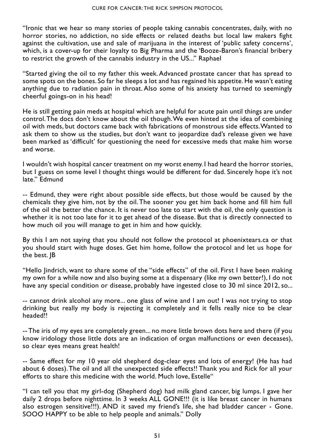"Ironic that we hear so many stories of people taking cannabis concentrates, daily, with no horror stories, no addiction, no side effects or related deaths but local law makers fight against the cultivation, use and sale of marijuana in the interest of 'public safety concerns', which, is a cover-up for their loyalty to Big Pharma and the 'Booze-Baron's financial bribery to restrict the growth of the cannabis industry in the US..." Raphael

"Started giving the oil to my father this week. Advanced prostate cancer that has spread to some spots on the bones. So far he sleeps a lot and has regained his appetite. He wasn't eating anything due to radiation pain in throat. Also some of his anxiety has turned to seemingly cheerful goings-on in his head!

He is still getting pain meds at hospital which are helpful for acute pain until things are under control. The docs don't know about the oil though. We even hinted at the idea of combining oil with meds, but doctors came back with fabrications of monstrous side effects. Wanted to ask them to show us the studies, but don't want to jeopardize dad's release given we have been marked as 'difficult' for questioning the need for excessive meds that make him worse and worse.

I wouldn't wish hospital cancer treatment on my worst enemy. I had heard the horror stories, but I guess on some level I thought things would be different for dad. Sincerely hope it's not late." Edmund

-- Edmund, they were right about possible side effects, but those would be caused by the chemicals they give him, not by the oil. The sooner you get him back home and fill him full of the oil the better the chance. It is never too late to start with the oil, the only question is whether it is not too late for it to get ahead of the disease. But that is directly connected to how much oil you will manage to get in him and how quickly.

By this I am not saying that you should not follow the protocol at phoenixtears.ca or that you should start with huge doses. Get him home, follow the protocol and let us hope for the best. JB

"Hello Jindrich, want to share some of the "side effects" of the oil. First I have been making my own for a while now and also buying some at a dispensary (like my own better!), I do not have any special condition or disease, probably have ingested close to 30 ml since 2012, so...

-- cannot drink alcohol any more... one glass of wine and I am out! I was not trying to stop drinking but really my body is rejecting it completely and it fells really nice to be clear headed!!

-- The iris of my eyes are completely green... no more little brown dots here and there (if you know iridology those little dots are an indication of organ malfunctions or even deceases), so clear eyes means great health!

-- Same effect for my 10 year old shepherd dog-clear eyes and lots of energy! (He has had about 6 doses). The oil and all the unexpected side effects!! Thank you and Rick for all your efforts to share this medicine with the world. Much love, Estelle"

"I can tell you that my girl-dog (Shepherd dog) had milk gland cancer, big lumps. I gave her daily 2 drops before nighttime. In 3 weeks ALL GONE!!! (it is like breast cancer in humans also estrogen sensitive!!!). AND it saved my friend's life, she had bladder cancer - Gone. SOOO HAPPY to be able to help people and animals." Dolly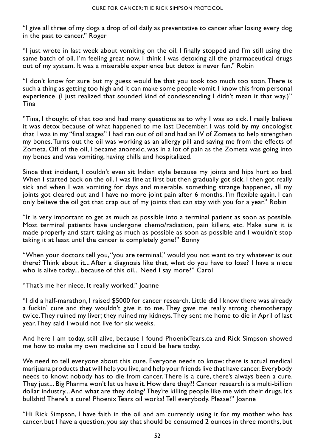"I give all three of my dogs a drop of oil daily as preventative to cancer after losing every dog in the past to cancer." Roger

"I just wrote in last week about vomiting on the oil. I finally stopped and I'm still using the same batch of oil. I'm feeling great now. I think I was detoxing all the pharmaceutical drugs out of my system. It was a miserable experience but detox is never fun." Robin

"I don't know for sure but my guess would be that you took too much too soon. There is such a thing as getting too high and it can make some people vomit. I know this from personal experience. (I just realized that sounded kind of condescending I didn't mean it that way.)" Tina

"Tina, I thought of that too and had many questions as to why I was so sick. I really believe it was detox because of what happened to me last December. I was told by my oncologist that I was in my "final stages" I had ran out of oil and had an IV of Zometa to help strengthen my bones. Turns out the oil was working as an allergy pill and saving me from the effects of Zometa. Off of the oil, I became anorexic, was in a lot of pain as the Zometa was going into my bones and was vomiting, having chills and hospitalized.

Since that incident, I couldn't even sit Indian style because my joints and hips hurt so bad. When I started back on the oil, I was fine at first but then gradually got sick. I then got really sick and when I was vomiting for days and miserable, something strange happened, all my joints got cleared out and I have no more joint pain after 6 months. I'm flexible again. I can only believe the oil got that crap out of my joints that can stay with you for a year." Robin

"It is very important to get as much as possible into a terminal patient as soon as possible. Most terminal patients have undergone chemo/radiation, pain killers, etc. Make sure it is made properly and start taking as much as possible as soon as possible and I wouldn't stop taking it at least until the cancer is completely gone!" Bonny

"When your doctors tell you, "you are terminal," would you not want to try whatever is out there? Think about it... After a diagnosis like that, what do you have to lose? I have a niece who is alive today... because of this oil... Need I say more?" Carol

"That's me her niece. It really worked." Joanne

"I did a half-marathon, I raised \$5000 for cancer research. Little did I know there was already a fuckin' cure and they wouldn't give it to me. They gave me really strong chemotherapy twice. They ruined my liver; they ruined my kidneys. They sent me home to die in April of last year. They said I would not live for six weeks.

And here I am today, still alive, because I found PhoenixTears.ca and Rick Simpson showed me how to make my own medicine so I could be here today.

We need to tell everyone about this cure. Everyone needs to know: there is actual medical marijuana products that will help you live, and help your friends live that have cancer. Everybody needs to know: nobody has to die from cancer. There is a cure, there's always been a cure. They just... Big Pharma won't let us have it. How dare they?! Cancer research is a multi-billion dollar industry... And what are they doing? They're killing people like me with their drugs. It's bullshit! There's a cure! Phoenix Tears oil works! Tell everybody. Please!" Joanne

"Hi Rick Simpson, I have faith in the oil and am currently using it for my mother who has cancer, but I have a question, you say that should be consumed 2 ounces in three months, but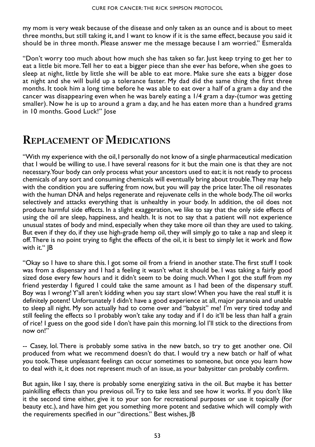my mom is very weak because of the disease and only taken as an ounce and is about to meet three months, but still taking it, and I want to know if it is the same effect, because you said it should be in three month. Please answer me the message because I am worried." Esmeralda

"Don't worry too much about how much she has taken so far. Just keep trying to get her to eat a little bit more. Tell her to eat a bigger piece than she ever has before, when she goes to sleep at night, little by little she will be able to eat more. Make sure she eats a bigger dose at night and she will build up a tolerance faster. My dad did the same thing the first three months. It took him a long time before he was able to eat over a half of a gram a day and the cancer was disappearing even when he was barely eating a 1/4 gram a day-(tumor was getting smaller). Now he is up to around a gram a day, and he has eaten more than a hundred grams in 10 months. Good Luck!" Jose

### **Replacement of Medications**

"With my experience with the oil, I personally do not know of a single pharmaceutical medication that I would be willing to use. I have several reasons for it but the main one is that they are not necessary. Your body can only process what your ancestors used to eat; it is not ready to process chemicals of any sort and consuming chemicals will eventually bring about trouble. They may help with the condition you are suffering from now, but you will pay the price later. The oil resonates with the human DNA and helps regenerate and rejuvenate cells in the whole body. The oil works selectively and attacks everything that is unhealthy in your body. In addition, the oil does not produce harmful side effects. In a slight exaggeration, we like to say that the only side effects of using the oil are sleep, happiness, and health. It is not to say that a patient will not experience unusual states of body and mind, especially when they take more oil than they are used to taking. But even if they do, if they use high-grade hemp oil, they will simply go to take a nap and sleep it off. There is no point trying to fight the effects of the oil, it is best to simply let it work and flow with it." **JB** 

"Okay so I have to share this. I got some oil from a friend in another state. The first stuff I took was from a dispensary and I had a feeling it wasn't what it should be. I was taking a fairly good sized dose every few hours and it didn't seem to be doing much. When I got the stuff from my friend yesterday I figured I could take the same amount as I had been of the dispensary stuff. Boy was I wrong! Y'all aren't kidding when you say start slow! When you have the real stuff it is definitely potent! Unfortunately I didn't have a good experience at all, major paranoia and unable to sleep all night. My son actually had to come over and "babysit" me! I'm very tired today and still feeling the effects so I probably won't take any today and if I do it'll be less than half a grain of rice! I guess on the good side I don't have pain this morning. lol I'll stick to the directions from now on!"

-- Casey, lol. There is probably some sativa in the new batch, so try to get another one. Oil produced from what we recommend doesn't do that. I would try a new batch or half of what you took. These unpleasant feelings can occur sometimes to someone, but once you learn how to deal with it, it does not represent much of an issue, as your babysitter can probably confirm.

But again, like I say, there is probably some energizing sativa in the oil. But maybe it has better painkilling effects than you previous oil. Try to take less and see how it works. If you don't like it the second time either, give it to your son for recreational purposes or use it topically (for beauty etc.), and have him get you something more potent and sedative which will comply with the requirements specified in our "directions." Best wishes, JB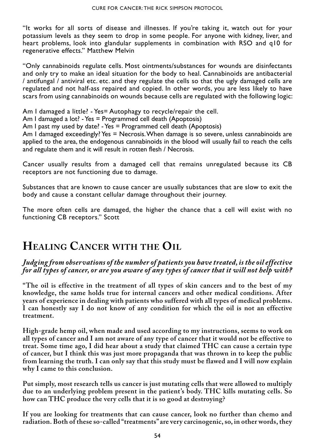"It works for all sorts of disease and illnesses. If you're taking it, watch out for your potassium levels as they seem to drop in some people. For anyone with kidney, liver, and heart problems, look into glandular supplements in combination with RSO and q10 for regenerative effects." Matthew Melvin

"Only cannabinoids regulate cells. Most ointments/substances for wounds are disinfectants and only try to make an ideal situation for the body to heal. Cannabinoids are antibacterial / antifungal / antiviral etc. etc. and they regulate the cells so that the ugly damaged cells are regulated and not half-ass repaired and copied. In other words, you are less likely to have scars from using cannabinoids on wounds because cells are regulated with the following logic:

Am I damaged a little? - Yes= Autophagy to recycle/repair the cell.

Am I damaged a lot? - Yes = Programmed cell death (Apoptosis)

Am I past my used by date? - Yes = Programmed cell death (Apoptosis)

Am I damaged exceedingly? Yes = Necrosis. When damage is so severe, unless cannabinoids are applied to the area, the endogenous cannabinoids in the blood will usually fail to reach the cells and regulate them and it will result in rotten flesh / Necrosis.

Cancer usually results from a damaged cell that remains unregulated because its CB receptors are not functioning due to damage.

Substances that are known to cause cancer are usually substances that are slow to exit the body and cause a constant cellular damage throughout their journey.

The more often cells are damaged, the higher the chance that a cell will exist with no functioning CB receptors." Scott

## **Healing Cancer with the Oil**

*Judging from observations of the number of patients you have treated, is the oil effective for all types of cancer, or are you aware of any types of cancer that it will not help with?* 

**"The oil is effective in the treatment of all types of skin cancers and to the best of my knowledge, the same holds true for internal cancers and other medical conditions. After years of experience in dealing with patients who suffered with all types of medical problems. I can honestly say I do not know of any condition for which the oil is not an effective treatment.** 

**High-grade hemp oil, when made and used according to my instructions, seems to work on all types of cancer and I am not aware of any type of cancer that it would not be effective to treat. Some time ago, I did hear about a study that claimed THC can cause a certain type of cancer, but I think this was just more propaganda that was thrown in to keep the public from learning the truth. I can only say that this study must be flawed and I will now explain why I came to this conclusion.** 

**Put simply, most research tells us cancer is just mutating cells that were allowed to multiply due to an underlying problem present in the patient's body. THC kills mutating cells. So how can THC produce the very cells that it is so good at destroying?** 

**If you are looking for treatments that can cause cancer, look no further than chemo and radiation. Both of these so-called "treatments" are very carcinogenic, so, in other words, they**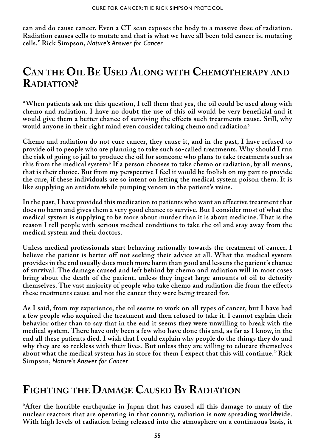**can and do cause cancer. Even a CT scan exposes the body to a massive dose of radiation. Radiation causes cells to mutate and that is what we have all been told cancer is, mutating cells." Rick Simpson,** *Nature's Answer for Cancer*

### **Can the Oil Be Used Along with Chemotherapy and Radiation?**

**"When patients ask me this question, I tell them that yes, the oil could be used along with chemo and radiation. I have no doubt the use of this oil would be very beneficial and it would give them a better chance of surviving the effects such treatments cause. Still, why would anyone in their right mind even consider taking chemo and radiation?** 

**Chemo and radiation do not cure cancer, they cause it, and in the past, I have refused to provide oil to people who are planning to take such so-called treatments. Why should I run the risk of going to jail to produce the oil for someone who plans to take treatments such as this from the medical system? If a person chooses to take chemo or radiation, by all means, that is their choice. But from my perspective I feel it would be foolish on my part to provide the cure, if these individuals are so intent on letting the medical system poison them. It is like supplying an antidote while pumping venom in the patient's veins.** 

**In the past, I have provided this medication to patients who want an effective treatment that does no harm and gives them a very good chance to survive. But I consider most of what the medical system is supplying to be more about murder than it is about medicine. That is the reason I tell people with serious medical conditions to take the oil and stay away from the medical system and their doctors.** 

**Unless medical professionals start behaving rationally towards the treatment of cancer, I believe the patient is better off not seeking their advice at all. What the medical system provides in the end usually does much more harm than good and lessens the patient's chance of survival. The damage caused and left behind by chemo and radiation will in most cases bring about the death of the patient, unless they ingest large amounts of oil to detoxify themselves. The vast majority of people who take chemo and radiation die from the effects these treatments cause and not the cancer they were being treated for.**

**As I said, from my experience, the oil seems to work on all types of cancer, but I have had a few people who acquired the treatment and then refused to take it. I cannot explain their behavior other than to say that in the end it seems they were unwilling to break with the medical system. There have only been a few who have done this and, as far as I know, in the end all these patients died. I wish that I could explain why people do the things they do and why they are so reckless with their lives. But unless they are willing to educate themselves about what the medical system has in store for them I expect that this will continue." Rick Simpson,** *Nature's Answer for Cancer*

### **Fighting the Damage Caused By Radiation**

**"After the horrible earthquake in Japan that has caused all this damage to many of the nuclear reactors that are operating in that country, radiation is now spreading worldwide. With high levels of radiation being released into the atmosphere on a continuous basis, it**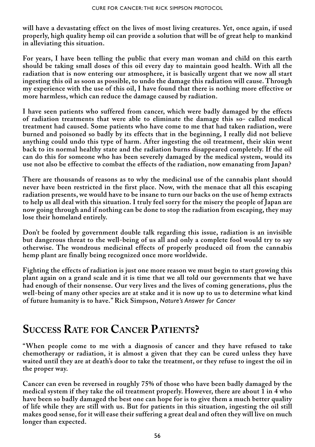**will have a devastating effect on the lives of most living creatures. Yet, once again, if used properly, high quality hemp oil can provide a solution that will be of great help to mankind in alleviating this situation.** 

**For years, I have been telling the public that every man woman and child on this earth should be taking small doses of this oil every day to maintain good health. With all the radiation that is now entering our atmosphere, it is basically urgent that we now all start ingesting this oil as soon as possible, to undo the damage this radiation will cause. Through my experience with the use of this oil, I have found that there is nothing more effective or more harmless, which can reduce the damage caused by radiation.** 

**I have seen patients who suffered from cancer, which were badly damaged by the effects of radiation treatments that were able to eliminate the damage this so- called medical treatment had caused. Some patients who have come to me that had taken radiation, were burned and poisoned so badly by its effects that in the beginning, I really did not believe anything could undo this type of harm. After ingesting the oil treatment, their skin went back to its normal healthy state and the radiation burns disappeared completely. If the oil can do this for someone who has been severely damaged by the medical system, would its use not also be effective to combat the effects of the radiation, now emanating from Japan?**

**There are thousands of reasons as to why the medicinal use of the cannabis plant should never have been restricted in the first place. Now, with the menace that all this escaping radiation presents, we would have to be insane to turn our backs on the use of hemp extracts to help us all deal with this situation. I truly feel sorry for the misery the people of Japan are now going through and if nothing can be done to stop the radiation from escaping, they may lose their homeland entirely.** 

**Don't be fooled by government double talk regarding this issue, radiation is an invisible but dangerous threat to the well-being of us all and only a complete fool would try to say otherwise. The wondrous medicinal effects of properly produced oil from the cannabis hemp plant are finally being recognized once more worldwide.** 

**Fighting the effects of radiation is just one more reason we must begin to start growing this plant again on a grand scale and it is time that we all told our governments that we have had enough of their nonsense. Our very lives and the lives of coming generations, plus the well-being of many other species are at stake and it is now up to us to determine what kind of future humanity is to have." Rick Simpson,** *Nature's Answer for Cancer*

## **Success Rate for Cancer Patients?**

**"When people come to me with a diagnosis of cancer and they have refused to take chemotherapy or radiation, it is almost a given that they can be cured unless they have waited until they are at death's door to take the treatment, or they refuse to ingest the oil in the proper way.** 

**Cancer can even be reversed in roughly 75% of those who have been badly damaged by the medical system if they take the oil treatment properly. However, there are about 1 in 4 who have been so badly damaged the best one can hope for is to give them a much better quality of life while they are still with us. But for patients in this situation, ingesting the oil still makes good sense, for it will ease their suffering a great deal and often they will live on much longer than expected.**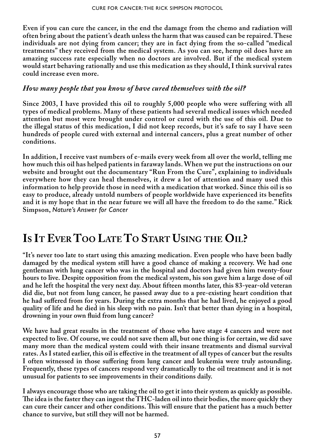**Even if you can cure the cancer, in the end the damage from the chemo and radiation will often bring about the patient's death unless the harm that was caused can be repaired. These individuals are not dying from cancer; they are in fact dying from the so-called "medical treatments" they received from the medical system. As you can see, hemp oil does have an amazing success rate especially when no doctors are involved. But if the medical system would start behaving rationally and use this medication as they should, I think survival rates could increase even more.**

#### *How many people that you know of have cured themselves with the oil?*

**Since 2003, I have provided this oil to roughly 5,000 people who were suffering with all types of medical problems. Many of these patients had several medical issues which needed attention but most were brought under control or cured with the use of this oil. Due to the illegal status of this medication, I did not keep records, but it's safe to say I have seen hundreds of people cured with external and internal cancers, plus a great number of other conditions.** 

**In addition, I receive vast numbers of e-mails every week from all over the world, telling me how much this oil has helped patients in faraway lands. When we put the instructions on our website and brought out the documentary "Run From the Cure", explaining to individuals everywhere how they can heal themselves, it drew a lot of attention and many used this information to help provide those in need with a medication that worked. Since this oil is so easy to produce, already untold numbers of people worldwide have experienced its benefits and it is my hope that in the near future we will all have the freedom to do the same." Rick Simpson,** *Nature's Answer for Cancer*

## **Is It Ever Too Late To Start Using the Oil?**

**"It's never too late to start using this amazing medication. Even people who have been badly damaged by the medical system still have a good chance of making a recovery. We had one gentleman with lung cancer who was in the hospital and doctors had given him twenty-four hours to live. Despite opposition from the medical system, his son gave him a large dose of oil and he left the hospital the very next day. About fifteen months later, this 83-year-old veteran did die, but not from lung cancer, he passed away due to a pre-existing heart condition that he had suffered from for years. During the extra months that he had lived, he enjoyed a good quality of life and he died in his sleep with no pain. Isn't that better than dying in a hospital, drowning in your own fluid from lung cancer?** 

**We have had great results in the treatment of those who have stage 4 cancers and were not expected to live. Of course, we could not save them all, but one thing is for certain, we did save many more than the medical system could with their insane treatments and dismal survival rates. As I stated earlier, this oil is effective in the treatment of all types of cancer but the results I often witnessed in those suffering from lung cancer and leukemia were truly astounding. Frequently, these types of cancers respond very dramatically to the oil treatment and it is not unusual for patients to see improvements in their conditions daily.**

**I always encourage those who are taking the oil to get it into their system as quickly as possible. The idea is the faster they can ingest the THC-laden oil into their bodies, the more quickly they can cure their cancer and other conditions. This will ensure that the patient has a much better chance to survive, but still they will not be harmed.**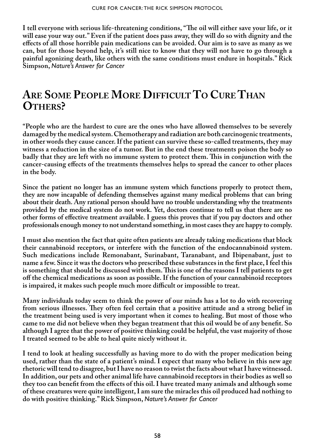**I tell everyone with serious life-threatening conditions, "The oil will either save your life, or it will ease your way out." Even if the patient does pass away, they will do so with dignity and the effects of all those horrible pain medications can be avoided. Our aim is to save as many as we can, but for those beyond help, it's still nice to know that they will not have to go through a painful agonizing death, like others with the same conditions must endure in hospitals." Rick Simpson,** *Nature's Answer for Cancer*

### **Are Some People More Difficult To Cure Than Others?**

**"People who are the hardest to cure are the ones who have allowed themselves to be severely damaged by the medical system. Chemotherapy and radiation are both carcinogenic treatments, in other words they cause cancer. If the patient can survive these so-called treatments, they may witness a reduction in the size of a tumor. But in the end these treatments poison the body so badly that they are left with no immune system to protect them. This in conjunction with the cancer-causing effects of the treatments themselves helps to spread the cancer to other places in the body.** 

**Since the patient no longer has an immune system which functions properly to protect them, they are now incapable of defending themselves against many medical problems that can bring about their death. Any rational person should have no trouble understanding why the treatments provided by the medical system do not work. Yet, doctors continue to tell us that there are no other forms of effective treatment available. I guess this proves that if you pay doctors and other professionals enough money to not understand something, in most cases they are happy to comply.**

**I must also mention the fact that quite often patients are already taking medications that block their cannabinoid receptors, or interfere with the function of the endocannabinoid system. Such medications include Remonabant, Surinabant, Taranabant, and Ibipenabant, just to name a few. Since it was the doctors who prescribed these substances in the first place, I feel this is something that should be discussed with them. This is one of the reasons I tell patients to get off the chemical medications as soon as possible. If the function of your cannabinoid receptors is impaired, it makes such people much more difficult or impossible to treat.**

**Many individuals today seem to think the power of our minds has a lot to do with recovering from serious illnesses. They often feel certain that a positive attitude and a strong belief in the treatment being used is very important when it comes to healing. But most of those who came to me did not believe when they began treatment that this oil would be of any benefit. So although I agree that the power of positive thinking could be helpful, the vast majority of those I treated seemed to be able to heal quite nicely without it.** 

**I tend to look at healing successfully as having more to do with the proper medication being used, rather than the state of a patient's mind. I expect that many who believe in this new age rhetoric will tend to disagree, but I have no reason to twist the facts about what I have witnessed. In addition, our pets and other animal life have cannabinoid receptors in their bodies as well so they too can benefit from the effects of this oil. I have treated many animals and although some of these creatures were quite intelligent, I am sure the miracles this oil produced had nothing to do with positive thinking." Rick Simpson,** *Nature's Answer for Cancer*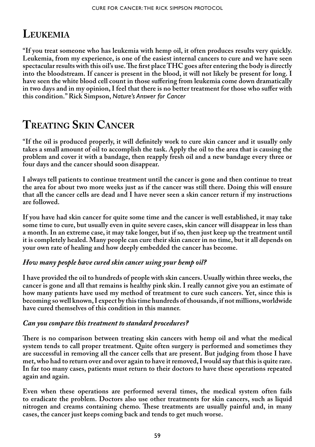## **Leukemia**

**"If you treat someone who has leukemia with hemp oil, it often produces results very quickly. Leukemia, from my experience, is one of the easiest internal cancers to cure and we have seen spectacular results with this oil's use. The first place THC goes after entering the body is directly into the bloodstream. If cancer is present in the blood, it will not likely be present for long. I have seen the white blood cell count in those suffering from leukemia come down dramatically in two days and in my opinion, I feel that there is no better treatment for those who suffer with this condition." Rick Simpson,** *Nature's Answer for Cancer*

# **Treating Skin Cancer**

**"If the oil is produced properly, it will definitely work to cure skin cancer and it usually only takes a small amount of oil to accomplish the task. Apply the oil to the area that is causing the problem and cover it with a bandage, then reapply fresh oil and a new bandage every three or four days and the cancer should soon disappear.** 

**I always tell patients to continue treatment until the cancer is gone and then continue to treat the area for about two more weeks just as if the cancer was still there. Doing this will ensure that all the cancer cells are dead and I have never seen a skin cancer return if my instructions are followed.** 

**If you have had skin cancer for quite some time and the cancer is well established, it may take some time to cure, but usually even in quite severe cases, skin cancer will disappear in less than a month. In an extreme case, it may take longer, but if so, then just keep up the treatment until it is completely healed. Many people can cure their skin cancer in no time, but it all depends on your own rate of healing and how deeply embedded the cancer has become.**

### *How many people have cured skin cancer using your hemp oil?*

**I have provided the oil to hundreds of people with skin cancers. Usually within three weeks, the cancer is gone and all that remains is healthy pink skin. I really cannot give you an estimate of how many patients have used my method of treatment to cure such cancers. Yet, since this is becoming so well known, I expect by this time hundreds of thousands, if not millions, worldwide have cured themselves of this condition in this manner.**

### *Can you compare this treatment to standard procedures?*

**There is no comparison between treating skin cancers with hemp oil and what the medical system tends to call proper treatment. Quite often surgery is performed and sometimes they are successful in removing all the cancer cells that are present. But judging from those I have met, who had to return over and over again to have it removed, I would say that this is quite rare. In far too many cases, patients must return to their doctors to have these operations repeated again and again.** 

**Even when these operations are performed several times, the medical system often fails to eradicate the problem. Doctors also use other treatments for skin cancers, such as liquid nitrogen and creams containing chemo. These treatments are usually painful and, in many cases, the cancer just keeps coming back and tends to get much worse.**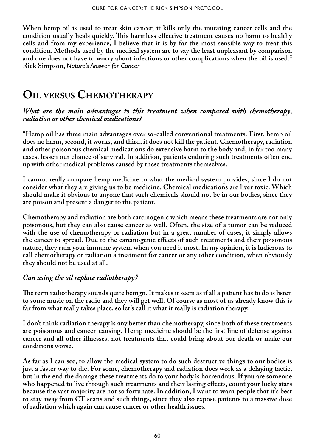**When hemp oil is used to treat skin cancer, it kills only the mutating cancer cells and the condition usually heals quickly. This harmless effective treatment causes no harm to healthy cells and from my experience, I believe that it is by far the most sensible way to treat this condition. Methods used by the medical system are to say the least unpleasant by comparison and one does not have to worry about infections or other complications when the oil is used." Rick Simpson,** *Nature's Answer for Cancer*

## **Oil versus Chemotherapy**

#### *What are the main advantages to this treatment when compared with chemotherapy, radiation or other chemical medications?*

**"Hemp oil has three main advantages over so-called conventional treatments. First, hemp oil does no harm, second, it works, and third, it does not kill the patient. Chemotherapy, radiation and other poisonous chemical medications do extensive harm to the body and, in far too many cases, lessen our chance of survival. In addition, patients enduring such treatments often end up with other medical problems caused by these treatments themselves.** 

**I cannot really compare hemp medicine to what the medical system provides, since I do not consider what they are giving us to be medicine. Chemical medications are liver toxic. Which should make it obvious to anyone that such chemicals should not be in our bodies, since they are poison and present a danger to the patient.** 

**Chemotherapy and radiation are both carcinogenic which means these treatments are not only poisonous, but they can also cause cancer as well. Often, the size of a tumor can be reduced with the use of chemotherapy or radiation but in a great number of cases, it simply allows the cancer to spread. Due to the carcinogenic effects of such treatments and their poisonous nature, they ruin your immune system when you need it most. In my opinion, it is ludicrous to call chemotherapy or radiation a treatment for cancer or any other condition, when obviously they should not be used at all.** 

### *Can using the oil replace radiotherapy?*

**The term radiotherapy sounds quite benign. It makes it seem as if all a patient has to do is listen to some music on the radio and they will get well. Of course as most of us already know this is far from what really takes place, so let's call it what it really is radiation therapy.** 

**I don't think radiation therapy is any better than chemotherapy, since both of these treatments are poisonous and cancer-causing. Hemp medicine should be the first line of defense against cancer and all other illnesses, not treatments that could bring about our death or make our conditions worse.**

**As far as I can see, to allow the medical system to do such destructive things to our bodies is just a faster way to die. For some, chemotherapy and radiation does work as a delaying tactic, but in the end the damage these treatments do to your body is horrendous. If you are someone who happened to live through such treatments and their lasting effects, count your lucky stars because the vast majority are not so fortunate. In addition, I want to warn people that it's best to stay away from CT scans and such things, since they also expose patients to a massive dose of radiation which again can cause cancer or other health issues.**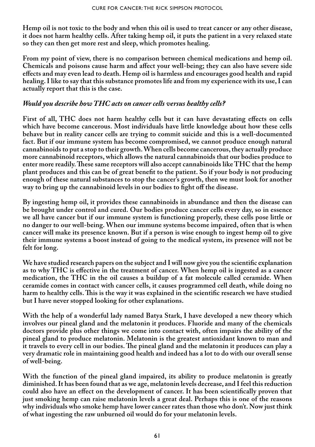**Hemp oil is not toxic to the body and when this oil is used to treat cancer or any other disease, it does not harm healthy cells. After taking hemp oil, it puts the patient in a very relaxed state so they can then get more rest and sleep, which promotes healing.** 

**From my point of view, there is no comparison between chemical medications and hemp oil. Chemicals and poisons cause harm and affect your well-being; they can also have severe side effects and may even lead to death. Hemp oil is harmless and encourages good health and rapid healing. I like to say that this substance promotes life and from my experience with its use, I can actually report that this is the case.**

#### *Would you describe how THC acts on cancer cells versus healthy cells?*

**First of all, THC does not harm healthy cells but it can have devastating effects on cells which have become cancerous. Most individuals have little knowledge about how these cells behave but in reality cancer cells are trying to commit suicide and this is a well-documented fact. But if our immune system has become compromised, we cannot produce enough natural cannabinoids to put a stop to their growth. When cells become cancerous, they actually produce more cannabinoid receptors, which allows the natural cannabinoids that our bodies produce to enter more readily. These same receptors will also accept cannabinoids like THC that the hemp plant produces and this can be of great benefit to the patient. So if your body is not producing enough of these natural substances to stop the cancer's growth, then we must look for another way to bring up the cannabinoid levels in our bodies to fight off the disease.** 

**By ingesting hemp oil, it provides these cannabinoids in abundance and then the disease can be brought under control and cured. Our bodies produce cancer cells every day, so in essence we all have cancer but if our immune system is functioning properly, these cells pose little or no danger to our well-being. When our immune systems become impaired, often that is when cancer will make its presence known. But if a person is wise enough to ingest hemp oil to give their immune systems a boost instead of going to the medical system, its presence will not be felt for long.** 

**We have studied research papers on the subject and I will now give you the scientific explanation as to why THC is effective in the treatment of cancer. When hemp oil is ingested as a cancer medication, the THC in the oil causes a buildup of a fat molecule called ceramide. When ceramide comes in contact with cancer cells, it causes programmed cell death, while doing no harm to healthy cells. This is the way it was explained in the scientific research we have studied but I have never stopped looking for other explanations.** 

**With the help of a wonderful lady named Batya Stark, I have developed a new theory which involves our pineal gland and the melatonin it produces. Fluoride and many of the chemicals doctors provide plus other things we come into contact with, often impairs the ability of the pineal gland to produce melatonin. Melatonin is the greatest antioxidant known to man and it travels to every cell in our bodies. The pineal gland and the melatonin it produces can play a very dramatic role in maintaining good health and indeed has a lot to do with our overall sense of well-being.** 

**With the function of the pineal gland impaired, its ability to produce melatonin is greatly diminished. It has been found that as we age, melatonin levels decrease, and I feel this reduction could also have an effect on the development of cancer. It has been scientifically proven that just smoking hemp can raise melatonin levels a great deal. Perhaps this is one of the reasons why individuals who smoke hemp have lower cancer rates than those who don't. Now just think of what ingesting the raw unburned oil would do for your melatonin levels.**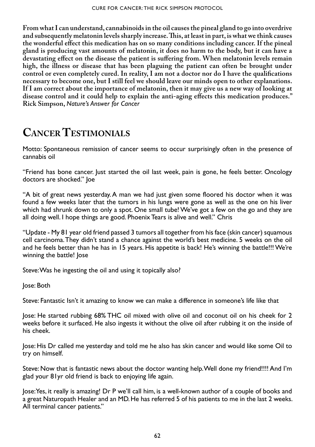**From what I can understand, cannabinoids in the oil causes the pineal gland to go into overdrive and subsequently melatonin levels sharply increase. This, at least in part, is what we think causes the wonderful effect this medication has on so many conditions including cancer. If the pineal gland is producing vast amounts of melatonin, it does no harm to the body, but it can have a devastating effect on the disease the patient is suffering from. When melatonin levels remain high, the illness or disease that has been plaguing the patient can often be brought under control or even completely cured. In reality, I am not a doctor nor do I have the qualifications necessary to become one, but I still feel we should leave our minds open to other explanations. If I am correct about the importance of melatonin, then it may give us a new way of looking at disease control and it could help to explain the anti-aging effects this medication produces." Rick Simpson,** *Nature's Answer for Cancer*

# **Cancer Testimonials**

Motto: Spontaneous remission of cancer seems to occur surprisingly often in the presence of cannabis oil

"Friend has bone cancer. Just started the oil last week, pain is gone, he feels better. Oncology doctors are shocked." Joe

"A bit of great news yesterday. A man we had just given some floored his doctor when it was found a few weeks later that the tumors in his lungs were gone as well as the one on his liver which had shrunk down to only a spot. One small tube! We've got a few on the go and they are all doing well. I hope things are good. Phoenix Tears is alive and well." Chris

"Update - My 81 year old friend passed 3 tumors all together from his face (skin cancer) squamous cell carcinoma. They didn't stand a chance against the world's best medicine. 5 weeks on the oil and he feels better than he has in 15 years. His appetite is back! He's winning the battle!!! We're winning the battle! Jose

Steve: Was he ingesting the oil and using it topically also?

Jose: Both

Steve: Fantastic Isn't it amazing to know we can make a difference in someone's life like that

Jose: He started rubbing 68% THC oil mixed with olive oil and coconut oil on his cheek for 2 weeks before it surfaced. He also ingests it without the olive oil after rubbing it on the inside of his cheek.

Jose: His Dr called me yesterday and told me he also has skin cancer and would like some Oil to try on himself.

Steve: Now that is fantastic news about the doctor wanting help. Well done my friend!!!! And I'm glad your 81yr old friend is back to enjoying life again.

Jose: Yes, it really is amazing! Dr P we'll call him, is a well-known author of a couple of books and a great Naturopath Healer and an MD. He has referred 5 of his patients to me in the last 2 weeks. All terminal cancer patients."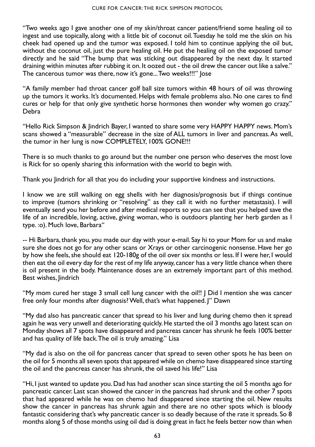"Two weeks ago I gave another one of my skin/throat cancer patient/friend some healing oil to ingest and use topically, along with a little bit of coconut oil. Tuesday he told me the skin on his cheek had opened up and the tumor was exposed. I told him to continue applying the oil but, without the coconut oil, just the pure healing oil. He put the healing oil on the exposed tumor directly and he said "The bump that was sticking out disappeared by the next day. It started draining within minutes after rubbing it on. It oozed out - the oil drew the cancer out like a salve." The cancerous tumor was there, now it's gone... Two weeks!!!" Jose

"A family member had throat cancer golf ball size tumors within 48 hours of oil was throwing up the tumors it works. It's documented. Helps with female problems also. No one cares to find cures or help for that only give synthetic horse hormones then wonder why women go crazy." Debra

"Hello Rick Simpson & Jindrich Bayer, I wanted to share some very HAPPY HAPPY news. Mom's scans showed a "measurable" decrease in the size of ALL tumors in liver and pancreas. As well, the tumor in her lung is now COMPLETELY, 100% GONE!!!

There is so much thanks to go around but the number one person who deserves the most love is Rick for so openly sharing this information with the world to begin with.

Thank you Jindrich for all that you do including your supportive kindness and instructions.

I know we are still walking on egg shells with her diagnosis/prognosis but if things continue to improve (tumors shrinking or "resolving" as they call it with no further metastasis). I will eventually send you her before and after medical reports so you can see that you helped save the life of an incredible, loving, active, giving woman, who is outdoors planting her herb garden as I type. :o). Much love, Barbara"

-- Hi Barbara, thank you, you made our day with your e-mail. Say hi to your Mom for us and make sure she does not go for any other scans or Xrays or other carcinogenic nonsense. Have her go by how she feels, she should eat 120-180g of the oil over six months or less. If I were her, I would then eat the oil every day for the rest of my life anyway, cancer has a very little chance when there is oil present in the body. Maintenance doses are an extremely important part of this method. Best wishes, Jindrich

"My mom cured her stage 3 small cell lung cancer with the oil!! J Did I mention she was cancer free only four months after diagnosis? Well, that's what happened. J" Dawn

"My dad also has pancreatic cancer that spread to his liver and lung during chemo then it spread again he was very unwell and deteriorating quickly. He started the oil 3 months ago latest scan on Monday shows all 7 spots have disappeared and pancreas cancer has shrunk he feels 100% better and has quality of life back. The oil is truly amazing." Lisa

"My dad is also on the oil for pancreas cancer that spread to seven other spots he has been on the oil for 5 months all seven spots that appeared while on chemo have disappeared since starting the oil and the pancreas cancer has shrunk, the oil saved his life!" Lisa

"Hi, I just wanted to update you. Dad has had another scan since starting the oil 5 months ago for pancreatic cancer. Last scan showed the cancer in the pancreas had shrunk and the other 7 spots that had appeared while he was on chemo had disappeared since starting the oil. New results show the cancer in pancreas has shrunk again and there are no other spots which is bloody fantastic considering that's why pancreatic cancer is so deadly because of the rate it spreads. So 8 months along 5 of those months using oil dad is doing great in fact he feels better now than when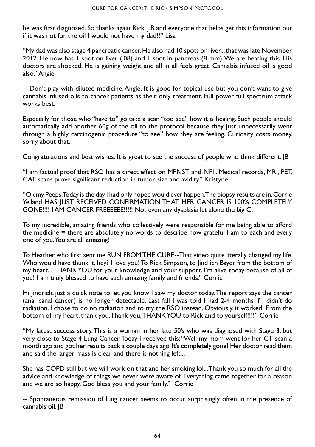he was first diagnosed. So thanks again Rick, J.B and everyone that helps get this information out if it was not for the oil I would not have my dad!!" Lisa

"My dad was also stage 4 pancreatic cancer. He also had 10 spots on liver... that was late November 2012. He now has 1 spot on liver (.08) and 1 spot in pancreas (8 mm). We are beating this. His doctors are shocked. He is gaining weight and all in all feels great. Cannabis infused oil is good also." Angie

-- Don't play with diluted medicine, Angie. It is good for topical use but you don't want to give cannabis infused oils to cancer patients as their only treatment. Full power full spectrum attack works best.

Especially for those who "have to" go take a scan "too see" how it is healing. Such people should automatically add another 60g of the oil to the protocol because they just unnecessarily went through a highly carcinogenic procedure "to see" how they are feeling. Curiosity costs money, sorry about that.

Congratulations and best wishes. It is great to see the success of people who think different. JB

"I am factual proof that RSO has a direct effect on MPNST and NF1. Medical records, MRI, PET, CAT scans prove significant reduction in tumor size and avidity." Kristyne

"Ok my Peeps. Today is the day I had only hoped would ever happen. The biopsy results are in. Corrie Yelland HAS JUST RECEIVED CONFIRMATION THAT HER CANCER IS 100% COMPLETELY GONE!!!! I AM CANCER FREEEEEE!!!!! Not even any dysplasia let alone the big C.

To my incredible, amazing friends who collectively were responsible for me being able to afford the medicine = there are absolutely no words to describe how grateful I am to each and every one of you. You are all amazing!

To Heather who first sent me RUN FROM THE CURE--That video quite literally changed my life. Who would have thunk it, hey? I love you! To Rick Simpson, to Jind ich Bayer from the bottom of my heart... THANK YOU for your knowledge and your support. I'm alive today because of all of you! I am truly blessed to have such amazing family and friends." Corrie

Hi Jindrich, just a quick note to let you know I saw my doctor today. The report says the cancer (anal canal cancer) is no longer detectable. Last fall I was told I had 2-4 months if I didn't do radiation. I chose to do no radiation and to try the RSO instead. Obviously, it worked! From the bottom of my heart, thank you, Thank you, THANK YOU to Rick and to yourself!!!!" Corrie

"My latest success story. This is a woman in her late 50's who was diagnosed with Stage 3, but very close to Stage 4 Lung Cancer.Today I received this: "Well my mom went for her CT scan a month ago and got her results back a couple days ago. It's completely gone! Her doctor read them and said the larger mass is clear and there is nothing left...

She has COPD still but we will work on that and her smoking lol... Thank you so much for all the advice and knowledge of things we never were aware of. Everything came together for a reason and we are so happy. God bless you and your family." Corrie

-- Spontaneous remission of lung cancer seems to occur surprisingly often in the presence of cannabis oil. JB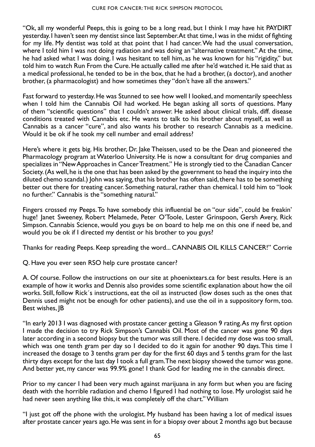"Ok, all my wonderful Peeps, this is going to be a long read, but I think I may have hit PAYDIRT yesterday. I haven't seen my dentist since last September. At that time, I was in the midst of fighting for my life. My dentist was told at that point that I had cancer. We had the usual conversation, where I told him I was not doing radiation and was doing an "alternative treatment." At the time, he had asked what I was doing. I was hesitant to tell him, as he was known for his "rigidity," but told him to watch Run From the Cure. He actually called me after he'd watched it. He said that as a medical professional, he tended to be in the box, that he had a brother, (a doctor), and another brother, (a pharmacologist) and how sometimes they "don't have all the answers."

Fast forward to yesterday. He was Stunned to see how well I looked, and momentarily speechless when I told him the Cannabis Oil had worked. He began asking all sorts of questions. Many of them "scientific questions" that I couldn't answer. He asked about clinical trials, diff. disease conditions treated with Cannabis etc. He wants to talk to his brother about myself, as well as Cannabis as a cancer "cure", and also wants his brother to research Cannabis as a medicine. Would it be ok if he took my cell number and email address?

Here's where it gets big. His brother, Dr. Jake Theissen, used to be the Dean and pioneered the Pharmacology program at Waterloo University. He is now a consultant for drug companies and specializes in "New Approaches in Cancer Treatment." He is strongly tied to the Canadian Cancer Society. (As well, he is the one that has been asked by the government to head the inquiry into the diluted chemo scandal.) John was saying, that his brother has often said, there has to be something better out there for treating cancer. Something natural, rather than chemical. I told him to "look no further." Cannabis is the "something natural."

Fingers crossed my Peeps. To have somebody this influential be on "our side", could be freakin' huge! Janet Sweeney, Robert Melamede, Peter O'Toole, Lester Grinspoon, Gersh Avery, Rick Simpson. Cannabis Science, would you guys be on board to help me on this one if need be, and would you be ok if I directed my dentist or his brother to you guys?

Thanks for reading Peeps. Keep spreading the word... CANNABIS OIL KILLS CANCER!" Corrie

Q. Have you ever seen RSO help cure prostate cancer?

A. Of course. Follow the instructions on our site at phoenixtears.ca for best results. Here is an example of how it works and Dennis also provides some scientific explanation about how the oil works. Still, follow Rick´s instructions, eat the oil as instructed (low doses such as the ones that Dennis used might not be enough for other patients), and use the oil in a suppository form, too. Best wishes, JB

"In early 2013 I was diagnosed with prostate cancer getting a Gleason 9 rating. As my first option I made the decision to try Rick Simpson's Cannabis Oil. Most of the cancer was gone 90 days later according in a second biopsy but the tumor was still there. I decided my dose was too small, which was one tenth gram per day so I decided to do it again for another 90 days. This time I increased the dosage to 3 tenths gram per day for the first 60 days and 5 tenths gram for the last thirty days except for the last day I took a full gram. The next biopsy showed the tumor was gone. And better yet, my cancer was 99.9% gone! I thank God for leading me in the cannabis direct.

Prior to my cancer I had been very much against marijuana in any form but when you are facing death with the horrible radiation and chemo I figured I had nothing to lose. My urologist said he had never seen anything like this, it was completely off the chart." William

"I just got off the phone with the urologist. My husband has been having a lot of medical issues after prostate cancer years ago. He was sent in for a biopsy over about 2 months ago but because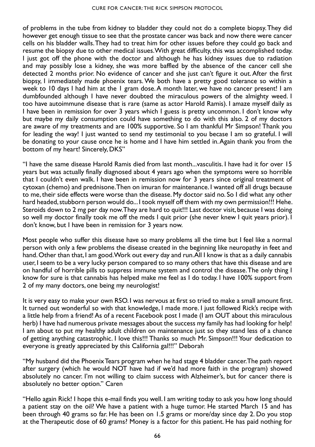of problems in the tube from kidney to bladder they could not do a complete biopsy. They did however get enough tissue to see that the prostate cancer was back and now there were cancer cells on his bladder walls. They had to treat him for other issues before they could go back and resume the biopsy due to other medical issues. With great difficulty, this was accomplished today. I just got off the phone with the doctor and although he has kidney issues due to radiation and may possibly lose a kidney, she was more baffled by the absence of the cancer cell she detected 2 months prior. No evidence of cancer and she just can't figure it out. After the first biopsy, I immediately made phoenix tears. We both have a pretty good tolerance so within a week to 10 days I had him at the 1 gram dose. A month later, we have no cancer present! I am dumbfounded although I have never doubted the miraculous powers of the almighty weed. I too have autoimmune disease that is rare (same as actor Harold Ramis). I amaze myself daily as I have been in remission for over 3 years which I guess is pretty uncommon. I don't know why but maybe my daily consumption could have something to do with this also. 2 of my doctors are aware of my treatments and are 100% supportive. So I am thankful Mr Simpson! Thank you for leading the way! I just wanted to send my testimonial to you becase I am so grateful. I will be donating to your cause once he is home and I have him settled in. Again thank you from the bottom of my heart! Sincerely, DKS"

"I have the same disease Harold Ramis died from last month...vasculitis. I have had it for over 15 years but was actually finally diagnosed about 4 years ago when the symptoms were so horrible that I couldn't even walk. I have been in remission now for 3 years since original treatment of cytoxan (chemo) and prednisone. Then on imuran for maintenance. I wanted off all drugs because to me, their side effects were worse than the disease. My doctor said no. So I did what any other hard headed, stubborn person would do... I took myself off them with my own permission!!! Hehe. Steroids down to 2 mg per day now. They are hard to quit!!! Last doctor visit, because I was doing so well my doctor finally took me off the meds I quit prior (she never knew I quit years prior). I don't know, but I have been in remission for 3 years now.

Most people who suffer this disease have so many problems all the time but I feel like a normal person with only a few problems the disease created in the beginning like neuropathy in feet and hand. Other than that, I am good. Work out every day and run. All I know is that as a daily cannabis user, I seem to be a very lucky person compared to so many others that have this disease and are on handful of horrible pills to suppress immune system and control the disease. The only thing I know for sure is that cannabis has helped make me feel as I do today. I have 100% support from 2 of my many doctors, one being my neurologist!

It is very easy to make your own RSO. I was nervous at first so tried to make a small amount first. It turned out wonderful so with that knowledge, I made more. I just followed Rick's recipe with a little help from a friend! As of a recent Facebook post I made (I am OUT about this miraculous herb) I have had numerous private messages about the success my family has had looking for help! I am about to put my healthy adult children on maintenance just so they stand less of a chance of getting anything catastrophic. I love this!!! Thanks so much Mr. Simpson!!! Your dedication to everyone is greatly appreciated by this California gal!!!" Deborah

"My husband did the Phoenix Tears program when he had stage 4 bladder cancer. The path report after surgery (which he would NOT have had if we'd had more faith in the program) showed absolutely no cancer. I'm not willing to claim success with Alzheimer's, but for cancer there is absolutely no better option." Caren

"Hello again Rick! I hope this e-mail finds you well. I am writing today to ask you how long should a patient stay on the oil? We have a patient with a huge tumor. He started March 15 and has been through 40 grams so far. He has been on 1.5 grams or more/day since day 2. Do you stop at the Therapeutic dose of 60 grams? Money is a factor for this patient. He has paid nothing for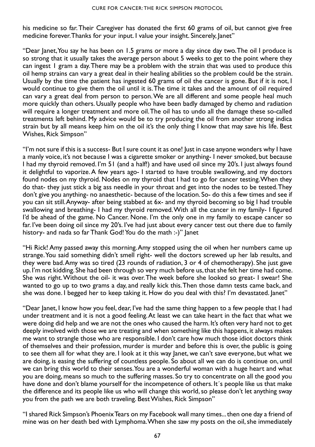his medicine so far. Their Caregiver has donated the first 60 grams of oil, but cannot give free medicine forever.Thanks for your input. I value your insight. Sincerely, Janet"

"Dear Janet, You say he has been on 1.5 grams or more a day since day two. The oil I produce is so strong that it usually takes the average person about 5 weeks to get to the point where they can ingest 1 gram a day. There may be a problem with the strain that was used to produce this oil hemp strains can vary a great deal in their healing abilities so the problem could be the strain. Usually by the time the patient has ingested 60 grams of oil the cancer is gone. But if it is not, I would continue to give them the oil until it is. The time it takes and the amount of oil required can vary a great deal from person to person. We are all different and some people heal much more quickly than others. Usually people who have been badly damaged by chemo and radiation will require a longer treatment and more oil. The oil has to undo all the damage these so-called treatments left behind. My advice would be to try producing the oil from another strong indica strain but by all means keep him on the oil it's the only thing I know that may save his life. Best Wishes, Rick Simpson"

"I'm not sure if this is a success- But I sure count it as one! Just in case anyone wonders why I have a manly voice, it's not because I was a cigarette smoker or anything- I never smoked, but because I had my thyroid removed. I'm 51 (and a half!) and have used oil since my 20's. I just always found it delightful to vaporize. A few years ago- I started to have trouble swallowing, and my doctors found nodes on my thyroid. Nodes on my thyroid that I had to go for cancer testing. When they do that- they just stick a big ass needle in your throat and get into the nodes to be tested. They don't give you anything- no anaesthetic- because of the location. So- do this a few times and see if you can sit still. Anyway- after being stabbed at 6x- and my thyroid becoming so big I had trouble swallowing and breathing- I had my thyroid removed. With all the cancer in my family- I figured I'd be ahead of the game. No Cancer. None. I'm the only one in my family to escape cancer so far. I've been doing oil since my 20's. I've had just about every cancer test out there due to family history- and nada so far Thank God! You do the math :-)" Janet

"Hi Rick! Amy passed away this morning. Amy stopped using the oil when her numbers came up strange. You said something didn't smell right- well the doctors screwed up her lab results, and they were bad. Amy was so tired (23 rounds of radiation, 3 or 4 of chemotherapy). She just gave up. I'm not kidding. She had been through so very much before us, that she felt her time had come. She was right. Without the oil- it was over. The week before she looked so great- I swear! She wanted to go up to two grams a day, and really kick this. Then those damn tests came back, and she was done. I begged her to keep taking it. How do you deal with this? I'm devastated. Janet"

"Dear Janet, I know how you feel, dear, I've had the same thing happen to a few people that I had under treatment and it is not a good feeling. At least we can take heart in the fact that what we were doing did help and we are not the ones who caused the harm. It's often very hard not to get deeply involved with those we are treating and when something like this happens, it always makes me want to strangle those who are responsible. I don't care how much those idiot doctors think of themselves and their profession, murder is murder and before this is over, the public is going to see them all for what they are. I look at it this way Janet, we can't save everyone, but what we are doing, is easing the suffering of countless people. So about all we can do is continue on, until we can bring this world to their senses. You are a wonderful woman with a huge heart and what you are doing, means so much to the suffering masses. So try to concentrate on all the good you have done and don't blame yourself for the incompetence of others. It's people like us that make the difference and its people like us who will change this world, so please don't let anything sway you from the path we are both traveling. Best Wishes, Rick Simpson"

"I shared Rick Simpson's Phoenix Tears on my Facebook wall many times... then one day a friend of mine was on her death bed with Lymphoma. When she saw my posts on the oil, she immediately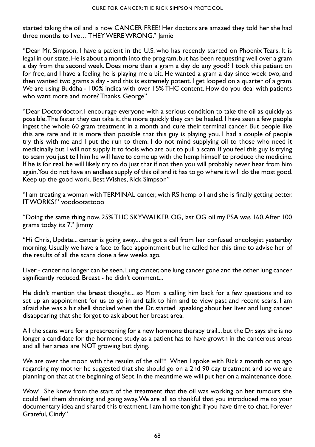started taking the oil and is now CANCER FREE! Her doctors are amazed they told her she had three months to live… THEY WERE WRONG." Jamie

"Dear Mr. Simpson, I have a patient in the U.S. who has recently started on Phoenix Tears. It is legal in our state.He is about a month into the program, but has been requesting well over a gram a day from the second week. Does more than a gram a day do any good? I took this patient on for free, and I have a feeling he is playing me a bit. He wanted a gram a day since week two, and then wanted two grams a day - and this is extremely potent. I get looped on a quarter of a gram. We are using Buddha - 100% indica with over 15% THC content. How do you deal with patients who want more and more? Thanks, George"

"Dear Doctordoctor, I encourage everyone with a serious condition to take the oil as quickly as possible. The faster they can take it, the more quickly they can be healed. I have seen a few people ingest the whole 60 gram treatment in a month and cure their terminal cancer. But people like this are rare and it is more than possible that this guy is playing you. I had a couple of people try this with me and I put the run to them. I do not mind supplying oil to those who need it medicinally but I will not supply it to fools who are out to pull a scam. If you feel this guy is trying to scam you just tell him he will have to come up with the hemp himself to produce the medicine. If he is for real, he will likely try to do just that if not then you will probably never hear from him again. You do not have an endless supply of this oil and it has to go where it will do the most good. Keep up the good work. Best Wishes, Rick Simpson"

"I am treating a woman with TERMINAL cancer, with RS hemp oil and she is finally getting better. IT WORKS!" voodootattooo

"Doing the same thing now. 25% THC SKYWALKER OG, last OG oil my PSA was 160. After 100 grams today its 7." Jimmy

"Hi Chris, Update... cancer is going away... she got a call from her confused oncologist yesterday morning. Usually we have a face to face appointment but he called her this time to advise her of the results of all the scans done a few weeks ago.

Liver - cancer no longer can be seen. Lung cancer, one lung cancer gone and the other lung cancer significantly reduced. Breast - he didn't comment...

He didn't mention the breast thought... so Mom is calling him back for a few questions and to set up an appointment for us to go in and talk to him and to view past and recent scans. I am afraid she was a bit shell shocked when the Dr. started speaking about her liver and lung cancer disappearing that she forgot to ask about her breast area.

All the scans were for a prescreening for a new hormone therapy trail... but the Dr. says she is no longer a candidate for the hormone study as a patient has to have growth in the cancerous areas and all her areas are NOT growing but dying.

We are over the moon with the results of the oil!!! When I spoke with Rick a month or so ago regarding my mother he suggested that she should go on a 2nd 90 day treatment and so we are planning on that at the beginning of Sept. In the meantime we will put her on a maintenance dose.

Wow! She knew from the start of the treatment that the oil was working on her tumours she could feel them shrinking and going away. We are all so thankful that you introduced me to your documentary idea and shared this treatment. I am home tonight if you have time to chat. Forever Grateful, Cindy"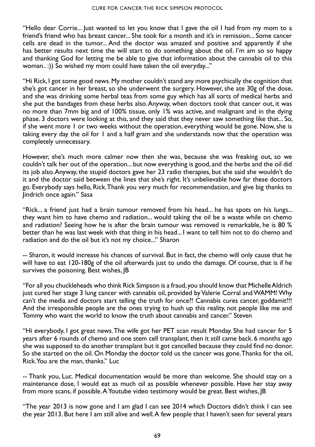"Hello dear Corrie... Just wanted to let you know that I gave the oil I had from my mom to a friend's friend who has breast cancer... She took for a month and it's in remission... Some cancer cells are dead in the tumor... And the doctor was amazed and positive and apparently if she has better results next time the will start to do something about the oil. I'm am so so happy and thanking God for letting me be able to give that information about the cannabis oil to this woman.. :)) So wished my mom could have taken the oil everyday..."

"Hi Rick, I got some good news. My mother couldn't stand any more psychically the cognition that she's got cancer in her breast, so she underwent the surgery. However, she ate 30g of the dose, and she was drinking some herbal teas from some guy which has all sorts of medical herbs and she put the bandages from these herbs also. Anyway, when doctors took that cancer out, it was no more than 7mm big and of 100% tissue, only 1% was active, and malignant and in the dying phase. 3 doctors were looking at this, and they said that they never saw something like that... So, if she went more 1 or two weeks without the operation, everything would be gone. Now, she is taking every day the oil for 1 and a half gram and she understands now that the operation was completely unnecessary.

However, she's much more calmer now then she was, because she was freaking out, so we couldn't talk her out of the operation... but now everything is good, and the herbs and the oil did its job also. Anyway, the stupid doctors gave her 23 radio therapies, but she said she wouldn't do it and the doctor said between the lines that she's right. It's unbelievable how far these doctors go. Everybody says hello, Rick. Thank you very much for recommendation, and give big thanks to Jindrich once again." Sasa

"Rick... a friend just had a brain tumour removed from his head... he has spots on his lungs... they want him to have chemo and radiation... would taking the oil be a waste while on chemo and radiation? Seeing how he is after the brain tumour was removed is remarkable, he is 80 % better than he was last week with that thing in his head... I want to tell him not to do chemo and radiation and do the oil but it's not my choice..." Sharon

-- Sharon, it would increase his chances of survival. But in fact, the chemo will only cause that he will have to eat 120-180g of the oil afterwards just to undo the damage. Of course, that is if he survives the poisoning. Best wishes, JB

"For all you chuckleheads who think Rick Simpson is a fraud, you should know that Michelle Aldrich just cured her stage 3 lung cancer with cannabis oil, provided by Valerie Corral and WAMM! Why can't the media and doctors start telling the truth for once?! Cannabis cures cancer, goddamit!!! And the irresponsible people are the ones trying to hush up this reality, not people like me and Tommy who want the world to know the truth about cannabis and cancer." Steven

"Hi everybody, I got great news. The wife got her PET scan result Monday. She had cancer for 5 years after 6 rounds of chemo and one stem cell transplant, then it still came back. 6 months ago she was supposed to do another transplant but it got cancelled because they could find no donor. So she started on the oil. On Monday the doctor told us the cancer was gone. Thanks for the oil, Rick. You are the man, thanks." Luc

-- Thank you, Luc. Medical documentation would be more than welcome. She should stay on a maintenance dose, I would eat as much oil as possible whenever possible. Have her stay away from more scans, if possible. A Youtube video testimony would be great. Best wishes, JB

"The year 2013 is now gone and I am glad I can see 2014 which Doctors didn't think I can see the year 2013. But here I am still alive and well. A few people that I haven't seen for several years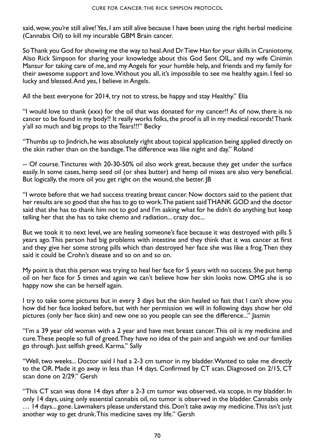said, wow, you're still alive! Yes, I am still alive because I have been using the right herbal medicine (Cannabis Oil) to kill my incurable GBM Brain cancer.

So Thank you God for showing me the way to heal. And Dr Tiew Han for your skills in Craniotomy, Also Rick Simpson for sharing your knowledge about this God Sent OIL, and my wife Cinimin Mansur for taking care of me, and my Angels for your humble help, and friends and my family for their awesome support and love. Without you all, it's impossible to see me healthy again. I feel so lucky and blessed. And yes, I believe in Angels.

All the best everyone for 2014, try not to stress, be happy and stay Healthy." Elia

"I would love to thank (xxx) for the oil that was donated for my cancer!! As of now, there is no cancer to be found in my body!! It really works folks, the proof is all in my medical records! Thank y'all so much and big props to the Tears!!!" Becky

"Thumbs up to Jindrich, he was absolutely right about topical application being applied directly on the skin rather than on the bandage. The difference was like night and day." Roland

-- Of course. Tinctures with 20-30-50% oil also work great, because they get under the surface easily. In some cases, hemp seed oil (or shea butter) and hemp oil mixes are also very beneficial. But logically, the more oil you get right on the wound, the better.  $|B|$ 

"I wrote before that we had success treating breast cancer. Now doctors said to the patient that her results are so good that she has to go to work. The patient said THANK GOD and the doctor said that she has to thank him not to god and I'm asking what for he didn't do anything but keep telling her that she has to take chemo and radiation... crazy doc...

But we took it to next level, we are healing someone's face because it was destroyed with pills 5 years ago. This person had big problems with intestine and they think that it was cancer at first and they give her some strong pills which than destroyed her face she was like a frog. Then they said it could be Crohn's disease and so on and so on.

My point is that this person was trying to heal her face for 5 years with no success. She put hemp oil on her face for 5 times and again we can't believe how her skin looks now. OMG she is so happy now she can be herself again.

I try to take some pictures but in every 3 days but the skin healed so fast that I can't show you how did her face looked before, but with her permission we will in following days show her old pictures (only her face skin) and new one so you people can see the difference..." Jasmin

"I'm a 39 year old woman with a 2 year and have met breast cancer. This oil is my medicine and cure. These people so full of greed. They have no idea of the pain and anguish we and our families go through. Just selfish greed. Karma." Sally

"Well, two weeks... Doctor said I had a 2-3 cm tumor in my bladder. Wanted to take me directly to the OR. Made it go away in less than 14 days. Confirmed by CT scan. Diagnosed on 2/15, CT scan done on 2/29." Gersh

"This CT scan was done 14 days after a 2-3 cm tumor was observed, via scope, in my bladder. In only 14 days, using only essential cannabis oil, no tumor is observed in the bladder. Cannabis only … 14 days... gone. Lawmakers please understand this. Don't take away my medicine. This isn't just another way to get drunk. This medicine saves my life." Gersh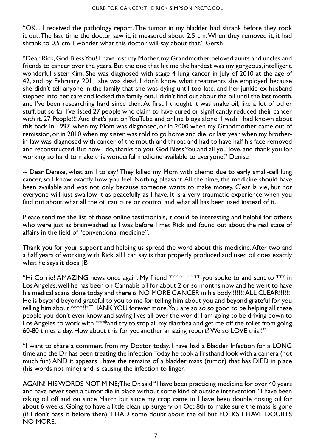"OK... I received the pathology report. The tumor in my bladder had shrank before they took it out. The last time the doctor saw it, it measured about 2.5 cm. When they removed it, it had shrank to 0.5 cm. I wonder what this doctor will say about that." Gersh

"Dear Rick, God Bless You! I have lost my Mother, my Grandmother, beloved aunts and uncles and friends to cancer over the years. But the one that hit me the hardest was my gorgeous, intelligent, wonderful sister Kim. She was diagnosed with stage 4 lung cancer in July of 2010 at the age of 42, and by February 2011 she was dead. I don't know what treatments she employed because she didn't tell anyone in the family that she was dying until too late, and her junkie ex-husband stepped into her care and locked the family out. I didn't find out about the oil until the last month, and I've been researching hard since then. At first I thought it was snake oil, like a lot of other stuff, but so far I've listed 27 people who claim to have cured or significantly reduced their cancer with it. 27 People!!! And that's just on YouTube and online blogs alone! I wish I had known about this back in 1997, when my Mom was diagnosed, or in 2000 when my Grandmother came out of remission, or in 2010 when my sister was told to go home and die, or last year when my brotherin-law was diagnosed with cancer of the mouth and throat and had to have half his face removed and reconstructed. But now I do, thanks to you. God Bless You and all you love, and thank you for working so hard to make this wonderful medicine available to everyone." Denise

-- Dear Denise, what am I to say? They killed my Mom with chemo due to early small-cell lung cancer, so I know exactly how you feel. Nothing pleasant. All the time, the medicine should have been available and was not only because someone wants to make money. C'est la vie, but not everyone will just swallow it as peacefully as I have. It is a very traumatic experience when you find out about what all the oil can cure or control and what all has been used instead of it.

Please send me the list of those online testimonials, it could be interesting and helpful for others who were just as brainwashed as I was before I met Rick and found out about the real state of affairs in the field of "conventional medicine".

Thank you for your support and helping us spread the word about this medicine. After two and a half years of working with Rick, all I can say is that properly produced and used oil does exactly what he says it does. JB

"Hi Corrie! AMAZING news once again. My friend \*\*\*\*\* \*\*\*\* you spoke to and sent to \*\*\* in Los Angeles, well he has been on Cannabis oil for about 2 or so months now and he went to have his medical scans done today and there is NO MORE CANCER in his body!!!!!!! ALL CLEAR!!!!!!! He is beyond beyond grateful to you to me for telling him about you and beyond grateful for you telling him about \*\*\*\*!!! THANK YOU forever more. You are so so so good to be helping all these people you don't even know and saving lives all over the world! I am going to be driving down to Los Angeles to work with \*\*\*\*and try to stop all my diarrhea and get me off the toilet from going 60-80 times a day. How about this for yet another amazing report? We so LOVE this!!"

"I want to share a comment from my Doctor today. I have had a Bladder Infection for a LONG time and the Dr has been treating the infection. Today he took a firsthand look with a camera (not much fun) AND it appears I have the remains of a bladder mass (tumor) that has DIED in place (his words not mine) and is causing the infection to linger.

AGAIN! HIS WORDS NOT MINE; The Dr. said "I have been practicing medicine for over 40 years and have never seen a tumor die in place without some kind of outside intervention." I have been taking oil off and on since March but since my crop came in I have been double dosing oil for about 6 weeks. Going to have a little clean up surgery on Oct 8th to make sure the mass is gone (if I don't pass it before then). I HAD some doubt about the oil but FOLKS I HAVE DOUBTS NO MORE.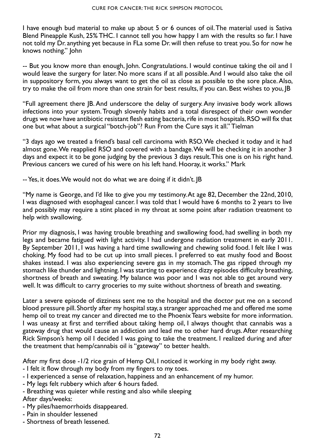I have enough bud material to make up about 5 or 6 ounces of oil. The material used is Sativa Blend Pineapple Kush, 25% THC. I cannot tell you how happy I am with the results so far. I have not told my Dr. anything yet because in FLa some Dr. will then refuse to treat you. So for now he knows nothing." John

-- But you know more than enough, John. Congratulations. I would continue taking the oil and I would leave the surgery for later. No more scans if at all possible. And I would also take the oil in suppository form, you always want to get the oil as close as possible to the sore place. Also, try to make the oil from more than one strain for best results, if you can. Best wishes to you, JB

"Full agreement there JB. And underscore the delay of surgery. Any invasive body work allows infections into your system. Trough slovenly habits and a total disrespect of their own wonder drugs we now have antibiotic resistant flesh eating bacteria, rife in most hospitals. RSO will fix that one but what about a surgical "botch-job"? Run From the Cure says it all." Tielman

"3 days ago we treated a friend's basal cell carcinoma with RSO. We checked it today and it had almost gone. We reapplied RSO and covered with a bandage. We will be checking it in another 3 days and expect it to be gone judging by the previous 3 days result. This one is on his right hand. Previous cancers we cured of his were on his left hand. Hooray, it works." Mark

-- Yes, it does. We would not do what we are doing if it didn't. JB

"My name is George, and I'd like to give you my testimony. At age 82, December the 22nd, 2010, I was diagnosed with esophageal cancer. I was told that I would have 6 months to 2 years to live and possibly may require a stint placed in my throat at some point after radiation treatment to help with swallowing.

Prior my diagnosis, I was having trouble breathing and swallowing food, had swelling in both my legs and became fatigued with light activity. I had undergone radiation treatment in early 2011. By September 2011, I was having a hard time swallowing and chewing solid food. I felt like I was choking. My food had to be cut up into small pieces. I preferred to eat mushy food and Boost shakes instead. I was also experiencing severe gas in my stomach. The gas ripped through my stomach like thunder and lightning. I was starting to experience dizzy episodes difficulty breathing, shortness of breath and sweating. My balance was poor and I was not able to get around very well. It was difficult to carry groceries to my suite without shortness of breath and sweating.

Later a severe episode of dizziness sent me to the hospital and the doctor put me on a second blood pressure pill. Shortly after my hospital stay, a stranger approached me and offered me some hemp oil to treat my cancer and directed me to the Phoenix Tears website for more information. I was uneasy at first and terrified about taking hemp oil, I always thought that cannabis was a gateway drug that would cause an addiction and lead me to other hard drugs. After researching Rick Simpson's hemp oil I decided I was going to take the treatment. I realized during and after the treatment that hemp/cannabis oil is "gateway" to better health.

After my first dose -1/2 rice grain of Hemp Oil, I noticed it working in my body right away.

- I felt it flow through my body from my fingers to my toes.
- I experienced a sense of relaxation, happiness and an enhancement of my humor.
- My legs felt rubbery which after 6 hours faded.
- Breathing was quieter while resting and also while sleeping

After days/weeks:

- My piles/haemorrhoids disappeared.
- Pain in shoulder lessened
- Shortness of breath lessened.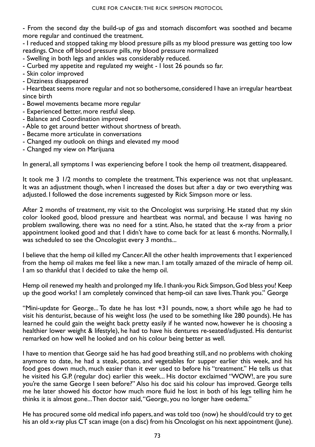- From the second day the build-up of gas and stomach discomfort was soothed and became more regular and continued the treatment.

- I reduced and stopped taking my blood pressure pills as my blood pressure was getting too low readings. Once off blood pressure pills, my blood pressure normalized

- Swelling in both legs and ankles was considerably reduced.

- Curbed my appetite and regulated my weight - I lost 26 pounds so far.

- Skin color improved

- Dizziness disappeared

- Heartbeat seems more regular and not so bothersome, considered I have an irregular heartbeat since birth

- Bowel movements became more regular

- Experienced better, more restful sleep.

- Balance and Coordination improved
- Able to get around better without shortness of breath.
- Became more articulate in conversations
- Changed my outlook on things and elevated my mood
- Changed my view on Marijuana

In general, all symptoms I was experiencing before I took the hemp oil treatment, disappeared.

It took me 3 1/2 months to complete the treatment. This experience was not that unpleasant. It was an adjustment though, when I increased the doses but after a day or two everything was adjusted. I followed the dose increments suggested by Rick Simpson more or less.

After 2 months of treatment, my visit to the Oncologist was surprising. He stated that my skin color looked good, blood pressure and heartbeat was normal, and because I was having no problem swallowing, there was no need for a stint. Also, he stated that the x-ray from a prior appointment looked good and that I didn't have to come back for at least 6 months. Normally, I was scheduled to see the Oncologist every 3 months...

I believe that the hemp oil killed my Cancer. All the other health improvements that I experienced from the hemp oil makes me feel like a new man. I am totally amazed of the miracle of hemp oil. I am so thankful that I decided to take the hemp oil.

Hemp oil renewed my health and prolonged my life. I thank-you Rick Simpson, God bless you! Keep up the good works! I am completely convinced that hemp-oil can save lives. Thank you." George

"Mini-update for George... To date he has lost +31 pounds, now, a short while ago he had to visit his denturist, because of his weight loss (he used to be something like 280 pounds). He has learned he could gain the weight back pretty easily if he wanted now, however he is choosing a healthier lower weight & lifestyle), he had to have his dentures re-seated/adjusted. His denturist remarked on how well he looked and on his colour being better as well.

I have to mention that George said he has had good breathing still, and no problems with choking anymore to date, he had a steak, potato, and vegetables for supper earlier this week, and his food goes down much, much easier than it ever used to before his "treatment." He tells us that he visited his G.P. (regular doc) earlier this week... His doctor exclaimed "WOW!, are you sure you're the same George I seen before?" Also his doc said his colour has improved. George tells me he later showed his doctor how much more fluid he lost in both of his legs telling him he thinks it is almost gone... Then doctor said, "George, you no longer have oedema."

He has procured some old medical info papers, and was told too (now) he should/could try to get his an old x-ray plus CT scan image (on a disc) from his Oncologist on his next appointment (June).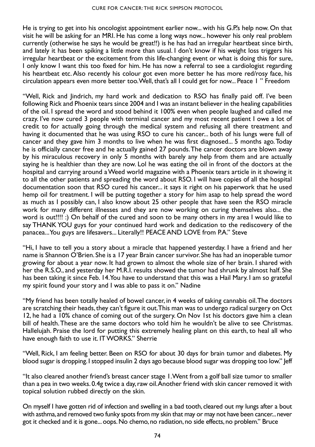He is trying to get into his oncologist appointment earlier now... with his G.P.'s help now. On that visit he will be asking for an MRI. He has come a long ways now... however his only real problem currently (otherwise he says he would be great!!) is he has had an irregular heartbeat since birth, and lately it has been spiking a little more than usual. I don't know if his weight loss triggers his irregular heartbeat or the excitement from this life-changing event or what is doing this for sure, I only know I want this too fixed for him. He has now a referral to see a cardiologist regarding his heartbeat etc. Also recently his colour got even more better he has more red/rosy face, his circulation appears even more better too. Well, that's all I could get for now... Peace I" Freedom

"Well, Rick and Jindrich, my hard work and dedication to RSO has finally paid off. I've been following Rick and Phoenix tears since 2004 and I was an instant believer in the healing capabilities of the oil. I spread the word and stood behind it 100% even when people laughed and called me crazy. I've now cured 3 people with terminal cancer and my most recent patient I owe a lot of credit to for actually going through the medical system and refusing all there treatment and having it documented that he was using RSO to cure his cancer... both of his lungs were full of cancer and they gave him 3 months to live when he was first diagnosed... 5 months ago. Today he is officially cancer free and he actually gained 27 pounds. The cancer doctors are blown away by his miraculous recovery in only 5 months with barely any help from them and are actually saying he is healthier than they are now. Lol he was eating the oil in front of the doctors at the hospital and carrying around a Weed world magazine with a Phoenix tears article in it showing it to all the other patients and spreading the word about RSO. I will have copies of all the hospital documentation soon that RSO cured his cancer... it says it right on his paperwork that he used hemp oil for treatment. I will be putting together a story for him asap to help spread the word as much as I possibly can, I also know about 25 other people that have seen the RSO miracle work for many different illnesses and they are now working on curing themselves also... the word is out!!!! :) On behalf of the cured and soon to be many others in my area I would like to say THANK YOU guys for your continued hard work and dedication to the rediscovery of the panacea... You guys are lifesavers... Literally!! PEACE AND LOVE from P.A." Steve

"Hi, I have to tell you a story about a miracle that happened yesterday. I have a friend and her name is Shannon O'Brien. She is a 17 year Brain cancer survivor. She has had an inoperable tumor growing for about a year now. It had grown to almost the whole size of her brain. I shared with her the R.S.O., and yesterday her M.R.I. results showed the tumor had shrunk by almost half. She has been taking it since Feb. 14. You have to understand that this was a Hail Mary. I am so grateful my spirit found your story and I was able to pass it on." Nadine

"My friend has been totally healed of bowel cancer, in 4 weeks of taking cannabis oil. The doctors are scratching their heads, they can't figure it out. This man was to undergo radical surgery on Oct 12, he had a 10% chance of coming out of the surgery. On Nov 1st his doctors gave him a clean bill of health. These are the same doctors who told him he wouldn't be alive to see Christmas. Hallelujah. Praise the lord for putting this extremely healing plant on this earth, to heal all who have enough faith to use it. IT WORKS." Sherrie

"Well, Rick, I am feeling better. Been on RSO for about 30 days for brain tumor and diabetes. My blood sugar is dropping. I stopped insulin 2 days ago because blood sugar was dropping too low." Jeff

"It also cleared another friend's breast cancer stage 1. Went from a golf ball size tumor to smaller than a pea in two weeks. 0.4g twice a day, raw oil.Another friend with skin cancer removed it with topical solution rubbed directly on the skin.

On myself I have gotten rid of infection and swelling in a bad tooth, cleared out my lungs after a bout with asthma, and removed two funky spots from my skin that may or may not have been cancer... never got it checked and it is gone... oops. No chemo, no radiation, no side effects, no problem." Bruce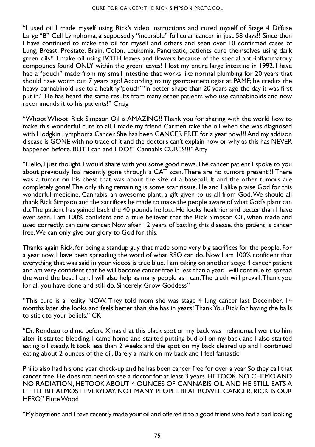"I used oil I made myself using Rick's video instructions and cured myself of Stage 4 Diffuse Large "B" Cell Lymphoma, a supposedly "incurable" follicular cancer in just 58 days!! Since then I have continued to make the oil for myself and others and seen over 10 confirmed cases of Lung, Breast, Prostate, Brain, Colon, Leukemia, Pancreatic, patients cure themselves using dark green oils!! I make oil using BOTH leaves and flowers because of the special anti-inflammatory compounds found ONLY within the green leaves! I lost my entire large intestine in 1992. I have had a "pouch" made from my small intestine that works like normal plumbing for 20 years that should have worm out 7 years ago! According to my gastroenterologist at PAMF; he credits the heavy cannabinoid use to a healthy 'pouch' "in better shape than 20 years ago the day it was first put in." He has heard the same results from many other patients who use cannabinoids and now recommends it to his patients!" Craig

"Whoot Whoot, Rick Simpson Oil is AMAZING!! Thank you for sharing with the world how to make this wonderful cure to all. I made my friend Carmen take the oil when she was diagnosed with Hodgkin Lymphoma Cancer. She has been CANCER FREE for a year now!!! And my addison disease is GONE with no trace of it and the doctors can't explain how or why as this has NEVER happened before. BUT I can and I DO!!! Cannabis CURES!!!" Amy

"Hello, I just thought I would share with you some good news. The cancer patient I spoke to you about previously has recently gone through a CAT scan. There are no tumors present!!! There was a tumor on his chest that was about the size of a baseball. It and the other tumors are completely gone! The only thing remaining is some scar tissue. He and I alike praise God for this wonderful medicine. Cannabis, an awesome plant, a gift given to us all from God. We should all thank Rick Simpson and the sacrifices he made to make the people aware of what God's plant can do. The patient has gained back the 40 pounds he lost. He looks healthier and better than I have ever seen. I am 100% confident and a true believer that the Rick Simpson Oil, when made and used correctly, can cure cancer. Now after 12 years of battling this disease, this patient is cancer free. We can only give our glory to God for this.

Thanks again Rick, for being a standup guy that made some very big sacrifices for the people. For a year now, I have been spreading the word of what RSO can do. Now I am 100% confident that everything that was said in your videos is true blue. I am taking on another stage 4 cancer patient and am very confident that he will become cancer free in less than a year. I will continue to spread the word the best I can. I will also help as many people as I can. The truth will prevail. Thank you for all you have done and still do. Sincerely, Grow Goddess"

"This cure is a reality NOW. They told mom she was stage 4 lung cancer last December. 14 months later she looks and feels better than she has in years! Thank You Rick for having the balls to stick to your beliefs." CK

"Dr. Rondeau told me before Xmas that this black spot on my back was melanoma. I went to him after it started bleeding. I came home and started putting bud oil on my back and I also started eating oil steady. It took less than 2 weeks and the spot on my back cleared up and I continued eating about 2 ounces of the oil. Barely a mark on my back and I feel fantastic.

Philip also had his one year check-up and he has been cancer free for over a year. So they call that cancer free. He does not need to see a doctor for at least 3 years. HE TOOK NO CHEMO AND NO RADIATION, HE TOOK ABOUT 4 OUNCES OF CANNABIS OIL AND HE STILL EATS A LITTLE BIT ALMOST EVERYDAY. NOT MANY PEOPLE BEAT BOWEL CANCER. RICK IS OUR HERO." Flute Wood

"My boyfriend and I have recently made your oil and offered it to a good friend who had a bad looking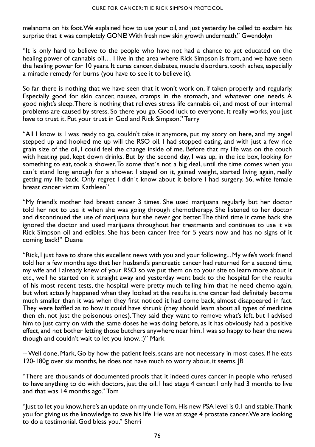melanoma on his foot. We explained how to use your oil, and just yesterday he called to exclaim his surprise that it was completely GONE! With fresh new skin growth underneath." Gwendolyn

"It is only hard to believe to the people who have not had a chance to get educated on the healing power of cannabis oil… I live in the area where Rick Simpson is from, and we have seen the healing power for 10 years. It cures cancer, diabetes, muscle disorders, tooth aches, especially a miracle remedy for burns (you have to see it to believe it).

So far there is nothing that we have seen that it won't work on, if taken properly and regularly. Especially good for skin cancer, nausea, cramps in the stomach, and whatever one needs. A good night's sleep. There is nothing that relieves stress life cannabis oil, and most of our internal problems are caused by stress. So there you go. Good luck to everyone. It really works, you just have to trust it. Put your trust in God and Rick Simpson." Terry

"All I know is I was ready to go, couldn't take it anymore, put my story on here, and my angel stepped up and hooked me up will the RSO oil. I had stopped eating, and with just a few rice grain size of the oil, I could feel the change inside of me. Before that my life was on the couch with heating pad, kept down drinks. But by the second day, I was up, in the ice box, looking for something to eat, took a shower. To some that´s not a big deal, until the time comes when you can´t stand long enough for a shower. I stayed on it, gained weight, started living again, really getting my life back. Only regret I didn´t know about it before I had surgery. 56, white female breast cancer victim Kathleen"

"My friend's mother had breast cancer 3 times. She used marijuana regularly but her doctor told her not to use it when she was going through chemotherapy. She listened to her doctor and discontinued the use of marijuana but she never got better. The third time it came back she ignored the doctor and used marijuana throughout her treatments and continues to use it via Rick Simpson oil and edibles. She has been cancer free for 5 years now and has no signs of it coming back!" Duane

"Rick, I just have to share this excellent news with you and your following... My wife's work friend told her a few months ago that her husband's pancreatic cancer had returned for a second time, my wife and I already knew of your RSO so we put them on to your site to learn more about it etc., well he started on it straight away and yesterday went back to the hospital for the results of his most recent tests, the hospital were pretty much telling him that he need chemo again, but what actually happened when they looked at the results is, the cancer had definitely become much smaller than it was when they first noticed it had come back, almost disappeared in fact. They were baffled as to how it could have shrunk (they should learn about all types of medicine then eh, not just the poisonous ones). They said they want to remove what's left, but I advised him to just carry on with the same doses he was doing before, as it has obviously had a positive effect, and not bother letting those butchers anywhere near him. I was so happy to hear the news though and couldn't wait to let you know. :)" Mark

-- Well done, Mark, Go by how the patient feels, scans are not necessary in most cases. If he eats 120-180g over six months, he does not have much to worry about, it seems. JB

"There are thousands of documented proofs that it indeed cures cancer in people who refused to have anything to do with doctors, just the oil. I had stage 4 cancer. I only had 3 months to live and that was 14 months ago." Tom

"Just to let you know, here's an update on my uncle Tom. His new PSA level is 0.1 and stable. Thank you for giving us the knowledge to save his life. He was at stage 4 prostate cancer. We are looking to do a testimonial. God bless you." Sherri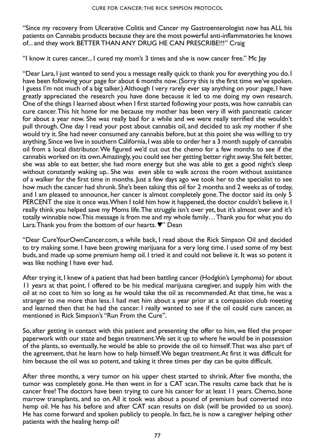"Since my recovery from Ulcerative Colitis and Cancer my Gastroenterologist now has ALL his patients on Cannabis products because they are the most powerful anti-inflammatories he knows of... and they work BETTER THAN ANY DRUG HE CAN PRESCRIBE!!!" Craig

"I know it cures cancer... I cured my mom's 3 times and she is now cancer free." Mc Jay

"Dear Lara, I just wanted to send you a message really quick to thank you for everything you do. I have been following your page for about 6 months now. (Sorry this is the first time we've spoken. I guess I'm not much of a big talker.) Although I very rarely ever say anything on your page, I have greatly appreciated the research you have done because it led to me doing my own research. One of the things I learned about when I first started following your posts, was how cannabis can cure cancer. This hit home for me because my mother has been very ill with pancreatic cancer for about a year now. She was really bad for a while and we were really terrified she wouldn't pull through. One day I read your post about cannabis oil, and decided to ask my mother if she would try it. She had never consumed any cannabis before, but at this point she was willing to try anything. Since we live in southern California, I was able to order her a 3 month supply of cannabis oil from a local distributor. We figured we'd cut out the chemo for a few months to see if the cannabis worked on its own. Amazingly, you could see her getting better right away. She felt better, she was able to eat better, she had more energy but she was able to get a good night's sleep without constantly waking up.. She was even able to walk across the room without assistance of a walker for the first time in months. Just a few days ago we took her to the specialist to see how much the cancer had shrunk. She's been taking this oil for 2 months and 2 weeks as of today, and I am pleased to announce, her cancer is almost completely gone. The doctor said its only 5 PERCENT the size it once was. When I told him how it happened, the doctor couldn't believe it. I really think you helped save my Moms life. The struggle isn't over yet, but it's almost over and it's totally winnable now. This message is from me and my whole family… Thank you for what you do Lara. Thank you from the bottom of our hearts. ♥" Dean

"Dear CureYourOwnCancer.com, a while back, I read about the Rick Simpson Oil and decided to try making some. I have been growing marijuana for a very long time. I used some of my best buds, and made up some premium hemp oil. I tried it and could not believe it. It was so potent it was like nothing I have ever had.

After trying it, I knew of a patient that had been battling cancer (Hodgkin's Lymphoma) for about 11 years at that point. I offered to be his medical marijuana caregiver, and supply him with the oil at no cost to him so long as he would take the oil as recommended. At that time, he was a stranger to me more than less. I had met him about a year prior at a compassion club meeting and learned then that he had the cancer. I really wanted to see if the oil could cure cancer, as mentioned in Rick Simpson's "Run From the Cure".

So, after getting in contact with this patient and presenting the offer to him, we filed the proper paperwork with our state and began treatment. We set it up to where he would be in possession of the plants, so eventually, he would be able to provide the oil to himself. That was also part of the agreement, that he learn how to help himself. We began treatment. At first it was difficult for him because the oil was so potent, and taking it three times per day can be quite difficult.

After three months, a very tumor on his upper chest started to shrink. After five months, the tumor was completely gone. He then went in for a CAT scan. The results came back that he is cancer free! The doctors have been trying to cure his cancer for at least 11 years. Chemo, bone marrow transplants, and so on. All it took was about a pound of premium bud converted into hemp oil. He has his before and after CAT scan results on disk (will be provided to us soon). He has come forward and spoken publicly to people. In fact, he is now a caregiver helping other patients with the healing hemp oil!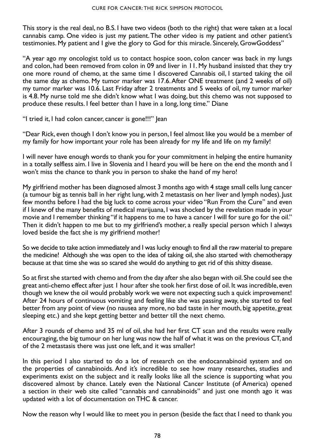This story is the real deal, no B.S. I have two videos (both to the right) that were taken at a local cannabis camp. One video is just my patient. The other video is my patient and other patient's testimonies. My patient and I give the glory to God for this miracle. Sincerely, GrowGoddess"

"A year ago my oncologist told us to contact hospice soon, colon cancer was back in my lungs and colon, had been removed from colon in 09 and liver in 11. My husband insisted that they try one more round of chemo, at the same time I discovered Cannabis oil, I started taking the oil the same day as chemo. My tumor marker was 17.6. After ONE treatment (and 2 weeks of oil) my tumor marker was 10.6. Last Friday after 2 treatments and 5 weeks of oil, my tumor marker is 4.8. My nurse told me she didn't know what I was doing, but this chemo was not supposed to produce these results. I feel better than I have in a long, long time." Diane

"I tried it, I had colon cancer, cancer is gone!!!" Jean

"Dear Rick, even though I don't know you in person, I feel almost like you would be a member of my family for how important your role has been already for my life and life on my family!

I will never have enough words to thank you for your commitment in helping the entire humanity in a totally selfless aim. I live in Slovenia and I heard you will be here on the end the month and I won't miss the chance to thank you in person to shake the hand of my hero!

My girlfriend mother has been diagnosed almost 3 months ago with 4 stage small cells lung cancer (a tumour big as tennis ball in her right lung, with 2 metastasis on her liver and lymph nodes). Just few months before I had the big luck to come across your video "Run From the Cure" and even if I knew of the many benefits of medical marijuana, I was shocked by the revelation made in your movie and I remember thinking "if it happens to me to have a cancer I will for sure go for the oil." Then it didn't happen to me but to my girlfriend's mother, a really special person which I always loved beside the fact she is my girlfriend mother!

So we decide to take action immediately and I was lucky enough to find all the raw material to prepare the medicine! Although she was open to the idea of taking oil, she also started with chemotherapy because at that time she was so scared she would do anything to get rid of this shitty disease.

So at first she started with chemo and from the day after she also began with oil. She could see the great anti-chemo effect after just 1 hour after she took her first dose of oil. It was incredible, even though we knew the oil would probably work we were not expecting such a quick improvement! After 24 hours of continuous vomiting and feeling like she was passing away, she started to feel better from any point of view (no nausea any more, no bad taste in her mouth, big appetite, great sleeping etc.) and she kept getting better and better till the next chemo.

After 3 rounds of chemo and 35 ml of oil, she had her first CT scan and the results were really encouraging, the big tumour on her lung was now the half of what it was on the previous CT, and of the 2 metastasis there was just one left, and it was smaller!

In this period I also started to do a lot of research on the endocannabinoid system and on the properties of cannabinoids. And it's incredible to see how many researches, studies and experiments exist on the subject and it really looks like all the science is supporting what you discovered almost by chance. Lately even the National Cancer Institute (of America) opened a section in their web site called "cannabis and cannabinoids" and just one month ago it was updated with a lot of documentation on THC & cancer.

Now the reason why I would like to meet you in person (beside the fact that I need to thank you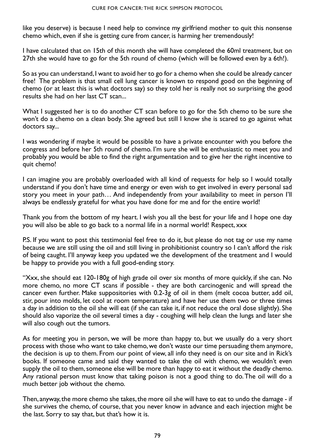like you deserve) is because I need help to convince my girlfriend mother to quit this nonsense chemo which, even if she is getting cure from cancer, is harming her tremendously!

I have calculated that on 15th of this month she will have completed the 60ml treatment, but on 27th she would have to go for the 5th round of chemo (which will be followed even by a 6th!).

So as you can understand, I want to avoid her to go for a chemo when she could be already cancer free! The problem is that small cell lung cancer is known to respond good on the beginning of chemo (or at least this is what doctors say) so they told her is really not so surprising the good results she had on her last CT scan...

What I suggested her is to do another CT scan before to go for the 5th chemo to be sure she won't do a chemo on a clean body. She agreed but still I know she is scared to go against what doctors say...

I was wondering if maybe it would be possible to have a private encounter with you before the congress and before her 5th round of chemo. I'm sure she will be enthusiastic to meet you and probably you would be able to find the right argumentation and to give her the right incentive to quit chemo!

I can imagine you are probably overloaded with all kind of requests for help so I would totally understand if you don't have time and energy or even wish to get involved in every personal sad story you meet in your path… And independently from your availability to meet in person I'll always be endlessly grateful for what you have done for me and for the entire world!

Thank you from the bottom of my heart. I wish you all the best for your life and I hope one day you will also be able to go back to a normal life in a normal world! Respect, xxx

P.S. If you want to post this testimonial feel free to do it, but please do not tag or use my name because we are still using the oil and still living in prohibitionist country so I can't afford the risk of being caught. I'll anyway keep you updated we the development of the treatment and I would be happy to provide you with a full good-ending story.

"Xxx, she should eat 120-180g of high grade oil over six months of more quickly, if she can. No more chemo, no more CT scans if possible - they are both carcinogenic and will spread the cancer even further. Make suppositories with 0.2-3g of oil in them (melt cocoa butter, add oil, stir, pour into molds, let cool at room temperature) and have her use them two or three times a day in addition to the oil she will eat (if she can take it, if not reduce the oral dose slightly). She should also vaporize the oil several times a day - coughing will help clean the lungs and later she will also cough out the tumors.

As for meeting you in person, we will be more than happy to, but we usually do a very short process with those who want to take chemo, we don't waste our time persuading them anymore, the decision is up to them. From our point of view, all info they need is on our site and in Rick's books. If someone came and said they wanted to take the oil with chemo, we wouldn't even supply the oil to them, someone else will be more than happy to eat it without the deadly chemo. Any rational person must know that taking poison is not a good thing to do. The oil will do a much better job without the chemo.

Then, anyway, the more chemo she takes, the more oil she will have to eat to undo the damage - if she survives the chemo, of course, that you never know in advance and each injection might be the last. Sorry to say that, but that's how it is.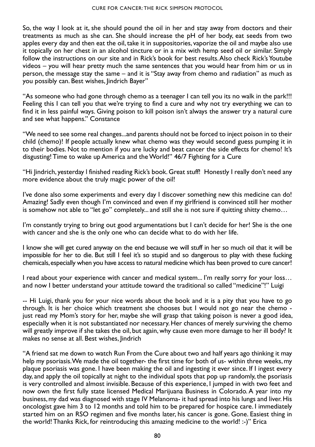So, the way I look at it, she should pound the oil in her and stay away from doctors and their treatments as much as she can. She should increase the pH of her body, eat seeds from two apples every day and then eat the oil, take it in suppositories, vaporize the oil and maybe also use it topically on her chest in an alcohol tincture or in a mix with hemp seed oil or similar. Simply follow the instructions on our site and in Rick's book for best results. Also check Rick's Youtube videos – you will hear pretty much the same sentences that you would hear from him or us in person, the message stay the same – and it is "Stay away from chemo and radiation" as much as you possibly can. Best wishes, Jindrich Bayer"

"As someone who had gone through chemo as a teenager I can tell you its no walk in the park!!! Feeling this I can tell you that we're trying to find a cure and why not try everything we can to find it in less painful ways. Giving poison to kill poison isn't always the answer try a natural cure and see what happens." Constance

"We need to see some real changes...and parents should not be forced to inject poison in to their child (chemo)! If people actually knew what chemo was they would second guess pumping it in to their bodies. Not to mention if you are lucky and beat cancer the side effects for chemo! It's disgusting! Time to wake up America and the World!" 46/7 Fighting for a Cure

"Hi Jindrich, yesterday l finished reading Rick's book. Great stuff! Honestly I really don't need any more evidence about the truly magic power of the oil!

I've done also some experiments and every day I discover something new this medicine can do! Amazing! Sadly even though I'm convinced and even if my girlfriend is convinced still her mother is somehow not able to "let go" completely... and still she is not sure if quitting shitty chemo...

I'm constantly trying to bring out good argumentations but I can't decide for her! She is the one with cancer and she is the only one who can decide what to do with her life.

I know she will get cured anyway on the end because we will stuff in her so much oil that it will be impossible for her to die. But still I feel it's so stupid and so dangerous to play with these fucking chemicals, especially when you have access to natural medicine which has been proved to cure cancer!

I read about your experience with cancer and medical system... I'm really sorry for your loss… and now I better understand your attitude toward the traditional so called "medicine"!" Luigi

-- Hi Luigi, thank you for your nice words about the book and it is a pity that you have to go through. It is her choice which treatment she chooses but I would not go near the chemo just read my Mom's story for her, maybe she will grasp that taking poison is never a good idea, especially when it is not substantiated nor necessary. Her chances of merely surviving the chemo will greatly improve if she takes the oil, but again, why cause even more damage to her ill body? It makes no sense at all. Best wishes, Jindrich

"A friend sat me down to watch Run From the Cure about two and half years ago thinking it may help my psoriasis. We made the oil together- the first time for both of us- within three weeks, my plaque psoriasis was gone. I have been making the oil and ingesting it ever since. If I ingest every day, and apply the oil topically at night to the individual spots that pop up randomly, the psoriasis is very controlled and almost invisible. Because of this experience, I jumped in with two feet and now own the first fully state licensed Medical Marijuana Business in Colorado. A year into my business, my dad was diagnosed with stage IV Melanoma- it had spread into his lungs and liver. His oncologist gave him 3 to 12 months and told him to be prepared for hospice care. I immediately started him on an RSO regimen and five months later, his cancer is gone. Gone. Easiest thing in the world! Thanks Rick, for reintroducing this amazing medicine to the world! :-)" Erica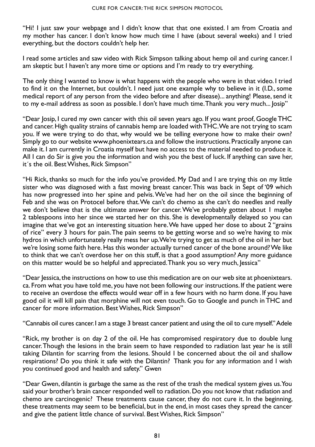"Hi! I just saw your webpage and I didn't know that that one existed. I am from Croatia and my mother has cancer. I don't know how much time I have (about several weeks) and I tried everything, but the doctors couldn't help her.

I read some articles and saw video with Rick Simpson talking about hemp oil and curing cancer. I am skeptic but I haven't any more time or options and I'm ready to try everything.

The only thing I wanted to know is what happens with the people who were in that video. I tried to find it on the Internet, but couldn't. I need just one example why to believe in it (I.D., some medical report of any person from the video before and after disease)... anything! Please, send it to my e-mail address as soon as possible. I don't have much time. Thank you very much... Josip"

"Dear Josip, I cured my own cancer with this oil seven years ago. If you want proof, Google THC and cancer. High quality strains of cannabis hemp are loaded with THC. We are not trying to scam you. If we were trying to do that, why would we be telling everyone how to make their own? Simply go to our website www.phoenixtears.ca and follow the instructions. Practically anyone can make it. I am currently in Croatia myself but have no access to the material needed to produce it. All I can do Sir is give you the information and wish you the best of luck. If anything can save her, it´s the oil. Best Wishes, Rick Simpson"

"Hi Rick, thanks so much for the info you've provided. My Dad and I are trying this on my little sister who was diagnosed with a fast moving breast cancer. This was back in Sept of '09 which has now progressed into her spine and pelvis. We've had her on the oil since the beginning of Feb and she was on Protocel before that. We can't do chemo as she can't do needles and really we don't believe that is the ultimate answer for cancer. We've probably gotten about 1 maybe 2 tablespoons into her since we started her on this. She is developmentally delayed so you can imagine that we've got an interesting situation here. We have upped her dose to about 2 "grains of rice" every 3 hours for pain. The pain seems to be getting worse and so we're having to mix hydros in which unfortunately really mess her up. We're trying to get as much of the oil in her but we're losing some faith here. Has this wonder actually turned cancer of the bone around? We like to think that we can't overdose her on this stuff, is that a good assumption? Any more guidance on this matter would be so helpful and appreciated. Thank you so very much, Jessica"

"Dear Jessica, the instructions on how to use this medication are on our web site at phoenixtears. ca. From what you have told me, you have not been following our instructions. If the patient were to receive an overdose the effects would wear off in a few hours with no harm done. If you have good oil it will kill pain that morphine will not even touch. Go to Google and punch in THC and cancer for more information. Best Wishes, Rick Simpson"

"Cannabis oil cures cancer. I am a stage 3 breast cancer patient and using the oil to cure myself." Adele

"Rick, my brother is on day 2 of the oil. He has compromised respiratory due to double lung cancer. Though the lesions in the brain seem to have responded to radiation last year he is still taking Dilantin for scarring from the lesions. Should I be concerned about the oil and shallow respirations? Do you think it safe with the Dilantin? Thank you for any information and I wish you continued good and health and safety." Gwen

"Dear Gwen, dilantin is garbage the same as the rest of the trash the medical system gives us. You said your brother's brain cancer responded well to radiation. Do you not know that radiation and chemo are carcinogenic? These treatments cause cancer, they do not cure it. In the beginning, these treatments may seem to be beneficial, but in the end, in most cases they spread the cancer and give the patient little chance of survival. Best Wishes, Rick Simpson"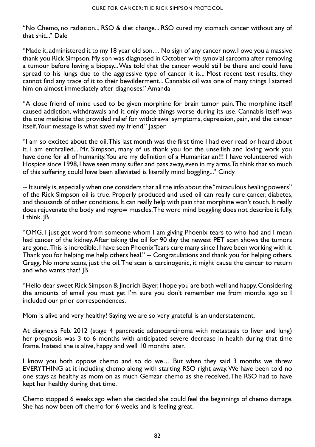"No Chemo, no radiation... RSO & diet change... RSO cured my stomach cancer without any of that shit..." Dale

"Made it, administered it to my 18 year old son… No sign of any cancer now. I owe you a massive thank you Rick Simpson. My son was diagnosed in October with synovial sarcoma after removing a tumour before having a biopsy... Was told that the cancer would still be there and could have spread to his lungs due to the aggressive type of cancer it is... Most recent test results, they cannot find any trace of it to their bewilderment... Cannabis oil was one of many things I started him on almost immediately after diagnoses." Amanda

"A close friend of mine used to be given morphine for brain tumor pain. The morphine itself caused addiction, withdrawals and it only made things worse during its use. Cannabis itself was the one medicine that provided relief for withdrawal symptoms, depression, pain, and the cancer itself. Your message is what saved my friend." Jasper

"I am so excited about the oil. This last month was the first time I had ever read or heard about it. I am enthralled... Mr. Simpson, many of us thank you for the unselfish and loving work you have done for all of humanity. You are my definition of a Humanitarian!!! I have volunteered with Hospice since 1998, I have seen many suffer and pass away, even in my arms. To think that so much of this suffering could have been alleviated is literally mind boggling..." Cindy

-- It surely is, especially when one considers that all the info about the "miraculous healing powers" of the Rick Simpson oil is true. Properly produced and used oil can really cure cancer, diabetes, and thousands of other conditions. It can really help with pain that morphine won't touch. It really does rejuvenate the body and regrow muscles. The word mind boggling does not describe it fully, I think. JB

"OMG. I just got word from someone whom I am giving Phoenix tears to who had and I mean had cancer of the kidney. After taking the oil for 90 day the newest PET scan shows the tumors are gone.. This is incredible. I have seen Phoenix Tears cure many since I have been working with it. Thank you for helping me help others heal." -- Congratulations and thank you for helping others, Gregg. No more scans, just the oil. The scan is carcinogenic, it might cause the cancer to return and who wants that? JB

"Hello dear sweet Rick Simpson & Jindrich Bayer, I hope you are both well and happy. Considering the amounts of email you must get I'm sure you don't remember me from months ago so I included our prior correspondences.

Mom is alive and very healthy! Saying we are so very grateful is an understatement.

At diagnosis Feb. 2012 (stage 4 pancreatic adenocarcinoma with metastasis to liver and lung) her prognosis was 3 to 6 months with anticipated severe decrease in health during that time frame. Instead she is alive, happy and well 10 months later.

I know you both oppose chemo and so do we… But when they said 3 months we threw EVERYTHING at it including chemo along with starting RSO right away. We have been told no one stays as healthy as mom on as much Gemzar chemo as she received. The RSO had to have kept her healthy during that time.

Chemo stopped 6 weeks ago when she decided she could feel the beginnings of chemo damage. She has now been off chemo for 6 weeks and is feeling great.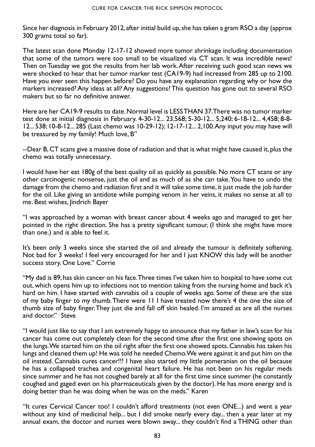Since her diagnosis in February 2012, after initial build up, she has taken a gram RSO a day (approx 300 grams total so far).

The latest scan done Monday 12-17-12 showed more tumor shrinkage including documentation that some of the tumors were too small to be visualized via CT scan. It was incredible news! Then on Tuesday we got the results from her lab work. After receiving such good scan news we were shocked to hear that her tumor marker test (CA19-9) had increased from 285 up to 2100. Have you ever seen this happen before? Do you have any explanation regarding why or how the markers increased? Any ideas at all? Any suggestions? This question has gone out to several RSO makers but so far no definitive answer.

Here are her CA19-9 results to date. Normal level is LESS THAN 37. There was no tumor marker test done at initial diagnosis in February. 4-30-12... 23,568; 5-30-12... 5,240; 6-18-12... 4,458; 8-8- 12... 538; 10-8-12... 285 (Last chemo was 10-29-12); 12-17-12... 2,100. Any input you may have will be treasured by my family! Much love, B"

--Dear B, CT scans give a massive dose of radiation and that is what might have caused it, plus the chemo was totally unnecessary.

I would have her eat 180g of the best quality oil as quickly as possible. No more CT scans or any other carcinogenic nonsense, just the oil and as much of as she can take. You have to undo the damage from the chemo and radiation first and it will take some time, it just made the job harder for the oil. Like giving an antidote while pumping venom in her veins, it makes no sense at all to me. Best wishes, Jindrich Bayer

"I was approached by a woman with breast cancer about 4 weeks ago and managed to get her pointed in the right direction. She has a pretty significant tumour, (I think she might have more than one.) and is able to feel it.

It's been only 3 weeks since she started the oil and already the tumour is definitely softening. Not bad for 3 weeks! I feel very encouraged for her and I just KNOW this lady will be another success story. One Love." Corrie

"My dad is 89, has skin cancer on his face. Three times I've taken him to hospital to have some cut out, which opens him up to infections not to mention taking from the nursing home and back it's hard on him. I have started with cannabis oil a couple of weeks ago. Some of these are the size of my baby finger to my thumb. There were 11 I have treated now there's 4 the one the size of thumb size of baby finger. They just die and fall off skin healed. I'm amazed as are all the nurses and doctor." Steve

"I would just like to say that I am extremely happy to announce that my father in law's scan for his cancer has come out completely clean for the second time after the first one showing spots on the lungs. We started him on the oil right after the first one showed spots. Cannabis has taken his lungs and cleaned them up! He was told he needed Chemo. We were against it and put him on the oil instead. Cannabis cures cancer!!! I have also started my little pomeranian on the oil because he has a collapsed trachea and congenital heart failure. He has not been on his regular meds since summer and he has not coughed barely at all for the first time since summer (he constantly coughed and gaged even on his pharmaceuticals given by the doctor). He has more energy and is doing better than he was doing when he was on the meds." Karen

"It cures Cervical Cancer too! I couldn't afford treatments (not even ONE...) and went a year without any kind of medicinal help... but I did smoke nearly every day... then a year later at my annual exam, the doctor and nurses were blown away... they couldn't find a THING other than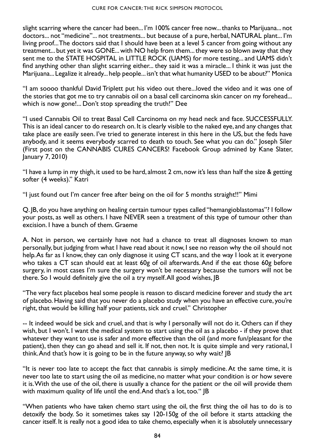slight scarring where the cancer had been... I'm 100% cancer free now... thanks to Marijuana... not doctors... not "medicine"... not treatments... but because of a pure, herbal, NATURAL plant... I'm living proof... The doctors said that I should have been at a level 5 cancer from going without any treatment... but yet it was GONE... with NO help from them... they were so blown away that they sent me to the STATE HOSPITAL in LITTLE ROCK (UAMS) for more testing... and UAMS didn't find anything other than slight scarring either... they said it was a miracle... I think it was just the Marijuana... Legalize it already... help people... isn't that what humanity USED to be about?" Monica

"I am soooo thankful David Triplett put his video out there...loved the video and it was one of the stories that got me to try cannabis oil on a basal cell carcinoma skin cancer on my forehead... which is now gone!... Don't stop spreading the truth!" Dee

"I used Cannabis Oil to treat Basal Cell Carcinoma on my head neck and face. SUCCESSFULLY. This is an ideal cancer to do research on. It is clearly visible to the naked eye, and any changes that take place are easily seen. I've tried to generate interest in this here in the US, but the feds have anybody, and it seems everybody scarred to death to touch. See what you can do." Joseph Siler (First post on the CANNABIS CURES CANCERS! Facebook Group admined by Kane Slater, January 7, 2010)

"I have a lump in my thigh, it used to be hard, almost 2 cm, now it's less than half the size & getting softer (4 weeks)." Katri

"I just found out I'm cancer free after being on the oil for 5 months straight!!" Mimi

Q. JB, do you have anything on healing certain tumour types called "hemangioblastomas"? I follow your posts, as well as others. I have NEVER seen a treatment of this type of tumour other than excision. I have a bunch of them. Graeme

A. Not in person, we certainly have not had a chance to treat all diagnoses known to man personally, but judging from what I have read about it now, I see no reason why the oil should not help. As far as I know, they can only diagnose it using CT scans, and the way I look at it everyone who takes a CT scan should eat at least 60g of oil afterwards. And if the eat those 60g before surgery, in most cases I'm sure the surgery won't be necessary because the tumors will not be there. So I would definitely give the oil a try myself. All good wishes, JB

"The very fact placebos heal some people is reason to discard medicine forever and study the art of placebo. Having said that you never do a placebo study when you have an effective cure, you're right, that would be killing half your patients, sick and cruel." Christopher

-- It indeed would be sick and cruel, and that is why I personally will not do it. Others can if they wish, but I won't. I want the medical system to start using the oil as a placebo - if they prove that whatever they want to use is safer and more effective than the oil (and more fun/pleasant for the patient), then they can go ahead and sell it. If not, then not. It is quite simple and very rational, I think. And that's how it is going to be in the future anyway, so why wait? JB

"It is never too late to accept the fact that cannabis is simply medicine. At the same time, it is never too late to start using the oil as medicine, no matter what your condition is or how severe it is. With the use of the oil, there is usually a chance for the patient or the oil will provide them with maximum quality of life until the end. And that's a lot, too." IB

"When patients who have taken chemo start using the oil, the first thing the oil has to do is to detoxify the body. So it sometimes takes say 120-150g of the oil before it starts attacking the cancer itself. It is really not a good idea to take chemo, especially when it is absolutely unnecessary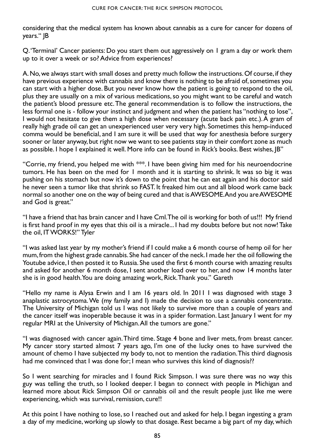considering that the medical system has known about cannabis as a cure for cancer for dozens of years." JB

Q. 'Terminal' Cancer patients: Do you start them out aggressively on 1 gram a day or work them up to it over a week or so? Advice from experiences?

A. No, we always start with small doses and pretty much follow the instructions. Of course, if they have previous experience with cannabis and know there is nothing to be afraid of, sometimes you can start with a higher dose. But you never know how the patient is going to respond to the oil, plus they are usually on a mix of various medications, so you might want to be careful and watch the patient's blood pressure etc. The general recommendation is to follow the instructions, the less formal one is - follow your instinct and judgment and when the patient has "nothing to lose", I would not hesitate to give them a high dose when necessary (acute back pain etc.). A gram of really high grade oil can get an unexperienced user very very high. Sometimes this hemp-induced comma would be beneficial, and I am sure it will be used that way for anesthesia before surgery sooner or later anyway, but right now we want to see patients stay in their comfort zone as much as possible. I hope I explained it well. More info can be found in Rick's books. Best wishes, JB"

"Corrie, my friend, you helped me with  $**$ . I have been giving him med for his neuroendocrine tumors. He has been on the med for 1 month and it is starting to shrink. It was so big it was pushing on his stomach but now it's down to the point that he can eat again and his doctor said he never seen a tumor like that shrink so FAST. It freaked him out and all blood work came back normal so another one on the way of being cured and that is AWESOME. And you are AWESOME and God is great."

"I have a friend that has brain cancer and I have Cml. The oil is working for both of us!!! My friend is first hand proof in my eyes that this oil is a miracle... I had my doubts before but not now! Take the oil, IT WORKS!" Tyler

"I was asked last year by my mother's friend if I could make a 6 month course of hemp oil for her mum, from the highest grade cannabis. She had cancer of the neck. I made her the oil following the Youtube advice, I then posted it to Russia. She used the first 6 month course with amazing results and asked for another 6 month dose, I sent another load over to her, and now 14 months later she is in good health. You are doing amazing work, Rick. Thank you." Gareth

"Hello my name is Alysa Erwin and I am 16 years old. In 2011 I was diagnosed with stage 3 anaplastic astrocytoma. We (my family and I) made the decision to use a cannabis concentrate. The University of Michigan told us I was not likely to survive more than a couple of years and the cancer itself was inoperable because it was in a spider formation. Last January I went for my regular MRI at the University of Michigan. All the tumors are gone."

"I was diagnosed with cancer again. Third time. Stage 4 bone and liver mets, from breast cancer. My cancer story started almost 7 years ago, I'm one of the lucky ones to have survived the amount of chemo I have subjected my body to, not to mention the radiation. This third diagnosis had me convinced that I was done for; I mean who survives this kind of diagnosis??

So I went searching for miracles and I found Rick Simpson. I was sure there was no way this guy was telling the truth, so I looked deeper. I began to connect with people in Michigan and learned more about Rick Simpson Oil or cannabis oil and the result people just like me were experiencing, which was survival, remission, cure!!

At this point I have nothing to lose, so I reached out and asked for help. I began ingesting a gram a day of my medicine, working up slowly to that dosage. Rest became a big part of my day, which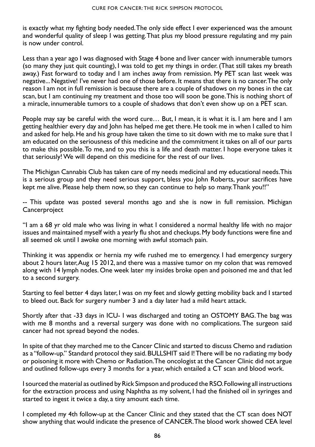is exactly what my fighting body needed. The only side effect I ever experienced was the amount and wonderful quality of sleep I was getting. That plus my blood pressure regulating and my pain is now under control.

Less than a year ago I was diagnosed with Stage 4 bone and liver cancer with innumerable tumors (so many they just quit counting), I was told to get my things in order. (That still takes my breath away.) Fast forward to today and I am inches away from remission. My PET scan last week was negative... Negative! I've never had one of those before. It means that there is no cancer. The only reason I am not in full remission is because there are a couple of shadows on my bones in the cat scan, but I am continuing my treatment and those too will soon be gone. This is nothing short of a miracle, innumerable tumors to a couple of shadows that don't even show up on a PET scan.

People may say be careful with the word cure… But, I mean, it is what it is. I am here and I am getting healthier every day and John has helped me get there. He took me in when I called to him and asked for help. He and his group have taken the time to sit down with me to make sure that I am educated on the seriousness of this medicine and the commitment it takes on all of our parts to make this possible. To me, and to you this is a life and death matter. I hope everyone takes it that seriously! We will depend on this medicine for the rest of our lives.

The Michigan Cannabis Club has taken care of my needs medicinal and my educational needs. This is a serious group and they need serious support, bless you John Roberts, your sacrifices have kept me alive. Please help them now, so they can continue to help so many. Thank you!!"

-- This update was posted several months ago and she is now in full remission. Michigan **Cancerproject** 

"I am a 68 yr old male who was living in what I considered a normal healthy life with no major issues and maintained myself with a yearly flu shot and checkups. My body functions were fine and all seemed ok until I awoke one morning with awful stomach pain.

Thinking it was appendix or hernia my wife rushed me to emergency. I had emergency surgery about 2 hours later, Aug 15 2012, and there was a massive tumor on my colon that was removed along with 14 lymph nodes. One week later my insides broke open and poisoned me and that led to a second surgery.

Starting to feel better 4 days later, I was on my feet and slowly getting mobility back and I started to bleed out. Back for surgery number 3 and a day later had a mild heart attack.

Shortly after that -33 days in ICU- I was discharged and toting an OSTOMY BAG. The bag was with me 8 months and a reversal surgery was done with no complications. The surgeon said cancer had not spread beyond the nodes.

In spite of that they marched me to the Cancer Clinic and started to discuss Chemo and radiation as a "follow-up." Standard protocol they said. BULLSHIT said I! There will be no radiating my body or poisoning it more with Chemo or Radiation. The oncologist at the Cancer Clinic did not argue and outlined follow-ups every 3 months for a year, which entailed a CT scan and blood work.

I sourced the material as outlined by Rick Simpson and produced the RSO. Following all instructions for the extraction process and using Naphtha as my solvent, I had the finished oil in syringes and started to ingest it twice a day, a tiny amount each time.

I completed my 4th follow-up at the Cancer Clinic and they stated that the CT scan does NOT show anything that would indicate the presence of CANCER. The blood work showed CEA level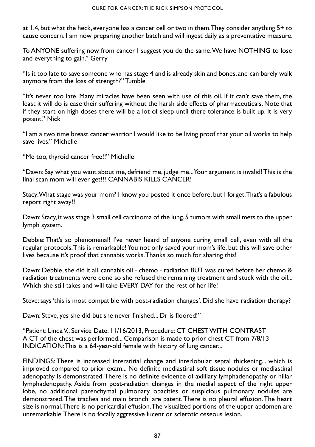at 1.4, but what the heck, everyone has a cancer cell or two in them. They consider anything 5+ to cause concern. I am now preparing another batch and will ingest daily as a preventative measure.

To ANYONE suffering now from cancer I suggest you do the same. We have NOTHING to lose and everything to gain." Gerry

"Is it too late to save someone who has stage 4 and is already skin and bones, and can barely walk anymore from the loss of strength?" Tumble

"It's never too late. Many miracles have been seen with use of this oil. If it can't save them, the least it will do is ease their suffering without the harsh side effects of pharmaceuticals. Note that if they start on high doses there will be a lot of sleep until there tolerance is built up. It is very potent." Nick

"I am a two time breast cancer warrior. I would like to be living proof that your oil works to help save lives." Michelle

"Me too, thyroid cancer free!!" Michelle

"Dawn: Say what you want about me, defriend me, judge me... Your argument is invalid! This is the final scan mom will ever get!!! CANNABIS KILLS CANCER!

Stacy: What stage was your mom? I know you posted it once before, but I forget. That's a fabulous report right away!!

Dawn: Stacy, it was stage 3 small cell carcinoma of the lung. 5 tumors with small mets to the upper lymph system.

Debbie: That's so phenomenal! I've never heard of anyone curing small cell, even with all the regular protocols. This is remarkable! You not only saved your mom's life, but this will save other lives because it's proof that cannabis works. Thanks so much for sharing this!

Dawn: Debbie, she did it all, cannabis oil - chemo - radiation BUT was cured before her chemo & radiation treatments were done so she refused the remaining treatment and stuck with the oil... Which she still takes and will take EVERY DAY for the rest of her life!

Steve: says 'this is most compatible with post-radiation changes'. Did she have radiation therapy?

Dawn: Steve, yes she did but she never finished... Dr is floored!"

"Patient: Linda V., Service Date: 11/16/2013, Procedure: CT CHEST WITH CONTRAST A CT of the chest was performed... Comparison is made to prior chest CT from 7/8/13 INDICATION: This is a 64-year-old female with history of lung cancer...

FINDINGS: There is increased interstitial change and interlobular septal thickening... which is improved compared to prior exam... No definite mediastinal soft tissue nodules or mediastinal adenopathy is demonstrated. There is no definite evidence of axilliary lymphadenopathy or hillar lymphadenopathy. Aside from post-radiation changes in the medial aspect of the right upper lobe, no additional parenchymal pulmonary opacities or suspicious pulmonary nodules are demonstrated. The trachea and main bronchi are patent. There is no pleural effusion. The heart size is normal. There is no pericardial effusion. The visualized portions of the upper abdomen are unremarkable. There is no focally aggressive lucent or sclerotic osseous lesion.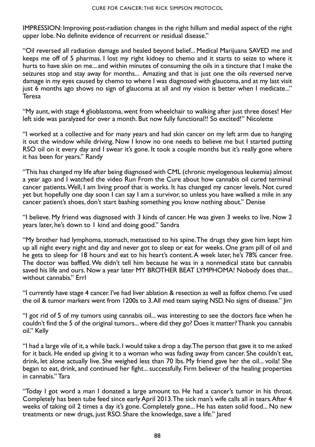IMPRESSION: Improving post-radiation changes in the right hillum and medial aspect of the right upper lobe. No definite evidence of recurrent or residual disease."

"Oil reversed all radiation damage and healed beyond belief... Medical Marijuana SAVED me and keeps me off of 5 pharmas. I lost my right kidney to chemo and it starts to seize to where it hurts to have skin on me... and within minutes of consuming the oils in a tincture that I make the seizures stop and stay away for months... Amazing and that is just one the oils reversed nerve damage in my eyes caused by chemo to where I was diagnosed with glaucoma, and at my last visit just 6 months ago shows no sign of glaucoma at all and my vision is better when I medicate..." Teresa

"My aunt, with stage 4 glioblastoma, went from wheelchair to walking after just three doses! Her left side was paralyzed for over a month. But now fully functional!! So excited!" Nicolette

"I worked at a collective and for many years and had skin cancer on my left arm due to hanging it out the window while driving. Now I know no one needs to believe me but I started putting RSO oil on it every day and I swear it's gone. It took a couple months but it's really gone where it has been for years." Randy

"This has changed my life after being diagnosed with CML (chronic myelogenous leukemia) almost a year ago and I watched the video Run From the Cure about how cannabis oil cured terminal cancer patients. Well, I am living proof that is works. It has changed my cancer levels. Not cured yet but hopefully one day soon I can say I am a survivor, so unless you have walked a mile in any cancer patient's shoes, don't start bashing something you know nothing about." Denise

"I believe. My friend was diagnosed with 3 kinds of cancer. He was given 3 weeks to live. Now 2 years later, he's down to 1 kind and doing good." Sandra

"My brother had lymphoma, stomach, metastised to his spine. The drugs they gave him kept him up all night every night and day and never got to sleep or eat for weeks. One gram pill of oil and he gets to sleep for 18 hours and eat to his heart's content. A week later, he's 78% cancer free. The doctor was baffled. We didn't tell him because he was in a nonmedical state but cannabis saved his life and ours. Now a year later MY BROTHER BEAT LYMPHOMA! Nobody does that... without cannabis." Errl

"I currently have stage 4 cancer. I've had liver ablation & resection as well as folfox chemo. I've used the oil & tumor markers went from 1200s to 3. All med team saying NSD. No signs of disease." Jim

"I got rid of 5 of my tumors using cannabis oil... was interesting to see the doctors face when he couldn't find the 5 of the original tumors... where did they go? Does it matter? Thank you cannabis oil." Kelly

"I had a large vile of it, a while back. I would take a drop a day. The person that gave it to me asked for it back. He ended up giving it to a woman who was fading away from cancer. She couldn't eat, drink, let alone actually live. She weighed less than 70 lbs. My friend gave her the oil... voila! She began to eat, drink, and continued her fight... successfully. Firm believer of the healing properties in cannabis." Tara

"Today I got word a man I donated a large amount to. He had a cancer's tumor in his throat. Completely has been tube feed since early April 2013. The sick man's wife calls all in tears. After 4 weeks of taking oil 2 times a day it's gone. Completely gone... He has eaten solid food... No new treatments or new drugs, just RSO. Share the knowledge, save a life." Jared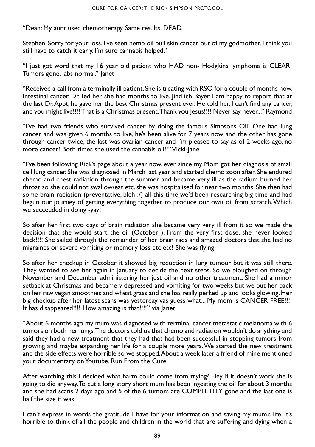"Dean: My aunt used chemotherapy. Same results. DEAD.

Stephen: Sorry for your loss. I've seen hemp oil pull skin cancer out of my godmother. I think you still have to catch it early. I'm sure cannabis helped."

"I just got word that my 16 year old patient who HAD non- Hodgkins lymphoma is CLEAR! Tumors gone, labs normal." Janet

"Received a call from a terminally ill patient. She is treating with RSO for a couple of months now. Intestinal cancer. Dr. Ted her she had months to live. Jind ich Bayer, I am happy to report that at the last Dr. Appt, he gave her the best Christmas present ever. He told her, I can't find any cancer, and you might live!!!! That is a Christmas present. Thank you Jesus!!!! Never say never..." Raymond

"I've had two friends who survived cancer by doing the famous Simpsons Oil! One had lung cancer and was given 6 months to live, he's been alive for 7 years now and the other has gone through cancer twice, the last was ovarian cancer and I'm pleased to say as of 2 weeks ago, no more cancer! Both times she used the cannabis oil!!" Vicki-Jane

"I've been following Rick's page about a year now, ever since my Mom got her diagnosis of small cell lung cancer. She was diagnosed in March last year and started chemo soon after. She endured chemo and chest radiation through the summer and became very ill as the radium burned her throat so she could not swallow/eat etc. she was hospitalised for near two months. She then had some brain radiation (preventative, bleh :/) all this time we'd been researching big time and had begun our journey of getting everything together to produce our own oil from scratch. Which we succeeded in doing -yay!

So after her first two days of brain radiation she became very very ill from it so we made the decision that she would start the oil (October ). From the very first dose, she never looked back!!!! She sailed through the remainder of her brain rads and amazed doctors that she had no migraines or severe vomiting or memory loss etc etc! She was flying!

So after her checkup in October it showed big reduction in lung tumour but it was still there. They wanted to see her again in January to decide the next steps. So we ploughed on through November and December administering her just oil and no other treatment. She had a minor setback at Christmas and became v depressed and vomiting for two weeks but we put her back on her raw vegan smoothies and wheat grass and she has really perked up and looks glowing. Her big checkup after her latest scans was yesterday vas guess what... My mom is CANCER FREE!!!! It has disappeared!!!! How amazing is that!!!!" via Janet

"About 6 months ago my mum was diagnosed with terminal cancer metastatic melanoma with 6 tumors on both her lungs. The doctors told us that chemo and radiation wouldn't do anything and said they had a new treatment that they had that had been successful in stopping tumors from growing and maybe expanding her life for a couple more years. We started the new treatment and the side effects were horrible so we stopped. About a week later a friend of mine mentioned your documentary on Youtube, Run From the Cure.

After watching this I decided what harm could come from trying? Hey, if it doesn't work she is going to die anyway. To cut a long story short mum has been ingesting the oil for about 3 months and she had scans 2 days ago and 5 of the 6 tumors are COMPLETELY gone and the last one is half the size it was.

I can't express in words the gratitude I have for your information and saving my mum's life. It's horrible to think of all the people and children in the world that are suffering and dying when a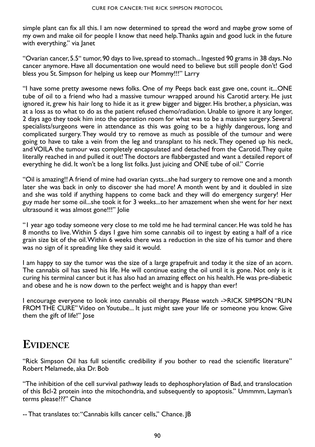simple plant can fix all this. I am now determined to spread the word and maybe grow some of my own and make oil for people I know that need help. Thanks again and good luck in the future with everything." via Janet

"Ovarian cancer, 5.5" tumor, 90 days to live, spread to stomach... Ingested 90 grams in 38 days. No cancer anymore. Have all documentation one would need to believe but still people don't! God bless you St. Simpson for helping us keep our Mommy!!!" Larry

"I have some pretty awesome news folks. One of my Peeps back east gave one, count it...ONE tube of oil to a friend who had a massive tumour wrapped around his Carotid artery. He just ignored it, grew his hair long to hide it as it grew bigger and bigger. His brother, a physician, was at a loss as to what to do as the patient refused chemo/radiation. Unable to ignore it any longer, 2 days ago they took him into the operation room for what was to be a massive surgery. Several specialists/surgeons were in attendance as this was going to be a highly dangerous, long and complicated surgery. They would try to remove as much as possible of the tumour and were going to have to take a vein from the leg and transplant to his neck. They opened up his neck, and VOILA the tumour was completely encapsulated and detached from the Carotid. They quite literally reached in and pulled it out! The doctors are flabbergasted and want a detailed report of everything he did. It won't be a long list folks. Just juicing and ONE tube of oil." Corrie

"Oil is amazing!! A friend of mine had ovarian cysts...she had surgery to remove one and a month later she was back in only to discover she had more! A month went by and it doubled in size and she was told if anything happens to come back and they will do emergency surgery! Her guy made her some oil...she took it for 3 weeks...to her amazement when she went for her next ultrasound it was almost gone!!!" Jolie

"1 year ago today someone very close to me told me he had terminal cancer. He was told he has 8 months to live. Within 5 days I gave him some cannabis oil to ingest by eating a half of a rice grain size bit of the oil. Within 6 weeks there was a reduction in the size of his tumor and there was no sign of it spreading like they said it would.

I am happy to say the tumor was the size of a large grapefruit and today it the size of an acorn. The cannabis oil has saved his life. He will continue eating the oil until it is gone. Not only is it curing his terminal cancer but it has also had an amazing effect on his health. He was pre-diabetic and obese and he is now down to the perfect weight and is happy than ever!

I encourage everyone to look into cannabis oil therapy. Please watch ->RICK SIMPSON "RUN FROM THE CURE" Video on Youtube... It just might save your life or someone you know. Give them the gift of life!" Jose

#### **Evidence**

"Rick Simpson Oil has full scientific credibility if you bother to read the scientific literature" Robert Melamede, aka Dr. Bob

"The inhibition of the cell survival pathway leads to dephosphorylation of Bad, and translocation of this Bcl-2 protein into the mitochondria, and subsequently to apoptosis." Ummmm, Layman's terms please???" Chance

-- That translates to: "Cannabis kills cancer cells," Chance. JB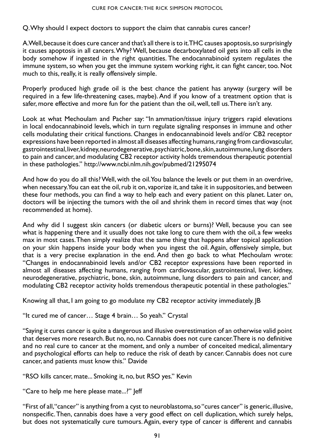Q. Why should I expect doctors to support the claim that cannabis cures cancer?

A. Well, because it does cure cancer and that's all there is to it. THC causes apoptosis, so surprisingly it causes apoptosis in all cancers. Why? Well, because decarboxylated oil gets into all cells in the body somehow if ingested in the right quantities. The endocannabinoid system regulates the immune system, so when you get the immune system working right, it can fight cancer, too. Not much to this, really, it is really offensively simple.

Properly produced high grade oil is the best chance the patient has anyway (surgery will be required in a few life-threatening cases, maybe). And if you know of a treatment option that is safer, more effective and more fun for the patient than the oil, well, tell us. There isn't any.

Look at what Mechoulam and Pacher say: "In ammation/tissue injury triggers rapid elevations in local endocannabinoid levels, which in turn regulate signaling responses in immune and other cells modulating their critical functions. Changes in endocannabinoid levels and/or CB2 receptor expressions have been reported in almost all diseases affecting humans, ranging from cardiovascular, gastrointestinal, liver, kidney, neurodegenerative, psychiatric, bone, skin, autoimmune, lung disorders to pain and cancer, and modulating CB2 receptor activity holds tremendous therapeutic potential in these pathologies." http://www.ncbi.nlm.nih.gov/pubmed/21295074

And how do you do all this? Well, with the oil. You balance the levels or put them in an overdrive, when necessary.You can eat the oil, rub it on, vaporize it, and take it in suppositories, and between these four methods, you can find a way to help each and every patient on this planet. Later on, doctors will be injecting the tumors with the oil and shrink them in record times that way (not recommended at home).

And why did I suggest skin cancers (or diabetic ulcers or burns)? Well, because you can see what is happening there and it usually does not take long to cure them with the oil, a few weeks max in most cases. Then simply realize that the same thing that happens after topical application on your skin happens inside your body when you ingest the oil. Again, offensively simple, but that is a very precise explanation in the end. And then go back to what Mechoulam wrote: "Changes in endocannabinoid levels and/or CB2 receptor expressions have been reported in almost all diseases affecting humans, ranging from cardiovascular, gastrointestinal, liver, kidney, neurodegenerative, psychiatric, bone, skin, autoimmune, lung disorders to pain and cancer, and modulating CB2 receptor activity holds tremendous therapeutic potential in these pathologies."

Knowing all that, I am going to go modulate my CB2 receptor activity immediately. JB

"It cured me of cancer… Stage 4 brain… So yeah." Crystal

"Saying it cures cancer is quite a dangerous and illusive overestimation of an otherwise valid point that deserves more research. But no, no, no. Cannabis does not cure cancer. There is no definitive and no real cure to cancer at the moment, and only a number of conceited medical, alimentary and psychological efforts can help to reduce the risk of death by cancer. Cannabis does not cure cancer, and patients must know this." Davide

"RSO kills cancer, mate... Smoking it, no, but RSO yes." Kevin

"Care to help me here please mate...?" Jeff

"First of all, "cancer" is anything from a cyst to neuroblastoma, so "cures cancer" is generic, illusive, nonspecific. Then, cannabis does have a very good effect on cell duplication, which surely helps, but does not systematically cure tumours. Again, every type of cancer is different and cannabis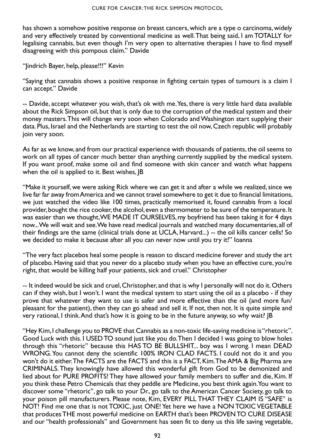has shown a somehow positive response on breast cancers, which are a type o carcinoma, widely and very effectively treated by conventional medicine as well. That being said, I am TOTALLY for legalising cannabis, but even though I'm very open to alternative therapies I have to find myself disagreeing with this pompous claim." Davide

"Jindrich Bayer, help, please!!!" Kevin

"Saying that cannabis shows a positive response in fighting certain types of tumours is a claim I can accept." Davide

-- Davide, accept whatever you wish, that's ok with me.Yes, there is very little hard data available about the Rick Simpson oil, but that is only due to the corruption of the medical system and their money masters. This will change very soon when Colorado and Washington start supplying their data. Plus, Israel and the Netherlands are starting to test the oil now, Czech republic will probably join very soon.

As far as we know, and from our practical experience with thousands of patients, the oil seems to work on all types of cancer much better than anything currently supplied by the medical system. If you want proof, make some oil and find someone with skin cancer and watch what happens when the oil is applied to it. Best wishes, JB

"Make it yourself, we were asking Rick where we can get it and after a while we realized, since we live far far away from America and we cannot travel somewhere to get it due to financial limitations, we just watched the video like 100 times, practically memorised it, found cannabis from a local provider, bought the rice cooker, the alcohol, even a thermometer to be sure of the temperature. It was easier than we thought, WE MADE IT OURSELVES, my boyfriend has been taking it for 4 days now... We will wait and see. We have read medical journals and watched many documentaries, all of their findings are the same (clinical trials done at UCLA, Harvard...) -- the oil kills cancer cells! So we decided to make it because after all you can never now until you try it!" Ioanna

"The very fact placebos heal some people is reason to discard medicine forever and study the art of placebo. Having said that you never do a placebo study when you have an effective cure, you're right, that would be killing half your patients, sick and cruel." Christopher

-- It indeed would be sick and cruel, Christopher, and that is why I personally will not do it. Others can if they wish, but I won't. I want the medical system to start using the oil as a placebo - if they prove that whatever they want to use is safer and more effective than the oil (and more fun/ pleasant for the patient), then they can go ahead and sell it. If not, then not. It is quite simple and very rational, I think. And that's how it is going to be in the future anyway, so why wait? JB

"Hey Kim, I challenge you to PROVE that Cannabis as a non-toxic life-saving medicine is "rhetoric". Good Luck with this. I USED TO sound just like you do. Then I decided I was going to blow holes through this "rhetoric" because this HAS TO BE BULLSHIT... boy was I wrong. I mean DEAD WRONG. You cannot deny the scientific 100% IRON CLAD FACTS. I could not do it and you won't do it either. The FACTS are the FACTS and this is a FACT, Kim. The AMA & Big Pharma are CRIMINALS. They knowingly have allowed this wonderful gift from God to be demonized and lied about for PURE PROFITS! They have allowed your family members to suffer and die, Kim. If you think these Petro Chemicals that they peddle are Medicine, you best think again. You want to discover some "rhetoric", go talk to your Dr., go talk to the American Cancer Society, go talk to your poison pill manufacturers. Please note, Kim, EVERY PILL THAT THEY CLAIM IS "SAFE" is NOT! Find me one that is not TOXIC, just ONE! Yet here we have a NON TOXIC VEGETABLE that produces THE most powerful medicine on EARTH that's been PROVEN TO CURE DISEASE and our "health professionals" and Government has seen fit to deny us this life saving vegetable,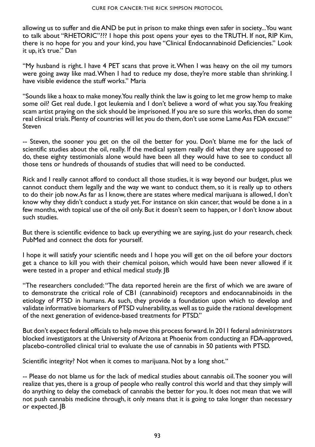allowing us to suffer and die AND be put in prison to make things even safer in society... You want to talk about "RHETORIC"??? I hope this post opens your eyes to the TRUTH. If not, RIP Kim, there is no hope for you and your kind, you have "Clinical Endocannabinoid Deficiencies." Look it up, it's true." Dan

"My husband is right. I have 4 PET scans that prove it. When I was heavy on the oil my tumors were going away like mad. When I had to reduce my dose, they're more stable than shrinking. I have visible evidence the stuff works." Maria

"Sounds like a hoax to make money. You really think the law is going to let me grow hemp to make some oil? Get real dude. I got leukemia and I don't believe a word of what you say. You freaking scam artist praying on the sick should be imprisoned. If you are so sure this works, then do some real clinical trials. Plenty of countries will let you do them, don't use some Lame Ass FDA excuse!" Steven

-- Steven, the sooner you get on the oil the better for you. Don't blame me for the lack of scientific studies about the oil, really. If the medical system really did what they are supposed to do, these eighty testimonials alone would have been all they would have to see to conduct all those tens or hundreds of thousands of studies that will need to be conducted.

Rick and I really cannot afford to conduct all those studies, it is way beyond our budget, plus we cannot conduct them legally and the way we want to conduct them, so it is really up to others to do their job now.As far as I know, there are states where medical marijuana is allowed, I don't know why they didn't conduct a study yet. For instance on skin cancer, that would be done a in a few months, with topical use of the oil only. But it doesn't seem to happen, or I don't know about such studies.

But there is scientific evidence to back up everything we are saying, just do your research, check PubMed and connect the dots for yourself.

I hope it will satisfy your scientific needs and I hope you will get on the oil before your doctors get a chance to kill you with their chemical poison, which would have been never allowed if it were tested in a proper and ethical medical study. JB

"The researchers concluded: "The data reported herein are the first of which we are aware of to demonstrate the critical role of CB1 (cannabinoid) receptors and endocannabinoids in the etiology of PTSD in humans. As such, they provide a foundation upon which to develop and validate informative biomarkers of PTSD vulnerability, as well as to guide the rational development of the next generation of evidence-based treatments for PTSD."

But don't expect federal officials to help move this process forward. In 2011 federal administrators blocked investigators at the University of Arizona at Phoenix from conducting an FDA-approved, placebo-controlled clinical trial to evaluate the use of cannabis in 50 patients with PTSD.

Scientific integrity? Not when it comes to marijuana. Not by a long shot."

-- Please do not blame us for the lack of medical studies about cannabis oil. The sooner you will realize that yes, there is a group of people who really control this world and that they simply will do anything to delay the comeback of cannabis the better for you. It does not mean that we will not push cannabis medicine through, it only means that it is going to take longer than necessary or expected. JB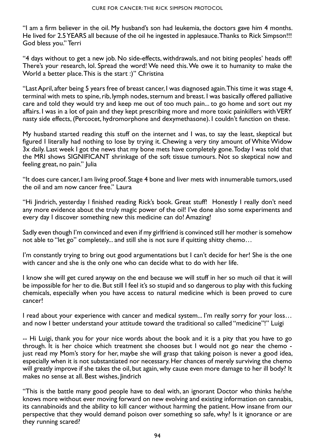"I am a firm believer in the oil. My husband's son had leukemia, the doctors gave him 4 months. He lived for 2.5 YEARS all because of the oil he ingested in applesauce. Thanks to Rick Simpson!!! God bless you." Terri

"4 days without to get a new job. No side-effects, withdrawals, and not biting peoples' heads off! There's your research, lol. Spread the word! We need this. We owe it to humanity to make the World a better place. This is the start :)" Christina

"Last April, after being 5 years free of breast cancer, I was diagnosed again. This time it was stage 4, terminal with mets to spine, rib, lymph nodes, sternum and breast. I was basically offered palliative care and told they would try and keep me out of too much pain... to go home and sort out my affairs. I was in a lot of pain and they kept prescribing more and more toxic painkillers with VERY nasty side effects, (Percocet, hydromorphone and dexymethasone). I couldn't function on these.

My husband started reading this stuff on the internet and I was, to say the least, skeptical but figured I literally had nothing to lose by trying it. Chewing a very tiny amount of White Widow 3x daily. Last week I got the news that my bone mets have completely gone. Today I was told that the MRI shows SIGNIFICANT shrinkage of the soft tissue tumours. Not so skeptical now and feeling great, no pain." Julia

"It does cure cancer, I am living proof. Stage 4 bone and liver mets with innumerable tumors, used the oil and am now cancer free." Laura

"Hi Jindrich, yesterday l finished reading Rick's book. Great stuff! Honestly I really don't need any more evidence about the truly magic power of the oil! I've done also some experiments and every day I discover something new this medicine can do! Amazing!

Sadly even though I'm convinced and even if my girlfriend is convinced still her mother is somehow not able to "let go" completely... and still she is not sure if quitting shitty chemo…

I'm constantly trying to bring out good argumentations but I can't decide for her! She is the one with cancer and she is the only one who can decide what to do with her life.

I know she will get cured anyway on the end because we will stuff in her so much oil that it will be impossible for her to die. But still I feel it's so stupid and so dangerous to play with this fucking chemicals, especially when you have access to natural medicine which is been proved to cure cancer!

I read about your experience with cancer and medical system... I'm really sorry for your loss… and now I better understand your attitude toward the traditional so called "medicine"!" Luigi

-- Hi Luigi, thank you for your nice words about the book and it is a pity that you have to go through. It is her choice which treatment she chooses but I would not go near the chemo just read my Mom's story for her, maybe she will grasp that taking poison is never a good idea, especially when it is not substantiated nor necessary. Her chances of merely surviving the chemo will greatly improve if she takes the oil, but again, why cause even more damage to her ill body? It makes no sense at all. Best wishes, Jindrich

"This is the battle many good people have to deal with, an ignorant Doctor who thinks he/she knows more without ever moving forward on new evolving and existing information on cannabis, its cannabinoids and the ability to kill cancer without harming the patient. How insane from our perspective that they would demand poison over something so safe, why? Is it ignorance or are they running scared?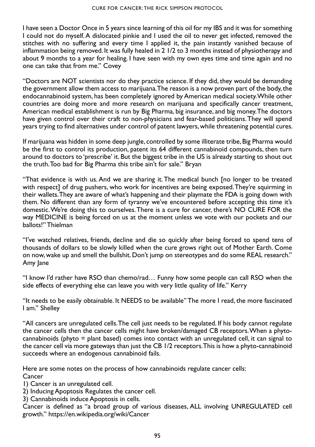I have seen a Doctor Once in 5 years since learning of this oil for my IBS and it was for something I could not do myself. A dislocated pinkie and I used the oil to never get infected, removed the stitches with no suffering and every time I applied it, the pain instantly vanished because of inflammation being removed. It was fully healed in 2 1/2 to 3 months instead of physiotherapy and about 9 months to a year for healing. I have seen with my own eyes time and time again and no one can take that from me." Covey

"Doctors are NOT scientists nor do they practice science. If they did, they would be demanding the government allow them access to marijuana. The reason is a now proven part of the body, the endocannabinoid system, has been completely ignored by American medical society. While other countries are doing more and more research on marijuana and specifically cancer treatment, American medical establishment is run by Big Pharma, big insurance, and big money. The doctors have given control over their craft to non-physicians and fear-based politicians. They will spend years trying to find alternatives under control of patent lawyers, while threatening potential cures.

If marijuana was hidden in some deep jungle, controlled by some illiterate tribe, Big Pharma would be the first to control its production, patent its 64 different cannabinoid compounds, then turn around to doctors to 'prescribe' it. But the biggest tribe in the US is already starting to shout out the truth. Too bad for Big Pharma this tribe ain't for sale." Bryan

"That evidence is with us. And we are sharing it. The medical bunch [no longer to be treated with respect] of drug pushers, who work for incentives are being exposed. They're squirming in their wallets. They are aware of what's happening and their playmate the FDA is going down with them. No different than any form of tyranny we've encountered before accepting this time it's domestic. We're doing this to ourselves. There is a cure for cancer, there's NO CURE FOR the way MEDICINE is being forced on us at the moment unless we vote with our pockets and our ballots!" Thielman

"I've watched relatives, friends, decline and die so quickly after being forced to spend tens of thousands of dollars to be slowly killed when the cure grows right out of Mother Earth. Come on now, wake up and smell the bullshit. Don't jump on stereotypes and do some REAL research." Amy Jane

"I know I'd rather have RSO than chemo/rad… Funny how some people can call RSO when the side effects of everything else can leave you with very little quality of life." Kerry

"It needs to be easily obtainable. It NEEDS to be available" The more I read, the more fascinated I am." Shelley

"All cancers are unregulated cells. The cell just needs to be regulated. If his body cannot regulate the cancer cells then the cancer cells might have broken/damaged CB receptors. When a phytocannabinoids (phyto = plant based) comes into contact with an unregulated cell, it can signal to the cancer cell via more gateways than just the CB 1/2 receptors. This is how a phyto-cannabinoid succeeds where an endogenous cannabinoid fails.

Here are some notes on the process of how cannabinoids regulate cancer cells: **Cancer** 

1) Cancer is an unregulated cell.

2) Inducing Apoptosis Regulates the cancer cell.

3) Cannabinoids induce Apoptosis in cells.

Cancer is defined as "a broad group of various diseases, ALL involving UNREGULATED cell growth." https://en.wikipedia.org/wiki/Cancer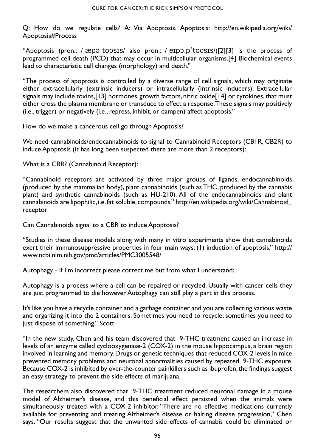Q: How do we regulate cells? A: Via Apoptosis. Apoptosis: http://en.wikipedia.org/wiki/ Apoptosis#Process

"Apoptosis (pron.: /ˌæpəˈtoʊsɪs/ also pron.: /ˌeɪpɔːpˈtoʊsɪs/)[2][3] is the process of programmed cell death (PCD) that may occur in multicellular organisms.[4] Biochemical events lead to characteristic cell changes (morphology) and death."

"The process of apoptosis is controlled by a diverse range of cell signals, which may originate either extracellularly (extrinsic inducers) or intracellularly (intrinsic inducers). Extracellular signals may include toxins, [13] hormones, growth factors, nitric oxide [14] or cytokines, that must either cross the plasma membrane or transduce to effect a response. These signals may positively (i.e., trigger) or negatively (i.e., repress, inhibit, or dampen) affect apoptosis."

How do we make a cancerous cell go through Apoptosis?

We need cannabinoids/endocannabinoids to signal to Cannabinoid Receptors (CB1R, CB2R) to induce Apoptosis (it has long been suspected there are more than 2 receptors):

What is a CBR? (Cannabinoid Receptor):

"Cannabinoid receptors are activated by three major groups of ligands, endocannabinoids (produced by the mammalian body), plant cannabinoids (such as THC, produced by the cannabis plant) and synthetic cannabinoids (such as HU-210). All of the endocannabinoids and plant cannabinoids are lipophilic, i.e. fat soluble, compounds." http://en.wikipedia.org/wiki/Cannabinoid\_ receptor

Can Cannabinoids signal to a CBR to induce Apoptosis?

"Studies in these disease models along with many in vitro experiments show that cannabinoids exert their immunosuppressive properties in four main ways: (1) induction of apoptosis," http:// www.ncbi.nlm.nih.gov/pmc/articles/PMC3005548/

Autophagy - If I'm incorrect please correct me but from what I understand:

Autophagy is a process where a cell can be repaired or recycled. Usually with cancer cells they are just programmed to die however Autophagy can still play a part in this process.

It's like you have a recycle container and a garbage container and you are collecting various waste and organizing it into the 2 containers. Sometimes you need to recycle, sometimes you need to just dispose of something." Scott

"In the new study, Chen and his team discovered that 9-THC treatment caused an increase in levels of an enzyme called cyclooxygenase-2 (COX-2) in the mouse hippocampus, a brain region involved in learning and memory. Drugs or genetic techniques that reduced COX-2 levels in mice prevented memory problems and neuronal abnormalities caused by repeated 9-THC exposure. Because COX-2 is inhibited by over-the-counter painkillers such as ibuprofen, the findings suggest an easy strategy to prevent the side effects of marijuana.

The researchers also discovered that 9-THC treatment reduced neuronal damage in a mouse model of Alzheimer's disease, and this beneficial effect persisted when the animals were simultaneously treated with a COX-2 inhibitor. "There are no effective medications currently available for preventing and treating Alzheimer's disease or halting disease progression," Chen says. "Our results suggest that the unwanted side effects of cannabis could be eliminated or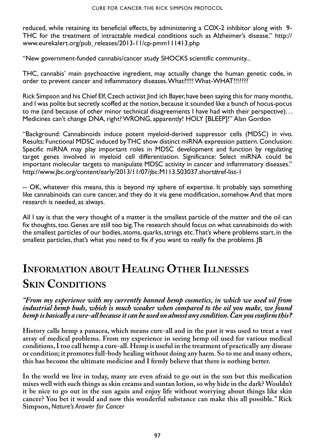reduced, while retaining its beneficial effects, by administering a COX-2 inhibitor along with Δ9- THC for the treatment of intractable medical conditions such as Alzheimer's disease." http:// www.eurekalert.org/pub\_releases/2013-11/cp-pmm111413.php

"New government-funded cannabis/cancer study SHOCKS scientific community...

THC, cannabis' main psychoactive ingredient, may actually change the human genetic code, in order to prevent cancer and inflammatory diseases. What?!!!! What-WHAT!!!????

Rick Simpson and his Chief Elf, Czech activist Jind ich Bayer, have been saying this for many months, and I was polite but secretly scoffed at the notion, because it sounded like a bunch of hocus-pocus to me (and because of other minor technical disagreements I have had with their perspective). . . Medicines can't change DNA, right? WRONG, apparently! HOLY [BLEEP]!" Alan Gordon

"Background: Cannabinoids induce potent myeloid-derived suppressor cells (MDSC) in vivo. Results: Functional MDSC induced by THC show distinct miRNA expression pattern. Conclusion: Specific miRNA may play important roles in MDSC development and function by regulating target genes involved in myeloid cell differentiation. Significance: Select miRNA could be important molecular targets to manipulate MDSC activity in cancer and inflammatory diseases." http://www.jbc.org/content/early/2013/11/07/jbc.M113.503037.short#ref-list-1

-- OK, whatever this means, this is beyond my sphere of expertise. It probably says something like cannabinoids can cure cancer, and they do it via gene modification, somehow. And that more research is needed, as always.

All I say is that the very thought of a matter is the smallest particle of the matter and the oil can fix thoughts, too. Genes are still too big. The research should focus on what cannabinoids do with the smallest particles of our bodies, atoms, quarks, strings etc. That's where problems start, in the smallest particles, that's what you need to fix if you want to really fix the problems. JB

# **Information about Healing Other Illnesses SKIN CONDITIONS**

*"From my experience with my currently banned hemp cosmetics, in which we used oil from industrial hemp buds, which is much weaker when compared to the oil you make, we found hemp is basically a cure-all because it can be used on almost any condition. Can you confirm this?* 

**History calls hemp a panacea, which means cure-all and in the past it was used to treat a vast array of medical problems. From my experience in seeing hemp oil used for various medical conditions, I too call hemp a cure-all. Hemp is useful in the treatment of practically any disease or condition; it promotes full-body healing without doing any harm. So to me and many others, this has become the ultimate medicine and I firmly believe that there is nothing better.** 

**In the world we live in today, many are even afraid to go out in the sun but this medication mixes well with such things as skin creams and suntan lotion, so why hide in the dark? Wouldn't it be nice to go out in the sun again and enjoy life without worrying about things like skin cancer? You bet it would and now this wonderful substance can make this all possible." Rick Simpson,** *Nature's Answer for Cancer*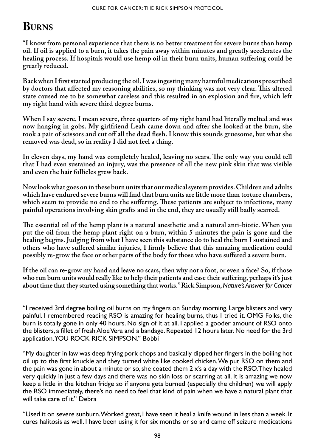# **Burns**

**"I know from personal experience that there is no better treatment for severe burns than hemp oil. If oil is applied to a burn, it takes the pain away within minutes and greatly accelerates the healing process. If hospitals would use hemp oil in their burn units, human suffering could be greatly reduced.** 

**Back when I first started producing the oil, I was ingesting many harmful medications prescribed by doctors that affected my reasoning abilities, so my thinking was not very clear. This altered state caused me to be somewhat careless and this resulted in an explosion and fire, which left my right hand with severe third degree burns.** 

**When I say severe, I mean severe, three quarters of my right hand had literally melted and was now hanging in gobs. My girlfriend Leah came down and after she looked at the burn, she took a pair of scissors and cut off all the dead flesh. I know this sounds gruesome, but what she removed was dead, so in reality I did not feel a thing.** 

**In eleven days, my hand was completely healed, leaving no scars. The only way you could tell that I had even sustained an injury, was the presence of all the new pink skin that was visible and even the hair follicles grew back.** 

**Now look what goes on in these burn units that our medical system provides. Children and adults which have endured severe burns will find that burn units are little more than torture chambers, which seem to provide no end to the suffering. These patients are subject to infections, many painful operations involving skin grafts and in the end, they are usually still badly scarred.** 

**The essential oil of the hemp plant is a natural anesthetic and a natural anti-biotic. When you put the oil from the hemp plant right on a burn, within 5 minutes the pain is gone and the healing begins. Judging from what I have seen this substance do to heal the burn I sustained and others who have suffered similar injuries, I firmly believe that this amazing medication could possibly re-grow the face or other parts of the body for those who have suffered a severe burn.** 

**If the oil can re-grow my hand and leave no scars, then why not a foot, or even a face? So, if those who run burn units would really like to help their patients and ease their suffering, perhaps it's just about time that they started using something that works." Rick Simpson,** *Nature's Answer for Cancer*

"I received 3rd degree boiling oil burns on my fingers on Sunday morning. Large blisters and very painful. I remembered reading RSO is amazing for healing burns, thus I tried it. OMG Folks, the burn is totally gone in only 40 hours. No sign of it at all. I applied a gooder amount of RSO onto the blisters, a fillet of fresh Aloe Vera and a bandage. Repeated 12 hours later. No need for the 3rd application. YOU ROCK RICK SIMPSON." Bobbi

"My daughter in law was deep frying pork chops and basically dipped her fingers in the boiling hot oil up to the first knuckle and they turned white like cooked chicken. We put RSO on them and the pain was gone in about a minute or so, she coated them 2 x's a day with the RSO. They healed very quickly in just a few days and there was no skin loss or scarring at all. It is amazing we now keep a little in the kitchen fridge so if anyone gets burned (especially the children) we will apply the RSO immediately, there's no need to feel that kind of pain when we have a natural plant that will take care of it." Debra

"Used it on severe sunburn. Worked great, I have seen it heal a knife wound in less than a week. It cures halitosis as well. I have been using it for six months or so and came off seizure medications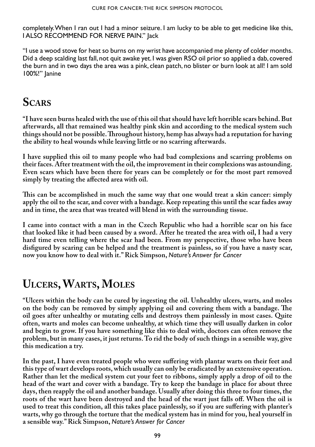completely. When I ran out I had a minor seizure. I am lucky to be able to get medicine like this, I ALSO RECOMMEND FOR NERVE PAIN." Jack

"I use a wood stove for heat so burns on my wrist have accompanied me plenty of colder months. Did a deep scalding last fall, not quit awake yet. I was given RSO oil prior so applied a dab, covered the burn and in two days the area was a pink, clean patch, no blister or burn look at all! I am sold 100%!" Janine

### **Scars**

**"I have seen burns healed with the use of this oil that should have left horrible scars behind. But afterwards, all that remained was healthy pink skin and according to the medical system such things should not be possible. Throughout history, hemp has always had a reputation for having the ability to heal wounds while leaving little or no scarring afterwards.** 

**I have supplied this oil to many people who had bad complexions and scarring problems on their faces. After treatment with the oil, the improvement in their complexions was astounding. Even scars which have been there for years can be completely or for the most part removed simply by treating the affected area with oil.** 

**This can be accomplished in much the same way that one would treat a skin cancer: simply apply the oil to the scar, and cover with a bandage. Keep repeating this until the scar fades away and in time, the area that was treated will blend in with the surrounding tissue.** 

**I came into contact with a man in the Czech Republic who had a horrible scar on his face that looked like it had been caused by a sword. After he treated the area with oil, I had a very hard time even telling where the scar had been. From my perspective, those who have been disfigured by scaring can be helped and the treatment is painless, so if you have a nasty scar, now you know how to deal with it." Rick Simpson,** *Nature's Answer for Cancer*

## **Ulcers, Warts, Moles**

**"Ulcers within the body can be cured by ingesting the oil. Unhealthy ulcers, warts, and moles on the body can be removed by simply applying oil and covering them with a bandage. The oil goes after unhealthy or mutating cells and destroys them painlessly in most cases. Quite often, warts and moles can become unhealthy, at which time they will usually darken in color and begin to grow. If you have something like this to deal with, doctors can often remove the problem, but in many cases, it just returns. To rid the body of such things in a sensible way, give this medication a try.** 

**In the past, I have even treated people who were suffering with plantar warts on their feet and this type of wart develops roots, which usually can only be eradicated by an extensive operation. Rather than let the medical system cut your feet to ribbons, simply apply a drop of oil to the head of the wart and cover with a bandage. Try to keep the bandage in place for about three days, then reapply the oil and another bandage. Usually after doing this three to four times, the roots of the wart have been destroyed and the head of the wart just falls off. When the oil is used to treat this condition, all this takes place painlessly, so if you are suffering with planter's warts, why go through the torture that the medical system has in mind for you, heal yourself in a sensible way." Rick Simpson,** *Nature's Answer for Cancer*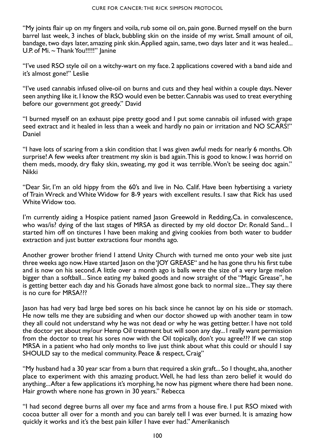"My joints flair up on my fingers and voila, rub some oil on, pain gone. Burned myself on the burn barrel last week, 3 inches of black, bubbling skin on the inside of my wrist. Small amount of oil, bandage, two days later, amazing pink skin. Applied again, same, two days later and it was healed... U.P. of Mi. ~ Thank You!!!!!" Janine

"I've used RSO style oil on a witchy-wart on my face. 2 applications covered with a band aide and it's almost gone!" Leslie

"I've used cannabis infused olive-oil on burns and cuts and they heal within a couple days. Never seen anything like it. I know the RSO would even be better. Cannabis was used to treat everything before our government got greedy." David

"I burned myself on an exhaust pipe pretty good and I put some cannabis oil infused with grape seed extract and it healed in less than a week and hardly no pain or irritation and NO SCARS!" Daniel

"I have lots of scaring from a skin condition that I was given awful meds for nearly 6 months. Oh surprise! A few weeks after treatment my skin is bad again. This is good to know. I was horrid on them meds, moody, dry flaky skin, sweating, my god it was terrible. Won't be seeing doc again." Nikki

"Dear Sir, I'm an old hippy from the 60's and live in No. Calif. Have been hybertising a variety of Train Wreck and White Widow for 8-9 years with excellent results. I saw that Rick has used White Widow too.

I'm currently aiding a Hospice patient named Jason Greewold in Redding,Ca. in convalescence, who was/is? dying of the last stages of MRSA as directed by my old doctor Dr. Ronald Sand... I started him off on tinctures I have been making and giving cookies from both water to budder extraction and just butter extractions four months ago.

Another grower brother friend I attend Unity Church with turned me onto your web site just three weeks ago now. Have started Jason on the 'JOY GREASE" and he has gone thru his first tube and is now on his second. A little over a month ago is balls were the size of a very large melon bigger than a softball... Since eating my baked goods and now straight of the "Magic Grease", he is getting better each day and his Gonads have almost gone back to normal size... They say there is no cure for MRSA???

Jason has had very bad large bed sores on his back since he cannot lay on his side or stomach. He now tells me they are subsiding and when our doctor showed up with another team in tow they all could not understand why he was not dead or why he was getting better. I have not told the doctor yet about my/our Hemp Oil treatment but will soon any day... I really want permission from the doctor to treat his sores now with the Oil topically, don't you agree??? If we can stop MRSA in a patient who had only months to live just think about what this could or should I say SHOULD say to the medical community. Peace & respect, Craig"

"My husband had a 30 year scar from a burn that required a skin graft... So I thought, aha, another place to experiment with this amazing product. Well, he had less than zero belief it would do anything... After a few applications it's morphing, he now has pigment where there had been none. Hair growth where none has grown in 30 years." Rebecca

"I had second degree burns all over my face and arms from a house fire. I put RSO mixed with cocoa butter all over for a month and you can barely tell I was ever burned. It is amazing how quickly it works and it's the best pain killer I have ever had." Amerikanisch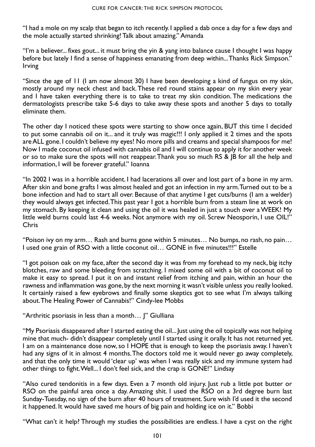"I had a mole on my scalp that began to itch recently. I applied a dab once a day for a few days and the mole actually started shrinking! Talk about amazing." Amanda

"I'm a believer... fixes gout... it must bring the yin & yang into balance cause I thought I was happy before but lately I find a sense of happiness emanating from deep within... Thanks Rick Simpson." Irving

"Since the age of 11 (I am now almost 30) I have been developing a kind of fungus on my skin, mostly around my neck chest and back. These red round stains appear on my skin every year and I have taken everything there is to take to treat my skin condition. The medications the dermatologists prescribe take 5-6 days to take away these spots and another 5 days to totally eliminate them.

The other day I noticed these spots were starting to show once again, BUT this time I decided to put some cannabis oil on it... and it truly was magic!!! I only applied it 2 times and the spots are ALL gone. I couldn't believe my eyes! No more pills and creams and special shampoos for me! Now I made coconut oil infused with cannabis oil and I will continue to apply it for another week or so to make sure the spots will not reappear.Thank you so much RS & JB for all the help and information, I will be forever grateful." Ioanna

"In 2002 I was in a horrible accident. I had lacerations all over and lost part of a bone in my arm. After skin and bone grafts I was almost healed and got an infection in my arm. Turned out to be a bone infection and had to start all over. Because of that anytime I get cuts/burns (I am a welder) they would always get infected. This past year I got a horrible burn from a steam line at work on my stomach. By keeping it clean and using the oil it was healed in just a touch over a WEEK! My little weld burns could last 4-6 weeks. Not anymore with my oil. Screw Neosporin, I use OIL!" Chris

"Poison ivy on my arm… Rash and burns gone within 5 minutes… No bumps, no rash, no pain… I used one grain of RSO with a little coconut oil… GONE in five minutes!!!" Estelle

"I got poison oak on my face, after the second day it was from my forehead to my neck, big itchy blotches, raw and some bleeding from scratching. I mixed some oil with a bit of coconut oil to make it easy to spread. I put it on and instant relief from itching and pain, within an hour the rawness and inflammation was gone, by the next morning it wasn't visible unless you really looked. It certainly raised a few eyebrows and finally some skeptics got to see what I'm always talking about. The Healing Power of Cannabis!" Cindy-lee Mobbs

"Arthritic psoriasis in less than a month… J" Giulliana

"My Psoriasis disappeared after I started eating the oil... Just using the oil topically was not helping mine that much- didn't disappear completely until I started using it orally. It has not returned yet. I am on a maintenance dose now, so I HOPE that is enough to keep the psoriasis away. I haven't had any signs of it in almost 4 months. The doctors told me it would never go away completely, and that the only time it would 'clear up' was when I was really sick and my immune system had other things to fight. Well... I don't feel sick, and the crap is GONE!" Lindsay

"Also cured tendonitis in a few days. Even a 7 month old injury. Just rub a little pot butter or RSO on the painful area once a day. Amazing shit. I used the RSO on a 3rd degree burn last Sunday-Tuesday, no sign of the burn after 40 hours of treatment. Sure wish I'd used it the second it happened. It would have saved me hours of big pain and holding ice on it." Bobbi

"What can't it help? Through my studies the possibilities are endless. I have a cyst on the right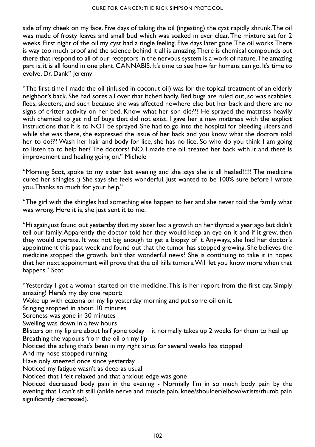side of my cheek on my face. Five days of taking the oil (ingesting) the cyst rapidly shrunk. The oil was made of frosty leaves and small bud which was soaked in ever clear. The mixture sat for 2 weeks. First night of the oil my cyst had a tingle feeling. Five days later gone. The oil works. There is way too much proof and the science behind it all is amazing. There is chemical compounds out there that respond to all of our receptors in the nervous system is a work of nature. The amazing part is, it is all found in one plant. CANNABIS. It's time to see how far humans can go. It's time to evolve. Dr. Dank" Jeremy

"The first time I made the oil (infused in coconut oil) was for the topical treatment of an elderly neighbor's back. She had sores all over that itched badly. Bed bugs are ruled out, so was scabbies, flees, skeeters, and such because she was affected nowhere else but her back and there are no signs of critter activity on her bed. Know what her son did??? He sprayed the mattress heavily with chemical to get rid of bugs that did not exist. I gave her a new mattress with the explicit instructions that it is to NOT be sprayed. She had to go into the hospital for bleeding ulcers and while she was there, she expressed the issue of her back and you know what the doctors told her to do??? Wash her hair and body for lice, she has no lice. So who do you think I am going to listen to to help her? The doctors? NO. I made the oil, treated her back with it and there is improvement and healing going on." Michele

"Morning Scot, spoke to my sister last evening and she says she is all healed!!!!! The medicine cured her shingles :) She says she feels wonderful. Just wanted to be 100% sure before I wrote you. Thanks so much for your help."

"The girl with the shingles had something else happen to her and she never told the family what was wrong. Here it is, she just sent it to me:

"Hi again,just found out yesterday that my sister had a growth on her thyroid a year ago but didn't tell our family. Apparently the doctor told her they would keep an eye on it and if it grew, then they would operate. It was not big enough to get a biopsy of it. Anyways, she had her doctor's appointment this past week and found out that the tumor has stopped growing. She believes the medicine stopped the growth. Isn't that wonderful news? She is continuing to take it in hopes that her next appointment will prove that the oil kills tumors. Will let you know more when that happens." Scot

"Yesterday I got a woman started on the medicine. This is her report from the first day. Simply amazing! Here's my day one report: Woke up with eczema on my lip yesterday morning and put some oil on it. Stinging stopped in about 10 minutes Soreness was gone in 30 minutes Swelling was down in a few hours Blisters on my lip are about half gone today – it normally takes up 2 weeks for them to heal up Breathing the vapours from the oil on my lip Noticed the aching that's been in my right sinus for several weeks has stopped And my nose stopped running Have only sneezed once since yesterday Noticed my fatigue wasn't as deep as usual Noticed that I felt relaxed and that anxious edge was gone Noticed decreased body pain in the evening - Normally I'm in so much body pain by the evening that I can't sit still (ankle nerve and muscle pain, knee/shoulder/elbow/wrists/thumb pain significantly decreased).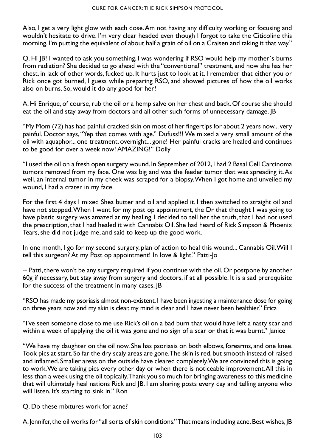Also, I get a very light glow with each dose. Am not having any difficulty working or focusing and wouldn't hesitate to drive. I'm very clear headed even though I forgot to take the Citicoline this morning. I'm putting the equivalent of about half a grain of oil on a Craisen and taking it that way."

Q. Hi JB! I wanted to ask you something, I was wondering if RSO would help my mother´s burns from radiation? She decided to go ahead with the "conventional" treatment, and now she has her chest, in lack of other words, fucked up. It hurts just to look at it. I remember that either you or Rick once got burned, I guess while preparing RSO, and showed pictures of how the oil works also on burns. So, would it do any good for her?

A. Hi Enrique, of course, rub the oil or a hemp salve on her chest and back. Of course she should eat the oil and stay away from doctors and all other such forms of unnecessary damage. JB

"My Mom (72) has had painful cracked skin on most of her fingertips for about 2 years now... very painful. Doctor says, "Yep that comes with age." Dufuss!!! We mixed a very small amount of the oil with aquaphor... one treatment, overnight... gone! Her painful cracks are healed and continues to be good for over a week now! AMAZING!" Dolly

"I used the oil on a fresh open surgery wound. In September of 2012, I had 2 Basal Cell Carcinoma tumors removed from my face. One was big and was the feeder tumor that was spreading it. As well, an internal tumor in my cheek was scraped for a biopsy. When I got home and unveiled my wound, I had a crater in my face.

For the first 4 days I mixed Shea butter and oil and applied it. I then switched to straight oil and have not stopped. When I went for my post op appointment, the Dr that thought I was going to have plastic surgery was amazed at my healing. I decided to tell her the truth, that I had not used the prescription, that I had healed it with Cannabis Oil. She had heard of Rick Simpson & Phoenix Tears, she did not judge me, and said to keep up the good work.

In one month, I go for my second surgery, plan of action to heal this wound... Cannabis Oil. Will I tell this surgeon? At my Post op appointment! In love & light." Patti-Jo

-- Patti, there won't be any surgery required if you continue with the oil. Or postpone by another 60g if necessary, but stay away from surgery and doctors, if at all possible. It is a sad prerequisite for the success of the treatment in many cases. JB

"RSO has made my psoriasis almost non-existent. I have been ingesting a maintenance dose for going on three years now and my skin is clear, my mind is clear and I have never been healthier." Erica

"I've seen someone close to me use Rick's oil on a bad burn that would have left a nasty scar and within a week of applying the oil it was gone and no sign of a scar or that it was burnt." Janice

"We have my daughter on the oil now. She has psoriasis on both elbows, forearms, and one knee. Took pics at start. So far the dry scaly areas are gone. The skin is red, but smooth instead of raised and inflamed. Smaller areas on the outside have cleared completely. We are convinced this is going to work. We are taking pics every other day or when there is noticeable improvement. All this in less than a week using the oil topically. Thank you so much for bringing awareness to this medicine that will ultimately heal nations Rick and JB. I am sharing posts every day and telling anyone who will listen. It's starting to sink in." Ron

Q. Do these mixtures work for acne?

A. Jennifer, the oil works for "all sorts of skin conditions." That means including acne. Best wishes, JB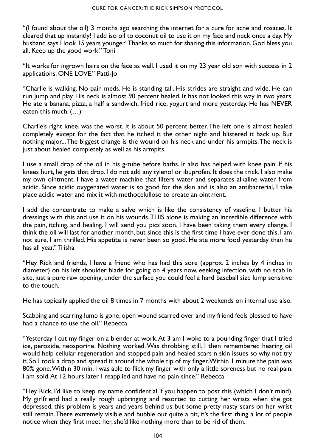"(I found about the oil) 3 months ago searching the internet for a cure for acne and rosacea. It cleared that up instantly! I add iso oil to coconut oil to use it on my face and neck once a day. My husband says I look 15 years younger! Thanks so much for sharing this information. God bless you all. Keep up the good work." Toni

"It works for ingrown hairs on the face as well. I used it on my 23 year old son with success in 2 applications. ONE LOVE." Patti-Jo

"Charlie is walking. No pain meds. He is standing tall. His strides are straight and wide. He can run jump and play. His neck is almost 90 percent healed. It has not looked this way in two years. He ate a banana, pizza, a half a sandwich, fried rice, yogurt and more yesterday. He has NEVER eaten this much. (…)

Charlie's right knee, was the worst. It is about 50 percent better. The left one is almost healed completely except for the fact that he itched it the other night and blistered it back up. But nothing major... The biggest change is the wound on his neck and under his armpits. The neck is just about healed completely as well as his armpits.

I use a small drop of the oil in his g-tube before baths. It also has helped with knee pain. If his knees hurt, he gets that drop. I do not add any tylenol or ibuprofen. It does the trick. I also make my own ointment. I have a water machine that filters water and separates alkaline water from acidic. Since acidic oxygenated water is so good for the skin and is also an antibacterial, I take place acidic water and mix it with methocelullose to create an ointment.

I add the concentrate to make a salve which is like the consistency of vaseline. I butter his dressings with this and use it on his wounds. THIS alone is making an incredible difference with the pain, itching, and healing. I will send you pics soon. I have been taking them every change. I think the oil will last for another month, but since this is the first time I have ever done this, I am not sure. I am thrilled. His appetite is never been so good. He ate more food yesterday than he has all year." Trisha

"Hey Rick and friends, I have a friend who has had this sore (approx. 2 inches by 4 inches in diameter) on his left shoulder blade for going on 4 years now, eeeking infection, with no scab in site, just a pure raw opening, under the surface you could feel a hard baseball size lump sensitive to the touch.

He has topically applied the oil 8 times in 7 months with about 2 weekends on internal use also.

Scabbing and scarring lump is gone, open wound scarred over and my friend feels blessed to have had a chance to use the oil." Rebecca

"Yesterday I cut my finger on a blender at work. At 3 am I woke to a pounding finger that I tried ice, peroxide, neosporine. Nothing worked. Was throbbing still. I then remembered hearing oil would help cellular regeneration and stopped pain and healed scars n skin issues so why not try it. So I took a drop and spread it around the whole tip of my finger. Within 1 minute the pain was 80% gone. Within 30 min. I was able to flick my finger with only a little soreness but no real pain. I am sold. At 12 hours later I reapplied and have no pain since." Rebecca

"Hey Rick, I'd like to keep my name confidential if you happen to post this (which I don't mind). My girlfriend had a really rough upbringing and resorted to cutting her wrists when she got depressed, this problem is years and years behind us but some pretty nasty scars on her wrist still remain. There extremely visible and bubble out quite a bit, it's the first thing a lot of people notice when they first meet her, she'd like nothing more than to be rid of them.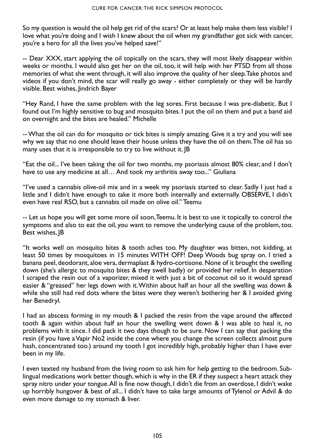So my question is would the oil help get rid of the scars? Or at least help make them less visible? I love what you're doing and I wish I knew about the oil when my grandfather got sick with cancer, you're a hero for all the lives you've helped save!"

-- Dear XXX, start applying the oil topically on the scars, they will most likely disappear within weeks or months. I would also get her on the oil, too, it will help with her PTSD from all those memories of what she went through, it will also improve the quality of her sleep.Take photos and videos if you don't mind, the scar will really go away - either completely or they will be hardly visible. Best wishes, Jindrich Bayer

"Hey Rand, I have the same problem with the leg sores. First because I was pre-diabetic. But I found out I'm highly sensitive to bug and mosquito bites. I put the oil on them and put a band aid on overnight and the bites are healed." Michelle

-- What the oil can do for mosquito or tick bites is simply amazing. Give it a try and you will see why we say that no one should leave their house unless they have the oil on them.The oil has so many uses that it is irresponsible to try to live without it. JB

"Eat the oil... I've been taking the oil for two months, my psoriasis almost 80% clear, and I don't have to use any medicine at all… And took my arthritis away too..." Giuliana

"I've used a cannabis olive-oil mix and in a week my psoriasis started to clear. Sadly I just had a little and I didn't have enough to take it more both internally and externally. OBSERVE, I didn't even have real RSO, but a cannabis oil made on olive oil." Teemu

-- Let us hope you will get some more oil soon, Teemu. It is best to use it topically to control the symptoms and also to eat the oil, you want to remove the underlying cause of the problem, too. Best wishes, JB

"It works well on mosquito bites & tooth aches too. My daughter was bitten, not kidding, at least 50 times by mosquitoes in 15 minutes WITH OFF! Deep Woods bug spray on. I tried a banana peel, deodorant, aloe vera, dermaplast & hydro-cortisone. None of it brought the swelling down (she's allergic to mosquito bites & they swell badly) or provided her relief. In desperation I scraped the resin out of a vaporizer, mixed it with just a bit of coconut oil so it would spread easier & "greased" her legs down with it. Within about half an hour all the swelling was down & while she still had red dots where the bites were they weren't bothering her & I avoided giving her Benedryl.

I had an abscess forming in my mouth & I packed the resin from the vape around the affected tooth & again within about half an hour the swelling went down & I was able to heal it, no problems with it since. I did pack it two days though to be sure. Now I can say that packing the resin (if you have a Vapir No2 inside the cone where you change the screen collects almost pure hash, concentrated too.) around my tooth I got incredibly high, probably higher than I have ever been in my life.

I even texted my husband from the living room to ask him for help getting to the bedroom. Sublingual medications work better though, which is why in the ER if they suspect a heart attack they spray nitro under your tongue. All is fine now though, I didn't die from an overdose, I didn't wake up horribly hungover & best of all... I didn't have to take large amounts of Tylenol or Advil & do even more damage to my stomach & liver.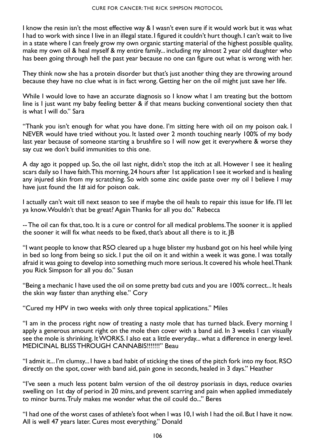I know the resin isn't the most effective way & I wasn't even sure if it would work but it was what I had to work with since I live in an illegal state. I figured it couldn't hurt though. I can't wait to live in a state where I can freely grow my own organic starting material of the highest possible quality, make my own oil & heal myself & my entire family... including my almost 2 year old daughter who has been going through hell the past year because no one can figure out what is wrong with her.

They think now she has a protein disorder but that's just another thing they are throwing around because they have no clue what is in fact wrong. Getting her on the oil might just save her life.

While I would love to have an accurate diagnosis so I know what I am treating but the bottom line is I just want my baby feeling better & if that means bucking conventional society then that is what I will do." Sara

"Thank you isn't enough for what you have done. I'm sitting here with oil on my poison oak. I NEVER would have tried without you. It lasted over 2 month touching nearly 100% of my body last year because of someone starting a brushfire so I will now get it everywhere & worse they say cuz we don't build immunities to this one.

A day ago it popped up. So, the oil last night, didn't stop the itch at all. However I see it healing scars daily so I have faith. This morning, 24 hours after 1st application I see it worked and is healing any injured skin from my scratching. So with some zinc oxide paste over my oil I believe I may have just found the 1# aid for poison oak.

I actually can't wait till next season to see if maybe the oil heals to repair this issue for life. I'll let ya know. Wouldn't that be great? Again Thanks for all you do." Rebecca

-- The oil can fix that, too. It is a cure or control for all medical problems. The sooner it is applied the sooner it will fix what needs to be fixed, that's about all there is to it. JB

"I want people to know that RSO cleared up a huge blister my husband got on his heel while lying in bed so long from being so sick. I put the oil on it and within a week it was gone. I was totally afraid it was going to develop into something much more serious. It covered his whole heel. Thank you Rick Simpson for all you do." Susan

"Being a mechanic I have used the oil on some pretty bad cuts and you are 100% correct... It heals the skin way faster than anything else." Cory

"Cured my HPV in two weeks with only three topical applications." Miles

"I am in the process right now of treating a nasty mole that has turned black. Every morning I apply a generous amount right on the mole then cover with a band aid. In 3 weeks I can visually see the mole is shrinking. It WORKS. I also eat a little everyday... what a difference in energy level. MEDICINAL BLISS THROUGH CANNABIS!!!!!!!" Beau

"I admit it... I'm clumsy... I have a bad habit of sticking the tines of the pitch fork into my foot. RSO directly on the spot, cover with band aid, pain gone in seconds, healed in 3 days." Heather

"I've seen a much less potent balm version of the oil destroy psoriasis in days, reduce ovaries swelling on 1st day of period in 20 mins, and prevent scarring and pain when applied immediately to minor burns. Truly makes me wonder what the oil could do..." Beres

"I had one of the worst cases of athlete's foot when I was 10, I wish I had the oil. But I have it now. All is well 47 years later. Cures most everything." Donald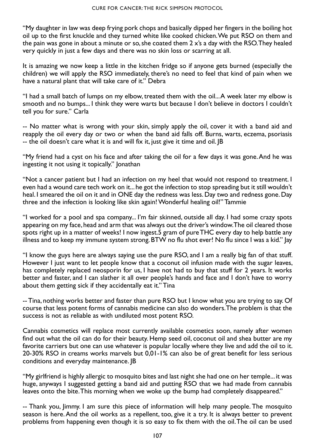"My daughter in law was deep frying pork chops and basically dipped her fingers in the boiling hot oil up to the first knuckle and they turned white like cooked chicken. We put RSO on them and the pain was gone in about a minute or so, she coated them 2 x's a day with the RSO. They healed very quickly in just a few days and there was no skin loss or scarring at all.

It is amazing we now keep a little in the kitchen fridge so if anyone gets burned (especially the children) we will apply the RSO immediately, there's no need to feel that kind of pain when we have a natural plant that will take care of it." Debra

"I had a small batch of lumps on my elbow, treated them with the oil... A week later my elbow is smooth and no bumps... I think they were warts but because I don't believe in doctors I couldn't tell you for sure." Carla

-- No matter what is wrong with your skin, simply apply the oil, cover it with a band aid and reapply the oil every day or two or when the band aid falls off. Burns, warts, eczema, psoriasis -- the oil doesn't care what it is and will fix it, just give it time and oil. JB

"My friend had a cyst on his face and after taking the oil for a few days it was gone. And he was ingesting it not using it topically." Jonathan

"Not a cancer patient but I had an infection on my heel that would not respond to treatment. I even had a wound care tech work on it... he got the infection to stop spreading but it still wouldn't heal. I smeared the oil on it and in ONE day the redness was less. Day two and redness gone. Day three and the infection is looking like skin again! Wonderful healing oil!" Tammie

"I worked for a pool and spa company... I'm fair skinned, outside all day. I had some crazy spots appearing on my face, head and arm that was always out the driver's window. The oil cleared those spots right up in a matter of weeks! I now ingest.5 gram of pure THC every day to help battle any illness and to keep my immune system strong. BTW no flu shot ever! No flu since I was a kid." Jay

"I know the guys here are always saying use the pure RSO, and I am a really big fan of that stuff. However I just want to let people know that a coconut oil infusion made with the sugar leaves, has completely replaced neosporin for us, I have not had to buy that stuff for 2 years. It works better and faster, and I can slather it all over people's hands and face and I don't have to worry about them getting sick if they accidentally eat it." Tina

-- Tina, nothing works better and faster than pure RSO but I know what you are trying to say. Of course that less potent forms of cannabis medicine can also do wonders. The problem is that the success is not as reliable as with undiluted most potent RSO.

Cannabis cosmetics will replace most currently available cosmetics soon, namely after women find out what the oil can do for their beauty. Hemp seed oil, coconut oil and shea butter are my favorite carriers but one can use whatever is popular locally where they live and add the oil to it. 20-30% RSO in creams works marvels but 0,01-1% can also be of great benefit for less serious conditions and everyday maintenance. JB

"My girlfriend is highly allergic to mosquito bites and last night she had one on her temple... it was huge, anyways I suggested getting a band aid and putting RSO that we had made from cannabis leaves onto the bite. This morning when we woke up the bump had completely disappeared."

-- Thank you, Jimmy. I am sure this piece of information will help many people. The mosquito season is here.And the oil works as a repellent, too, give it a try. It is always better to prevent problems from happening even though it is so easy to fix them with the oil.The oil can be used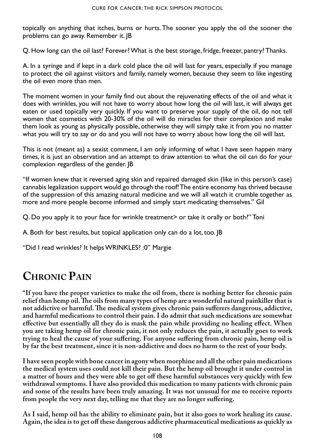topically on anything that itches, burns or hurts. The sooner you apply the oil the sooner the problems can go away. Remember it. JB

Q. How long can the oil last? Forever? What is the best storage, fridge, freezer, pantry? Thanks.

A. In a syringe and if kept in a dark cold place the oil will last for years, especially if you manage to protect the oil against visitors and family, namely women, because they seem to like ingesting the oil even more than men.

The moment women in your family find out about the rejuvenating effects of the oil and what it does with wrinkles, you will not have to worry about how long the oil will last, it will always get eaten or used topically very quickly. If you want to preserve your supply of the oil, do not tell women that cosmetics with 20-30% of the oil will do miracles for their complexion and make them look as young as physically possible, otherwise they will simply take it from you no matter what you will try to say or do and you will not have to worry about how long the oil will last.

This is not (meant as) a sexist comment, I am only informing of what I have seen happen many times, it is just an observation and an attempt to draw attention to what the oil can do for your complexion regardless of the gender. JB

"If women knew that it reversed aging skin and repaired damaged skin (like in this person's case) cannabis legalization support would go through the roof! The entire economy has thrived because of the suppression of this amazing natural medicine and we will all watch it crumble together as more and more people become informed and simply start medicating themselves." Gil

Q. Do you apply it to your face for wrinkle treatment> or take it orally or both?" Toni

A. Both for best results, but topical application only can do a lot, too. JB

"Did I read wrinkles? It helps WRINKLES? :0" Margie

## **Chronic Pain**

**"If you have the proper varieties to make the oil from, there is nothing better for chronic pain relief than hemp oil. The oils from many types of hemp are a wonderful natural painkiller that is not addictive or harmful. The medical system gives chronic pain sufferers dangerous, addictive, and harmful medications to control their pain. I do admit that such medications are somewhat effective but essentially all they do is mask the pain while providing no healing effect. When you are taking hemp oil for chronic pain, it not only reduces the pain, it actually goes to work trying to heal the cause of your suffering. For anyone suffering from chronic pain, hemp oil is by far the best treatment, since it is non-addictive and does no harm to the rest of your body.**

**I have seen people with bone cancer in agony when morphine and all the other pain medications the medical system uses could not kill their pain. But the hemp oil brought it under control in a matter of hours and they were able to get off these harmful substances very quickly with few withdrawal symptoms. I have also provided this medication to many patients with chronic pain and some of the results have been truly amazing. It was not unusual for me to receive reports from people the very next day, telling me that they are no longer suffering.** 

**As I said, hemp oil has the ability to eliminate pain, but it also goes to work healing its cause. Again, the idea is to get off these dangerous addictive pharmaceutical medications as quickly as**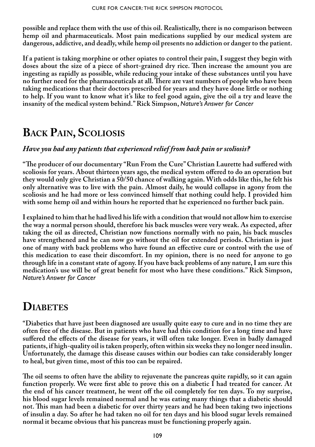**possible and replace them with the use of this oil. Realistically, there is no comparison between hemp oil and pharmaceuticals. Most pain medications supplied by our medical system are dangerous, addictive, and deadly, while hemp oil presents no addiction or danger to the patient.**

**If a patient is taking morphine or other opiates to control their pain, I suggest they begin with doses about the size of a piece of short-grained dry rice. Then increase the amount you are ingesting as rapidly as possible, while reducing your intake of these substances until you have no further need for the pharmaceuticals at all. There are vast numbers of people who have been taking medications that their doctors prescribed for years and they have done little or nothing to help. If you want to know what it's like to feel good again, give the oil a try and leave the insanity of the medical system behind." Rick Simpson,** *Nature's Answer for Cancer*

# **Back Pain, Scoliosis**

#### *Have you had any patients that experienced relief from back pain or scoliosis?*

**"The producer of our documentary "Run From the Cure" Christian Laurette had suffered with scoliosis for years. About thirteen years ago, the medical system offered to do an operation but they would only give Christian a 50/50 chance of walking again. With odds like this, he felt his only alternative was to live with the pain. Almost daily, he would collapse in agony from the scoliosis and he had more or less convinced himself that nothing could help. I provided him with some hemp oil and within hours he reported that he experienced no further back pain.** 

**I explained to him that he had lived his life with a condition that would not allow him to exercise the way a normal person should, therefore his back muscles were very weak. As expected, after taking the oil as directed, Christian now functions normally with no pain, his back muscles have strengthened and he can now go without the oil for extended periods. Christian is just one of many with back problems who have found an effective cure or control with the use of this medication to ease their discomfort. In my opinion, there is no need for anyone to go through life in a constant state of agony. If you have back problems of any nature, I am sure this medication's use will be of great benefit for most who have these conditions." Rick Simpson,**  *Nature's Answer for Cancer*

### **DIABETES**

**"Diabetics that have just been diagnosed are usually quite easy to cure and in no time they are often free of the disease. But in patients who have had this condition for a long time and have suffered the effects of the disease for years, it will often take longer. Even in badly damaged patients, if high-quality oil is taken properly, often within six weeks they no longer need insulin. Unfortunately, the damage this disease causes within our bodies can take considerably longer to heal, but given time, most of this too can be repaired.** 

**The oil seems to often have the ability to rejuvenate the pancreas quite rapidly, so it can again function properly. We were first able to prove this on a diabetic I had treated for cancer. At the end of his cancer treatment, he went off the oil completely for ten days. To my surprise, his blood sugar levels remained normal and he was eating many things that a diabetic should not. This man had been a diabetic for over thirty years and he had been taking two injections of insulin a day. So after he had taken no oil for ten days and his blood sugar levels remained normal it became obvious that his pancreas must be functioning properly again.**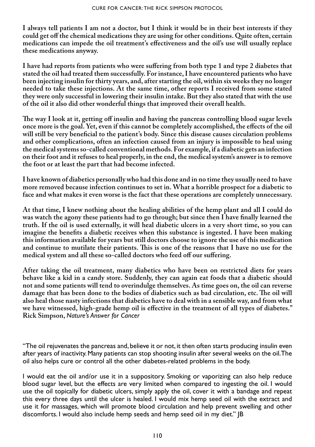**I always tell patients I am not a doctor, but I think it would be in their best interests if they could get off the chemical medications they are using for other conditions. Quite often, certain medications can impede the oil treatment's effectiveness and the oil's use will usually replace these medications anyway.**

**I have had reports from patients who were suffering from both type 1 and type 2 diabetes that stated the oil had treated them successfully. For instance, I have encountered patients who have been injecting insulin for thirty years, and, after starting the oil, within six weeks they no longer needed to take these injections. At the same time, other reports I received from some stated they were only successful in lowering their insulin intake. But they also stated that with the use of the oil it also did other wonderful things that improved their overall health.** 

**The way I look at it, getting off insulin and having the pancreas controlling blood sugar levels once more is the goal. Yet, even if this cannot be completely accomplished, the effects of the oil will still be very beneficial to the patient's body. Since this disease causes circulation problems and other complications, often an infection caused from an injury is impossible to heal using the medical systems so-called conventional methods. For example, if a diabetic gets an infection on their foot and it refuses to heal properly, in the end, the medical system's answer is to remove the foot or at least the part that had become infected.** 

**I have known of diabetics personally who had this done and in no time they usually need to have more removed because infection continues to set in. What a horrible prospect for a diabetic to face and what makes it even worse is the fact that these operations are completely unnecessary.** 

**At that time, I knew nothing about the healing abilities of the hemp plant and all I could do was watch the agony these patients had to go through; but since then I have finally learned the truth. If the oil is used externally, it will heal diabetic ulcers in a very short time, so you can imagine the benefits a diabetic receives when this substance is ingested. I have been making this information available for years but still doctors choose to ignore the use of this medication and continue to mutilate their patients. This is one of the reasons that I have no use for the medical system and all these so-called doctors who feed off our suffering.**

**After taking the oil treatment, many diabetics who have been on restricted diets for years behave like a kid in a candy store. Suddenly, they can again eat foods that a diabetic should not and some patients will tend to overindulge themselves. As time goes on, the oil can reverse damage that has been done to the bodies of diabetics such as bad circulation, etc. The oil will also heal those nasty infections that diabetics have to deal with in a sensible way, and from what we have witnessed, high-grade hemp oil is effective in the treatment of all types of diabetes." Rick Simpson,** *Nature's Answer for Cancer*

"The oil rejuvenates the pancreas and, believe it or not, it then often starts producing insulin even after years of inactivity. Many patients can stop shooting insulin after several weeks on the oil. The oil also helps cure or control all the other diabetes-related problems in the body.

I would eat the oil and/or use it in a suppository. Smoking or vaporizing can also help reduce blood sugar level, but the effects are very limited when compared to ingesting the oil. I would use the oil topically for diabetic ulcers, simply apply the oil, cover it with a bandage and repeat this every three days until the ulcer is healed. I would mix hemp seed oil with the extract and use it for massages, which will promote blood circulation and help prevent swelling and other discomforts. I would also include hemp seeds and hemp seed oil in my diet." JB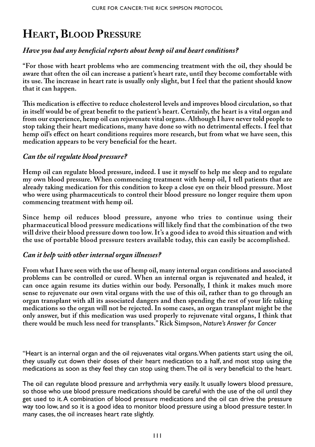# **Heart, Blood Pressure**

### *Have you had any beneficial reports about hemp oil and heart conditions?*

**"For those with heart problems who are commencing treatment with the oil, they should be aware that often the oil can increase a patient's heart rate, until they become comfortable with its use. The increase in heart rate is usually only slight, but I feel that the patient should know that it can happen.** 

**This medication is effective to reduce cholesterol levels and improves blood circulation, so that in itself would be of great benefit to the patient's heart. Certainly, the heart is a vital organ and from our experience, hemp oil can rejuvenate vital organs. Although I have never told people to stop taking their heart medications, many have done so with no detrimental effects. I feel that hemp oil's effect on heart conditions requires more research, but from what we have seen, this medication appears to be very beneficial for the heart.**

### *Can the oil regulate blood pressure?*

**Hemp oil can regulate blood pressure, indeed. I use it myself to help me sleep and to regulate my own blood pressure. When commencing treatment with hemp oil, I tell patients that are already taking medication for this condition to keep a close eye on their blood pressure. Most who were using pharmaceuticals to control their blood pressure no longer require them upon commencing treatment with hemp oil.** 

**Since hemp oil reduces blood pressure, anyone who tries to continue using their pharmaceutical blood pressure medications will likely find that the combination of the two will drive their blood pressure down too low. It's a good idea to avoid this situation and with the use of portable blood pressure testers available today, this can easily be accomplished.**

#### *Can it help with other internal organ illnesses?*

**From what I have seen with the use of hemp oil, many internal organ conditions and associated problems can be controlled or cured. When an internal organ is rejuvenated and healed, it can once again resume its duties within our body. Personally, I think it makes much more sense to rejuvenate our own vital organs with the use of this oil, rather than to go through an organ transplant with all its associated dangers and then spending the rest of your life taking medications so the organ will not be rejected. In some cases, an organ transplant might be the only answer, but if this medication was used properly to rejuvenate vital organs, I think that there would be much less need for transplants." Rick Simpson,** *Nature's Answer for Cancer*

"Heart is an internal organ and the oil rejuvenates vital organs. When patients start using the oil, they usually cut down their doses of their heart medication to a half, and most stop using the medications as soon as they feel they can stop using them. The oil is very beneficial to the heart.

The oil can regulate blood pressure and arrhythmia very easily. It usually lowers blood pressure, so those who use blood pressure medications should be careful with the use of the oil until they get used to it. A combination of blood pressure medications and the oil can drive the pressure way too low, and so it is a good idea to monitor blood pressure using a blood pressure tester. In many cases, the oil increases heart rate slightly.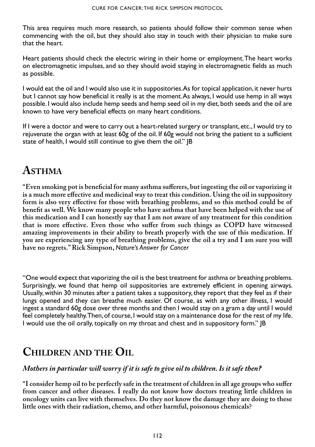This area requires much more research, so patients should follow their common sense when commencing with the oil, but they should also stay in touch with their physician to make sure that the heart.

Heart patients should check the electric wiring in their home or employment. The heart works on electromagnetic impulses, and so they should avoid staying in electromagnetic fields as much as possible.

I would eat the oil and I would also use it in suppositories. As for topical application, it never hurts but I cannot say how beneficial it really is at the moment. As always, I would use hemp in all ways possible. I would also include hemp seeds and hemp seed oil in my diet, both seeds and the oil are known to have very beneficial effects on many heart conditions.

If I were a doctor and were to carry out a heart-related surgery or transplant, etc., I would try to rejuvenate the organ with at least 60g of the oil. If 60g would not bring the patient to a sufficient state of health, I would still continue to give them the oil." JB

## **Asthma**

**"Even smoking pot is beneficial for many asthma sufferers, but ingesting the oil or vaporizing it is a much more effective and medicinal way to treat this condition. Using the oil in suppository form is also very effective for those with breathing problems, and so this method could be of benefit as well. We know many people who have asthma that have been helped with the use of this medication and I can honestly say that I am not aware of any treatment for this condition that is more effective. Even those who suffer from such things as COPD have witnessed amazing improvements in their ability to breath properly with the use of this medication. If you are experiencing any type of breathing problems, give the oil a try and I am sure you will have no regrets." Rick Simpson,** *Nature's Answer for Cancer*

"One would expect that vaporizing the oil is the best treatment for asthma or breathing problems. Surprisingly, we found that hemp oil suppositories are extremely efficient in opening airways. Usually, within 30 minutes after a patient takes a suppository, they report that they feel as if their lungs opened and they can breathe much easier. Of course, as with any other illness, I would ingest a standard 60g dose over three months and then I would stay on a gram a day until I would feel completely healthy. Then, of course, I would stay on a maintenance dose for the rest of my life. I would use the oil orally, topically on my throat and chest and in suppository form." JB

### **Children and the Oil**

#### *Mothers in particular will worry if it is safe to give oil to children. Is it safe then?*

**"I consider hemp oil to be perfectly safe in the treatment of children in all age groups who suffer from cancer and other diseases. I really do not know how doctors treating little children in oncology units can live with themselves. Do they not know the damage they are doing to these little ones with their radiation, chemo, and other harmful, poisonous chemicals?**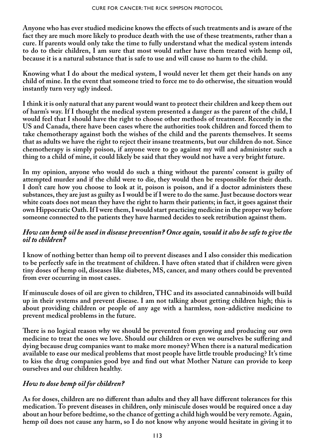**Anyone who has ever studied medicine knows the effects of such treatments and is aware of the fact they are much more likely to produce death with the use of these treatments, rather than a cure. If parents would only take the time to fully understand what the medical system intends to do to their children, I am sure that most would rather have them treated with hemp oil, because it is a natural substance that is safe to use and will cause no harm to the child.** 

**Knowing what I do about the medical system, I would never let them get their hands on any child of mine. In the event that someone tried to force me to do otherwise, the situation would instantly turn very ugly indeed.** 

**I think it is only natural that any parent would want to protect their children and keep them out of harm's way. If I thought the medical system presented a danger as the parent of the child, I would feel that I should have the right to choose other methods of treatment. Recently in the US and Canada, there have been cases where the authorities took children and forced them to take chemotherapy against both the wishes of the child and the parents themselves. It seems that as adults we have the right to reject their insane treatments, but our children do not. Since chemotherapy is simply poison, if anyone were to go against my will and administer such a thing to a child of mine, it could likely be said that they would not have a very bright future.** 

**In my opinion, anyone who would do such a thing without the parents' consent is guilty of attempted murder and if the child were to die, they would then be responsible for their death. I don't care how you choose to look at it, poison is poison, and if a doctor administers these substances, they are just as guilty as I would be if I were to do the same. Just because doctors wear white coats does not mean they have the right to harm their patients; in fact, it goes against their own Hippocratic Oath. If I were them, I would start practicing medicine in the proper way before someone connected to the patients they have harmed decides to seek retribution against them.** 

#### *How can hemp oil be used in disease prevention? Once again, would it also be safe to give the oil to children?*

**I know of nothing better than hemp oil to prevent diseases and I also consider this medication to be perfectly safe in the treatment of children. I have often stated that if children were given tiny doses of hemp oil, diseases like diabetes, MS, cancer, and many others could be prevented from ever occurring in most cases.** 

**If minuscule doses of oil are given to children, THC and its associated cannabinoids will build up in their systems and prevent disease. I am not talking about getting children high; this is about providing children or people of any age with a harmless, non-addictive medicine to prevent medical problems in the future.** 

**There is no logical reason why we should be prevented from growing and producing our own medicine to treat the ones we love. Should our children or even we ourselves be suffering and dying because drug companies want to make more money? When there is a natural medication available to ease our medical problems that most people have little trouble producing? It's time to kiss the drug companies good bye and find out what Mother Nature can provide to keep ourselves and our children healthy.**

### *How to dose hemp oil for children?*

**As for doses, children are no different than adults and they all have different tolerances for this medication. To prevent diseases in children, only miniscule doses would be required once a day about an hour before bedtime, so the chance of getting a child high would be very remote. Again, hemp oil does not cause any harm, so I do not know why anyone would hesitate in giving it to**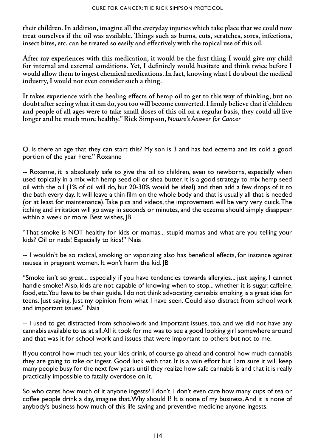**their children. In addition, imagine all the everyday injuries which take place that we could now treat ourselves if the oil was available. Things such as burns, cuts, scratches, sores, infections, insect bites, etc. can be treated so easily and effectively with the topical use of this oil.** 

**After my experiences with this medication, it would be the first thing I would give my child for internal and external conditions. Yet, I definitely would hesitate and think twice before I would allow them to ingest chemical medications. In fact, knowing what I do about the medical industry, I would not even consider such a thing.** 

**It takes experience with the healing effects of hemp oil to get to this way of thinking, but no doubt after seeing what it can do, you too will become converted. I firmly believe that if children and people of all ages were to take small doses of this oil on a regular basis, they could all live longer and be much more healthy." Rick Simpson,** *Nature's Answer for Cancer*

Q. Is there an age that they can start this? My son is 3 and has bad eczema and its cold a good portion of the year here." Roxanne

-- Roxanne, it is absolutely safe to give the oil to children, even to newborns, especially when used topically in a mix with hemp seed oil or shea butter. It is a good strategy to mix hemp seed oil with the oil (1% of oil will do, but 20-30% would be ideal) and then add a few drops of it to the bath every day. It will leave a thin film on the whole body and that is usually all that is needed (or at least for maintenance).Take pics and videos, the improvement will be very very quick. The itching and irritation will go away in seconds or minutes, and the eczema should simply disappear within a week or more. Best wishes, JB

"That smoke is NOT healthy for kids or mamas... stupid mamas and what are you telling your kids? Oil or nada! Especially to kids!" Naia

-- I wouldn't be so radical, smoking or vaporizing also has beneficial effects, for instance against nausea in pregnant women. It won't harm the kid. JB

"Smoke isn't so great... especially if you have tendencies towards allergies... just saying. I cannot handle smoke! Also, kids are not capable of knowing when to stop... whether it is sugar, caffeine, food, etc. You have to be their guide. I do not think advocating cannabis smoking is a great idea for teens. Just saying. Just my opinion from what I have seen. Could also distract from school work and important issues." Naia

-- I used to get distracted from schoolwork and important issues, too, and we did not have any cannabis available to us at all. All it took for me was to see a good looking girl somewhere around and that was it for school work and issues that were important to others but not to me.

If you control how much tea your kids drink, of course go ahead and control how much cannabis they are going to take or ingest. Good luck with that. It is a vain effort but I am sure it will keep many people busy for the next few years until they realize how safe cannabis is and that it is really practically impossible to fatally overdose on it.

So who cares how much of it anyone ingests? I don't. I don't even care how many cups of tea or coffee people drink a day, imagine that. Why should I? It is none of my business. And it is none of anybody's business how much of this life saving and preventive medicine anyone ingests.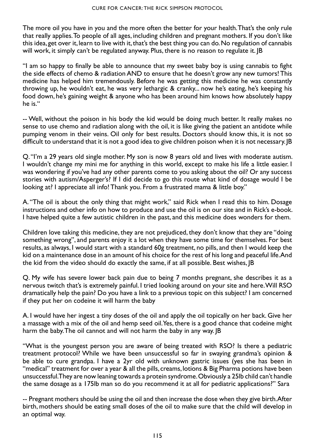The more oil you have in you and the more often the better for your health. That's the only rule that really applies. To people of all ages, including children and pregnant mothers. If you don't like this idea, get over it, learn to live with it, that's the best thing you can do. No regulation of cannabis will work, it simply can't be regulated anyway. Plus, there is no reason to regulate it. JB

"I am so happy to finally be able to announce that my sweet baby boy is using cannabis to fight the side effects of chemo & radiation AND to ensure that he doesn't grow any new tumors! This medicine has helped him tremendously. Before he was getting this medicine he was constantly throwing up, he wouldn't eat, he was very lethargic & cranky... now he's eating, he's keeping his food down, he's gaining weight & anyone who has been around him knows how absolutely happy he is."

-- Well, without the poison in his body the kid would be doing much better. It really makes no sense to use chemo and radiation along with the oil, it is like giving the patient an antidote while pumping venom in their veins. Oil only for best results. Doctors should know this, it is not so difficult to understand that it is not a good idea to give children poison when it is not necessary. [B]

Q. "I'm a 29 years old single mother. My son is now 8 years old and lives with moderate autism. I wouldn't change my mini me for anything in this world, except to make his life a little easier. I was wondering if you've had any other parents come to you asking about the oil? Or any success stories with autism/Asperger's? If I did decide to go this route what kind of dosage would I be looking at? I appreciate all info! Thank you. From a frustrated mama & little boy."

A. "The oil is about the only thing that might work," said Rick when I read this to him. Dosage instructions and other info on how to produce and use the oil is on our site and in Rick's e-book. I have helped quite a few autistic children in the past, and this medicine does wonders for them.

Children love taking this medicine, they are not prejudiced, they don't know that they are "doing something wrong", and parents enjoy it a lot when they have some time for themselves. For best results, as always, I would start with a standard 60g treatment, no pills, and then I would keep the kid on a maintenance dose in an amount of his choice for the rest of his long and peaceful life. And the kid from the video should do exactly the same, if at all possible. Best wishes, JB

Q. My wife has severe lower back pain due to being 7 months pregnant, she describes it as a nervous twitch that's is extremely painful. I tried looking around on your site and here. Will RSO dramatically help the pain? Do you have a link to a previous topic on this subject? I am concerned if they put her on codeine it will harm the baby

A. I would have her ingest a tiny doses of the oil and apply the oil topically on her back. Give her a massage with a mix of the oil and hemp seed oil. Yes, there is a good chance that codeine might harm the baby. The oil cannot and will not harm the baby in any way. JB

"What is the youngest person you are aware of being treated with RSO? Is there a pediatric treatment protocol? While we have been unsuccessful so far in swaying grandma's opinion & be able to cure grandpa. I have a 2yr old with unknown gastric issues (yes she has been in "medical" treatment for over a year & all the pills, creams, lotions & Big Pharma potions have been unsuccessful. They are now leaning towards a protein syndrome. Obviously a 25lb child can't handle the same dosage as a 175lb man so do you recommend it at all for pediatric applications?" Sara

-- Pregnant mothers should be using the oil and then increase the dose when they give birth. After birth, mothers should be eating small doses of the oil to make sure that the child will develop in an optimal way.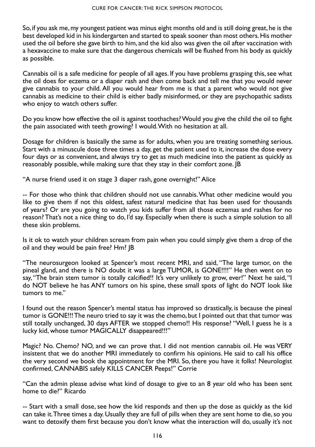So, if you ask me, my youngest patient was minus eight months old and is still doing great, he is the best developed kid in his kindergarten and started to speak sooner than most others. His mother used the oil before she gave birth to him, and the kid also was given the oil after vaccination with a hexavaccine to make sure that the dangerous chemicals will be flushed from his body as quickly as possible.

Cannabis oil is a safe medicine for people of all ages. If you have problems grasping this, see what the oil does for eczema or a diaper rash and then come back and tell me that you would never give cannabis to your child. All you would hear from me is that a parent who would not give cannabis as medicine to their child is either badly misinformed, or they are psychopathic sadists who enjoy to watch others suffer.

Do you know how effective the oil is against toothaches? Would you give the child the oil to fight the pain associated with teeth growing? I would. With no hesitation at all.

Dosage for children is basically the same as for adults, when you are treating something serious. Start with a minuscule dose three times a day, get the patient used to it, increase the dose every four days or as convenient, and always try to get as much medicine into the patient as quickly as reasonably possible, while making sure that they stay in their comfort zone. JB

"A nurse friend used it on stage 3 diaper rash, gone overnight!" Alice

-- For those who think that children should not use cannabis. What other medicine would you like to give them if not this oldest, safest natural medicine that has been used for thousands of years? Or are you going to watch you kids suffer from all those eczemas and rashes for no reason? That's not a nice thing to do, I'd say. Especially when there is such a simple solution to all these skin problems.

Is it ok to watch your children scream from pain when you could simply give them a drop of the oil and they would be pain free? Hm? JB

"The neurosurgeon looked at Spencer's most recent MRI, and said, "The large tumor, on the pineal gland, and there is NO doubt it was a large TUMOR, is GONE!!!!" He then went on to say, "The brain stem tumor is totally calcified!! It's very unlikely to grow, ever!" Next he said, "I do NOT believe he has ANY tumors on his spine, these small spots of light do NOT look like tumors to me."

I found out the reason Spencer's mental status has improved so drastically, is because the pineal tumor is GONE!!! The neuro tried to say it was the chemo, but I pointed out that that tumor was still totally unchanged, 30 days AFTER we stopped chemo!! His response? "Well, I guess he is a lucky kid, whose tumor MAGICALLY disappeared!!!"

Magic? No. Chemo? NO, and we can prove that. I did not mention cannabis oil. He was VERY insistent that we do another MRI immediately to confirm his opinions. He said to call his office the very second we book the appointment for the MRI. So, there you have it folks! Neurologist confirmed, CANNABIS safely KILLS CANCER Peeps!" Corrie

"Can the admin please advise what kind of dosage to give to an 8 year old who has been sent home to die?" Ricardo

-- Start with a small dose, see how the kid responds and then up the dose as quickly as the kid can take it. Three times a day. Usually they are full of pills when they are sent home to die, so you want to detoxify them first because you don't know what the interaction will do, usually it's not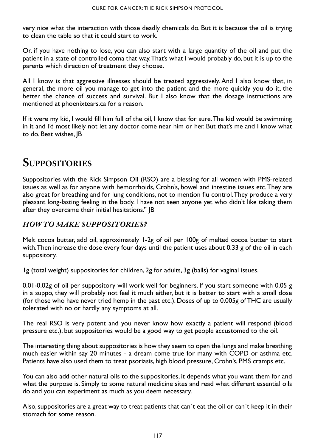very nice what the interaction with those deadly chemicals do. But it is because the oil is trying to clean the table so that it could start to work.

Or, if you have nothing to lose, you can also start with a large quantity of the oil and put the patient in a state of controlled coma that way. That's what I would probably do, but it is up to the parents which direction of treatment they choose.

All I know is that aggressive illnesses should be treated aggressively. And I also know that, in general, the more oil you manage to get into the patient and the more quickly you do it, the better the chance of success and survival. But I also know that the dosage instructions are mentioned at phoenixtears.ca for a reason.

If it were my kid, I would fill him full of the oil, I know that for sure. The kid would be swimming in it and I'd most likely not let any doctor come near him or her. But that's me and I know what to do. Best wishes, JB

### **Suppositories**

Suppositories with the Rick Simpson Oil (RSO) are a blessing for all women with PMS-related issues as well as for anyone with hemorrhoids, Crohn's, bowel and intestine issues etc. They are also great for breathing and for lung conditions, not to mention flu control. They produce a very pleasant long-lasting feeling in the body. I have not seen anyone yet who didn't like taking them after they overcame their initial hesitations." JB

### *HOW TO MAKE SUPPOSITORIES?*

Melt cocoa butter, add oil, approximately 1-2g of oil per 100g of melted cocoa butter to start with. Then increase the dose every four days until the patient uses about 0.33 g of the oil in each suppository.

1g (total weight) suppositories for children, 2g for adults, 3g (balls) for vaginal issues.

0.01-0.02g of oil per suppository will work well for beginners. If you start someone with 0.05 g in a suppo, they will probably not feel it much either, but it is better to start with a small dose (for those who have never tried hemp in the past etc.). Doses of up to 0.005g of THC are usually tolerated with no or hardly any symptoms at all.

The real RSO is very potent and you never know how exactly a patient will respond (blood pressure etc.), but suppositories would be a good way to get people accustomed to the oil.

The interesting thing about suppositories is how they seem to open the lungs and make breathing much easier within say 20 minutes - a dream come true for many with COPD or asthma etc. Patients have also used them to treat psoriasis, high blood pressure, Crohn's, PMS cramps etc.

You can also add other natural oils to the suppositories, it depends what you want them for and what the purpose is. Simply to some natural medicine sites and read what different essential oils do and you can experiment as much as you deem necessary.

Also, suppositories are a great way to treat patients that can´t eat the oil or can´t keep it in their stomach for some reason.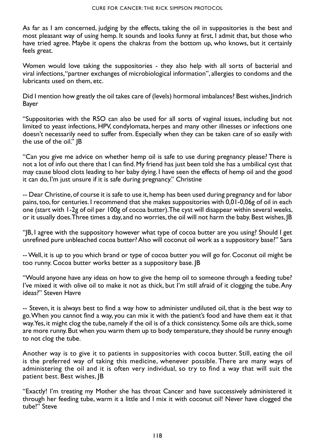As far as I am concerned, judging by the effects, taking the oil in suppositories is the best and most pleasant way of using hemp. It sounds and looks funny at first, I admit that, but those who have tried agree. Maybe it opens the chakras from the bottom up, who knows, but it certainly feels great.

Women would love taking the suppositories - they also help with all sorts of bacterial and viral infections, "partner exchanges of microbiological information", allergies to condoms and the lubricants used on them, etc.

Did I mention how greatly the oil takes care of (levels) hormonal imbalances? Best wishes, Jindrich Bayer

"Suppositories with the RSO can also be used for all sorts of vaginal issues, including but not limited to yeast infections, HPV, condylomata, herpes and many other illnesses or infections one doesn't necessarily need to suffer from. Especially when they can be taken care of so easily with the use of the oil." JB

"Can you give me advice on whether hemp oil is safe to use during pregnancy please? There is not a lot of info out there that I can find. My friend has just been told she has a umbilical cyst that may cause blood clots leading to her baby dying. I have seen the effects of hemp oil and the good it can do, I'm just unsure if it is safe during pregnancy." Christine

-- Dear Christine, of course it is safe to use it, hemp has been used during pregnancy and for labor pains, too, for centuries. I recommend that she makes suppositories with 0,01-0,06g of oil in each one (start with 1-2g of oil per 100g of cocoa butter). The cyst will disappear within several weeks, or it usually does. Three times a day, and no worries, the oil will not harm the baby. Best wishes, JB

"JB, I agree with the suppository however what type of cocoa butter are you using? Should I get unrefined pure unbleached cocoa butter? Also will coconut oil work as a suppository base?" Sara

-- Well, it is up to you which brand or type of cocoa butter you will go for. Coconut oil might be too runny. Cocoa butter works better as a suppository base. JB

"Would anyone have any ideas on how to give the hemp oil to someone through a feeding tube? I've mixed it with olive oil to make it not as thick, but I'm still afraid of it clogging the tube. Any ideas?" Steven Havre

-- Steven, it is always best to find a way how to administer undiluted oil, that is the best way to go. When you cannot find a way, you can mix it with the patient's food and have them eat it that way. Yes, it might clog the tube, namely if the oil is of a thick consistency. Some oils are thick, some are more runny. But when you warm them up to body temperature, they should be runny enough to not clog the tube.

Another way is to give it to patients in suppositories with cocoa butter. Still, eating the oil is the preferred way of taking this medicine, whenever possible. There are many ways of administering the oil and it is often very individual, so try to find a way that will suit the patient best. Best wishes, JB

"Exactly! I'm treating my Mother she has throat Cancer and have successively administered it through her feeding tube, warm it a little and I mix it with coconut oil! Never have clogged the tube!" Steve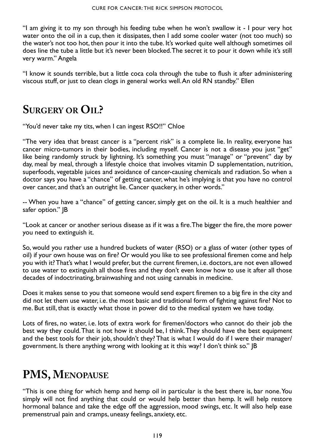"I am giving it to my son through his feeding tube when he won't swallow it - I pour very hot water onto the oil in a cup, then it dissipates, then I add some cooler water (not too much) so the water's not too hot, then pour it into the tube. It's worked quite well although sometimes oil does line the tube a little but it's never been blocked. The secret it to pour it down while it's still very warm." Angela

"I know it sounds terrible, but a little coca cola through the tube to flush it after administering viscous stuff, or just to clean clogs in general works well. An old RN standby." Ellen

### **Surgery or Oil?**

"You'd never take my tits, when I can ingest RSO!!" Chloe

"The very idea that breast cancer is a "percent risk" is a complete lie. In reality, everyone has cancer micro-tumors in their bodies, including myself. Cancer is not a disease you just "get" like being randomly struck by lightning. It's something you must "manage" or "prevent" day by day, meal by meal, through a lifestyle choice that involves vitamin D supplementation, nutrition, superfoods, vegetable juices and avoidance of cancer-causing chemicals and radiation. So when a doctor says you have a "chance" of getting cancer, what he's implying is that you have no control over cancer, and that's an outright lie. Cancer quackery, in other words."

-- When you have a "chance" of getting cancer, simply get on the oil. It is a much healthier and safer option." |B

"Look at cancer or another serious disease as if it was a fire. The bigger the fire, the more power you need to extinguish it.

So, would you rather use a hundred buckets of water (RSO) or a glass of water (other types of oil) if your own house was on fire? Or would you like to see professional firemen come and help you with it? That's what I would prefer, but the current firemen, i.e. doctors, are not even allowed to use water to extinguish all those fires and they don't even know how to use it after all those decades of indoctrinating, brainwashing and not using cannabis in medicine.

Does it makes sense to you that someone would send expert firemen to a big fire in the city and did not let them use water, i.e. the most basic and traditional form of fighting against fire? Not to me. But still, that is exactly what those in power did to the medical system we have today.

Lots of fires, no water, i.e. lots of extra work for firemen/doctors who cannot do their job the best way they could. That is not how it should be, I think. They should have the best equipment and the best tools for their job, shouldn't they? That is what I would do if I were their manager/ government. Is there anything wrong with looking at it this way? I don't think so." JB

# **PMS, Menopause**

"This is one thing for which hemp and hemp oil in particular is the best there is, bar none. You simply will not find anything that could or would help better than hemp. It will help restore hormonal balance and take the edge off the aggression, mood swings, etc. It will also help ease premenstrual pain and cramps, uneasy feelings, anxiety, etc.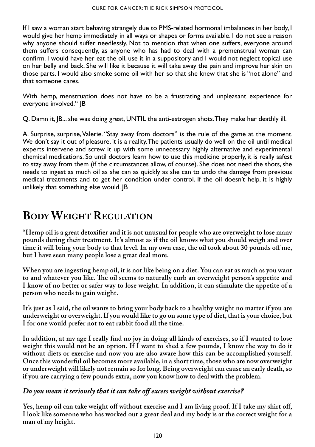If I saw a woman start behaving strangely due to PMS-related hormonal imbalances in her body, I would give her hemp immediately in all ways or shapes or forms available. I do not see a reason why anyone should suffer needlessly. Not to mention that when one suffers, everyone around them suffers consequently, as anyone who has had to deal with a premenstrual woman can confirm. I would have her eat the oil, use it in a suppository and I would not neglect topical use on her belly and back. She will like it because it will take away the pain and improve her skin on those parts. I would also smoke some oil with her so that she knew that she is "not alone" and that someone cares.

With hemp, menstruation does not have to be a frustrating and unpleasant experience for everyone involved." JB

Q. Damn it, JB... she was doing great, UNTIL the anti-estrogen shots. They make her deathly ill.

A. Surprise, surprise, Valerie. "Stay away from doctors" is the rule of the game at the moment. We don't say it out of pleasure, it is a reality. The patients usually do well on the oil until medical experts intervene and screw it up with some unnecessary highly alternative and experimental chemical medications. So until doctors learn how to use this medicine properly, it is really safest to stay away from them (if the circumstances allow, of course). She does not need the shots, she needs to ingest as much oil as she can as quickly as she can to undo the damage from previous medical treatments and to get her condition under control. If the oil doesn't help, it is highly unlikely that something else would. JB

# **Body Weight Regulation**

**"Hemp oil is a great detoxifier and it is not unusual for people who are overweight to lose many pounds during their treatment. It's almost as if the oil knows what you should weigh and over time it will bring your body to that level. In my own case, the oil took about 30 pounds off me, but I have seen many people lose a great deal more.** 

**When you are ingesting hemp oil, it is not like being on a diet. You can eat as much as you want to and whatever you like. The oil seems to naturally curb an overweight person's appetite and I know of no better or safer way to lose weight. In addition, it can stimulate the appetite of a person who needs to gain weight.** 

**It's just as I said, the oil wants to bring your body back to a healthy weight no matter if you are underweight or overweight. If you would like to go on some type of diet, that is your choice, but I for one would prefer not to eat rabbit food all the time.** 

**In addition, at my age I really find no joy in doing all kinds of exercises, so if I wanted to lose weight this would not be an option. If I want to shed a few pounds, I know the way to do it without diets or exercise and now you are also aware how this can be accomplished yourself. Once this wonderful oil becomes more available, in a short time, those who are now overweight or underweight will likely not remain so for long. Being overweight can cause an early death, so if you are carrying a few pounds extra, now you know how to deal with the problem.**

### *Do you mean it seriously that it can take off excess weight without exercise?*

**Yes, hemp oil can take weight off without exercise and I am living proof. If I take my shirt off, I look like someone who has worked out a great deal and my body is at the correct weight for a man of my height.**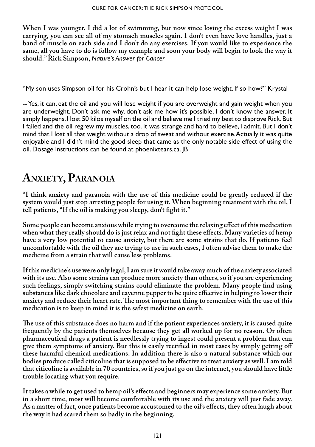**When I was younger, I did a lot of swimming, but now since losing the excess weight I was carrying, you can see all of my stomach muscles again. I don't even have love handles, just a band of muscle on each side and I don't do any exercises. If you would like to experience the same, all you have to do is follow my example and soon your body will begin to look the way it should." Rick Simpson,** *Nature's Answer for Cancer*

"My son uses Simpson oil for his Crohn's but I hear it can help lose weight. If so how?" Krystal

-- Yes, it can, eat the oil and you will lose weight if you are overweight and gain weight when you are underweight. Don't ask me why, don't ask me how it's possible, I don't know the answer. It simply happens. I lost 50 kilos myself on the oil and believe me I tried my best to disprove Rick.But I failed and the oil regrew my muscles, too. It was strange and hard to believe, I admit. But I don't mind that I lost all that weight without a drop of sweat and without exercise. Actually it was quite enjoyable and I didn't mind the good sleep that came as the only notable side effect of using the oil. Dosage instructions can be found at phoenixtears.ca. JB

## **Anxiety, Paranoia**

**"I think anxiety and paranoia with the use of this medicine could be greatly reduced if the system would just stop arresting people for using it. When beginning treatment with the oil, I tell patients, "If the oil is making you sleepy, don't fight it."** 

**Some people can become anxious while trying to overcome the relaxing effect of this medication when what they really should do is just relax and not fight these effects. Many varieties of hemp have a very low potential to cause anxiety, but there are some strains that do. If patients feel uncomfortable with the oil they are trying to use in such cases, I often advise them to make the medicine from a strain that will cause less problems.** 

**If this medicine's use were only legal, I am sure it would take away much of the anxiety associated with its use. Also some strains can produce more anxiety than others, so if you are experiencing such feelings, simply switching strains could eliminate the problem. Many people find using substances like dark chocolate and cayenne pepper to be quite effective in helping to lower their anxiety and reduce their heart rate. The most important thing to remember with the use of this medication is to keep in mind it is the safest medicine on earth.** 

**The use of this substance does no harm and if the patient experiences anxiety, it is caused quite frequently by the patients themselves because they get all worked up for no reason. Or often pharmaceutical drugs a patient is needlessly trying to ingest could present a problem that can give them symptoms of anxiety. But this is easily rectified in most cases by simply getting off these harmful chemical medications. In addition there is also a natural substance which our bodies produce called citicoline that is supposed to be effective to treat anxiety as well. I am told that citicoline is available in 70 countries, so if you just go on the internet, you should have little trouble locating what you require.** 

**It takes a while to get used to hemp oil's effects and beginners may experience some anxiety. But in a short time, most will become comfortable with its use and the anxiety will just fade away. As a matter of fact, once patients become accustomed to the oil's effects, they often laugh about the way it had scared them so badly in the beginning.**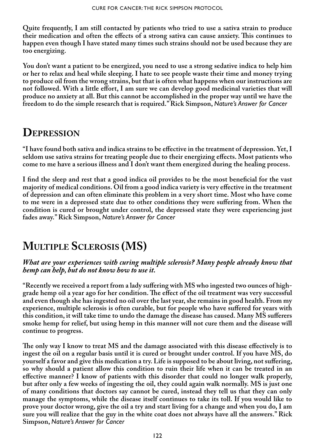**Quite frequently, I am still contacted by patients who tried to use a sativa strain to produce their medication and often the effects of a strong sativa can cause anxiety. This continues to happen even though I have stated many times such strains should not be used because they are too energizing.** 

**You don't want a patient to be energized, you need to use a strong sedative indica to help him or her to relax and heal while sleeping. I hate to see people waste their time and money trying to produce oil from the wrong strains, but that is often what happens when our instructions are not followed. With a little effort, I am sure we can develop good medicinal varieties that will produce no anxiety at all. But this cannot be accomplished in the proper way until we have the freedom to do the simple research that is required." Rick Simpson,** *Nature's Answer for Cancer*

## **Depression**

**"I have found both sativa and indica strains to be effective in the treatment of depression. Yet, I seldom use sativa strains for treating people due to their energizing effects. Most patients who come to me have a serious illness and I don't want them energized during the healing process.** 

**I find the sleep and rest that a good indica oil provides to be the most beneficial for the vast majority of medical conditions. Oil from a good indica variety is very effective in the treatment of depression and can often eliminate this problem in a very short time. Most who have come to me were in a depressed state due to other conditions they were suffering from. When the condition is cured or brought under control, the depressed state they were experiencing just fades away." Rick Simpson,** *Nature's Answer for Cancer*

### **Multiple Sclerosis (MS)**

#### *What are your experiences with curing multiple sclerosis? Many people already know that hemp can help, but do not know how to use it.*

**"Recently we received a report from a lady suffering with MS who ingested two ounces of highgrade hemp oil a year ago for her condition. The effect of the oil treatment was very successful and even though she has ingested no oil over the last year, she remains in good health. From my experience, multiple sclerosis is often curable, but for people who have suffered for years with this condition, it will take time to undo the damage the disease has caused. Many MS sufferers smoke hemp for relief, but using hemp in this manner will not cure them and the disease will continue to progress.** 

**The only way I know to treat MS and the damage associated with this disease effectively is to ingest the oil on a regular basis until it is cured or brought under control. If you have MS, do yourself a favor and give this medication a try. Life is supposed to be about living, not suffering, so why should a patient allow this condition to ruin their life when it can be treated in an effective manner? I know of patients with this disorder that could no longer walk properly, but after only a few weeks of ingesting the oil, they could again walk normally. MS is just one of many conditions that doctors say cannot be cured, instead they tell us that they can only manage the symptoms, while the disease itself continues to take its toll. If you would like to prove your doctor wrong, give the oil a try and start living for a change and when you do, I am sure you will realize that the guy in the white coat does not always have all the answers." Rick Simpson,** *Nature's Answer for Cancer*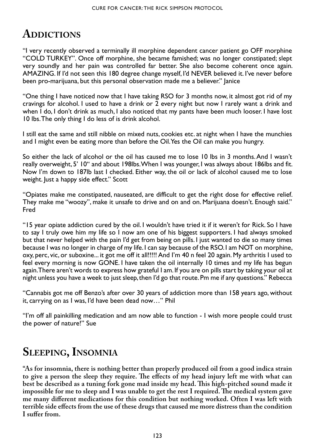# **Addictions**

"I very recently observed a terminally ill morphine dependent cancer patient go OFF morphine "COLD TURKEY". Once off morphine, she became famished; was no longer constipated; slept very soundly and her pain was controlled far better. She also become coherent once again. AMAZING. If I'd not seen this 180 degree change myself, I'd NEVER believed it. I've never before been pro-marijuana, but this personal observation made me a believer." Janice

"One thing I have noticed now that I have taking RSO for 3 months now, it almost got rid of my cravings for alcohol. I used to have a drink or 2 every night but now I rarely want a drink and when I do, I don't drink as much, I also noticed that my pants have been much looser. I have lost 10 lbs. The only thing I do less of is drink alcohol.

I still eat the same and still nibble on mixed nuts, cookies etc. at night when I have the munchies and I might even be eating more than before the Oil. Yes the Oil can make you hungry.

So either the lack of alcohol or the oil has caused me to lose 10 lbs in 3 months. And I wasn't really overweight, 5' 10" and about 198lbs. When I was younger, I was always about 186lbs and fit. Now I'm down to 187lb last I checked. Either way, the oil or lack of alcohol caused me to lose weight. Just a happy side effect." Scott

"Opiates make me constipated, nauseated, are difficult to get the right dose for effective relief. They make me "woozy", make it unsafe to drive and on and on. Marijuana doesn't. Enough said." Fred

"15 year opiate addiction cured by the oil. I wouldn't have tried it if it weren't for Rick. So I have to say I truly owe him my life so I now am one of his biggest supporters. I had always smoked but that never helped with the pain I'd get from being on pills. I just wanted to die so many times because I was no longer in charge of my life. I can say because of the RSO. I am NOT on morphine, oxy, perc, vic, or suboxine... it got me off it all!!!!! And I'm 40 n feel 20 again. My arthritis I used to feel every morning is now GONE. I have taken the oil internally 10 times and my life has begun again. There aren't words to express how grateful I am. If you are on pills start by taking your oil at night unless you have a week to just sleep, then I'd go that route. Pm me if any questions." Rebecca

"Cannabis got me off Benzo's after over 30 years of addiction more than 158 years ago, without it, carrying on as I was, I'd have been dead now…" Phil

"I'm off all painkilling medication and am now able to function - I wish more people could trust the power of nature!" Sue

# **Sleeping, Insomnia**

**"As for insomnia, there is nothing better than properly produced oil from a good indica strain to give a person the sleep they require. The effects of my head injury left me with what can best be described as a tuning fork gone mad inside my head. This high-pitched sound made it impossible for me to sleep and I was unable to get the rest I required. The medical system gave me many different medications for this condition but nothing worked. Often I was left with terrible side effects from the use of these drugs that caused me more distress than the condition I suffer from.**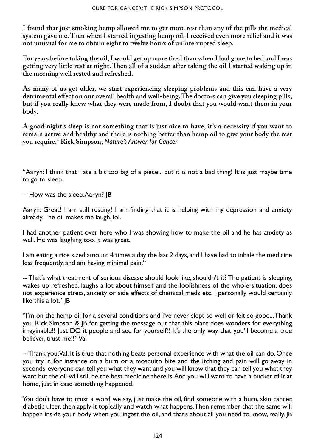**I found that just smoking hemp allowed me to get more rest than any of the pills the medical system gave me. Then when I started ingesting hemp oil, I received even more relief and it was not unusual for me to obtain eight to twelve hours of uninterrupted sleep.** 

**For years before taking the oil, I would get up more tired than when I had gone to bed and I was getting very little rest at night. Then all of a sudden after taking the oil I started waking up in the morning well rested and refreshed.** 

**As many of us get older, we start experiencing sleeping problems and this can have a very detrimental effect on our overall health and well-being. The doctors can give you sleeping pills, but if you really knew what they were made from, I doubt that you would want them in your body.** 

**A good night's sleep is not something that is just nice to have, it's a necessity if you want to remain active and healthy and there is nothing better than hemp oil to give your body the rest you require." Rick Simpson,** *Nature's Answer for Cancer*

"Aaryn: I think that I ate a bit too big of a piece... but it is not a bad thing! It is just maybe time to go to sleep.

-- How was the sleep, Aaryn? JB

Aaryn: Great! I am still resting! I am finding that it is helping with my depression and anxiety already. The oil makes me laugh, lol.

I had another patient over here who I was showing how to make the oil and he has anxiety as well. He was laughing too. It was great.

I am eating a rice sized amount 4 times a day the last 2 days, and I have had to inhale the medicine less frequently, and am having minimal pain."

-- That's what treatment of serious disease should look like, shouldn't it? The patient is sleeping, wakes up refreshed, laughs a lot about himself and the foolishness of the whole situation, does not experience stress, anxiety or side effects of chemical meds etc. I personally would certainly like this a lot." |B

"I'm on the hemp oil for a several conditions and I've never slept so well or felt so good... Thank you Rick Simpson & JB for getting the message out that this plant does wonders for everything imaginable!! Just DO it people and see for yourself!! It's the only way that you'll become a true believer, trust me!!" Val

-- Thank you, Val. It is true that nothing beats personal experience with what the oil can do. Once you try it, for instance on a burn or a mosquito bite and the itching and pain will go away in seconds, everyone can tell you what they want and you will know that they can tell you what they want but the oil will still be the best medicine there is. And you will want to have a bucket of it at home, just in case something happened.

You don't have to trust a word we say, just make the oil, find someone with a burn, skin cancer, diabetic ulcer, then apply it topically and watch what happens. Then remember that the same will happen inside your body when you ingest the oil, and that's about all you need to know, really. JB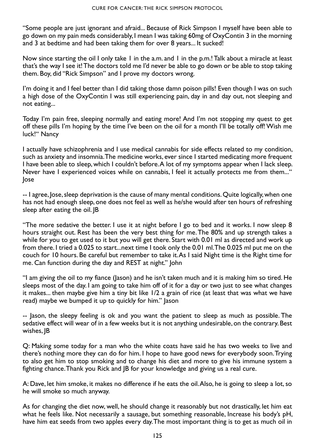"Some people are just ignorant and afraid... Because of Rick Simpson I myself have been able to go down on my pain meds considerably, I mean I was taking 60mg of OxyContin 3 in the morning and 3 at bedtime and had been taking them for over 8 years... It sucked!

Now since starting the oil I only take 1 in the a.m. and 1 in the p.m.! Talk about a miracle at least that's the way I see it! The doctors told me I'd never be able to go down or be able to stop taking them. Boy, did "Rick Simpson" and I prove my doctors wrong.

I'm doing it and I feel better than I did taking those damn poison pills! Even though I was on such a high dose of the OxyContin I was still experiencing pain, day in and day out, not sleeping and not eating...

Today I'm pain free, sleeping normally and eating more! And I'm not stopping my quest to get off these pills I'm hoping by the time I've been on the oil for a month I'll be totally off! Wish me luck!" Nancy

I actually have schizophrenia and I use medical cannabis for side effects related to my condition, such as anxiety and insomnia. The medicine works, ever since I started medicating more frequent I have been able to sleep, which I couldn't before. A lot of my symptoms appear when I lack sleep. Never have I experienced voices while on cannabis, I feel it actually protects me from them..." Jose

-- I agree, Jose, sleep deprivation is the cause of many mental conditions. Quite logically, when one has not had enough sleep, one does not feel as well as he/she would after ten hours of refreshing sleep after eating the oil. |B

"The more sedative the better. I use it at night before I go to bed and it works. I now sleep 8 hours straight out. Rest has been the very best thing for me. The 80% and up strength takes a while for you to get used to it but you will get there. Start with 0.01 ml as directed and work up from there. I tried a 0.025 to start...next time I took only the 0.01 ml. The 0.025 ml put me on the couch for 10 hours. Be careful but remember to take it. As I said Night time is the Right time for me. Can function during the day and REST at night." John

"I am giving the oil to my fiance (Jason) and he isn't taken much and it is making him so tired. He sleeps most of the day. I am going to take him off of it for a day or two just to see what changes it makes... then maybe give him a tiny bit like 1/2 a grain of rice (at least that was what we have read) maybe we bumped it up to quickly for him." Jason

-- Jason, the sleepy feeling is ok and you want the patient to sleep as much as possible. The sedative effect will wear of in a few weeks but it is not anything undesirable, on the contrary. Best wishes, JB

Q: Making some today for a man who the white coats have said he has two weeks to live and there's nothing more they can do for him. I hope to have good news for everybody soon. Trying to also get him to stop smoking and to change his diet and more to give his immune system a fighting chance. Thank you Rick and JB for your knowledge and giving us a real cure.

A: Dave, let him smoke, it makes no difference if he eats the oil. Also, he is going to sleep a lot, so he will smoke so much anyway.

As for changing the diet now, well, he should change it reasonably but not drastically, let him eat what he feels like. Not necessarily a sausage, but something reasonable, Increase his body's pH, have him eat seeds from two apples every day. The most important thing is to get as much oil in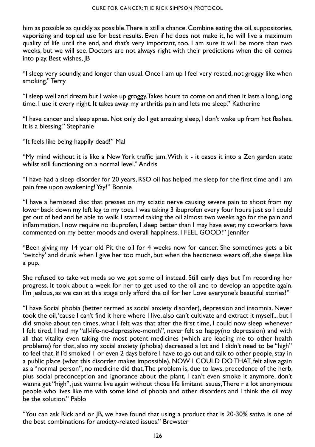him as possible as quickly as possible. There is still a chance. Combine eating the oil, suppositories, vaporizing and topical use for best results. Even if he does not make it, he will live a maximum quality of life until the end, and that's very important, too. I am sure it will be more than two weeks, but we will see. Doctors are not always right with their predictions when the oil comes into play. Best wishes, JB

"I sleep very soundly, and longer than usual. Once I am up I feel very rested, not groggy like when smoking." Terry

"I sleep well and dream but I wake up groggy. Takes hours to come on and then it lasts a long, long time. I use it every night. It takes away my arthritis pain and lets me sleep." Katherine

"I have cancer and sleep apnea. Not only do I get amazing sleep, I don't wake up from hot flashes. It is a blessing." Stephanie

"It feels like being happily dead!" Mal

"My mind without it is like a New York traffic jam. With it - it eases it into a Zen garden state whilst still functioning on a normal level." Andris

"I have had a sleep disorder for 20 years, RSO oil has helped me sleep for the first time and I am pain free upon awakening! Yay!" Bonnie

"I have a herniated disc that presses on my sciatic nerve causing severe pain to shoot from my lower back down my left leg to my toes. I was taking 3 ibuprofen every four hours just so I could get out of bed and be able to walk. I started taking the oil almost two weeks ago for the pain and inflammation. I now require no ibuprofen, I sleep better than I may have ever, my coworkers have commented on my better moods and overall happiness. I FEEL GOOD!" Jennifer

"Been giving my 14 year old Pit the oil for 4 weeks now for cancer. She sometimes gets a bit 'twitchy' and drunk when I give her too much, but when the hecticness wears off, she sleeps like a pup.

She refused to take vet meds so we got some oil instead. Still early days but I'm recording her progress. It took about a week for her to get used to the oil and to develop an appetite again. I'm jealous, as we can at this stage only afford the oil for her Love everyone's beautiful stories!"

"I have Social phobia (better termed as social anxiety disorder), depression and insomnia. Never took the oil, 'cause I can't find it here where I live, also can't cultivate and extract it myself... but I did smoke about ten times, what I felt was that after the first time, I could now sleep whenever I felt tired, I had my "all-life-no-depressive-month", never felt so happy(no depression) and with all that vitality even taking the most potent medicines (which are leading me to other health problems) for that, also my social anxiety (phobia) decreased a lot and I didn't need to be "high" to feel that, if I'd smoked 1 or even 2 days before I have to go out and talk to other people, stay in a public place (what this disorder makes impossible), NOW I COULD DO THAT, felt alive again as a "normal person", no medicine did that. The problem is, due to laws, precedence of the herb, plus social preconception and ignorance about the plant, I can't even smoke it anymore, don't wanna get "high", just wanna live again without those life limitant issues, There r a lot anonymous people who lives like me with some kind of phobia and other disorders and I think the oil may be the solution." Pablo

"You can ask Rick and or JB, we have found that using a product that is 20-30% sativa is one of the best combinations for anxiety-related issues." Brewster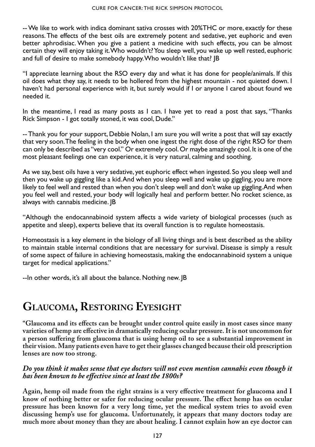-- We like to work with indica dominant sativa crosses with 20%THC or more, exactly for these reasons. The effects of the best oils are extremely potent and sedative, yet euphoric and even better aphrodisiac. When you give a patient a medicine with such effects, you can be almost certain they will enjoy taking it. Who wouldn't? You sleep well, you wake up well rested, euphoric and full of desire to make somebody happy. Who wouldn't like that? JB

"I appreciate learning about the RSO every day and what it has done for people/animals. If this oil does what they say, it needs to be hollered from the highest mountain - not quieted down. I haven't had personal experience with it, but surely would if I or anyone I cared about found we needed it.

In the meantime, I read as many posts as I can. I have yet to read a post that says, "Thanks Rick Simpson - I got totally stoned, it was cool, Dude."

-- Thank you for your support, Debbie Nolan, I am sure you will write a post that will say exactly that very soon. The feeling in the body when one ingest the right dose of the right RSO for them can only be described as "very cool." Or extremely cool. Or maybe amazingly cool. It is one of the most pleasant feelings one can experience, it is very natural, calming and soothing.

As we say, best oils have a very sedative, yet euphoric effect when ingested. So you sleep well and then you wake up giggling like a kid. And when you sleep well and wake up giggling, you are more likely to feel well and rested than when you don't sleep well and don't wake up giggling. And when you feel well and rested, your body will logically heal and perform better. No rocket science, as always with cannabis medicine. JB

"Although the endocannabinoid system affects a wide variety of biological processes (such as appetite and sleep), experts believe that its overall function is to regulate homeostasis.

Homeostasis is a key element in the biology of all living things and is best described as the ability to maintain stable internal conditions that are necessary for survival. Disease is simply a result of some aspect of failure in achieving homeostasis, making the endocannabinoid system a unique target for medical applications."

--In other words, it's all about the balance. Nothing new. JB

## **Glaucoma, Restoring Eyesight**

**"Glaucoma and its effects can be brought under control quite easily in most cases since many varieties of hemp are effective in dramatically reducing ocular pressure. It is not uncommon for a person suffering from glaucoma that is using hemp oil to see a substantial improvement in their vision. Many patients even have to get their glasses changed because their old prescription lenses are now too strong.**

#### *Do you think it makes sense that eye doctors will not even mention cannabis even though it has been known to be effective since at least the 1800s?*

**Again, hemp oil made from the right strains is a very effective treatment for glaucoma and I know of nothing better or safer for reducing ocular pressure. The effect hemp has on ocular pressure has been known for a very long time, yet the medical system tries to avoid even discussing hemp's use for glaucoma. Unfortunately, it appears that many doctors today are much more about money than they are about healing. I cannot explain how an eye doctor can**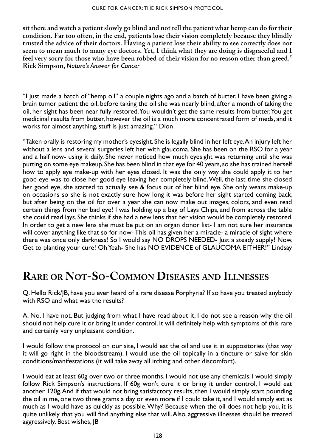**sit there and watch a patient slowly go blind and not tell the patient what hemp can do for their condition. Far too often, in the end, patients lose their vision completely because they blindly trusted the advice of their doctors. Having a patient lose their ability to see correctly does not seem to mean much to many eye doctors. Yet, I think what they are doing is disgraceful and I feel very sorry for those who have been robbed of their vision for no reason other than greed." Rick Simpson,** *Nature's Answer for Cancer*

"I just made a batch of "hemp oil" a couple nights ago and a batch of butter. I have been giving a brain tumor patient the oil, before taking the oil she was nearly blind, after a month of taking the oil, her sight has been near fully restored. You wouldn't get the same results from butter. You get medicinal results from butter, however the oil is a much more concentrated form of meds, and it works for almost anything, stuff is just amazing." Dion

"Taken orally is restoring my mother's eyesight. She is legally blind in her left eye. An injury left her without a lens and several surgeries left her with glaucoma. She has been on the RSO for a year and a half now- using it daily. She never noticed how much eyesight was returning until she was putting on some eye makeup. She has been blind in that eye for 40 years, so she has trained herself how to apply eye make-up with her eyes closed. It was the only way she could apply it to her good eye was to close her good eye leaving her completely blind. Well, the last time she closed her good eye, she started to actually see & focus out of her blind eye. She only wears make-up on occasions so she is not exactly sure how long it was before her sight started coming back, but after being on the oil for over a year she can now make out images, colors, and even read certain things from her bad eye! I was holding up a bag of Lays Chips, and from across the table she could read lays. She thinks if she had a new lens that her vision would be completely restored. In order to get a new lens she must be put on an organ donor list- I am not sure her insurance will cover anything like that so for now- This oil has given her a miracle- a miracle of sight where there was once only darkness! So I would say NO DROPS NEEDED- Just a steady supply! Now, Get to planting your cure! Oh Yeah- She has NO EVIDENCE of GLAUCOMA EITHER!" Lindsay

## **Rare or Not-So-Common Diseases and Illnesses**

Q. Hello Rick/JB, have you ever heard of a rare disease Porphyria? If so have you treated anybody with RSO and what was the results?

A. No, I have not. But judging from what I have read about it, I do not see a reason why the oil should not help cure it or bring it under control. It will definitely help with symptoms of this rare and certainly very unpleasant condition.

I would follow the protocol on our site, I would eat the oil and use it in suppositories (that way it will go right in the bloodstream). I would use the oil topically in a tincture or salve for skin conditions/manifestations (it will take away all itching and other discomfort).

I would eat at least 60g over two or three months, I would not use any chemicals, I would simply follow Rick Simpson's instructions. If 60g won't cure it or bring it under control, I would eat another 120g. And if that would not bring satisfactory results, then I would simply start pounding the oil in me, one two three grams a day or even more if I could take it, and I would simply eat as much as I would have as quickly as possible. Why? Because when the oil does not help you, it is quite unlikely that you will find anything else that will. Also, aggressive illnesses should be treated aggressively. Best wishes, JB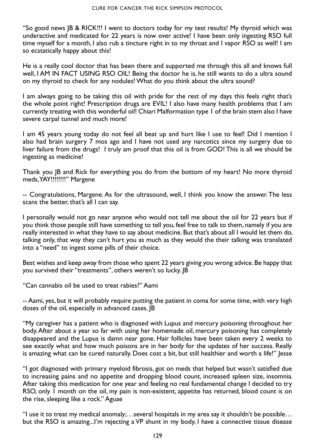"So good news JB & RICK!!! I went to doctors today for my test results! My thyroid which was underactive and medicated for 22 years is now over active! I have been only ingesting RSO full time myself for a month, I also rub a tincture right in to my throat and I vapor RSO as well! I am so ecstatically happy about this!

He is a really cool doctor that has been there and supported me through this all and knows full well, I AM IN FACT USING RSO OIL! Being the doctor he is, he still wants to do a ultra sound on my thyroid to check for any nodules! What do you think about the ultra sound?

I am always going to be taking this oil with pride for the rest of my days this feels right that's the whole point right! Prescription drugs are EVIL! I also have many health problems that I am currently treating with this wonderful oil! Chiari Malformation type 1 of the brain stem also I have severe carpal tunnel and much more!

I am 45 years young today do not feel all beat up and hurt like I use to feel! Did I mention I also had brain surgery 7 mos ago and I have not used any narcotics since my surgery due to liver failure from the drugs! I truly am proof that this oil is from GOD! This is all we should be ingesting as medicine!

Thank you JB and Rick for everything you do from the bottom of my heart! No more thyroid meds, YAY!!!!!!!!" Margene

-- Congratulations, Margene. As for the ultrasound, well, I think you know the answer. The less scans the better, that's all I can say.

I personally would not go near anyone who would not tell me about the oil for 22 years but if you think those people still have something to tell you, feel free to talk to them, namely if you are really interested in what they have to say about medicine. But that's about all I would let them do, talking only, that way they can't hurt you as much as they would the their talking was translated into a "need" to ingest some pills of their choice.

Best wishes and keep away from those who spent 22 years giving you wrong advice. Be happy that you survived their "treatments", others weren't so lucky. JB

"Can cannabis oil be used to treat rabies?" Aami

-- Aami, yes, but it will probably require putting the patient in coma for some time, with very high doses of the oil, especially in advanced cases. JB

"My caregiver has a patient who is diagnosed with Lupus and mercury poisoning throughout her body. After about a year so far with using her homemade oil, mercury poisoning has completely disappeared and the Lupus is damn near gone. Hair follicles have been taken every 2 weeks to see exactly what and how much poisons are in her body for the updates of her success. Really is amazing what can be cured naturally. Does cost a bit, but still healthier and worth a life!" Jesse

"I got diagnosed with primary myeloid fibrosis, got on meds that helped but wasn't satisfied due to increasing pains and no appetite and dropping blood count, increased spleen size, insomnia. After taking this medication for one year and feeling no real fundamental change I decided to try RSO, only 1 month on the oil, my pain is non-existent, appetite has returned, blood count is on the rise, sleeping like a rock." Aguae

"I use it to treat my medical anomaly;…several hospitals in my area say it shouldn't be possible… but the RSO is amazing...I'm rejecting a VP shunt in my body, I have a connective tissue disease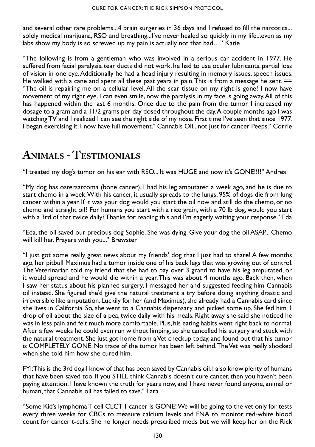and several other rare problems...4 brain surgeries in 36 days and I refused to fill the narcotics... solely medical marijuana, RSO and breathing...I've never healed so quickly in my life...even as my labs show my body is so screwed up my pain is actually not that bad…" Katie

"The following is from a gentleman who was involved in a serious car accident in 1977. He suffered from facial paralysis, tear ducts did not work, he had to use ocular lubricants, partial loss of vision in one eye. Additionally he had a head injury resulting in memory issues, speech issues. He walked with a cane and spent all these past years in pain. This is from a message he sent.  $==$ "The oil is repairing me on a cellular level. All the scar tissue on my right is gone! I now have movement of my right eye. I can even smile, now the paralysis in my face is going away. All of this has happened within the last 6 months. Once due to the pain from the tumor I increased my dosage to a gram and a 11/2 grams per day dosed throughout the day. A couple months ago I was watching TV and I realized I can see the right side of my nose. First time I've seen that since 1977. I began exercising it. I now have full movement." Cannabis Oil...not just for cancer Peeps." Corrie

# **Animals - Testimonials**

"I treated my dog's tumor on his ear with RSO... It was HUGE and now it's GONE!!!!" Andrea

"My dog has ostersarcoma (bone cancer). I had his leg amputated a week ago, and he is due to start chemo in a week. With his cancer, it usually spreads to the lungs, 95% of dogs die from lung cancer within a year. If it was your dog would you start the oil now and still do the chemo, or no chemo and straight oil? For humans you start with a rice grain, with a 70 lb dog, would you start with a 3rd of that twice daily? Thanks for reading this and I'm eagerly waiting your response." Eda

"Eda, the oil saved our precious dog Sophie. She was dying. Give your dog the oil ASAP... Chemo will kill her. Prayers with you..." Brewster

"I just got some really great news about my friends' dog that I just had to share! A few months ago, her pitbull Maximus had a tumor inside one of his back legs that was growing out of control. The Veterinarian told my friend that she had to pay over 3 grand to have his leg amputated, or it would spread and he would die within a year. This was about 4 months ago. Back then, when I saw her status about his planned surgery, I messaged her and suggested feeding him Cannabis oil instead. She figured she'd give the natural treatment a try before doing anything drastic and irreversible like amputation. Luckily for her (and Maximus), she already had a Cannabis card since she lives in California. So, she went to a Cannabis dispensary and picked some up. She fed him 1 drop of oil about the size of a pea, twice daily with his meals. Right away she said she noticed he was in less pain and felt much more comfortable. Plus, his eating habits went right back to normal. After a few weeks he could even run without limping, so she cancelled his surgery and stuck with the natural treatment. She just got home from a Vet checkup today, and found out that his tumor is COMPLETELY GONE. No trace of the tumor has been left behind. The Vet was really shocked when she told him how she cured him.

FYI: This is the 3rd dog I know of that has been saved by Cannabis oil. I also know plenty of humans that have been saved too. If you STILL think Cannabis doesn't cure cancer, then you haven't been paying attention. I have known the truth for years now, and I have never found anyone, animal or human, that Cannabis oil has failed to save." Lara

"Some Kid's lymphoma T cell CLCT-1 cancer is GONE! We will be going to the vet only for tests every three weeks for CBCs to measure calcium levels and FNA to monitor red-white blood count for cancer t-cells. She no longer needs prescribed meds but we will keep her on the Rick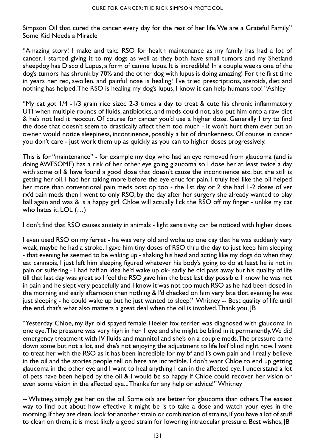Simpson Oil that cured the cancer every day for the rest of her life. We are a Grateful Family." Some Kid Needs a Miracle

"Amazing story! I make and take RSO for health maintenance as my family has had a lot of cancer. I started giving it to my dogs as well as they both have small tumors and my Shetland sheepdog has Discoid Lupus, a form of canine lupus. It is incredible! In a couple weeks one of the dog's tumors has shrunk by 70% and the other dog with lupus is doing amazing! For the first time in years her red, swollen, and painful nose is healing! I've tried prescriptions, steroids, diet and nothing has helped.The RSO is healing my dog's lupus, I know it can help humans too! "Ashley

"My cat got 1/4 -1/3 grain rice sized 2-3 times a day to treat & cute his chronic inflammatory UTI when multiple rounds of fluids, antibiotics, and meds could not, also put him onto a raw diet & he's not had it reoccur. Of course for cancer you'd use a higher dose. Generally I try to find the dose that doesn't seem to drastically affect them too much - it won't hurt them ever but an owner would notice sleepiness, incontinence, possibly a bit of drunkenness. Of course in cancer you don't care - just work them up as quickly as you can to higher doses progressively.

This is for "maintenance" - for example my dog who had an eye removed from glaucoma (and is doing AWESOME) has a risk of her other eye going glaucoma so I dose her at least twice a day with some oil & have found a good dose that doesn't cause the incontinence etc. but she still is getting her oil. I had her taking more before the eye enuc for pain. I truly feel like the oil helped her more than conventional pain meds post op too - the 1st day or 2 she had 1-2 doses of vet rx'd pain meds then I went to only RSO, by the day after her surgery she already wanted to play ball again and was & is a happy girl. Chloe will actually lick the RSO off my finger - unlike my cat who hates it. LOL (…)

I don't find that RSO causes anxiety in animals - light sensitivity can be noticed with higher doses.

I even used RSO on my ferret - he was very old and woke up one day that he was suddenly very weak, maybe he had a stroke. I gave him tiny doses of RSO thru the day to just keep him sleeping - that evening he seemed to be waking up - shaking his head and acting like my dogs do when they eat cannabis, I just left him sleeping figured whatever his body's going to do at least he is not in pain or suffering - I had half an idea he'd wake up ok- sadly he did pass away but his quality of life till that last day was great so I feel the RSO gave him the best last day possible. I know he was not in pain and he slept very peacefully and I know it was not too much RSO as he had been dosed in the morning and early afternoon then nothing & I'd checked on him very late that evening he was just sleeping - he could wake up but he just wanted to sleep." Whitney -- Best quality of life until the end, that's what also matters a great deal when the oil is involved. Thank you, JB

"Yesterday Chloe, my 8yr old spayed female Heeler fox terrier was diagnosed with glaucoma in one eye. The pressure was very high in her 1 eye and she might be blind in it permanently. We did emergency treatment with IV fluids and mannitol and she's on a couple meds. The pressure came down some but not a lot, and she's not enjoying the adjustment to life half blind right now. I want to treat her with the RSO as it has been incredible for my bf and I's own pain and I really believe in the oil and the stories people tell on here are incredible. I don't want Chloe to end up getting glaucoma in the other eye and I want to heal anything I can in the affected eye. I understand a lot of pets have been helped by the oil & I would be so happy if Chloe could recover her vision or even some vision in the affected eye... Thanks for any help or advice!" Whitney

-- Whitney, simply get her on the oil. Some oils are better for glaucoma than others. The easiest way to find out about how effective it might be is to take a dose and watch your eyes in the morning. If they are clean, look for another strain or combination of strains, if you have a lot of stuff to clean on them, it is most likely a good strain for lowering intraocular pressure. Best wishes, JB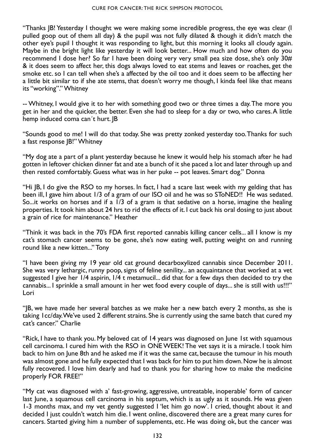"Thanks JB! Yesterday I thought we were making some incredible progress, the eye was clear (I pulled goop out of them all day) & the pupil was not fully dilated & though it didn't match the other eye's pupil I thought it was responding to light, but this morning it looks all cloudy again. Maybe in the bright light like yesterday it will look better... How much and how often do you recommend I dose her? So far I have been doing very very small pea size dose, she's only  $30\#$ & it does seem to affect her, this dogs always loved to eat stems and leaves or roaches, get the smoke etc. so I can tell when she's a affected by the oil too and it does seem to be affecting her a little bit similar to if she ate stems, that doesn't worry me though, I kinda feel like that means its "working"." Whitney

-- Whitney, I would give it to her with something good two or three times a day. The more you get in her and the quicker, the better. Even she had to sleep for a day or two, who cares. A little hemp induced coma can´t hurt. JB

"Sounds good to me! I will do that today. She was pretty zonked yesterday too. Thanks for such a fast response JB!" Whitney

"My dog ate a part of a plant yesterday because he knew it would help his stomach after he had gotten in leftover chicken dinner fat and ate a bunch of it she paced a lot and later through up and then rested comfortably. Guess what was in her puke -- pot leaves. Smart dog." Donna

"Hi JB, I do give the RSO to my horses. In fact, I had a scare last week with my gelding that has been ill, I gave him about 1/3 of a gram of our ISO oil and he was so SToNED!! He was sedated. So...it works on horses and if a 1/3 of a gram is that sedative on a horse, imagine the healing properties. It took him about 24 hrs to rid the effects of it. I cut back his oral dosing to just about a grain of rice for maintenance." Heather

"Think it was back in the 70's FDA first reported cannabis killing cancer cells... all I know is my cat's stomach cancer seems to be gone, she's now eating well, putting weight on and running round like a new kitten..." Tony

"I have been giving my 19 year old cat ground decarboxylized cannabis since December 2011. She was very lethargic, runny poop, signs of feline senility... an acquaintance that worked at a vet suggested I give her 1/4 aspirin, 1/4 t metamucil... did that for a few days then decided to try the cannabis... I sprinkle a small amount in her wet food every couple of days... she is still with us!!!" Lori

"JB, we have made her several batches as we make her a new batch every 2 months, as she is taking 1cc/day. We've used 2 different strains. She is currently using the same batch that cured my cat's cancer." Charlie

"Rick, I have to thank you. My beloved cat of 14 years was diagnosed on June 1st with squamous cell carcinoma. I cured him with the RSO in ONE WEEK! The vet says it is a miracle. I took him back to him on June 8th and he asked me if it was the same cat, because the tumour in his mouth was almost gone and he fully expected that I was back for him to put him down. Now he is almost fully recovered. I love him dearly and had to thank you for sharing how to make the medicine properly FOR FREE!"

"My cat was diagnosed with a' fast-growing, aggressive, untreatable, inoperable' form of cancer last June, a squamous cell carcinoma in his septum, which is as ugly as it sounds. He was given 1-3 months max, and my vet gently suggested I 'let him go now'. I cried, thought about it and decided I just couldn't watch him die. I went online, discovered there are a great many cures for cancers. Started giving him a number of supplements, etc. He was doing ok, but the cancer was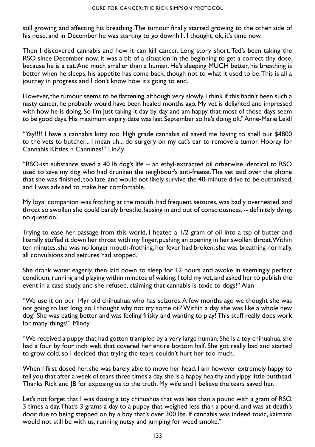still growing and affecting his breathing. The tumour finally started growing to the other side of his nose, and in December he was starting to go downhill. I thought, ok, it's time now.

Then I discovered cannabis and how it can kill cancer. Long story short, Ted's been taking the RSO since December now. It was a bit of a situation in the beginning to get a correct tiny dose, because he is a cat. And much smaller than a human. He's sleeping MUCH better, his breathing is better when he sleeps, his appetite has come back, though not to what it used to be. This is all a journey in progress and I don't know how it's going to end.

However, the tumour seems to be flattening, although very slowly. I think if this hadn't been such a nasty cancer, he probably would have been healed months ago. My vet is delighted and impressed with how he is doing. So I'm just taking it day by day and am happy that most of those days seem to be good days. His maximum expiry date was last September so he's doing ok." Anne-Marie Leidl

"Yay!!!! I have a cannabis kitty too. High grade cannabis oil saved me having to shell out \$4800 to the vets to butcher... I mean uh... do surgery on my cat's ear to remove a tumor. Hooray for Cannabis Kitties n Cannines!" LinZy

"RSO-ish substance saved a 40 lb dog's life -- an ethyl-extracted oil otherwise identical to RSO used to save my dog who had drunken the neighbour's anti-freeze. The vet said over the phone that she was finished, too late, and would not likely survive the 40-minute drive to be euthanised, and I was advised to make her comfortable.

My loyal companion was frothing at the mouth, had frequent seizures, was badly overheated, and throat so swollen she could barely breathe, lapsing in and out of consciousness. -- definitely dying, no question.

Trying to ease her passage from this world, I heated a 1/2 gram of oil into a tsp of butter and literally stuffed it down her throat with my finger, pushing an opening in her swollen throat. Within ten minutes, she was no longer mouth-frothing, her fever had broken, she was breathing normally, all convulsions and seizures had stopped.

She drank water eagerly, then laid down to sleep for 12 hours and awoke in seemingly perfect condition, running and playing within minutes of waking. I told my vet, and asked her to publish the event in a case study, and she refused, claiming that cannabis is toxic to dogs!" Alan

"We use it on our 14yr old chihuahua who has seizures. A few months ago we thought she was not going to last long, so I thought why not try some oil? Within a day she was like a whole new dog! She was eating better and was feeling frisky and wanting to play! This stuff really does work for many things!" Mindy

"We received a puppy that had gotten trampled by a very large human. She is a toy chihuahua, she had a four by four inch welt that covered her entire bottom half. She got really bad and started to grow cold, so I decided that trying the tears couldn't hurt her too much.

When I first dosed her, she was barely able to move her head. I am however extremely happy to tell you that after a week of tears three times a day, she is a happy, healthy and yippy little butthead. Thanks Rick and JB for exposing us to the truth. My wife and I believe the tears saved her.

Let's not forget that I was dosing a toy chihuahua that was less than a pound with a gram of RSO, 3 times a day. That's 3 grams a day to a puppy that weighed less than a pound, and was at death's door due to being stepped on by a boy that's over 300 lbs. If cannabis was indeed toxic, kaimana would not still be with us, running nutsy and jumping for weed smoke."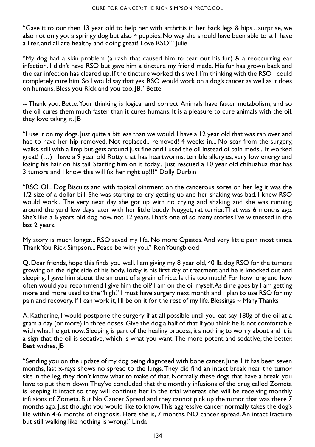"Gave it to our then 13 year old to help her with arthritis in her back legs & hips... surprise, we also not only got a springy dog but also 4 puppies. No way she should have been able to still have a liter, and all are healthy and doing great! Love RSO!" Julie

"My dog had a skin problem (a rash that caused him to tear out his fur) & a reoccurring ear infection. I didn't have RSO but gave him a tincture my friend made. His fur has grown back and the ear infection has cleared up. If the tincture worked this well, I'm thinking with the RSO I could completely cure him. So I would say that yes, RSO would work on a dog's cancer as well as it does on humans. Bless you Rick and you too, JB." Bette

-- Thank you, Bette. Your thinking is logical and correct. Animals have faster metabolism, and so the oil cures them much faster than it cures humans. It is a pleasure to cure animals with the oil, they love taking it. |B

"I use it on my dogs. Just quite a bit less than we would. I have a 12 year old that was ran over and had to have her hip removed. Not replaced... removed! 4 weeks in... No scar from the surgery, walks, still with a limp but gets around just fine and I used the oil instead of pain meds... It worked great!  $(...)$  I have a 9 year old Rotty that has heartworms, terrible allergies, very low energy and losing his hair on his tail. Starting him on it today... Just rescued a 10 year old chihuahua that has 3 tumors and I know this will fix her right up!!!" Dolly Durbin

"RSO OIL Dog Biscuits and with topical ointment on the cancerous sores on her leg it was the 1/2 size of a dollar bill. She was starting to cry getting up and her shaking was bad. I knew RSO would work... The very next day she got up with no crying and shaking and she was running around the yard few days later with her little buddy Nugget, rat terrier. That was 6 months ago. She's like a 6 years old dog now, not 12 years. That's one of so many stories I've witnessed in the last 2 years.

My story is much longer... RSO saved my life. No more Opiates. And very little pain most times. Thank You Rick Simpson... Peace be with you." Ron Youngblood

Q. Dear friends, hope this finds you well. I am giving my 8 year old, 40 lb. dog RSO for the tumors growing on the right side of his body. Today is his first day of treatment and he is knocked out and sleeping. I gave him about the amount of a grain of rice. Is this too much? For how long and how often would you recommend I give him the oil? I am on the oil myself. As time goes by I am getting more and more used to the "high." I must have surgery next month and I plan to use RSO for my pain and recovery. If I can work it, I'll be on it for the rest of my life. Blessings  $\sim$  Many Thanks

A. Katherine, I would postpone the surgery if at all possible until you eat say 180g of the oil at a gram a day (or more) in three doses. Give the dog a half of that if you think he is not comfortable with what he got now. Sleeping is part of the healing process, it's nothing to worry about and it is a sign that the oil is sedative, which is what you want. The more potent and sedative, the better. Best wishes, JB

"Sending you on the update of my dog being diagnosed with bone cancer. June 1 it has been seven months, last x-rays shows no spread to the lungs. They did find an intact break near the tumor site in the leg, they don't know what to make of that. Normally these dogs that have a break, you have to put them down. They've concluded that the monthly infusions of the drug called Zometa is keeping it intact so they will continue her in the trial whereas she will be receiving monthly infusions of Zometa. But No Cancer Spread and they cannot pick up the tumor that was there 7 months ago. Just thought you would like to know. This aggressive cancer normally takes the dog's life within 4-6 months of diagnosis. Here she is, 7 months, NO cancer spread. An intact fracture but still walking like nothing is wrong." Linda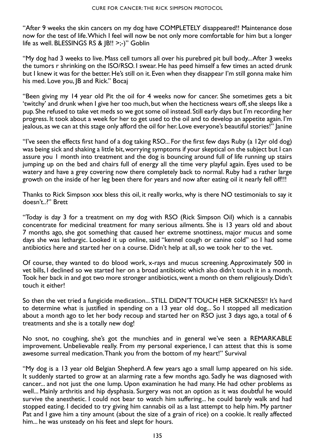"After 9 weeks the skin cancers on my dog have COMPLETELY disappeared!! Maintenance dose now for the test of life. Which I feel will now be not only more comfortable for him but a longer life as well. BLESSINGS RS & JB!! >;-)" Goblin

"My dog had 3 weeks to live. Mass cell tumors all over his purebred pit bull body... After 3 weeks the tumors r shrinking on the ISO/RSO. I swear. He has peed himself a few times an acted drunk but I knew it was for the better. He's still on it. Even when they disappear I'm still gonna make him his med. Love you, JB and Rick." Bocaj

"Been giving my 14 year old Pit the oil for 4 weeks now for cancer. She sometimes gets a bit 'twitchy' and drunk when I give her too much, but when the hecticness wears off, she sleeps like a pup. She refused to take vet meds so we got some oil instead. Still early days but I'm recording her progress. It took about a week for her to get used to the oil and to develop an appetite again. I'm jealous, as we can at this stage only afford the oil for her. Love everyone's beautiful stories!" Janine

"I've seen the effects first hand of a dog taking RSO... For the first few days Ruby (a 12yr old dog) was being sick and shaking a little bit, worrying symptoms if your skeptical on the subject but I can assure you 1 month into treatment and the dog is bouncing around full of life running up stairs jumping up on the bed and chairs full of energy all the time very playful again. Eyes used to be watery and have a grey covering now there completely back to normal. Ruby had a rather large growth on the inside of her leg been there for years and now after eating oil it nearly fell off!!!

Thanks to Rick Simpson xxx bless this oil, it really works, why is there NO testimonials to say it doesn't..?" Brett

"Today is day 3 for a treatment on my dog with RSO (Rick Simpson Oil) which is a cannabis concentrate for medicinal treatment for many serious ailments. She is 13 years old and about 7 months ago, she got something that caused her extreme snottiness, major mucus and some days she was lethargic. Looked it up online, said "kennel cough or canine cold" so I had some antibiotics here and started her on a course. Didn't help at all, so we took her to the vet.

Of course, they wanted to do blood work, x-rays and mucus screening. Approximately 500 in vet bills, I declined so we started her on a broad antibiotic which also didn't touch it in a month. Took her back in and got two more stronger antibiotics, went a month on them religiously. Didn't touch it either!

So then the vet tried a fungicide medication... STILL DIDN'T TOUCH HER SICKNESS!! It's hard to determine what is justified in spending on a 13 year old dog... So I stopped all medication about a month ago to let her body recoup and started her on RSO just 3 days ago, a total of 6 treatments and she is a totally new dog!

No snot, no coughing, she's got the munchies and in general we've seen a REMARKABLE improvement. Unbelievable really. From my personal experience, I can attest that this is some awesome surreal medication. Thank you from the bottom of my heart!" Survival

"My dog is a 13 year old Belgian Shepherd. A few years ago a small lump appeared on his side. It suddenly started to grow at an alarming rate a few months ago. Sadly he was diagnosed with cancer... and not just the one lump. Upon examination he had many. He had other problems as well... Mainly arthritis and hip dysphasia. Surgery was not an option as it was doubtful he would survive the anesthetic. I could not bear to watch him suffering... he could barely walk and had stopped eating. I decided to try giving him cannabis oil as a last attempt to help him. My partner Pat and I gave him a tiny amount (about the size of a grain of rice) on a cookie. It really affected him... he was unsteady on his feet and slept for hours.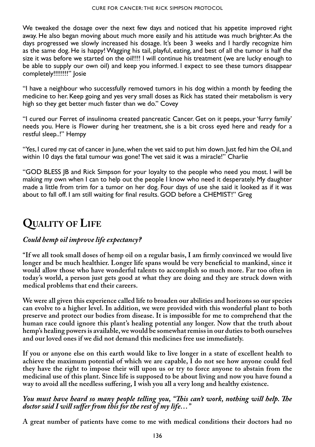We tweaked the dosage over the next few days and noticed that his appetite improved right away. He also began moving about much more easily and his attitude was much brighter. As the days progressed we slowly increased his dosage. It's been 3 weeks and I hardly recognize him as the same dog. He is happy! Wagging his tail, playful, eating, and best of all the tumor is half the size it was before we started on the oil!!!! I will continue his treatment (we are lucky enough to be able to supply our own oil) and keep you informed. I expect to see these tumors disappear completely!!!!!!!!" Josie

"I have a neighbour who successfully removed tumors in his dog within a month by feeding the medicine to her. Keep going and yes very small doses as Rick has stated their metabolism is very high so they get better much faster than we do." Covey

"I cured our Ferret of insulinoma created pancreatic Cancer. Get on it peeps, your 'furry family' needs you. Here is Flower during her treatment, she is a bit cross eyed here and ready for a restful sleep..!" Hempy

"Yes, I cured my cat of cancer in June, when the vet said to put him down. Just fed him the Oil, and within 10 days the fatal tumour was gone! The vet said it was a miracle!" Charlie

"GOD BLESS JB and Rick Simpson for your loyalty to the people who need you most. I will be making my own when I can to help out the people I know who need it desperately. My daughter made a little from trim for a tumor on her dog. Four days of use she said it looked as if it was about to fall off. I am still waiting for final results. GOD before a CHEMIST!" Greg

## **Quality of Life**

### *Could hemp oil improve life expectancy?*

**"If we all took small doses of hemp oil on a regular basis, I am firmly convinced we would live longer and be much healthier. Longer life spans would be very beneficial to mankind, since it would allow those who have wonderful talents to accomplish so much more. Far too often in today's world, a person just gets good at what they are doing and they are struck down with medical problems that end their careers.** 

**We were all given this experience called life to broaden our abilities and horizons so our species can evolve to a higher level. In addition, we were provided with this wonderful plant to both preserve and protect our bodies from disease. It is impossible for me to comprehend that the human race could ignore this plant's healing potential any longer. Now that the truth about hemp's healing powers is available, we would be somewhat remiss in our duties to both ourselves and our loved ones if we did not demand this medicines free use immediately.** 

**If you or anyone else on this earth would like to live longer in a state of excellent health to achieve the maximum potential of which we are capable, I do not see how anyone could feel they have the right to impose their will upon us or try to force anyone to abstain from the medicinal use of this plant. Since life is supposed to be about living and now you have found a way to avoid all the needless suffering, I wish you all a very long and healthy existence.**

#### *You must have heard so many people telling you, "This can't work, nothing will help. The doctor said I will suffer from this for the rest of my life…"*

**A great number of patients have come to me with medical conditions their doctors had no**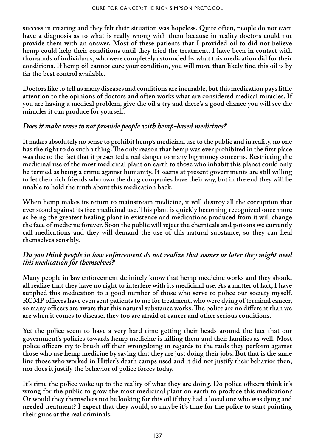**success in treating and they felt their situation was hopeless. Quite often, people do not even have a diagnosis as to what is really wrong with them because in reality doctors could not provide them with an answer. Most of these patients that I provided oil to did not believe hemp could help their conditions until they tried the treatment. I have been in contact with thousands of individuals, who were completely astounded by what this medication did for their conditions. If hemp oil cannot cure your condition, you will more than likely find this oil is by far the best control available.** 

**Doctors like to tell us many diseases and conditions are incurable, but this medication pays little attention to the opinions of doctors and often works what are considered medical miracles. If you are having a medical problem, give the oil a try and there's a good chance you will see the miracles it can produce for yourself.**

#### *Does it make sense to not provide people with hemp-based medicines?*

**It makes absolutely no sense to prohibit hemp's medicinal use to the public and in reality, no one has the right to do such a thing. The only reason that hemp was ever prohibited in the first place was due to the fact that it presented a real danger to many big money concerns. Restricting the medicinal use of the most medicinal plant on earth to those who inhabit this planet could only be termed as being a crime against humanity. It seems at present governments are still willing to let their rich friends who own the drug companies have their way, but in the end they will be unable to hold the truth about this medication back.** 

**When hemp makes its return to mainstream medicine, it will destroy all the corruption that ever stood against its free medicinal use. This plant is quickly becoming recognized once more as being the greatest healing plant in existence and medications produced from it will change the face of medicine forever. Soon the public will reject the chemicals and poisons we currently call medications and they will demand the use of this natural substance, so they can heal themselves sensibly.**

#### *Do you think people in law enforcement do not realize that sooner or later they might need this medication for themselves?*

**Many people in law enforcement definitely know that hemp medicine works and they should all realize that they have no right to interfere with its medicinal use. As a matter of fact, I have supplied this medication to a good number of those who serve to police our society myself. RCMP officers have even sent patients to me for treatment, who were dying of terminal cancer, so many officers are aware that this natural substance works. The police are no different than we are when it comes to disease, they too are afraid of cancer and other serious conditions.**

**Yet the police seem to have a very hard time getting their heads around the fact that our government's policies towards hemp medicine is killing them and their families as well. Most police officers try to brush off their wrongdoing in regards to the raids they perform against those who use hemp medicine by saying that they are just doing their jobs. But that is the same line those who worked in Hitler's death camps used and it did not justify their behavior then, nor does it justify the behavior of police forces today.** 

**It's time the police woke up to the reality of what they are doing. Do police officers think it's wrong for the public to grow the most medicinal plant on earth to produce this medication? Or would they themselves not be looking for this oil if they had a loved one who was dying and needed treatment? I expect that they would, so maybe it's time for the police to start pointing their guns at the real criminals.**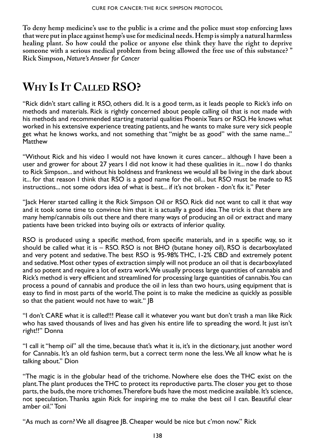**To deny hemp medicine's use to the public is a crime and the police must stop enforcing laws that were put in place against hemp's use for medicinal needs. Hemp is simply a natural harmless healing plant. So how could the police or anyone else think they have the right to deprive someone with a serious medical problem from being allowed the free use of this substance? " Rick Simpson,** *Nature's Answer for Cancer*

# **Why Is It Called RSO?**

"Rick didn't start calling it RSO, others did. It is a good term, as it leads people to Rick's info on methods and materials. Rick is rightly concerned about people calling oil that is not made with his methods and recommended starting material qualities Phoenix Tears or RSO. He knows what worked in his extensive experience treating patients, and he wants to make sure very sick people get what he knows works, and not something that "might be as good" with the same name..." Matthew

"Without Rick and his video I would not have known it cures cancer... although I have been a user and grower for about 27 years I did not know it had these qualities in it... now I do thanks to Rick Simpson... and without his boldness and frankness we would all be living in the dark about it... for that reason I think that RSO is a good name for the oil... but RSO must be made to RS instructions... not some odors idea of what is best... if it's not broken - don't fix it." Peter

"Jack Herer started calling it the Rick Simpson Oil or RSO. Rick did not want to call it that way and it took some time to convince him that it is actually a good idea. The trick is that there are many hemp/cannabis oils out there and there many ways of producing an oil or extract and many patients have been tricked into buying oils or extracts of inferior quality.

RSO is produced using a specific method, from specific materials, and in a specific way, so it should be called what it is – RSO. RSO is not BHO (butane honey oil), RSO is decarboxylated and very potent and sedative. The best RSO is 95-98% THC, 1-2% CBD and extremely potent and sedative. Most other types of extraction simply will not produce an oil that is decarboxylated and so potent and require a lot of extra work. We usually process large quantities of cannabis and Rick's method is very efficient and streamlined for processing large quantities of cannabis. You can process a pound of cannabis and produce the oil in less than two hours, using equipment that is easy to find in most parts of the world. The point is to make the medicine as quickly as possible so that the patient would not have to wait." |B

"I don't CARE what it is called!!! Please call it whatever you want but don't trash a man like Rick who has saved thousands of lives and has given his entire life to spreading the word. It just isn't right!!" Donna

"I call it "hemp oil" all the time, because that's what it is, it's in the dictionary, just another word for Cannabis. It's an old fashion term, but a correct term none the less. We all know what he is talking about." Dion

"The magic is in the globular head of the trichome. Nowhere else does the THC exist on the plant. The plant produces the THC to protect its reproductive parts. The closer you get to those parts, the buds, the more trichomes. Therefore buds have the most medicine available. It's science, not speculation. Thanks again Rick for inspiring me to make the best oil I can. Beautiful clear amber oil." Toni

"As much as corn? We all disagree JB. Cheaper would be nice but c'mon now." Rick